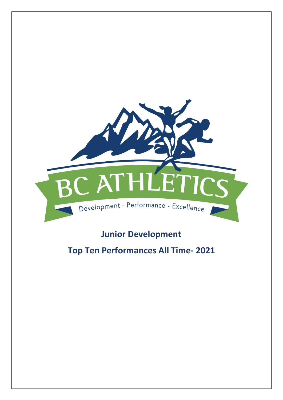

# **Junior Development**

# **Top Ten Performances All Time- 2021**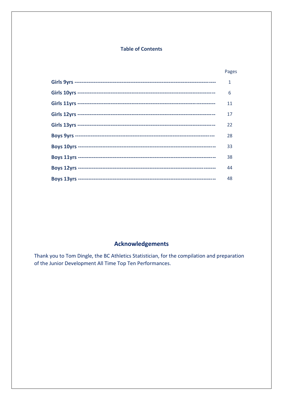### **Table of Contents**

### Pages

| $\mathbf{1}$ |
|--------------|
| 6            |
| 11           |
| 17           |
| 22           |
| 28           |
| 33           |
| 38           |
| 44           |
| 48           |

## **Acknowledgements**

Thank you to Tom Dingle, the BC Athletics Statistician, for the compilation and preparation of the Junior Development All Time Top Ten Performances.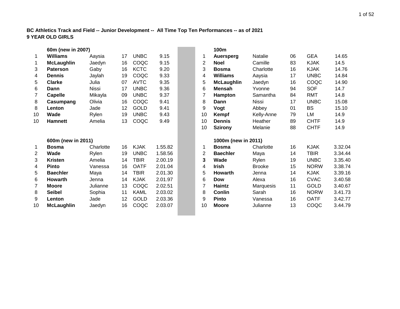#### **BC Athletics Track and Field -- Junior Development -- All Time Top Ten Performances -- as of 2021 9 YEAR OLD GIRLS**

|                | 60m (new in 2007)  |              |    |             |         |    | 100m                |                |    |             |         |
|----------------|--------------------|--------------|----|-------------|---------|----|---------------------|----------------|----|-------------|---------|
| $\mathbf{1}$   | Williams           | Aaysia       | 17 | <b>UNBC</b> | 9.15    | 1  | Auersperg           | <b>Natalie</b> | 06 | <b>GEA</b>  | 14.65   |
| $\mathbf 1$    | <b>McLaughlin</b>  | Jaedyn       | 16 | COQC        | 9.15    | 2  | <b>Noel</b>         | Camille        | 83 | <b>KJAK</b> | 14.5    |
| 3              | <b>Paterson</b>    | Gaby         | 16 | <b>KCTC</b> | 9.20    | 3  | <b>Bosma</b>        | Charlotte      | 16 | <b>KJAK</b> | 14.76   |
| 4              | <b>Dennis</b>      | Jaylah       | 19 | COQC        | 9.33    | 4  | <b>Williams</b>     | Aaysia         | 17 | <b>UNBC</b> | 14.84   |
| 5              | <b>Clarke</b>      | Julia        | 07 | <b>AVTC</b> | 9.35    | 5  | <b>McLaughlin</b>   | Jaedyn         | 16 | COQC        | 14.90   |
| 6              | Dann               | <b>Nissi</b> | 17 | <b>UNBC</b> | 9.36    | 6  | <b>Mensah</b>       | Yvonne         | 94 | <b>SOF</b>  | 14.7    |
| $\overline{7}$ | <b>Capelle</b>     | Mikayla      | 09 | <b>UNBC</b> | 9.37    | 7  | Hampton             | Samantha       | 84 | <b>RMT</b>  | 14.8    |
| 8              | Casumpang          | Olivia       | 16 | COQC        | 9.41    | 8  | Dann                | <b>Nissi</b>   | 17 | <b>UNBC</b> | 15.08   |
| 8              | Lenton             | Jade         | 12 | <b>GOLD</b> | 9.41    | 9  | Vogt                | Abbey          | 01 | <b>BS</b>   | 15.10   |
| 10             | Wade               | Rylen        | 19 | <b>UNBC</b> | 9.43    | 10 | Kempf               | Kelly-Anne     | 79 | <b>LM</b>   | 14.9    |
| 10             | <b>Hamnett</b>     | Amelia       | 13 | COQC        | 9.49    | 10 | <b>Dennis</b>       | Heather        | 89 | <b>CHTF</b> | 14.9    |
|                |                    |              |    |             |         | 10 | <b>Szirony</b>      | Melanie        | 88 | <b>CHTF</b> | 14.9    |
|                | 600m (new in 2011) |              |    |             |         |    | 1000m (new in 2011) |                |    |             |         |
| $\mathbf{1}$   | <b>Bosma</b>       | Charlotte    | 16 | <b>KJAK</b> | 1.55.82 | 1  | <b>Bosma</b>        | Charlotte      | 16 | <b>KJAK</b> | 3.32.04 |
| 2              | Wade               | Rylen        | 19 | <b>UNBC</b> | 1.58.56 | 2  | <b>Baechler</b>     | Maya           | 14 | <b>TBIR</b> | 3.34.44 |
| 3              | <b>Kristen</b>     | Amelia       | 14 | <b>TBIR</b> | 2.00.19 | 3  | Wade                | Rylen          | 19 | <b>UNBC</b> | 3.35.40 |
| 4              | <b>Pinto</b>       | Vanessa      | 16 | <b>OATF</b> | 2.01.04 | 4  | <b>Irish</b>        | <b>Brooke</b>  | 15 | <b>NORW</b> | 3.38.74 |
| 5              | <b>Baechler</b>    | Maya         | 14 | <b>TBIR</b> | 2.01.30 | 5  | <b>Howarth</b>      | Jenna          | 14 | <b>KJAK</b> | 3.39.16 |
| 6              | <b>Howarth</b>     | Jenna        | 14 | <b>KJAK</b> | 2.01.97 | 6  | <b>Dow</b>          | Alexa          | 16 | <b>CVAC</b> | 3.40.58 |
| 7              | <b>Moore</b>       | Julianne     | 13 | COQC        | 2.02.51 | 7  | Haintz              | Marquesis      | 11 | <b>GOLD</b> | 3.40.67 |
| 8              | <b>Seibel</b>      | Sophia       | 11 | <b>KAML</b> | 2.03.02 | 8  | <b>Conlin</b>       | Sarah          | 16 | <b>NORW</b> | 3.41.73 |
| 9              | Lenton             | Jade         | 12 | <b>GOLD</b> | 2.03.36 | 9  | <b>Pinto</b>        | Vanessa        | 16 | <b>OATF</b> | 3.42.77 |
| 10             | <b>McLaughlin</b>  | Jaedyn       | 16 | COQC        | 2.03.07 | 10 | <b>Moore</b>        | Julianne       | 13 | COQC        | 3.44.79 |
|                |                    |              |    |             |         |    |                     |                |    |             |         |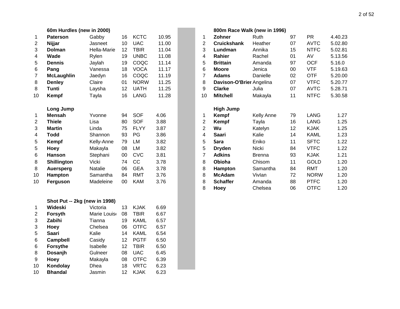|                  | 60m Hurdles (new in 2000)     |              |        |             |       |                         |                          | 800m Race Walk (new in 1996) |
|------------------|-------------------------------|--------------|--------|-------------|-------|-------------------------|--------------------------|------------------------------|
| 1                | <b>Paterson</b>               | Gabby        | 16     | <b>KCTC</b> | 10.95 | 1                       | Zohner                   | Ruth                         |
| $\overline{c}$   | Nijjar                        | Jasneet      | 10     | <b>UAC</b>  | 11.00 | $\overline{c}$          | <b>Cruickshank</b>       | Heather                      |
| 3                | <b>Dolman</b>                 | Hella-Marie  | 12     | <b>TBIR</b> | 11.04 | 3                       | Lundman                  | Annika                       |
| 4                | Wade                          | Rylen        | 19     | <b>UNBC</b> | 11.08 | $\overline{\mathbf{4}}$ | <b>Rahier</b>            | Rachel                       |
| 5                | <b>Dennis</b>                 | Jaylah       | 19     | COQC        | 11.14 | 5                       | <b>Brittain</b>          | Amanda                       |
| 6                | Pang                          | Vanessa      | 18     | <b>VOCA</b> | 11.17 | 6                       | <b>Moore</b>             | Jenica                       |
| $\overline{7}$   | <b>McLaughlin</b>             | Jaedyn       | 16     | COQC        | 11.19 | $\overline{7}$          | <b>Adams</b>             | Danielle                     |
| 8                | <b>Denley</b>                 | Claire       | 01     | <b>NORW</b> | 11.25 | 8                       | Davison-O'Brier Angelina |                              |
| 8                | <b>Tunti</b>                  | Laysha       | 12     | <b>UATH</b> | 11.25 | 9                       | <b>Clarke</b>            | Julia                        |
| 10               | Kempf                         | Tayla        | 16     | <b>LANG</b> | 11.28 | 10                      | <b>Mitchell</b>          | Makayla                      |
|                  | Long Jump                     |              |        |             |       |                         | <b>High Jump</b>         |                              |
| 1                | <b>Mensah</b>                 | Yvonne       | 94     | <b>SOF</b>  | 4.06  | 1                       | Kempf                    | Kelly Anne                   |
| $\overline{c}$   | <b>Thiele</b>                 | Lisa         | 80     | <b>SOF</b>  | 3.88  | $\overline{2}$          | Kempf                    | Tayla                        |
| 3                | <b>Martin</b>                 | Linda        | 75     | <b>FLYY</b> | 3.87  | $\overline{2}$          | Wu                       | Katelyn                      |
| 4                | <b>Todd</b>                   | Shannon      | 93     | PG          | 3.86  | $\overline{\mathbf{4}}$ | <b>Saari</b>             | Kalie                        |
| 5                | Kempf                         | Kelly-Anne   | 79     | LM          | 3.82  | 5                       | Sara                     | Eniko                        |
| 5                | Hoey                          | Makayla      | 08     | LM          | 3.82  | 5                       | <b>Dryden</b>            | Nicki                        |
| $\,6$            | <b>Hanson</b>                 | Stephani     | $00\,$ | <b>CVC</b>  | 3.81  | $\overline{7}$          | <b>Adkins</b>            | <b>Brenna</b>                |
| 8                | Shillington                   | Vicki        | 74     | CC          | 3.78  | 8                       | Obioha                   | Chisom                       |
| 8                | <b>Auersperg</b>              | Natalie      | 06     | <b>GEA</b>  | 3.78  | 8                       | Hampton                  | Samantha                     |
| 10               | Hampton                       | Samantha     | 84     | <b>RMT</b>  | 3.76  | 8                       | <b>McAdam</b>            | Vivlan                       |
| 10               | Ferguson                      | Madeleine    | 00     | <b>KAM</b>  | 3.76  | 8                       | <b>Schaffer</b>          | Amanda                       |
|                  |                               |              |        |             |       | 8                       | Hoey                     | Chelsea                      |
|                  | Shot Put -- 2kg (new in 1998) |              |        |             |       |                         |                          |                              |
| 1                | Wideski                       | Victoria     | 13     | <b>KJAK</b> | 6.69  |                         |                          |                              |
| $\overline{c}$   | Forsyth                       | Marie Louise | 08     | <b>TBIR</b> | 6.67  |                         |                          |                              |
| 3                | Zabihi                        | Tianna       | 19     | <b>KAML</b> | 6.57  |                         |                          |                              |
| 3                | <b>Hoey</b>                   | Chelsea      | 06     | <b>OTFC</b> | 6.57  |                         |                          |                              |
| 5                | <b>Saari</b>                  | Kalie        | 14     | <b>KAML</b> | 6.54  |                         |                          |                              |
| 6                | Campbell                      | Casidy       | 12     | <b>PGTF</b> | 6.50  |                         |                          |                              |
| $\,6$            | <b>Forsythe</b>               | Isabelle     | 12     | <b>TBIR</b> | 6.50  |                         |                          |                              |
| 8                | Dosanjh                       | Gulneer      | 08     | <b>UAC</b>  | 6.45  |                         |                          |                              |
| $\boldsymbol{9}$ | Hoey                          | Makayla      | 08     | <b>OTFC</b> | 6.39  |                         |                          |                              |
| 10               | Kondolay                      | Dhea         | 18     | <b>VRTC</b> | 6.23  |                         |                          |                              |

**Bhandal** Jasmin 12 KJAK 6.23

|    | 60m Hurdies (new in 2000) |             |        |             |       |                |                          | 800m Race Walk (new in 1996) |    |             |         |  |
|----|---------------------------|-------------|--------|-------------|-------|----------------|--------------------------|------------------------------|----|-------------|---------|--|
| 1  | <b>Paterson</b>           | Gabby       | 16     | <b>KCTC</b> | 10.95 |                | <b>Zohner</b>            | Ruth                         | 97 | <b>PR</b>   | 4.40.23 |  |
| 2  | Nijjar                    | Jasneet     | 10     | <b>UAC</b>  | 11.00 | 2              | <b>Cruickshank</b>       | Heather                      | 07 | <b>AVTC</b> | 5.02.80 |  |
| 3  | <b>Dolman</b>             | Hella-Marie | 12     | TBIR        | 11.04 | 3              | Lundman                  | Annika                       | 15 | <b>NTFC</b> | 5.02.81 |  |
| 4  | Wade                      | Rylen       | 19     | <b>UNBC</b> | 11.08 | 4              | Rahier                   | Rachel                       | 01 | AV          | 5.13.56 |  |
| 5  | <b>Dennis</b>             | Jaylah      | 19     | COQC        | 11.14 | 5              | <b>Brittain</b>          | Amanda                       | 97 | <b>OCF</b>  | 5.16.0  |  |
| 6  | Pang                      | Vanessa     | 18     | <b>VOCA</b> | 11.17 | 6              | <b>Moore</b>             | Jenica                       | 00 | <b>VTF</b>  | 5.19.63 |  |
| 7  | <b>McLaughlin</b>         | Jaedyn      | 16     | COQC        | 11.19 | 7              | <b>Adams</b>             | Danielle                     | 02 | <b>OTF</b>  | 5.20.00 |  |
| 8  | <b>Denley</b>             | Claire      | 01     | <b>NORW</b> | 11.25 | 8              | Davison-O'Brier Angelina |                              | 07 | <b>VTFC</b> | 5.20.77 |  |
| 8  | Tunti                     | Laysha      | 12     | <b>UATH</b> | 11.25 | 9              | <b>Clarke</b>            | Julia                        | 07 | <b>AVTC</b> | 5.28.71 |  |
| 10 | Kempf                     | Tayla       | 16     | <b>LANG</b> | 11.28 | 10             | <b>Mitchell</b>          | Makayla                      | 11 | <b>NTFC</b> | 5.30.58 |  |
|    | Long Jump                 |             |        |             |       |                | <b>High Jump</b>         |                              |    |             |         |  |
| 1  | <b>Mensah</b>             | Yvonne      | 94     | <b>SOF</b>  | 4.06  |                | Kempf                    | Kelly Anne                   | 79 | <b>LANG</b> | 1.27    |  |
| 2  | <b>Thiele</b>             | Lisa        | 80     | <b>SOF</b>  | 3.88  | 2              | Kempf                    | Tayla                        | 16 | <b>LANG</b> | 1.25    |  |
| 3  | <b>Martin</b>             | Linda       | 75     | <b>FLYY</b> | 3.87  | 2              | Wu                       | Katelyn                      | 12 | <b>KJAK</b> | 1.25    |  |
| 4  | Todd                      | Shannon     | 93     | PG          | 3.86  | 4              | Saari                    | Kalie                        | 14 | <b>KAML</b> | 1.23    |  |
| 5  | Kempf                     | Kelly-Anne  | 79     | LM          | 3.82  | 5              | Sara                     | Eniko                        | 11 | <b>SFTC</b> | 1.22    |  |
| 5  | Hoey                      | Makayla     | 08     | LM          | 3.82  | 5              | <b>Dryden</b>            | Nicki                        | 84 | <b>VTFC</b> | 1.22    |  |
| 6  | <b>Hanson</b>             | Stephani    | $00\,$ | <b>CVC</b>  | 3.81  | $\overline{7}$ | <b>Adkins</b>            | <b>Brenna</b>                | 93 | <b>KJAK</b> | 1.21    |  |
| 8  | <b>Shillington</b>        | Vicki       | 74     | cc          | 3.78  | 8              | Obioha                   | Chisom                       | 11 | <b>GOLD</b> | 1.20    |  |
| 8  | Auersperg                 | Natalie     | 06     | <b>GEA</b>  | 3.78  | 8              | <b>Hampton</b>           | Samantha                     | 84 | <b>RMT</b>  | 1.20    |  |
| 10 | Hampton                   | Samantha    | 84     | <b>RMT</b>  | 3.76  | 8              | <b>McAdam</b>            | Vivlan                       | 72 | <b>NORW</b> | 1.20    |  |
| 10 | Ferguson                  | Madeleine   | 00     | <b>KAM</b>  | 3.76  | 8              | <b>Schaffer</b>          | Amanda                       | 88 | <b>PTFC</b> | 1.20    |  |
|    |                           |             |        |             |       | 8              | <b>Hoey</b>              | Chelsea                      | 06 | <b>OTFC</b> | 1.20    |  |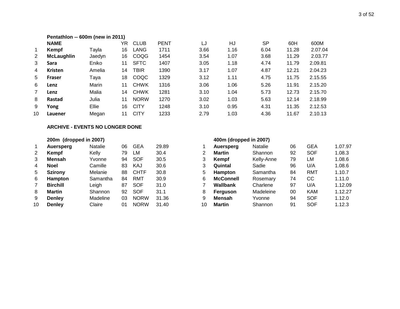#### **Pentathlon -- 600m (new in 2011)**

|    | <b>NAME</b>       |        | YR. | <b>CLUB</b> | <b>PENT</b> | LJ   | HJ   | <b>SP</b> | 60H   | 600M    |
|----|-------------------|--------|-----|-------------|-------------|------|------|-----------|-------|---------|
| 1  | Kempf             | Tayla  | 16  | LANG        | 1711        | 3.66 | 1.16 | 6.04      | 11.28 | 2.07.04 |
| 2  | <b>McLaughlin</b> | Jaedyn | 16  | COQG        | 1454        | 3.54 | 1.07 | 3.68      | 11.29 | 2.03.77 |
| 3  | Sara              | Eniko  | 11  | <b>SFTC</b> | 1407        | 3.05 | 1.18 | 4.74      | 11.79 | 2.09.81 |
| 4  | <b>Kristen</b>    | Amelia | 14  | <b>TBIR</b> | 1390        | 3.17 | 1.07 | 4.87      | 12.21 | 2.04.23 |
| 5  | <b>Fraser</b>     | Tava   | 18  | COQC        | 1329        | 3.12 | 1.11 | 4.75      | 11.75 | 2.15.55 |
| 6  | Lenz              | Marin  | 11  | <b>CHWK</b> | 1316        | 3.06 | 1.06 | 5.26      | 11.91 | 2.15.20 |
| 7  | Lenz              | Malia  | 14  | <b>CHWK</b> | 1281        | 3.10 | 1.04 | 5.73      | 12.73 | 2.15.70 |
| 8  | Rastad            | Julia  | 11  | <b>NORW</b> | 1270        | 3.02 | 1.03 | 5.63      | 12.14 | 2.18.99 |
| 9  | Yong              | Ellie  | 16  | <b>CITY</b> | 1248        | 3.10 | 0.95 | 4.31      | 11.35 | 2.12.53 |
| 10 | Lauener           | Megan  | 11  | <b>CITY</b> | 1233        | 2.79 | 1.03 | 4.36      | 11.67 | 2.10.13 |

#### **ARCHIVE - EVENTS NO LONGER DONE**

|    | 200m (dropped in 2007) |          |    |             |       |    | 400m (dropped in 2007) |          |
|----|------------------------|----------|----|-------------|-------|----|------------------------|----------|
| 1  | Auersperg              | Natalie  | 06 | <b>GEA</b>  | 29.89 |    | <b>Auersperg</b>       | Natalie  |
| 2  | Kempf                  | Kelly    | 79 | LM          | 30.4  | 2  | <b>Martin</b>          | Shannor  |
| 3  | <b>Mensah</b>          | Yvonne   | 94 | <b>SOF</b>  | 30.5  | 3  | Kempf                  | Kelly-An |
| 4  | <b>Noel</b>            | Camille  | 83 | KAJ         | 30.6  | 3  | Quintal                | Sadie    |
| 5  | <b>Szirony</b>         | Melanie  | 88 | <b>CHTF</b> | 30.8  | 5  | Hampton                | Samanth  |
| 6  | <b>Hampton</b>         | Samantha | 84 | <b>RMT</b>  | 30.9  | 6  | <b>McConnell</b>       | Rosema   |
| 7  | <b>Birchill</b>        | Leigh    | 87 | <b>SOF</b>  | 31.0  |    | Wallbank               | Charlene |
| 8  | <b>Martin</b>          | Shannon  | 92 | <b>SOF</b>  | 31.1  | 8  | Ferguson               | Madeleir |
| 9  | <b>Denley</b>          | Madeline | 03 | <b>NORW</b> | 31.36 | 9  | <b>Mensah</b>          | Yvonne   |
| 10 | <b>Denley</b>          | Claire   | 01 | <b>NORW</b> | 31.40 | 10 | <b>Martin</b>          | Shannor  |

|    | Auersperg       | <b>Natalie</b> | 06 | <b>GEA</b>  | 29.89 |    | Auersperg        | <b>Natalie</b> | 06 | GEA        | 1.07.97 |
|----|-----------------|----------------|----|-------------|-------|----|------------------|----------------|----|------------|---------|
| 2  | <b>Kempf</b>    | Kelly          | 79 | LM          | 30.4  | 2  | <b>Martin</b>    | Shannon        | 92 | <b>SOF</b> | 1.08.3  |
| 3  | <b>Mensah</b>   | Yvonne         | 94 | <b>SOF</b>  | 30.5  | 3  | Kempf            | Kelly-Anne     | 79 | LM         | 1.08.6  |
| 4  | <b>Noel</b>     | Camille        | 83 | KAJ         | 30.6  | 3  | Quintal          | Sadie          | 96 | U/A        | 1.08.6  |
| 5  | <b>Szirony</b>  | Melanie        | 88 | <b>CHTF</b> | 30.8  | 5  | <b>Hampton</b>   | Samantha       | 84 | RMT        | 1.10.7  |
| 6  | <b>Hampton</b>  | Samantha       | 84 | RMT         | 30.9  | 6  | <b>McConnell</b> | Rosemary       | 74 | CС         | 1.11.0  |
|    | <b>Birchill</b> | Leigh          | 87 | <b>SOF</b>  | 31.0  |    | Wallbank         | Charlene       | 97 | U/A        | 1.12.09 |
| 8  | <b>Martin</b>   | Shannon        | 92 | SOF         | 31.1  | 8  | Ferguson         | Madeleine      | 00 | <b>KAM</b> | 1.12.27 |
| 9  | <b>Denley</b>   | Madeline       | 03 | <b>NORW</b> | 31.36 | 9  | <b>Mensah</b>    | Yvonne         | 94 | <b>SOF</b> | 1.12.0  |
| 10 | <b>Denley</b>   | Claire         | 01 | <b>NORW</b> | 31.40 | 10 | <b>Martin</b>    | Shannon        | 91 | <b>SOF</b> | 1.12.3  |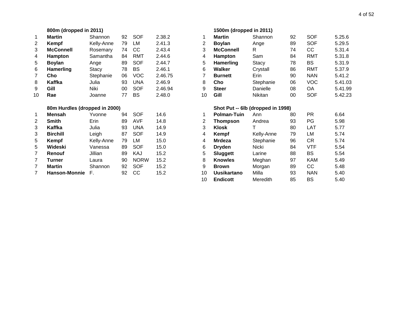|             | 800m (dropped in 2011) |                               |    |            |         |    | 1500m (dropped in 2011) |                                   |  |
|-------------|------------------------|-------------------------------|----|------------|---------|----|-------------------------|-----------------------------------|--|
| $\mathbf 1$ | <b>Martin</b>          | Shannon                       | 92 | SOF        | 2.38.2  | 1  | <b>Martin</b>           | Shannon                           |  |
| 2           | Kempf                  | Kelly-Anne                    | 79 | LM         | 2.41.3  | 2  | <b>Boylan</b>           | Ange                              |  |
| 3           | <b>McConnell</b>       | Rosemary                      | 74 | CC         | 2.43.4  | 3  | <b>McConnell</b>        | R                                 |  |
| 4           | <b>Hampton</b>         | Samantha                      | 84 | RMT        | 2.44.6  | 4  | Hampton                 | Sam                               |  |
| 5           | <b>Boylan</b>          | Ange                          | 89 | <b>SOF</b> | 2.44.7  | 5  | <b>Hamerling</b>        | Stacy                             |  |
| 6           | <b>Hamerling</b>       | Stacy                         | 78 | <b>BS</b>  | 2.46.1  | 6  | Walker                  | Crystall                          |  |
| 7           | Cho                    | Stephanie                     | 06 | VOC        | 2.46.75 | 7  | <b>Burnett</b>          | Erin                              |  |
| 8           | Kaffka                 | Julia                         | 93 | <b>UNA</b> | 2.46.9  | 8  | Cho                     | Stephanie                         |  |
| 9           | Gill                   | Niki                          | 00 | <b>SOF</b> | 2.46.94 | 9  | <b>Steer</b>            | Danielle                          |  |
| 10          | Rae                    | Joanne                        | 77 | BS         | 2.48.0  | 10 | Gill                    | <b>Nikitan</b>                    |  |
|             |                        | 80m Hurdles (dropped in 2000) |    |            |         |    |                         | Shot Put -- 6lb (dropped in 1998) |  |

| 1              | <b>Mensah</b>   | Yvonne     | 94 | SOF         | 14.6 |
|----------------|-----------------|------------|----|-------------|------|
| 2              | <b>Smith</b>    | Erin       | 89 | <b>AVF</b>  | 14.8 |
| 3              | Kaffka          | Julia      | 93 | <b>UNA</b>  | 14.9 |
| 3              | <b>Birchill</b> | Leigh      | 87 | <b>SOF</b>  | 14.9 |
| 5              | Kempf           | Kelly-Anne | 79 | LM          | 15.0 |
| 5              | Wideski         | Vanessa    | 89 | SOF         | 15.0 |
| $\overline{7}$ | Renouf          | Jillian    | 89 | KAJ         | 15.2 |
| $\overline{7}$ | <b>Turner</b>   | Laura      | 90 | <b>NORW</b> | 15.2 |
| $\overline{7}$ | <b>Martin</b>   | Shannon    | 92 | <b>SOF</b>  | 15.2 |
| 7              | Hanson-Monnie   | E.         | 92 | CC          | 15.2 |
|                |                 |            |    |             |      |

|                | 800m (dropped in 2011)        |            |    |             |         |                | 1500m (dropped in 2011) |                                   |    |            |         |  |
|----------------|-------------------------------|------------|----|-------------|---------|----------------|-------------------------|-----------------------------------|----|------------|---------|--|
| $\mathbf 1$    | Martin                        | Shannon    | 92 | <b>SOF</b>  | 2.38.2  | 1.             | <b>Martin</b>           | Shannon                           | 92 | <b>SOF</b> | 5.25.6  |  |
| $\overline{c}$ | <b>Kempf</b>                  | Kelly-Anne | 79 | LM          | 2.41.3  | $\overline{2}$ | <b>Boylan</b>           | Ange                              | 89 | <b>SOF</b> | 5.29.5  |  |
| 3              | <b>McConnell</b>              | Rosemary   | 74 | CC          | 2.43.4  | 3              | <b>McConnell</b>        | R                                 | 74 | CC         | 5.31.4  |  |
| 4              | <b>Hampton</b>                | Samantha   | 84 | <b>RMT</b>  | 2.44.6  | 4              | Hampton                 | Sam                               | 84 | <b>RMT</b> | 5.31.8  |  |
| 5              | <b>Boylan</b>                 | Ange       | 89 | <b>SOF</b>  | 2.44.7  | 5              | <b>Hamerling</b>        | Stacy                             | 78 | <b>BS</b>  | 5.31.9  |  |
| 6              | Hamerling                     | Stacy      | 78 | <b>BS</b>   | 2.46.1  | 6              | Walker                  | Crystall                          | 86 | <b>RMT</b> | 5.37.9  |  |
| 7              | Cho                           | Stephanie  | 06 | <b>VOC</b>  | 2.46.75 | 7              | <b>Burnett</b>          | Erin                              | 90 | <b>NAN</b> | 5.41.2  |  |
| 8              | <b>Kaffka</b>                 | Julia      | 93 | <b>UNA</b>  | 2.46.9  | 8              | Cho                     | Stephanie                         | 06 | <b>VOC</b> | 5.41.03 |  |
| 9              | Gill                          | Niki       | 00 | <b>SOF</b>  | 2.46.94 | 9              | <b>Steer</b>            | Danielle                          | 08 | OA         | 5.41.99 |  |
| 10             | Rae                           | Joanne     | 77 | <b>BS</b>   | 2.48.0  | 10             | Gill                    | Nikitan                           | 00 | <b>SOF</b> | 5.42.23 |  |
|                | 80m Hurdles (dropped in 2000) |            |    |             |         |                |                         | Shot Put -- 6lb (dropped in 1998) |    |            |         |  |
| 1              | <b>Mensah</b>                 | Yvonne     | 94 | <b>SOF</b>  | 14.6    | 1              | <b>Polman-Tuin</b>      | Ann                               | 80 | <b>PR</b>  | 6.64    |  |
| 2              | <b>Smith</b>                  | Erin       | 89 | <b>AVF</b>  | 14.8    | 2              | Thompson                | Andrea                            | 93 | PG.        | 5.98    |  |
| 3              | Kaffka                        | Julia      | 93 | <b>UNA</b>  | 14.9    | 3              | <b>Klosk</b>            | т                                 | 80 | LAT        | 5.77    |  |
| 3              | <b>Birchill</b>               | Leigh      | 87 | <b>SOF</b>  | 14.9    | 4              | Kempf                   | Kelly-Anne                        | 79 | LM         | 5.74    |  |
| 5              | <b>Kempf</b>                  | Kelly-Anne | 79 | LM          | 15.0    | 4              | <b>Mrdeza</b>           | Stephanie                         | 96 | <b>CR</b>  | 5.74    |  |
| 5              | Wideski                       | Vanessa    | 89 | <b>SOF</b>  | 15.0    | 6              | <b>Dryden</b>           | Nicki                             | 84 | <b>VTF</b> | 5.54    |  |
| 7              | Renouf                        | Jillian    | 89 | KAJ         | 15.2    | 5              | <b>Sluggett</b>         | Larine                            | 88 | <b>BS</b>  | 5.54    |  |
| 7              | <b>Turner</b>                 | Laura      | 90 | <b>NORW</b> | 15.2    | 8              | <b>Knowles</b>          | Meghan                            | 97 | <b>KAM</b> | 5.49    |  |
| 7              | <b>Martin</b>                 | Shannon    | 92 | <b>SOF</b>  | 15.2    | 9              | <b>Brown</b>            | Morgan                            | 89 | cc         | 5.48    |  |
| 7              | <b>Hanson-Monnie</b>          | F.         | 92 | CC          | 15.2    | 10             | <b>Uusikartano</b>      | Milla                             | 93 | <b>NAN</b> | 5.40    |  |
|                |                               |            |    |             |         | 10             | <b>Endicott</b>         | Meredith                          | 85 | <b>BS</b>  | 5.40    |  |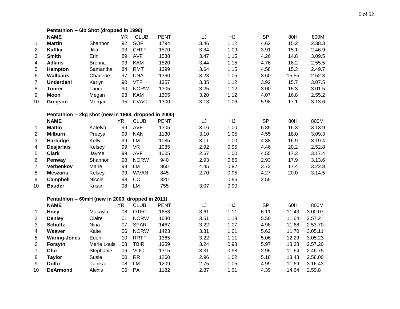|                  | Pentathlon -- 6lb Shot (dropped in 1998)              |               |           |             |             |  |      |      |           |       |         |
|------------------|-------------------------------------------------------|---------------|-----------|-------------|-------------|--|------|------|-----------|-------|---------|
|                  | <b>NAME</b>                                           |               | <b>YR</b> | <b>CLUB</b> | <b>PENT</b> |  | LJ   | HJ   | <b>SP</b> | 80H   | 800M    |
| $\mathbf{1}$     | <b>Martin</b>                                         | Shannon       | 92        | SOF         | 1794        |  | 3.46 | 1.12 | 4.62      | 15.2  | 2.38.3  |
| $\boldsymbol{2}$ | Kaffka                                                | Jilia         | 93        | <b>CHTF</b> | 1570        |  | 3.34 | 1.09 | 3.91      | 15.1  | 2.46.9  |
| 3                | <b>Smith</b>                                          | Erin          | 89        | <b>AVF</b>  | 1538        |  | 3.47 | 1.15 | 4.26      | 14.8  | 3.09.5  |
| 4                | <b>Adkins</b>                                         | <b>Brenna</b> | 93        | <b>KAM</b>  | 1520        |  | 3.44 | 1.15 | 4.76      | 16.2  | 2.55.5  |
| 5                | Hampton                                               | Samantha      | 84        | <b>RMT</b>  | 1399        |  | 3.64 | 1.15 | 4.58      | 15.3  | 2.49.7  |
| 6                | <b>Wallbank</b>                                       | Charlene      | 97        | <b>UNA</b>  | 1360        |  | 3.23 | 1.05 | 3.60      | 15.55 | 2.52.3  |
| $\overline{7}$   | <b>Underdahl</b>                                      | Karlyn        | 90        | <b>VTF</b>  | 1357        |  | 3.35 | 1.12 | 3.92      | 15.7  | 3.07.5  |
| 8                | <b>Tunrer</b>                                         | Laura         | 90        | <b>NORW</b> | 1305        |  | 3.25 | 1.12 | 3.00      | 15.3  | 3.01.5  |
| 9                | <b>Moon</b>                                           | Megan         | 93        | <b>KAM</b>  | 1305        |  | 3.20 | 1.12 | 4.07      | 16.8  | 2.55.2  |
| 10               | Gregson                                               | Morgan        | 95        | <b>CVAC</b> | 1300        |  | 3.13 | 1.06 | 5.98      | 17.1  | 3.13.6  |
|                  | Pentathlon -- 2kg shot (new in 1998, dropped in 2000) |               |           |             |             |  |      |      |           |       |         |
|                  | <b>NAME</b>                                           |               | <b>YR</b> | <b>CLUB</b> | <b>PENT</b> |  | LJ   | HJ   | <b>SP</b> | 80H   | 800M    |
| 1                | <b>Mattin</b>                                         | Katelyn       | 99        | AVF         | 1305        |  | 3.16 | 1.00 | 5.85      | 16.3  | 3.13.9  |
| 2                | <b>Milburn</b>                                        | Preeya        | 99        | <b>NAN</b>  | 1130        |  | 3.10 | 1.05 | 4.55      | 18.0  | 3.09.3  |
| 3                | Harbidge                                              | Kelly         | 99        | <b>LM</b>   | 1085        |  | 3.11 | 1.00 | 4.38      | 16.9  | 3.19.4  |
| 4                | <b>Desjarlais</b>                                     | Kelsey        | 99        | <b>VR</b>   | 1035        |  | 2.92 | 0.95 | 4.46      | 20.2  | 2.52.8  |
| 5                | <b>Clark</b>                                          | Jayme         | 99        | <b>AVF</b>  | 1005        |  | 2.67 | 1.00 | 4.55      | 17.3  | 3.17.4  |
| 6                | Penway                                                | Shannon       | 98        | <b>NORW</b> | 940         |  | 2.93 | 0.86 | 2.93      | 17.9  | 3.13.6  |
| 7                | Verbenkov                                             | Marie         | 98        | <b>LM</b>   | 860         |  | 4.45 | 0.92 | 3.72      | 17.4  | 3.22.8  |
| 8                | <b>Meszaris</b>                                       | Kelsey        | 99        | <b>WVAN</b> | 845         |  | 2.70 | 0.95 | 4.27      | 20.0  | 3.14.5  |
| 9                | Campbell                                              | Nicole        | 98        | CC          | 820         |  |      | 0.86 | 2.55      |       |         |
| 10               | <b>Bauder</b>                                         | Kristin       | 98        | <b>LM</b>   | 755         |  | 3.07 | 0.90 |           |       |         |
|                  | Pentathlon -- 60mH (new in 2000, dropped in 2011)     |               |           |             |             |  |      |      |           |       |         |
|                  | <b>NAME</b>                                           |               | <b>YR</b> | <b>CLUB</b> | <b>PENT</b> |  | LJ   | HJ   | <b>SP</b> | 60H   | 800M    |
| 1                | Hoey                                                  | Makayla       | 08        | <b>OTFC</b> | 1653        |  | 3.61 | 1.11 | 6.11      | 11.43 | 3.00.07 |
| $\overline{2}$   | <b>Denley</b>                                         | Claire        | 01        | <b>NORW</b> | 1630        |  | 3.51 | 1.18 | 5.50      | 11.64 | 2.57.2  |
| 3                | <b>Schultz</b>                                        | Nina          | 07        | <b>SPAR</b> | 1467        |  | 3.22 | 1.07 | 4.98      | 11.68 | 2.53.70 |
| 4                | Weaver                                                | Kaite         | 06        | <b>NORW</b> | 1423        |  | 3.31 | 1.01 | 5.62      | 11.70 | 3.05.11 |
| 5                | <b>Waring-Jones</b>                                   | Eden          | 10        | <b>RRTF</b> | 1365        |  | 3.22 | 1.11 | 5.06      | 12.29 | 3.05.23 |
| 6                | Forsyth                                               | Marie Louise  | 08        | <b>TBIR</b> | 1359        |  | 3.24 | 0.98 | 5.97      | 13.38 | 2.57.20 |
| 7                | Cho                                                   | Stephanie     | 06        | <b>VOC</b>  | 1315        |  | 3.31 | 0.98 | 2.95      | 11.64 | 2.46.75 |
| 8                | <b>Taylor</b>                                         | Susie         | 00        | RR          | 1260        |  | 2.96 | 1.02 | 5.18      | 13.43 | 2.58.00 |
| 9                | <b>Dolfo</b>                                          | Tanika        | 08        | LM          | 1209        |  | 2.75 | 1.05 | 4.99      | 11.69 | 3.16.43 |
| 10               | <b>DeArmond</b>                                       | Alexis        | 06        | PA          | 1182        |  | 2.87 | 1.01 | 4.39      | 14.64 | 2.59.8  |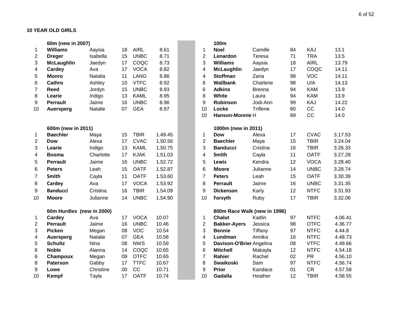#### **10 YEAR OLD GIRLS**

|                | 60m (new in 2007)         |                |    |             |         |                  | 100m                         |               |    |             |         |
|----------------|---------------------------|----------------|----|-------------|---------|------------------|------------------------------|---------------|----|-------------|---------|
| 1              | <b>Williams</b>           | Aaysia         | 18 | <b>AIRL</b> | 8.61    | $\mathbf{1}$     | <b>Noel</b>                  | Camille       | 84 | KAJ         | 13.1    |
| $\overline{c}$ | <b>Dreger</b>             | Isabella       | 15 | <b>UNBC</b> | 8.71    | $\overline{2}$   | Lenardon                     | Teresa        | 71 | <b>TRA</b>  | 13.5    |
| 3              | <b>McLaughlin</b>         | Jaedyn         | 17 | COQC        | 8.73    | 3                | <b>Williams</b>              | Aaysia        | 18 | <b>AIRL</b> | 13.79   |
| 4              | Cardey                    | Ava            | 17 | <b>VOCA</b> | 8.82    | 4                | <b>McLaughlin</b>            | Jaedyn        | 17 | COQC        | 14.11   |
| 5              | <b>Monro</b>              | Natalia        | 11 | <b>LANG</b> | 8.86    | 4                | <b>Stoffman</b>              | Zaria         | 98 | <b>VOC</b>  | 14.11   |
| 6              | <b>Cathro</b>             | Ashley         | 10 | <b>VTFC</b> | 8.92    | 6                | <b>Wallbank</b>              | Charlene      | 98 | U/A         | 14.13   |
| $\overline{7}$ | <b>Reed</b>               | Jordyn         | 15 | <b>UNBC</b> | 8.93    | 6                | <b>Adkins</b>                | <b>Brenna</b> | 94 | <b>KAM</b>  | 13.9    |
| 8              | Learie                    | Indigo         | 13 | <b>KAML</b> | 8.95    | 8                | White                        | Laura         | 94 | <b>KAM</b>  | 13.9    |
| 9              | <b>Perrault</b>           | Jaime          | 16 | <b>UNBC</b> | 8.96    | 9                | <b>Robinson</b>              | Jodi-Ann      | 99 | KAJ         | 14.22   |
| 10             | <b>Auersperg</b>          | Natalie        | 07 | <b>GEA</b>  | 8.97    | 10               | Locke                        | Triflene      | 80 | CC          | 14.0    |
|                |                           |                |    |             |         | 10               | Hanson-Monnie H              |               | 89 | CC          | 14.0    |
|                | 600m (new in 2011)        |                |    |             |         |                  | 1000m (new in 2011)          |               |    |             |         |
| 1              | <b>Baechler</b>           | Maya           | 15 | <b>TBIR</b> | 1.49.45 | $\mathbf 1$      | Dow                          | Alexa         | 17 | <b>CVAC</b> | 3.17.53 |
| $\overline{c}$ | <b>Dow</b>                | Alexa          | 17 | <b>CVAC</b> | 1.50.56 | $\overline{2}$   | <b>Baechler</b>              | Maya          | 15 | <b>TBIR</b> | 3.24.04 |
| 3              | Learie                    | Indigo         | 13 | <b>KAML</b> | 1.50.75 | 3                | <b>Banducci</b>              | Cristina      | 16 | <b>TBIR</b> | 3.26.33 |
| 4              | <b>Bosma</b>              | Charlotte      | 17 | <b>KJAK</b> | 1.51.03 | 4                | Smith                        | Cayla         | 11 | <b>OATF</b> | 3.27.28 |
| 5              | <b>Perrault</b>           | Jaime          | 16 | <b>UNBC</b> | 1.52.72 | 5                | <b>Lewis</b>                 | Kendra        | 12 | <b>VOCA</b> | 3.28.40 |
| 6              | <b>Peters</b>             | Leah           | 15 | <b>OATF</b> | 1.52.87 | 6                | <b>Moore</b>                 | Julianne      | 14 | <b>UNBC</b> | 3.28.74 |
| 7              | Smith                     | Cayla          | 11 | <b>OATF</b> | 1.53.60 | $\overline{7}$   | <b>Peters</b>                | Leah          | 15 | <b>OATF</b> | 3.30.39 |
| 8              | Cardey                    | Ava            | 17 | <b>VOCA</b> | 1.53.92 | 8                | Perrault                     | Jaime         | 16 | <b>UNBC</b> | 3.31.35 |
| 9              | <b>Banducci</b>           | Cristina       | 16 | <b>TBIR</b> | 1.54.09 | 9                | <b>Dickenson</b>             | Karly         | 12 | <b>NTFC</b> | 3.31.93 |
| 10             | <b>Moore</b>              | Julianne       | 14 | <b>UNBC</b> | 1.54.90 | 10               | Forsyth                      | Ruby          | 17 | <b>TBIR</b> | 3.32.06 |
|                | 60m Hurdles (new in 2000) |                |    |             |         |                  | 800m Race Walk (new in 1996) |               |    |             |         |
| 1              | Cardey                    | Ava            | 17 | <b>VOCA</b> | 10.07   | $\mathbf 1$      | <b>Chalut</b>                | Kaitlin       | 97 | <b>NTFC</b> | 4.06.41 |
| $\overline{c}$ | <b>Perrault</b>           | Jaime          | 16 | <b>UNBC</b> | 10.46   | $\boldsymbol{2}$ | <b>Bakker-Ayers</b>          | Jessica       | 98 | <b>OTFC</b> | 4.36.77 |
| 3              | <b>Picken</b>             | Megan          | 08 | <b>VOC</b>  | 10.54   | 3                | <b>Bennie</b>                | Tiffany       | 97 | <b>NTFC</b> | 4.44.8  |
| 4              | <b>Auersperg</b>          | <b>Natalie</b> | 07 | <b>GEA</b>  | 10.58   | 4                | Lundman                      | Annika        | 16 | <b>NTFC</b> | 4.48.73 |
| 5              | <b>Schultz</b>            | Nina           | 08 | <b>NWS</b>  | 10.59   | 5                | Davison-O'Brier Angelina     |               | 08 | <b>VTFC</b> | 4.49.66 |
| 6              | <b>Noble</b>              | Alanna         | 14 | COQC        | 10.65   | 6                | <b>Mitchell</b>              | Makayla       | 12 | <b>NTFC</b> | 4.54.18 |
| 6              | Champoux                  | Megan          | 09 | <b>OTFC</b> | 10.65   | $\overline{7}$   | <b>Rahier</b>                | Rachel        | 02 | <b>PR</b>   | 4.56.10 |
| 8              | <b>Paterson</b>           | Gabby          | 17 | <b>TTFC</b> | 10.67   | 8                | <b>Swaikoski</b>             | Sam           | 97 | <b>NTFC</b> | 4.56.74 |
| 9              | Lowe                      | Christine      | 00 | CC          | 10.71   | 9                | Prior                        | Kandace       | 01 | <b>CR</b>   | 4.57.58 |
| 10             | Kempf                     | Tayla          | 17 | <b>OATF</b> | 10.74   | 10               | Gadalla                      | Heather       | 12 | <b>TBIR</b> | 4.58.55 |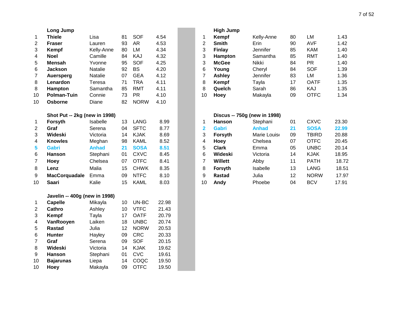|                 | <b>Long Jump</b>              |              |    |             |       |                         | <b>High Jump</b>             |              |
|-----------------|-------------------------------|--------------|----|-------------|-------|-------------------------|------------------------------|--------------|
| 1               | <b>Thiele</b>                 | Lisa         | 81 | <b>SOF</b>  | 4.54  | 1                       | <b>Kempf</b>                 | Kelly-Anne   |
| $\overline{2}$  | <b>Fraser</b>                 | Lauren       | 93 | <b>AR</b>   | 4.53  | $\overline{2}$          | <b>Smith</b>                 | Erin         |
| 3               | Kempf                         | Kelly-Anne   | 80 | LM          | 4.34  | 3                       | <b>Finlay</b>                | Jennifer     |
| $\overline{4}$  | <b>Noel</b>                   | Camille      | 84 | KAJ         | 4.32  | 3                       | Hampton                      | Samantha     |
| 5               | <b>Mensah</b>                 | Yvonne       | 95 | <b>SOF</b>  | 4.25  | 3                       | <b>McGee</b>                 | Nikki        |
| 6               | <b>Jackson</b>                | Natalie      | 92 | <b>BS</b>   | 4.20  | 6                       | Young                        | Cheryl       |
| $\overline{7}$  | <b>Auersperg</b>              | Natalie      | 07 | <b>GEA</b>  | 4.12  | $\overline{7}$          | <b>Ashley</b>                | Jennifer     |
| 8               | Lenardon                      | Teresa       | 71 | <b>TRA</b>  | 4.11  | 8                       | Kempf                        | Tayla        |
| 8               | <b>Hampton</b>                | Samantha     | 85 | <b>RMT</b>  | 4.11  | 8                       | Quelch                       | Sarah        |
| 10              | <b>Polman-Tuin</b>            | Connie       | 73 | <b>PR</b>   | 4.10  | 10                      | <b>Hoey</b>                  | Makayla      |
| 10              | <b>Osborne</b>                | Diane        | 82 | <b>NORW</b> | 4.10  |                         |                              |              |
|                 | Shot Put -- 2kg (new in 1998) |              |    |             |       |                         | Discus -- 750g (new in 1998) |              |
| 1               | <b>Forsyth</b>                | Isabelle     | 13 | <b>LANG</b> | 8.99  | 1                       | <b>Hanson</b>                | Stephani     |
| $\overline{2}$  | Graf                          | Serena       | 04 | <b>SFTC</b> | 8.77  | $\overline{\mathbf{2}}$ | <b>Gabri</b>                 | <b>Anhad</b> |
| 3               | Wideski                       | Victoria     | 14 | <b>KJAK</b> | 8.69  | 3                       | Forsyth                      | Marie Louis  |
| 4               | <b>Knowles</b>                | Meghan       | 98 | <b>KAML</b> | 8.52  | $\overline{\mathbf{4}}$ | Hoey                         | Chelsea      |
| 5               | <b>Gabri</b>                  | <b>Anhad</b> | 21 | <b>SOSA</b> | 8.51  | 5                       | <b>Clark</b>                 | Emma         |
| 6               | <b>Hanson</b>                 | Stephani     | 01 | <b>CXVC</b> | 8.45  | 6                       | Wideski                      | Victoria     |
| $\overline{7}$  | Hoey                          | Chelsea      | 07 | <b>OTFC</b> | 8.41  | $\overline{7}$          | Willett                      | Abby         |
| 8               | Lenz                          | Malia        | 15 | <b>CHWK</b> | 8.35  | 8                       | Forsyth                      | Isabelle     |
| 9               | <b>MacCorquadale</b>          | Emma         | 09 | <b>NTFC</b> | 8.10  | 9                       | <b>Rastad</b>                | Julia        |
| 10              | <b>Saari</b>                  | Kalie        | 15 | <b>KAML</b> | 8.03  | 10                      | Andy                         | Phoebe       |
|                 | Javelin -- 400g (new in 1998) |              |    |             |       |                         |                              |              |
| 1               | <b>Capelle</b>                | Mikayla      | 10 | UN-BC       | 22.98 |                         |                              |              |
| $\overline{2}$  | <b>Cathro</b>                 | Ashley       | 10 | <b>VTFC</b> | 21.43 |                         |                              |              |
| 3               | Kempf                         | Tayla        | 17 | <b>OATF</b> | 20.79 |                         |                              |              |
| 4               | VanRooyen                     | Laiken       | 18 | <b>UNBC</b> | 20.74 |                         |                              |              |
| 5               | <b>Rastad</b>                 | Julia        | 12 | <b>NORW</b> | 20.53 |                         |                              |              |
| $6\phantom{1}6$ | Hunter                        | Hayley       | 09 | <b>CRC</b>  | 20.33 |                         |                              |              |
| $\overline{7}$  | Graf                          | Serena       | 09 | SOF         | 20.15 |                         |                              |              |
| 8               | Wideski                       | Victoria     | 14 | <b>KJAK</b> | 19.62 |                         |                              |              |
| 9               | <b>Hanson</b>                 | Stephani     | 01 | <b>CVC</b>  | 19.61 |                         |                              |              |
| 10              | <b>Bajarunas</b>              | Liepa        | 14 | COQC        | 19.50 |                         |                              |              |
| 10              | Hoey                          | Makayla      | 09 | <b>OTFC</b> | 19.50 |                         |                              |              |

|    | Long Jump          |                |    |            |      |    | <b>High Jump</b> |                 |    |             |      |
|----|--------------------|----------------|----|------------|------|----|------------------|-----------------|----|-------------|------|
|    | Thiele             | Lisa           | 81 | <b>SOF</b> | 4.54 |    | Kempf            | Kelly-Anne      | 80 | LM          | 1.43 |
| 2  | <b>Fraser</b>      | Lauren         | 93 | AR         | 4.53 | າ  | <b>Smith</b>     | Erin            | 90 | <b>AVF</b>  | 1.42 |
| 3  | Kempf              | Kelly-Anne     | 80 | LM         | 4.34 | 3  | <b>Finlay</b>    | Jennifer        | 85 | <b>KAM</b>  | 1.40 |
| 4  | <b>Noel</b>        | Camille        | 84 | KAJ        | 4.32 | 3  | <b>Hampton</b>   | Samantha        | 85 | <b>RMT</b>  | 1.40 |
| 5  | Mensah             | Yvonne         | 95 | <b>SOF</b> | 4.25 | 3  | <b>McGee</b>     | Nikki           | 84 | PR.         | 1.40 |
| 6  | <b>Jackson</b>     | <b>Natalie</b> | 92 | BS         | 4.20 | 6  | Youna            | Cheryl          | 84 | <b>SOF</b>  | 1.39 |
|    | Auersperg          | <b>Natalie</b> | 07 | <b>GEA</b> | 4.12 |    | <b>Ashley</b>    | <b>Jennifer</b> | 83 | LM          | 1.36 |
| 8  | Lenardon           | Teresa         | 71 | <b>TRA</b> | 4.11 | 8  | Kempf            | Tayla           | 17 | <b>OATF</b> | 1.35 |
| 8  | Hampton            | Samantha       | 85 | <b>RMT</b> | 4.11 | 8  | Quelch           | Sarah           | 86 | KAJ         | 1.35 |
| 10 | <b>Polman-Tuin</b> | Connie         | 73 | РR         | 4.10 | 10 | Hoey             | Makayla         | 09 | <b>OTFC</b> | 1.34 |

|    | Shot Put -- 2kg (new in 1998) |                 |    |             |      |    | Discus -- 750g (new in 1998) |                 |    |              |       |
|----|-------------------------------|-----------------|----|-------------|------|----|------------------------------|-----------------|----|--------------|-------|
|    | Forsyth                       | <b>Isabelle</b> | 13 | LANG        | 8.99 |    | <b>Hanson</b>                | Stephani        | 01 | <b>CXVC</b>  | 23.30 |
| 2  | Graf                          | Serena          | 04 | <b>SFTC</b> | 8.77 |    | Gabri                        | Anhad           | 21 | <b>SOSA</b>  | 22.99 |
| 3  | Wideski                       | Victoria        | 14 | <b>KJAK</b> | 8.69 | 3  | Forsyth                      | Marie Louise    | 09 | <b>TBIRD</b> | 20.88 |
| 4  | <b>Knowles</b>                | Meghan          | 98 | <b>KAML</b> | 8.52 | 4  | Hoey                         | Chelsea         | 07 | OTFC         | 20.45 |
| 5  | Gabri                         | <b>Anhad</b>    | 21 | <b>SOSA</b> | 8.51 | 5  | <b>Clark</b>                 | Emma            | 05 | <b>UNBC</b>  | 20.14 |
| 6  | <b>Hanson</b>                 | Stephani        | 01 | <b>CXVC</b> | 8.45 | 6  | Wideski                      | Victoria        | 14 | <b>KJAK</b>  | 18.95 |
|    | Hoev                          | Chelsea         | 07 | <b>OTFC</b> | 8.41 |    | Willett                      | Abby            | 11 | <b>PATH</b>  | 18.72 |
| 8  | Lenz                          | Malia           | 15 | <b>CHWK</b> | 8.35 | 8  | Forsyth                      | <b>Isabelle</b> | 13 | LANG         | 18.51 |
| 9  | <b>MacCorquadale</b>          | Emma            | 09 | <b>NTFC</b> | 8.10 | 9  | Rastad                       | Julia           | 12 | <b>NORW</b>  | 17.97 |
| 10 | Saari                         | Kalie           | 15 | <b>KAML</b> | 8.03 | 10 | Andy                         | Phoebe          | 04 | <b>BCV</b>   | 17.91 |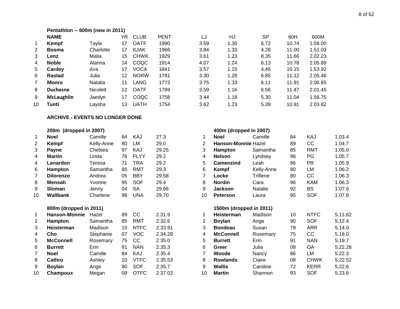## **Pentathlon -- 600m (new in 2011)**

|    | <b>NAME</b>       |                 | YR.               | <b>CLUB</b> | <b>PENT</b> | LJ   | HJ   | <b>SP</b> | 60H   | 600M    |
|----|-------------------|-----------------|-------------------|-------------|-------------|------|------|-----------|-------|---------|
|    | Kempf             | Tavla           | 17                | <b>OATF</b> | 1990        | 3.59 | 1.30 | 6.72      | 10.74 | 1.58.00 |
| 2  | <b>Bosma</b>      | Charlotte       | 17                | <b>KJAK</b> | 1966        | 3.84 | 1.33 | 4.28      | 11.00 | 1.51.03 |
| 3  | Lenz              | Malia           | 15                | <b>CHWK</b> | 1929        | 3.61 | 1.23 | 8.35      | 11.66 | 2.02.23 |
| 4  | <b>Noble</b>      | Alanna          | 14                | <b>COQC</b> | 1914        | 4.07 | 1.24 | 6.13      | 10.78 | 2.05.89 |
| 5  | Cardey            | Ava             | 17                | <b>VOCA</b> | 1841        | 3.57 | 1.15 | 4.46      | 10.15 | 1.53.92 |
| 6  | Rastad            | Julia           | $12 \overline{ }$ | <b>NORW</b> | 1781        | 3.30 | 1.28 | 6.85      | 11.12 | 2.05.46 |
|    | Monro             | <b>Natalia</b>  | 11                | LANG        | 1773        | 3.75 | 1.33 | 6.11      | 11.91 | 2.06.85 |
| 8  | <b>Duchesne</b>   | <b>Nicolett</b> | 12                | <b>OATF</b> | 1769        | 3.59 | 1.16 | 6.56      | 11.47 | 2.01.45 |
| 9  | <b>McLaughlin</b> | Jaedyn          | 17                | COQC        | 1758        | 3.44 | 1.18 | 5.30      | 11.04 | 1.56.75 |
| 10 | Tunti             | Lavsha          | 13                | <b>UATH</b> | 1754        | 3.62 | 1.23 | 5.39      | 10.91 | 2.03.82 |
|    |                   |                 |                   |             |             |      |      |           |       |         |

#### **ARCHIVE - EVENTS NO LONGER DONE**

#### **200m (dropped in 2007) 400m (dropped in 2007)**

|    | <b>Noel</b>      | Camille    | 84 | KAJ         | 27.3  |    | <b>Noel</b>                | Camille        | 84 | KAJ        | 1.03.4 |
|----|------------------|------------|----|-------------|-------|----|----------------------------|----------------|----|------------|--------|
| 2  | Kempf            | Kelly-Anne | 80 | LM          | 29.0  | 2  | <b>Hanson-Monnie Hazel</b> |                | 89 | CC         | 1.04.7 |
| 3  | <b>Payne</b>     | Chelsea    | 97 | KAJ         | 29.25 | 3  | <b>Hampton</b>             | Samantha       | 85 | RMT        | 1.05.0 |
| 4  | Martin           | Linda      | 76 | <b>FLYY</b> | 29.2  | 4  | <b>Nelson</b>              | Lyndsey        | 96 | PG         | 1.05.7 |
| 4  | Lenardon         | Teresa     | 71 | TRA         | 29.2  | 5  | Camenzind                  | Leah           | 96 | PR.        | 1.05.9 |
| 6  | <b>Hampton</b>   | Samantha   | 85 | RMT         | 29.3  | 6  | Kempf                      | Kelly-Anne     | 80 | LM         | 1.06.2 |
|    | <b>Dilorenzo</b> | Andrea     | 05 | <b>BBY</b>  | 29.58 |    | Locke                      | Triflene       | 80 | CC         | 1.06.3 |
| 8  | <b>Mensah</b>    | Yvonne     | 95 | SOF         | 29.4  | 8  | <b>Nordin</b>              | Cara           | 96 | <b>KAM</b> | 1.06.3 |
| 9  | <b>Sloman</b>    | Jenny      | 04 | SA          | 29.66 | 9  | <b>Jackson</b>             | <b>Natalie</b> | 92 | BS         | 1.07.6 |
| 10 | Wallbank         | Charlene   | 98 | UNA         | 29.70 | 10 | <b>Peterson</b>            | Laura          | 95 | <b>SOF</b> | 1.07.8 |
|    |                  |            |    |             |       |    |                            |                |    |            |        |

#### **800m (dropped in 2011) 1500m (dropped in 2011)**

|    | Hanson-Monnie    | Hazel     | 89 | CC            | 2.31.9  |    | Heisterman      | Madison  | 10 | <b>NTFC</b> | 5.11.6 |
|----|------------------|-----------|----|---------------|---------|----|-----------------|----------|----|-------------|--------|
| 2  | <b>Hampton</b>   | Samantha  | 85 | RMT           | 2.32.6  |    | <b>Boylan</b>   | Ange     | 90 | <b>SOF</b>  | 5.12.4 |
| 3  | Heisterman       | Madison   | 10 | <b>NTFC</b>   | 2.33.91 | 3  | <b>Bondeau</b>  | Susan    | 79 | <b>ARR</b>  | 5.14.0 |
| 4  | Cho              | Stephanie | 07 | VOC           | 2.34.28 | 4  | McConnell       | Rosemary | 75 | CС          | 5.18.0 |
| 5  | <b>McConnell</b> | Rosemary  | 75 | <sub>CC</sub> | 2.35.0  | 5  | <b>Burrett</b>  | Erin     | 91 | <b>NAN</b>  | 5.19.7 |
| 6  | <b>Burrett</b>   | Erin      | 91 | <b>NAN</b>    | 2.35.3  | 6  | Greer           | Julia    | 08 | OA          | 5.22.2 |
|    | <b>Noel</b>      | Camille   | 84 | KAJ           | 2.35.4  |    | Woode           | Nancy    | 86 | LM          | 5.22.3 |
| 8  | Cathro           | Ashley    | 10 | <b>VTFC</b>   | 2.35.53 | 8  | <b>Rowlands</b> | Claire   | 08 | <b>CHWK</b> | 5.22.5 |
| 9  | <b>Bovlan</b>    | Ange      | 90 | SOF           | 2.35.7  | 9  | Wallis          | Caroline | 72 | <b>KERR</b> | 5.22.6 |
| 10 | Champoux         | Megan     | 09 | <b>OTFC</b>   | 2.37.02 | 10 | <b>Martin</b>   | Shannon  | 93 | <b>SOF</b>  | 5.23.6 |

| 1  | <b>Noel</b>            | Camille          | 84     | KAJ           | 27.3    |                       | <b>Noel</b>             | Camille        | 84 | KAJ          | 1.03.4  |
|----|------------------------|------------------|--------|---------------|---------|-----------------------|-------------------------|----------------|----|--------------|---------|
| 2  | Kempf                  | Kelly-Anne       | 80     | LM            | 29.0    | $\overline{2}$        | Hanson-Monnie Hazel     |                | 89 | CC           | 1.04.7  |
| 3  | <b>Payne</b>           | Chelsea          | 97     | KAJ           | 29.25   | 3                     | Hampton                 | Samantha       | 85 | <b>RMT</b>   | 1.05.0  |
| 4  | <b>Martin</b>          | Linda            | 76     | <b>FLYY</b>   | 29.2    | 4                     | <b>Nelson</b>           | Lyndsey        | 96 | PG           | 1.05.7  |
| 4  | Lenardon               | Teresa           | 71     | TRA           | 29.2    | 5                     | <b>Camenzind</b>        | Leah           | 96 | PR.          | 1.05.9  |
| 6  | Hampton                | Samantha         | 85     | <b>RMT</b>    | 29.3    | 6                     | Kempf                   | Kelly-Anne     | 80 | LM           | 1.06.2  |
| 7  | <b>Dilorenzo</b>       | Andrea           | 05     | <b>BBY</b>    | 29.58   |                       | Locke                   | Triflene       | 80 | CC           | 1.06.3  |
| 8  | <b>Mensah</b>          | Yvonne           | 95     | <b>SOF</b>    | 29.4    | 8                     | <b>Nordin</b>           | Cara           | 96 | KAM          | 1.06.3  |
| 9  | <b>Sloman</b>          | Jenny            | 04     | <b>SA</b>     | 29.66   | 9                     | <b>Jackson</b>          | <b>Natalie</b> | 92 | <b>BS</b>    | 1.07.6  |
| 10 | <b>Wallbank</b>        | Charlene         | 98     | <b>UNA</b>    | 29.70   | 10                    | <b>Peterson</b>         | Laura          | 95 | <b>SOF</b>   | 1.07.8  |
|    | 800m (dropped in 2011) |                  |        |               |         |                       | 1500m (dropped in 2011) |                |    |              |         |
| 1  | <b>Hanson-Monnie</b>   | Hazel            | 89     | CC.           | 2.31.9  |                       | Heisterman              | Madison        | 10 | <b>NTFC</b>  | 5.11.62 |
| 2  | Hampton                | Samantha         | 85     | RMT           | 2.32.6  | $\mathbf{2}^{\prime}$ | <b>Boylan</b>           | Ange           | 90 | <b>SOF</b>   | 5.12.4  |
| 3  | Heisterman             | Madison          | 10     | <b>NTFC</b>   | 2.33.91 | 3                     | <b>Bondeau</b>          | Susan          | 79 | ARR          | 5.14.0  |
| 4  | Cho                    | Stephanie        | 07     | <b>VOC</b>    | 2.34.28 | 4                     | <b>McConnell</b>        | Rosemary       | 75 | CC           | 5.18.0  |
| 5  | <b>McConnell</b>       | Rosemary         | 75     | cc            | 2.35.0  | 5                     | <b>Burrett</b>          | Erin           | 91 | <b>NAN</b>   | 5.19.7  |
| 6  | <b>Burrett</b>         | Erin             | 91     | <b>NAN</b>    | 2.35.3  | 6                     | Greer                   | Julia          | 08 | <b>OA</b>    | 5.22.28 |
|    | <b>Noel</b>            | Camille          | 84     | KAJ           | 2.35.4  |                       | Woode                   | Nancy          | 86 | LM           | 5.22.3  |
| 8  | Cathro                 | Ashley           | 10     | <b>VTFC</b>   | 2.35.53 | 8                     | <b>Rowlands</b>         | Claire         | 08 | <b>CHWK</b>  | 5.22.52 |
|    | <b>Deview</b>          | $\Lambda$ is sin | $\cap$ | $\sim$ $\sim$ | n nr 7  | $\sim$                | $MLU =$                 | $O = 1$        | 70 | <b>IZEDD</b> | E OO O  |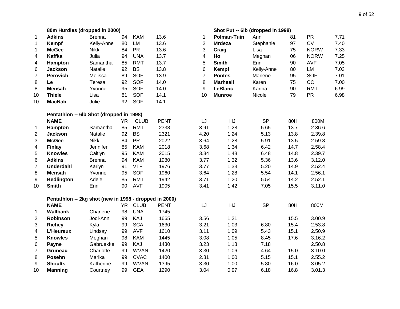|                          | 80m Hurdles (dropped in 2000)                          |               |           |             |             | Shot Put -- 6lb (dropped in 1998) |                    |            |      |             |      |
|--------------------------|--------------------------------------------------------|---------------|-----------|-------------|-------------|-----------------------------------|--------------------|------------|------|-------------|------|
| $\mathbf{1}$             | <b>Adkins</b>                                          | <b>Brenna</b> | 94        | <b>KAM</b>  | 13.6        | 1                                 | <b>Polman-Tuin</b> | Ann        | 81   | <b>PR</b>   | 7.71 |
| $\mathbf{1}$             | Kempf                                                  | Kelly-Anne    | 80        | LM          | 13.6        | $\overline{2}$                    | <b>Mrdeza</b>      | Stephanie  | 97   | CV          | 7.40 |
| $\mathbf{1}$             | <b>McGee</b>                                           | Nikki         | 84        | <b>PR</b>   | 13.6        | 3                                 | Craig              | Lisa       | 75   | <b>NORW</b> | 7.33 |
| $\overline{\mathcal{A}}$ | <b>Kaffka</b>                                          | Julia         | 94        | <b>UNA</b>  | 13.7        | $\overline{\mathbf{4}}$           | Ho                 | Meghan     | 06   | <b>NORW</b> | 7.25 |
| $\overline{\mathcal{A}}$ | Hampton                                                | Samantha      | 85        | <b>RMT</b>  | 13.7        | 5                                 | <b>Smith</b>       | Erin       | 90   | <b>AVF</b>  | 7.05 |
| 6                        | Jackson                                                | Natalie       | 92        | <b>BS</b>   | 13.8        | 6                                 | Kempf              | Kelly-Anne | 80   | LM          | 7.03 |
| $\overline{7}$           | <b>Perovich</b>                                        | Melissa       | 89        | <b>SOF</b>  | 13.9        | $\overline{7}$                    | <b>Pontes</b>      | Marlene    | 95   | <b>SOF</b>  | 7.01 |
| 8                        | Le                                                     | Teresa        | 92        | <b>SOF</b>  | 14.0        | 8                                 | <b>Marhsall</b>    | Karen      | 75   | CC          | 7.00 |
| 8                        | <b>Mensah</b>                                          | Yvonne        | 95        | <b>SOF</b>  | 14.0        | 9                                 | <b>LeBlanc</b>     | Karina     | 90   | <b>RMT</b>  | 6.99 |
| 10                       | <b>Thiele</b>                                          | Lisa          | 81        | <b>SOF</b>  | 14.1        | 10                                | <b>Munroe</b>      | Nicole     | 79   | <b>PR</b>   | 6.98 |
| 10                       | <b>MacNab</b>                                          | Julie         | 92        | <b>SOF</b>  | 14.1        |                                   |                    |            |      |             |      |
|                          | Pentathlon -- 6lb Shot (dropped in 1998)               |               |           |             |             |                                   |                    |            |      |             |      |
|                          | <b>NAME</b>                                            |               | <b>YR</b> | <b>CLUB</b> | <b>PENT</b> | LJ                                | HJ                 | <b>SP</b>  | 80H  | 800M        |      |
| 1                        | Hampton                                                | Samantha      | 85        | <b>RMT</b>  | 2338        | 3.91                              | 1.28               | 5.65       | 13.7 | 2.36.6      |      |
| $\overline{2}$           | Jackson                                                | Natalie       | 92        | <b>BS</b>   | 2321        | 4.20                              | 1.24               | 5.13       | 13.8 | 2.39.8      |      |
| 3                        | <b>McGee</b>                                           | Nikki         | 84        | <b>PR</b>   | 2022        | 3.64                              | 1.28               | 5.91       | 13.5 | 2.59.8      |      |
| 4                        | <b>Finlay</b>                                          | Jennifer      | 85        | <b>KAM</b>  | 2018        | 3.68                              | 1.34               | 6.42       | 14.7 | 2.58.4      |      |
| 5                        | <b>Knowles</b>                                         | Caitlyn       | 95        | <b>KAM</b>  | 2015        | 3.34                              | 1.48               | 6.48       | 14.8 | 2.39.7      |      |
| 6                        | <b>Adkins</b>                                          | <b>Brenna</b> | 94        | <b>KAM</b>  | 1980        | 3.77                              | 1.32               | 5.36       | 13.6 | 3.12.0      |      |
| $\overline{7}$           | <b>Underdahl</b>                                       | Karlyn        | 91        | <b>VTF</b>  | 1976        | 3.77                              | 1.33               | 5.20       | 14.9 | 2.52.4      |      |
| 8                        | <b>Mensah</b>                                          | Yvonne        | 95        | <b>SOF</b>  | 1960        | 3.64                              | 1.28               | 5.54       | 14.1 | 2.56.1      |      |
| 9                        | <b>Bedlington</b>                                      | Adele         | 85        | <b>RMT</b>  | 1942        | 3.71                              | 1.20               | 5.54       | 14.2 | 2.52.1      |      |
| 10                       | <b>Smith</b>                                           | Erin          | 90        | <b>AVF</b>  | 1905        | 3.41                              | 1.42               | 7.05       | 15.5 | 3.11.0      |      |
|                          | Pentathlon -- 2kg shot (new in 1998 - dropped in 2000) |               |           |             |             |                                   |                    |            |      |             |      |
|                          | <b>NAME</b>                                            |               | <b>YR</b> | <b>CLUB</b> | <b>PENT</b> | LJ                                | HJ                 | <b>SP</b>  | 80H  | 800M        |      |
| 1                        | <b>Wallbank</b>                                        | Charlene      | 98        | <b>UNA</b>  | 1745        |                                   |                    |            |      |             |      |
| $\overline{2}$           | Robinson                                               | Jodi-Ann      | 99        | KAJ         | 1665        | 3.56                              | 1.21               |            | 15.5 | 3.00.9      |      |
| 3                        | <b>Richey</b>                                          | Kyla          | 99        | <b>SCA</b>  | 1630        | 3.21                              | 1.03               | 6.80       | 15.4 | 2.53.8      |      |
| 4                        | L'Heureux                                              | Lindsay       | 99        | <b>AVF</b>  | 1610        | 3.11                              | 1.09               | 5.43       | 15.1 | 2.50.9      |      |
| 5                        | <b>Knowles</b>                                         | Meghan        | 98        | <b>KAM</b>  | 1445        | 3.08                              | 1.05               | 8.45       | 17.6 | 3.16.2      |      |
| 6                        | Payne                                                  | Gabruekke     | 99        | KAJ         | 1430        | 3.23                              | 1.18               | 7.18       |      | 2.50.8      |      |
| $\overline{7}$           | Gruneau                                                | Charlotte     | 99        | <b>WVAN</b> | 1420        | 3.30                              | 1.06               | 4.64       | 15.0 | 3.10.0      |      |
| 8                        | Posehn                                                 | Marika        | 99        | <b>CVAC</b> | 1400        | 2.81                              | 1.00               | 5.15       | 15.1 | 2.55.2      |      |
| 9                        | <b>Shoults</b>                                         | Katherine     | 99        | <b>WVAN</b> | 1395        | 3.30                              | 1.00               | 5.80       | 16.0 | 3.05.2      |      |
| 10                       | <b>Manning</b>                                         | Courtney      | 99        | <b>GEA</b>  | 1290        | 3.04                              | 0.97               | 6.18       | 16.8 | 3.01.3      |      |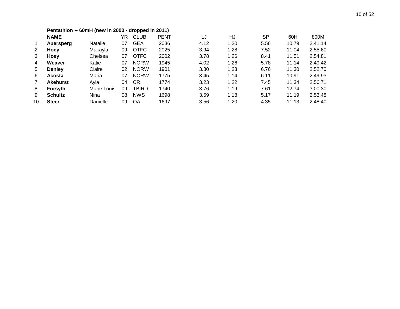|                | Pentathlon -- 60mH (new in 2000 - dropped in 2011) |                |    |             |             |      |      |      |       |         |  |  |  |  |
|----------------|----------------------------------------------------|----------------|----|-------------|-------------|------|------|------|-------|---------|--|--|--|--|
|                | <b>NAME</b>                                        |                | YR | <b>CLUB</b> | <b>PENT</b> | LJ   | HJ   | SP   | 60H   | 800M    |  |  |  |  |
| 1              | Auersperg                                          | <b>Natalie</b> | 07 | <b>GEA</b>  | 2036        | 4.12 | 1.20 | 5.56 | 10.79 | 2.41.14 |  |  |  |  |
| 2              | Hoey                                               | Makayla        | 09 | <b>OTFC</b> | 2025        | 3.94 | 1.28 | 7.52 | 11.04 | 2.55.60 |  |  |  |  |
| 3              | Hoey                                               | Chelsea        | 07 | <b>OTFC</b> | 2002        | 3.78 | 1.26 | 8.41 | 11.51 | 2.54.81 |  |  |  |  |
| 4              | Weaver                                             | Katie          | 07 | <b>NORW</b> | 1945        | 4.02 | 1.26 | 5.78 | 11.14 | 2.49.42 |  |  |  |  |
| 5              | <b>Denley</b>                                      | Claire         | 02 | <b>NORW</b> | 1901        | 3.80 | 1.23 | 6.76 | 11.30 | 2.52.70 |  |  |  |  |
| 6              | <b>Acosta</b>                                      | Maria          | 07 | <b>NORW</b> | 1775        | 3.45 | 1.14 | 6.11 | 10.91 | 2.49.93 |  |  |  |  |
| $\overline{7}$ | <b>Akehurst</b>                                    | Ayla           | 04 | СR          | 1774        | 3.23 | 1.22 | 7.45 | 11.34 | 2.56.71 |  |  |  |  |
| 8              | <b>Forsyth</b>                                     | Marie Louise   | 09 | TBIRD       | 1740        | 3.76 | 1.19 | 7.61 | 12.74 | 3.00.30 |  |  |  |  |
| 9              | <b>Schultz</b>                                     | Nina           | 08 | <b>NWS</b>  | 1698        | 3.59 | 1.18 | 5.17 | 11.19 | 2.53.48 |  |  |  |  |
| 10             | <b>Steer</b>                                       | Danielle       | 09 | OA          | 1697        | 3.56 | 1.20 | 4.35 | 11.13 | 2.48.40 |  |  |  |  |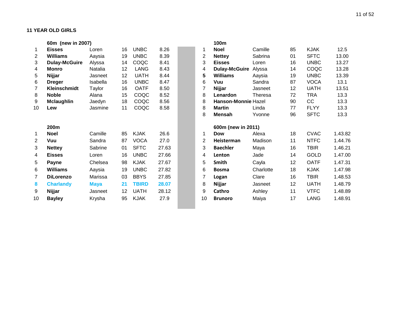#### **11 YEAR OLD GIRLS**

|                | 60m (new in 2007)    |             |    |              |       |    | 100m                 |           |    |             |         |
|----------------|----------------------|-------------|----|--------------|-------|----|----------------------|-----------|----|-------------|---------|
|                | <b>Eisses</b>        | Loren       | 16 | <b>UNBC</b>  | 8.26  |    | <b>Noel</b>          | Camille   | 85 | <b>KJAK</b> | 12.5    |
| $\overline{2}$ | <b>Williams</b>      | Aaysia      | 19 | <b>UNBC</b>  | 8.39  | 2  | <b>Nettey</b>        | Sabrina   | 01 | <b>SFTC</b> | 13.00   |
| 3              | <b>Dulay-McGuire</b> | Alyssa      | 14 | COQC         | 8.41  | 3  | <b>Eisses</b>        | Loren     | 16 | <b>UNBC</b> | 13.27   |
| 4              | Monro                | Natalia     | 12 | <b>LANG</b>  | 8.43  | 4  | <b>Dulay-McGuire</b> | Alyssa    | 14 | COQC        | 13.28   |
| 5              | Nijjar               | Jasneet     | 12 | <b>UATH</b>  | 8.44  | 5  | <b>Williams</b>      | Aaysia    | 19 | <b>UNBC</b> | 13.39   |
| 6              | <b>Dreger</b>        | Isabella    | 16 | <b>UNBC</b>  | 8.47  | 6  | Vuu                  | Sandra    | 87 | <b>VOCA</b> | 13.1    |
| 7              | <b>Kleinschmidt</b>  | Taylor      | 16 | <b>OATF</b>  | 8.50  | 7  | Nijjar               | Jasneet   | 12 | <b>UATH</b> | 13.51   |
| 8              | <b>Noble</b>         | Alana       | 15 | COQC         | 8.52  | 8  | Lenardon             | Theresa   | 72 | <b>TRA</b>  | 13.3    |
| 9              | <b>Mclaughlin</b>    | Jaedyn      | 18 | COQC         | 8.56  | 8  | Hanson-Monnie Hazel  |           | 90 | cc          | 13.3    |
| 10             | Lew                  | Jasmine     | 11 | COQC         | 8.58  | 8  | <b>Martin</b>        | Linda     | 77 | <b>FLYY</b> | 13.3    |
|                |                      |             |    |              |       | 8  | <b>Mensah</b>        | Yvonne    | 96 | <b>SFTC</b> | 13.3    |
|                | 200m                 |             |    |              |       |    | 600m (new in 2011)   |           |    |             |         |
| 1              | <b>Noel</b>          | Camille     | 85 | <b>KJAK</b>  | 26.6  | 1  | <b>Dow</b>           | Alexa     | 18 | <b>CVAC</b> | 1.43.82 |
| 2              | Vuu                  | Sandra      | 87 | <b>VOCA</b>  | 27.0  | 2  | Heisterman           | Madison   | 11 | <b>NTFC</b> | 1.44.76 |
| 3              | <b>Nettey</b>        | Sabrine     | 01 | <b>SFTC</b>  | 27.63 | 3  | <b>Baechler</b>      | Maya      | 16 | <b>TBIR</b> | 1.46.21 |
| 4              | <b>Eisses</b>        | Loren       | 16 | <b>UNBC</b>  | 27.66 | 4  | Lenton               | Jade      | 14 | <b>GOLD</b> | 1.47.00 |
| 5              | Payne                | Chelsea     | 98 | <b>KJAK</b>  | 27.67 | 5  | Smith                | Cayla     | 12 | <b>OATF</b> | 1.47.31 |
| 6              | <b>Williams</b>      | Aaysia      | 19 | <b>UNBC</b>  | 27.82 | 6  | <b>Bosma</b>         | Charlotte | 18 | <b>KJAK</b> | 1.47.98 |
| 7              | <b>DiLorenzo</b>     | Marissa     | 03 | <b>BBYS</b>  | 27.85 | 7  | Logan                | Clare     | 16 | <b>TBIR</b> | 1.48.53 |
| 8              | <b>Charlandy</b>     | <b>Maya</b> | 21 | <b>TBIRD</b> | 28.07 | 8  | Nijjar               | Jasneet   | 12 | <b>UATH</b> | 1.48.79 |
| 9              | Nijjar               | Jasneet     | 12 | <b>UATH</b>  | 28.12 | 9  | Cathro               | Ashley    | 11 | <b>VTFC</b> | 1.48.89 |
| 10             | <b>Bayley</b>        | Krysha      | 95 | <b>KJAK</b>  | 27.9  | 10 | <b>Brunoro</b>       | Maiya     | 17 | <b>LANG</b> | 1.48.91 |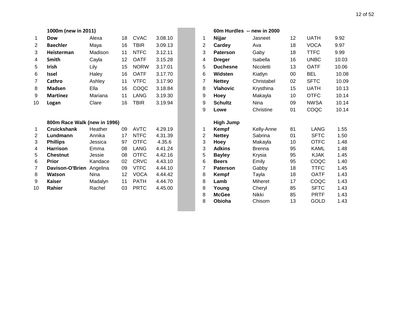# **1000m (new in 2011) 800m Race Walk (new in 1996)**

| <b>Dow</b>         | Alexa    | 18                  | <b>CVAC</b>                  | 3.08.10     |                   | 1              | Nijjar           | Jasneet       | 12                                    | <b>UATH</b> | 9.92                       |
|--------------------|----------|---------------------|------------------------------|-------------|-------------------|----------------|------------------|---------------|---------------------------------------|-------------|----------------------------|
| <b>Baechler</b>    | Maya     | 16                  | <b>TBIR</b>                  | 3.09.13     |                   | $\overline{2}$ | Cardey           | Ava           | 18                                    | <b>VOCA</b> | 9.97                       |
| Heisterman         | Madison  | 11                  | <b>NTFC</b>                  | 3.12.11     |                   | 3              | <b>Paterson</b>  | Gaby          | 18                                    | <b>TTFC</b> | 9.99                       |
| <b>Smith</b>       | Cayla    | 12 <sup>2</sup>     | <b>OATF</b>                  | 3.15.28     |                   | 4              | <b>Dreger</b>    | Isabella      | 16                                    | <b>UNBC</b> | 10.03                      |
| Irish              | Lily     | 15                  | <b>NORW</b>                  | 3.17.01     |                   | 5              | <b>Duchesne</b>  | Nicoletti     | 13                                    | <b>OATF</b> | 10.06                      |
| <b>Issel</b>       | Haley    | 16                  | <b>OATF</b>                  | 3.17.70     |                   | 6              | Widsten          | Kiatlyn       | 00                                    | <b>BEL</b>  | 10.08                      |
| Cathro             | Ashley   | 11                  | <b>VTFC</b>                  | 3.17.90     |                   | 7              | <b>Nettey</b>    | Christabel    | 02                                    | <b>SFTC</b> | 10.09                      |
| <b>Madsen</b>      | Ella     | 16                  | COQC                         | 3.18.84     |                   | 8              | <b>Vlahovic</b>  | Krysthina     | 15                                    | <b>UATH</b> | 10.13                      |
| <b>Martinez</b>    | Mariana  | 11                  | <b>LANG</b>                  | 3.19.30     |                   | 9              | Hoey             | Makayla       | 10                                    | <b>OTFC</b> | 10.14                      |
| Logan              | Clare    | 16                  | <b>TBIR</b>                  | 3.19.94     |                   | 9              | <b>Schultz</b>   | Nina          | 09                                    | <b>NWSA</b> | 10.14                      |
|                    |          |                     |                              |             |                   | 9              | Lowe             | Christine     | 01                                    | COQC        | 10.14                      |
|                    |          |                     |                              |             |                   |                | <b>High Jump</b> |               |                                       |             |                            |
| <b>Cruickshank</b> | Heather  | 09                  | <b>AVTC</b>                  | 4.29.19     |                   | 1              | Kempf            | Kelly-Anne    | 81                                    | <b>LANG</b> | 1.55                       |
| Lundmann           | Annika   | 17                  | <b>NTFC</b>                  | 4.31.39     |                   | 2              | <b>Nettey</b>    | Sabrina       | 01                                    | <b>SFTC</b> | 1.50                       |
| <b>Phillips</b>    | Jessica  | 97                  | <b>OTFC</b>                  |             |                   |                | Hoey             |               | 10                                    |             | 1.48                       |
| <b>Harrison</b>    | Emma     | 08                  |                              |             |                   |                | <b>Adkins</b>    | <b>Brenna</b> |                                       |             | 1.48                       |
| <b>Chestnut</b>    | Jessie   | 08                  | <b>OTFC</b>                  | 4.42.16     |                   | 5              | <b>Bayley</b>    | Krysia        | 95                                    | <b>KJAK</b> | 1.45                       |
| <b>Prior</b>       | Kandace  | 02                  | <b>CRVC</b>                  | 4.43.10     |                   | 6              | <b>Beers</b>     | Emily         | 95                                    | COQC        | 1.40                       |
| Davison-O'Brien    | Angelina | 09                  | <b>VTFC</b>                  | 4.44.10     |                   | 7              | <b>Paterson</b>  | Gabby         | 18                                    | <b>TTFC</b> | 1.45                       |
| Watson             | Nina     | 12                  | <b>VOCA</b>                  | 4.44.42     |                   | 8              | Kempf            | Tayla         | 18                                    | <b>OATF</b> | 1.43                       |
| <b>Kaiser</b>      | Madalyn  | 11                  | <b>PATH</b>                  | 4.44.70     |                   | 8              | Lamb             | Miheret       | 17                                    | COQC        | 1.43                       |
| Rahier             | Rachel   | 03                  | <b>PRTC</b>                  | 4.45.00     |                   | 8              | Young            | Cheryl        | 85                                    | <b>SFTC</b> | 1.43                       |
|                    |          |                     |                              |             |                   | 8              | <b>McGee</b>     | Nikki         | 85                                    | <b>PRTF</b> | 1.43                       |
|                    |          |                     |                              |             |                   | 8              | Obioha           | Chisom        | 13                                    | <b>GOLD</b> | 1.43                       |
|                    |          | 1000m (new in 2011) | 800m Race Walk (new in 1996) | <b>LANG</b> | 4.35.6<br>4.41.24 |                | 3<br>3           |               | 60m Hurdles -- new in 2000<br>Makayla | 95          | <b>OTFC</b><br><b>KAML</b> |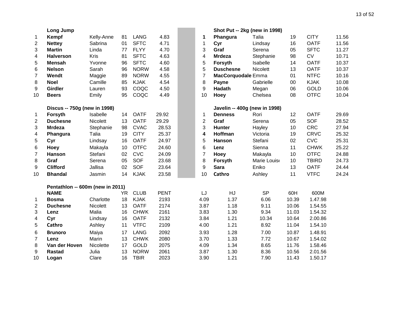|                | <b>Long Jump</b>                 |            |           |             |             |                 | Shot Put -- 2kg (new in 1998) |              |       |              |       |
|----------------|----------------------------------|------------|-----------|-------------|-------------|-----------------|-------------------------------|--------------|-------|--------------|-------|
| 1              | Kempf                            | Kelly-Anne | 81        | <b>LANG</b> | 4.83        | $\mathbf 1$     | Phangura                      | Talia        | 19    | <b>CITY</b>  | 11.56 |
| 2              | <b>Nettey</b>                    | Sabrina    | 01        | <b>SFTC</b> | 4.71        | $\mathbf 1$     | Cyr                           | Lindsay      | 16    | <b>OATF</b>  | 11.56 |
| 3              | <b>Martin</b>                    | Linda      | 77        | <b>FLYY</b> | 4.70        | 3               | Graf                          | Serena       | 05    | <b>SFTC</b>  | 11.27 |
| 4              | <b>Halverson</b>                 | Kris       | 81        | <b>SFTC</b> | 4.63        | 4               | <b>Mrdeza</b>                 | Stephanie    | 98    | <b>CV</b>    | 10.71 |
| 5              | <b>Mensah</b>                    | Yvonne     | 96        | <b>SFTC</b> | 4.60        | 5               | Forsyth                       | Isabelle     | 14    | <b>OATF</b>  | 10.37 |
| 6              | <b>Nelson</b>                    | Sarah      | 96        | <b>NORW</b> | 4.58        | 5               | <b>Duschesne</b>              | Nicolett     | 13    | <b>OATF</b>  | 10.37 |
| $\overline{7}$ | Wendt                            | Maggie     | 89        | <b>NORW</b> | 4.55        | $\overline{7}$  | MacCorquodale Emma            |              | 01    | <b>NTFC</b>  | 10.16 |
| 8              | <b>Noel</b>                      | Camille    | 85        | <b>KJAK</b> | 4.54        | 8               | Payne                         | Gabrielle    | 00    | <b>KJAK</b>  | 10.08 |
| 9              | <b>Girdler</b>                   | Lauren     | 93        | COQC        | 4.50        | 9               | Hadath                        | Megan        | 06    | <b>GOLD</b>  | 10.06 |
| 10             | <b>Beers</b>                     | Emily      | 95        | COQC        | 4.49        | 10              | Hoey                          | Chelsea      | 08    | <b>OTFC</b>  | 10.04 |
|                | Discus -- 750g (new in 1998)     |            |           |             |             |                 | Javelin -- 400g (new in 1998) |              |       |              |       |
| 1              | Forsyth                          | Isabelle   | 14        | <b>OATF</b> | 29.92       | $\mathbf 1$     | <b>Denness</b>                | Rori         | 12    | <b>OATF</b>  | 29.69 |
| $\overline{c}$ | <b>Duchesne</b>                  | Nicolett   | 13        | <b>OATF</b> | 29.29       | $\overline{2}$  | Graf                          | Serena       | 05    | SOF          | 28.52 |
| 3              | <b>Mrdeza</b>                    | Stephanie  | 98        | <b>CVAC</b> | 28.53       | 3               | Hunter                        | Hayley       | 10    | <b>CRC</b>   | 27.94 |
| 4              | Phangura                         | Talia      | 19        | <b>CITY</b> | 25.37       | 4               | Hoffman                       | Victoria     | 19    | <b>CRVC</b>  | 25.32 |
| 5              | Cyr                              | Lindsay    | 16        | <b>OATF</b> | 24.97       | 5               | Hanson                        | Stefani      | 02    | <b>CVC</b>   | 25.31 |
| 6              | Hoey                             | Makayla    | 10        | <b>OTFC</b> | 24.60       | $6\phantom{1}6$ | Lenz                          | Sienna       | 11    | <b>CHWK</b>  | 25.22 |
| $\overline{7}$ | <b>Hanson</b>                    | Stefani    | 02        | <b>CVC</b>  | 24.09       | $\overline{7}$  | Hoey                          | Makayla      | 10    | <b>OTFC</b>  | 24.88 |
| 8              | Graf                             | Serena     | 05        | <b>SOF</b>  | 23.68       | 8               | Forsyth                       | Marie Louise | 10    | <b>TBIRD</b> | 24.73 |
| 9              | <b>Clifford</b>                  | Jallisa    | 02        | SOF         | 23.64       | 9               | <b>Sara</b>                   | Eniko        | 13    | <b>OATF</b>  | 24.44 |
| 10             | <b>Bhandal</b>                   | Jasmin     | 14        | <b>KJAK</b> | 23.58       | 10              | Cathro                        | Ashley       | 11    | <b>VTFC</b>  | 24.24 |
|                | Pentathlon -- 600m (new in 2011) |            |           |             |             |                 |                               |              |       |              |       |
|                | <b>NAME</b>                      |            | <b>YR</b> | <b>CLUB</b> | <b>PENT</b> | LJ              | HJ                            | <b>SP</b>    | 60H   | 600M         |       |
| 1              | <b>Bosma</b>                     | Charlotte  | 18        | <b>KJAK</b> | 2193        | 4.09            | 1.37                          | 6.06         | 10.39 | 1.47.98      |       |
| $\mathbf{2}$   | <b>Duchesne</b>                  | Nicolett   | 13        | <b>OATF</b> | 2174        | 3.87            | 1.18                          | 9.11         | 10.06 | 1.54.55      |       |
| 3              | Lenz                             | Malia      | 16        | <b>CHWK</b> | 2161        | 3.83            | 1.30                          | 9.34         | 11.03 | 1.54.32      |       |
| 4              | Cyr                              | Lindsay    | 16        | <b>OATF</b> | 2132        | 3.84            | 1.21                          | 10.34        | 10.64 | 2.00.86      |       |
| 5              | Cathro                           | Ashley     | 11        | <b>VTFC</b> | 2109        | 4.00            | 1.21                          | 8.92         | 11.04 | 1.54.10      |       |
| 6              | <b>Brunoro</b>                   | Maiya      | 17        | <b>LANG</b> | 2092        | 3.93            | 1.28                          | 7.00         | 10.87 | 1.48.91      |       |
| $\overline{7}$ | Lenz                             | Marin      | 13        | <b>CHWK</b> | 2080        | 3.70            | 1.33                          | 7.72         | 10.67 | 1.54.02      |       |
| 8              | Van der Hoven                    | Nicolette  | 17        | <b>GOLD</b> | 2075        | 4.09            | 1.34                          | 8.65         | 11.76 | 1.58.46      |       |
| 9              | <b>Rastad</b>                    | Julia      | 13        | <b>NORW</b> | 2061        | 3.87            | 1.30                          | 8.36         | 10.56 | 2.01.56      |       |
| 10             | Logan                            | Clare      | 16        | <b>TBIR</b> | 2023        | 3.90            | 1.21                          | 7.90         | 11.43 | 1.50.17      |       |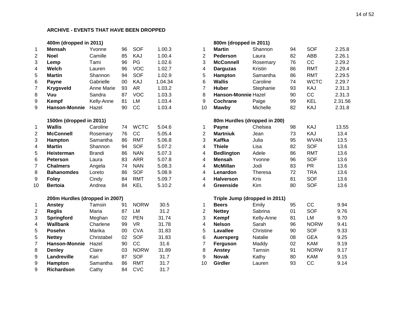#### **400m (dropped in 2011) 800m (dropped in 2011)**

| $\mathbf{1}$            | <b>Mensah</b>                  | Yvonne        | 96 | <b>SOF</b>  | 1.00.3  | 1                       | <b>Martin</b>       | Shannon                       |
|-------------------------|--------------------------------|---------------|----|-------------|---------|-------------------------|---------------------|-------------------------------|
| $\overline{2}$          | <b>Noel</b>                    | Camille       | 85 | KAJ         | 1.00.4  | $\overline{2}$          | Pederson            | Laura                         |
| 3                       | Lemp                           | Tami          | 96 | PG          | 1.02.6  | 3                       | <b>McConnell</b>    | Rosemary                      |
| $\overline{\mathbf{4}}$ | Welch                          | Lauren        | 96 | <b>VOC</b>  | 1.02.7  | $\overline{\mathbf{4}}$ | <b>Darguzas</b>     | Kristin                       |
| 5                       | <b>Martin</b>                  | Shannon       | 94 | <b>SOF</b>  | 1.02.9  | 5                       | Hampton             | Samantha                      |
| 6                       | Payne                          | Gabrielle     | 00 | KAJ         | 1.04.34 | 6                       | <b>Wallis</b>       | Caroline                      |
| $\overline{7}$          | <b>Krygsveld</b>               | Anne Marie    | 93 | AR          | 1.03.2  | $\overline{7}$          | <b>Huber</b>        | Stephanie                     |
| 8                       | Vuu                            | Sandra        | 87 | <b>VOC</b>  | 1.03.3  | 8                       | Hanson-Monnie Hazel |                               |
| 9                       | Kempf                          | Kelly-Anne    | 81 | <b>LM</b>   | 1.03.4  | 9                       | Cochrane            | Paige                         |
| 9                       | <b>Hanson-Monnie</b>           | Hazel         | 90 | CC          | 1.03.4  | 10                      | <b>Mawby</b>        | Michelle                      |
|                         | 1500m (dropped in 2011)        |               |    |             |         |                         |                     | 80m Hurdles (dropped in 200)  |
| $\mathbf 1$             | <b>Wallis</b>                  | Caroline      | 74 | <b>WCTC</b> | 5.04.6  | 1                       | Payne               | Chelsea                       |
| $\overline{2}$          | <b>McConnell</b>               | Rosemary      | 76 | CC          | 5.05.4  | $\overline{2}$          | <b>Martniuk</b>     | Jean                          |
| 3                       | Hampton                        | Samantha      | 86 | <b>RMT</b>  | 5.06.8  | 3                       | <b>Kaffka</b>       | Julia                         |
| $\overline{\mathbf{4}}$ | <b>Martin</b>                  | Shannon       | 94 | <b>SOF</b>  | 5.07.2  | 4                       | <b>Thiele</b>       | Lisa                          |
| 5                       | <b>Heisterman</b>              | <b>Brandi</b> | 86 | <b>NAN</b>  | 5.07.3  | 4                       | <b>Bedlington</b>   | Adele                         |
| 6                       | <b>Peterson</b>                | Laura         | 83 | <b>ARR</b>  | 5.07.8  | 4                       | <b>Mensah</b>       | Yvonne                        |
| $\overline{7}$          | <b>Chalmers</b>                | Angela        | 74 | <b>NAN</b>  | 5.08.3  | $\overline{4}$          | <b>McMillan</b>     | Jodi                          |
| 8                       | <b>Bahanomdes</b>              | Loreto        | 86 | <b>SOF</b>  | 5.08.9  | $\overline{\mathbf{4}}$ | Lenardon            | Theresa                       |
| $\boldsymbol{9}$        | <b>Foley</b>                   | Cindy         | 84 | <b>RMT</b>  | 5.09.7  | $\overline{4}$          | <b>Halverson</b>    | Kris                          |
| 10                      | <b>Bertoia</b>                 | Andrea        | 84 | <b>KEL</b>  | 5.10.2  | 4                       | <b>Greenside</b>    | Kim                           |
|                         | 200m Hurdles (dropped in 2007) |               |    |             |         |                         |                     | Triple Jump (dropped in 2011) |
| 1                       | Anstey                         | Tamsin        | 91 | <b>NORW</b> | 30.5    | 1                       | <b>Beers</b>        | Emily                         |
| $\boldsymbol{2}$        | <b>Reglis</b>                  | Maria         | 87 | <b>LM</b>   | 31.2    | $\mathbf{2}$            | <b>Nettey</b>       | Sabrina                       |
| 3                       | Springford                     | Meghan        | 02 | <b>PEN</b>  | 31.74   | 3                       | Kempf               | Kelly-Anne                    |
| $\overline{\mathbf{4}}$ | <b>Wallbank</b>                | Charlene      | 99 | <b>VR</b>   | 31.78   | $\overline{4}$          | <b>Nelson</b>       | Sarah                         |
| 5                       | <b>Posehn</b>                  | Marika        | 00 | <b>CVA</b>  | 31.83   | 5                       | Lavallee            | Christine                     |
| 5                       | <b>Nettey</b>                  | Christabel    | 02 | <b>SOF</b>  | 31.83   | 6                       | <b>Auersperg</b>    | Natalie                       |
| $\overline{7}$          | <b>Hanson-Monnie</b>           | Hazel         | 90 | CC          | 31.6    | $\overline{7}$          | Ferguson            | Maddy                         |
| 8                       | <b>Denley</b>                  | Claire        | 03 | <b>NORW</b> | 31.89   | 8                       | Anstey              | Tamsin                        |
| 9                       | Landreville                    | Kari          | 87 | <b>SOF</b>  | 31.7    | 9                       | <b>Novak</b>        | Kathy                         |
| 9                       | Hampton                        | Samantha      | 86 | <b>RMT</b>  | 31.7    | 10                      | <b>Girdler</b>      | Lauren                        |
| 9                       | <b>Richardson</b>              | Cathy         | 84 | <b>CVC</b>  | 31.7    |                         |                     |                               |

|                | 400m (dropped in 2011)         |               |        |             |         |                | 800m (dropped in 2011)        |            |    |             |         |
|----------------|--------------------------------|---------------|--------|-------------|---------|----------------|-------------------------------|------------|----|-------------|---------|
| $\mathbf 1$    | <b>Mensah</b>                  | Yvonne        | 96     | <b>SOF</b>  | 1.00.3  | 1              | <b>Martin</b>                 | Shannon    | 94 | <b>SOF</b>  | 2.25.8  |
| 2              | <b>Noel</b>                    | Camille       | 85     | KAJ         | 1.00.4  | $\overline{2}$ | Pederson                      | Laura      | 82 | <b>ABB</b>  | 2.26.1  |
| 3              | Lemp                           | Tami          | 96     | PG          | 1.02.6  | 3              | <b>McConnell</b>              | Rosemary   | 76 | CC          | 2.29.2  |
| 4              | Welch                          | Lauren        | 96     | <b>VOC</b>  | 1.02.7  | 4              | <b>Darguzas</b>               | Kristin    | 86 | <b>RMT</b>  | 2.29.4  |
| 5              | <b>Martin</b>                  | Shannon       | 94     | <b>SOF</b>  | 1.02.9  | 5              | Hampton                       | Samantha   | 86 | <b>RMT</b>  | 2.29.5  |
| 6              | Payne                          | Gabrielle     | 00     | KAJ         | 1.04.34 | 6              | <b>Wallis</b>                 | Caroline   | 74 | <b>WCTC</b> | 2.29.7  |
|                |                                | Anne Marie    | 93     | <b>AR</b>   | 1.03.2  | $\overline{7}$ | <b>Huber</b>                  |            | 93 | <b>KAJ</b>  | 2.31.3  |
| $\overline{7}$ | <b>Krygsveld</b>               |               |        | <b>VOC</b>  |         |                |                               | Stephanie  |    | CC          |         |
| 8              | Vuu                            | Sandra        | 87     | LM          | 1.03.3  | 8              | Hanson-Monnie Hazel           |            | 90 | <b>KEL</b>  | 2.31.3  |
| 9              | Kempf                          | Kelly-Anne    | 81     |             | 1.03.4  | 9              | Cochrane                      | Paige      | 99 |             | 2.31.56 |
| 9              | <b>Hanson-Monnie</b>           | Hazel         | 90     | CC          | 1.03.4  | 10             | Mawby                         | Michelle   | 82 | KAJ         | 2.31.8  |
|                | 1500m (dropped in 2011)        |               |        |             |         |                | 80m Hurdles (dropped in 200)  |            |    |             |         |
| $\mathbf{1}$   | <b>Wallis</b>                  | Caroline      | 74     | <b>WCTC</b> | 5.04.6  | 1              | Payne                         | Chelsea    | 98 | KAJ         | 13.55   |
| 2              | <b>McConnell</b>               | Rosemary      | 76     | CC          | 5.05.4  | $\overline{2}$ | <b>Martniuk</b>               | Jean       | 73 | KAJ         | 13.4    |
| 3              | Hampton                        | Samantha      | 86     | <b>RMT</b>  | 5.06.8  | 3              | Kaffka                        | Julia      | 95 | <b>WVAN</b> | 13.5    |
| 4              | <b>Martin</b>                  | Shannon       | 94     | <b>SOF</b>  | 5.07.2  | 4              | <b>Thiele</b>                 | Lisa       | 82 | <b>SOF</b>  | 13.6    |
| 5              | Heisterman                     | <b>Brandi</b> | 86     | <b>NAN</b>  | 5.07.3  | 4              | <b>Bedlington</b>             | Adele      | 86 | <b>RMT</b>  | 13.6    |
| 6              | <b>Peterson</b>                | Laura         | 83     | <b>ARR</b>  | 5.07.8  | 4              | <b>Mensah</b>                 | Yvonne     | 96 | <b>SOF</b>  | 13.6    |
| 7              | <b>Chalmers</b>                | Angela        | 74     | <b>NAN</b>  | 5.08.3  | 4              | <b>McMillan</b>               | Jodi       | 83 | <b>PR</b>   | 13.6    |
| 8              | <b>Bahanomdes</b>              | Loreto        | 86     | <b>SOF</b>  | 5.08.9  | 4              | Lenardon                      | Theresa    | 72 | <b>TRA</b>  | 13.6    |
| 9              | <b>Foley</b>                   | Cindy         | 84     | <b>RMT</b>  | 5.09.7  | 4              | <b>Halverson</b>              | Kris       | 81 | <b>SOF</b>  | 13.6    |
| 10             | <b>Bertoia</b>                 | Andrea        | 84     | <b>KEL</b>  | 5.10.2  | 4              | Greenside                     | Kim        | 80 | <b>SOF</b>  | 13.6    |
|                | 200m Hurdles (dropped in 2007) |               |        |             |         |                | Triple Jump (dropped in 2011) |            |    |             |         |
| 1              | Anstey                         | Tamsin        | 91     | <b>NORW</b> | 30.5    | $\mathbf 1$    | <b>Beers</b>                  | Emily      | 95 | CC          | 9.94    |
| $\overline{2}$ | <b>Reglis</b>                  | Maria         | 87     | <b>LM</b>   | 31.2    | $\overline{2}$ | <b>Nettey</b>                 | Sabrina    | 01 | <b>SOF</b>  | 9.76    |
| 3              | Springford                     | Meghan        | 02     | <b>PEN</b>  | 31.74   | 3              | Kempf                         | Kelly-Anne | 81 | LM          | 9.70    |
| 4              | <b>Wallbank</b>                | Charlene      | 99     | <b>VR</b>   | 31.78   | 4              | <b>Nelson</b>                 | Sarah      | 96 | <b>NORW</b> | 9.41    |
| 5              | <b>Posehn</b>                  | Marika        | $00\,$ | <b>CVA</b>  | 31.83   | 5              | Lavallee                      | Christine  | 90 | <b>SOF</b>  | 9.33    |
| 5              | <b>Nettey</b>                  | Christabel    | 02     | <b>SOF</b>  | 31.83   | 6              | <b>Auersperg</b>              | Natalie    | 08 | <b>GEA</b>  | 9.25    |
| $\overline{7}$ | <b>Hanson-Monnie</b>           | Hazel         | 90     | CC          | 31.6    | $\overline{7}$ | Ferguson                      | Maddy      | 02 | <b>KAM</b>  | 9.19    |
| 8              | <b>Denley</b>                  | Claire        | 03     | <b>NORW</b> | 31.89   | 8              | Anstey                        | Tamsin     | 91 | <b>NORW</b> | 9.17    |
| 9              | Landreville                    | Kari          | 87     | <b>SOF</b>  | 31.7    | 9              | <b>Novak</b>                  | Kathy      | 80 | <b>KAM</b>  | 9.15    |
| 9              | <b>Hampton</b>                 | Samantha      | 86     | <b>RMT</b>  | 31.7    | 10             | Girdler                       | Lauren     | 93 | CC          | 9.14    |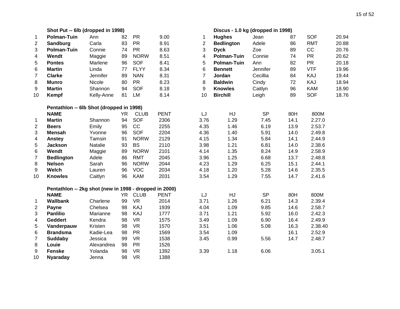|                | Shot Put -- 6lb (dropped in 1998)                      |            |           |             |             |                | Discus - 1.0 kg (dropped in 1998) |           |      |            |       |
|----------------|--------------------------------------------------------|------------|-----------|-------------|-------------|----------------|-----------------------------------|-----------|------|------------|-------|
| 1              | <b>Polman-Tuin</b>                                     | Ann        | 82        | <b>PR</b>   | 9.00        | 1              | <b>Hughes</b>                     | Jean      | 87   | <b>SOF</b> | 20.94 |
| $\overline{2}$ | Sandburg                                               | Carla      | 83        | <b>PR</b>   | 8.91        | $\overline{2}$ | <b>Bedlington</b>                 | Adele     | 86   | <b>RMT</b> | 20.88 |
| 3              | <b>Polman-Tuin</b>                                     | Connie     | 74        | <b>PR</b>   | 8.63        | 3              | <b>Dyck</b>                       | Zoe       | 89   | CC         | 20.76 |
| 4              | Wendt                                                  | Maggie     | 89        | <b>NORW</b> | 8.51        | 4              | <b>Polman-Tuin</b>                | Connie    | 74   | <b>PR</b>  | 20.62 |
| 5              | <b>Pontes</b>                                          | Marlene    | 96        | <b>SOF</b>  | 8.41        | 5              | <b>Polman-Tuin</b>                | Ann       | 82   | <b>PR</b>  | 20.18 |
| 6              | <b>Martin</b>                                          | Linda      | 77        | <b>FLYY</b> | 8.34        | 6              | <b>Bennett</b>                    | Jennifer  | 89   | <b>VTF</b> | 19.96 |
| $\overline{7}$ | <b>Clarke</b>                                          | Jennifer   | 89        | <b>NAN</b>  | 8.31        | $\overline{7}$ | Jordan                            | Cecillia  | 84   | KAJ        | 19.44 |
| 8              | <b>Munro</b>                                           | Nicole     | 80        | <b>PR</b>   | 8.23        | 8              | <b>Baldwin</b>                    | Cindy     | 72   | KAJ        | 18.94 |
| 9              | <b>Martin</b>                                          | Shannon    | 94        | <b>SOF</b>  | 8.18        | 9              | <b>Knowles</b>                    | Caitlyn   | 96   | <b>KAM</b> | 18.90 |
| 10             | Kempf                                                  | Kelly-Anne | 81        | <b>LM</b>   | 8.14        | 10             | <b>Birchill</b>                   | Leigh     | 89   | <b>SOF</b> | 18.76 |
|                | Pentathlon -- 6lb Shot (dropped in 1998)               |            |           |             |             |                |                                   |           |      |            |       |
|                | <b>NAME</b>                                            |            | <b>YR</b> | <b>CLUB</b> | <b>PENT</b> | LJ             | HJ                                | <b>SP</b> | 80H  | 800M       |       |
| 1              | <b>Martin</b>                                          | Shannon    | 94        | <b>SOF</b>  | 2306        | 3.76           | 1.29                              | 7.45      | 14.1 | 2.27.0     |       |
| $\overline{c}$ | <b>Beers</b>                                           | Emily      | 95        | CC          | 2255        | 4.35           | 1.46                              | 6.19      | 13.9 | 2.53.7     |       |
| 3              | <b>Mensah</b>                                          | Yvonne     | 96        | <b>SOF</b>  | 2204        | 4.36           | 1.40                              | 5.91      | 14.0 | 2.49.8     |       |
| 4              | Anstey                                                 | Tamsin     | 91        | <b>NORW</b> | 2129        | 4.15           | 1.34                              | 5.84      | 14.1 | 2.44.9     |       |
| $\mathbf 5$    | <b>Jackson</b>                                         | Natalie    | 93        | <b>BS</b>   | 2110        | 3.98           | 1.21                              | 6.81      | 14.0 | 2.38.6     |       |
| 6              | Wendt                                                  | Maggie     | 89        | <b>NORW</b> | 2101        | 4.14           | 1.35                              | 8.24      | 14.9 | 2.58.9     |       |
| $\overline{7}$ | <b>Bedlington</b>                                      | Adele      | 86        | <b>RMT</b>  | 2045        | 3.96           | 1.25                              | 6.68      | 13.7 | 2.48.8     |       |
| 8              | <b>Nelson</b>                                          | Sarah      | 96        | <b>NORW</b> | 2044        | 4.23           | 1.29                              | 6.25      | 15.1 | 2.44.1     |       |
| 9              | Welch                                                  | Lauren     | 96        | <b>VOC</b>  | 2034        | 4.18           | 1.20                              | 5.28      | 14.6 | 2.35.5     |       |
| 10             | <b>Knowles</b>                                         | Caitlyn    | 96        | <b>KAM</b>  | 2031        | 3.54           | 1.29                              | 7.55      | 14.7 | 2.41.6     |       |
|                | Pentathlon -- 2kg shot (new in 1998 - dropped in 2000) |            |           |             |             |                |                                   |           |      |            |       |
|                | <b>NAME</b>                                            |            | <b>YR</b> | <b>CLUB</b> | <b>PENT</b> | LJ             | <b>HJ</b>                         | <b>SP</b> | 80H  | 800M       |       |
| 1              | <b>Wallbank</b>                                        | Charlene   | 99        | <b>VR</b>   | 2014        | 3.71           | 1.26                              | 6.21      | 14.3 | 2.39.4     |       |
| $\overline{c}$ | Payne                                                  | Chelsea    | 98        | KAJ         | 1939        | 4.04           | 1.09                              | 9.85      | 14.6 | 2.58.7     |       |
| 3              | <b>Panlilio</b>                                        | Marianne   | 98        | KAJ         | 1777        | 3.71           | 1.21                              | 5.92      | 16.0 | 2.42.3     |       |
| 4              | <b>Geddert</b>                                         | Kendra     | 98        | <b>VR</b>   | 1575        | 3.49           | 1.09                              | 6.90      | 16.4 | 2.49.9     |       |
| 5              | Vanderpauw                                             | Kristen    | 98        | <b>VR</b>   | 1570        | 3.51           | 1.06                              | 5.08      | 16.3 | 2.38.40    |       |
| 6              | <b>Brandsma</b>                                        | Kadie-Lea  | 98        | <b>PR</b>   | 1569        | 3.54           | 1.09                              |           | 16.1 | 2.52.9     |       |
| $\overline{7}$ | <b>Suddaby</b>                                         | Jessica    | 99        | <b>VR</b>   | 1538        | 3.45           | 0.99                              | 5.56      | 14.7 | 2.48.7     |       |
| 8              | Louie                                                  | Alexandrea | 98        | <b>PR</b>   | 1526        |                |                                   |           |      |            |       |
| 9              | <b>Fenske</b>                                          | Yolanda    | 98        | <b>VR</b>   | 1392        | 3.39           | 1.18                              | 6.06      |      | 3.05.1     |       |
| 10             | <b>Nyaraday</b>                                        | Jenna      | 98        | <b>VR</b>   | 1388        |                |                                   |           |      |            |       |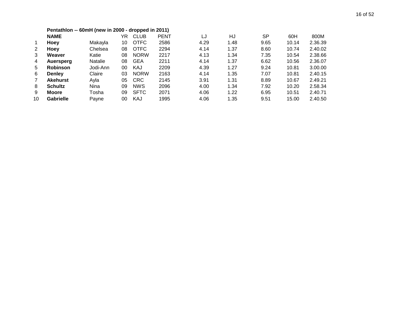|                | Pentathlon -- 60mH (new in 2000 - dropped in 2011) |                |    |             |             |      |      |           |       |         |
|----------------|----------------------------------------------------|----------------|----|-------------|-------------|------|------|-----------|-------|---------|
|                | <b>NAME</b>                                        |                | YR | <b>CLUB</b> | <b>PENT</b> | LJ   | HJ   | <b>SP</b> | 60H   | 800M    |
| $\mathbf{1}$   | Hoey                                               | Makayla        | 10 | <b>OTFC</b> | 2586        | 4.29 | 1.48 | 9.65      | 10.14 | 2.36.39 |
| 2              | Hoey                                               | Chelsea        | 08 | <b>OTFC</b> | 2294        | 4.14 | 1.37 | 8.60      | 10.74 | 2.40.02 |
| 3              | Weaver                                             | Katie          | 08 | <b>NORW</b> | 2217        | 4.13 | 1.34 | 7.35      | 10.54 | 2.38.66 |
| 4              | <b>Auersperg</b>                                   | <b>Natalie</b> | 08 | <b>GEA</b>  | 2211        | 4.14 | 1.37 | 6.62      | 10.56 | 2.36.07 |
| 5              | <b>Robinson</b>                                    | Jodi-Ann       | 00 | KAJ         | 2209        | 4.39 | 1.27 | 9.24      | 10.81 | 3.00.00 |
| 6              | <b>Denley</b>                                      | Claire         | 03 | <b>NORW</b> | 2163        | 4.14 | 1.35 | 7.07      | 10.81 | 2.40.15 |
| $\overline{7}$ | <b>Akehurst</b>                                    | Ayla           | 05 | <b>CRC</b>  | 2145        | 3.91 | 1.31 | 8.89      | 10.67 | 2.49.21 |
| 8              | <b>Schultz</b>                                     | Nina           | 09 | <b>NWS</b>  | 2096        | 4.00 | 1.34 | 7.92      | 10.20 | 2.58.34 |
| 9              | Moore                                              | Tosha          | 09 | <b>SFTC</b> | 2071        | 4.06 | 1.22 | 6.95      | 10.51 | 2.40.71 |
| 10             | <b>Gabrielle</b>                                   | Payne          | 00 | KAJ         | 1995        | 4.06 | 1.35 | 9.51      | 15.00 | 2.40.50 |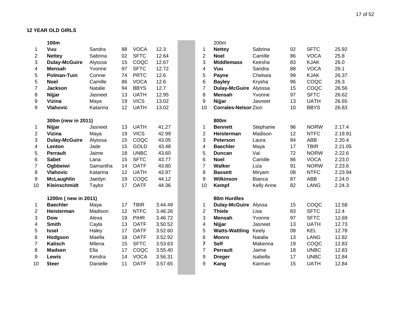|                | 100m                 |          |    |             |         |                         | 200m                        |               |    |             |         |
|----------------|----------------------|----------|----|-------------|---------|-------------------------|-----------------------------|---------------|----|-------------|---------|
| 1              | Vuu                  | Sandra   | 88 | <b>VOCA</b> | 12.3    | 1                       | <b>Nettey</b>               | Sabrina       | 02 | <b>SFTC</b> | 25.92   |
| $\overline{2}$ | <b>Nettey</b>        | Sabrina  | 02 | <b>SFTC</b> | 12.64   | $\overline{c}$          | <b>Noel</b>                 | Camille       | 86 | <b>VOCA</b> | 25.8    |
| 3              | <b>Dulay-McGuire</b> | Alysssa  | 15 | COQC        | 12.67   | 3                       | <b>Middlemass</b>           | Keesha        | 83 | <b>KJAK</b> | 26.0    |
| 4              | <b>Mensah</b>        | Yvonne   | 97 | <b>SFTC</b> | 12.72   | 4                       | Vuu                         | Sandra        | 88 | <b>VOCA</b> | 26.1    |
| 5              | <b>Polman-Tuin</b>   | Connie   | 74 | <b>PRTC</b> | 12.6    | 5                       | Payne                       | Chelsea       | 99 | <b>KJAK</b> | 26.37   |
| 5              | <b>Noel</b>          | Camille  | 86 | <b>VOCA</b> | 12.6    | 6                       | <b>Bayley</b>               | Krysha        | 96 | COQC        | 26.3    |
| $\overline{7}$ | <b>Jackson</b>       | Natalie  | 94 | <b>BBYS</b> | 12.7    | $\overline{7}$          | <b>Dulay-McGuire</b>        | Alysssa       | 15 | COQC        | 26.56   |
| 8              | Nijjar               | Jasneet  | 13 | <b>UATH</b> | 12.95   | 8                       | <b>Mensah</b>               | Yvonne        | 97 | <b>SFTC</b> | 26.62   |
| 9              | Vizina               | Maya     | 19 | <b>VICS</b> | 13.02   | 9                       | Nijjar                      | Jasneet       | 13 | <b>UATH</b> | 26.65   |
| 9              | <b>Vlahovic</b>      | Katarina | 12 | <b>UATH</b> | 13.02   | 10                      | <b>Corrales-Nelson Zion</b> |               | 10 | <b>BBYS</b> | 26.83   |
|                | 300m (new in 2011)   |          |    |             |         |                         | 800m                        |               |    |             |         |
| 1              | Nijjar               | Jasneet  | 13 | <b>UATH</b> | 41.27   | 1                       | <b>Bennett</b>              | Stephanie     | 96 | <b>NORW</b> | 2.17.4  |
| $\overline{2}$ | Vizina               | Maya     | 19 | <b>VICS</b> | 42.99   | $\overline{2}$          | Heisterman                  | Madison       | 12 | <b>NTFC</b> | 2.19.91 |
| 3              | <b>Dulay-McGuire</b> | Alysssa  | 15 | COQC        | 43.05   | 3                       | <b>Peterson</b>             | Laura         | 84 | <b>ABB</b>  | 2.20.4  |
| 4              | Lenton               | Jade     | 15 | <b>GOLD</b> | 43.48   | 4                       | <b>Baechler</b>             | Maya          | 17 | <b>TBIR</b> | 2.21.05 |
| 5              | <b>Perrault</b>      | Jaime    | 18 | <b>UNBC</b> | 43.60   | 5                       | <b>Duncan</b>               | Val           | 72 | <b>NORW</b> | 2.22.6  |
| 6              | <b>Sabet</b>         | Lana     | 15 | <b>SFTC</b> | 43.77   | 6                       | <b>Noel</b>                 | Camille       | 86 | <b>VOCA</b> | 2.23.0  |
| $\overline{7}$ | Ogbbeiwi             | Samantha | 14 | <b>OATF</b> | 43.80   | $\overline{7}$          | <b>Walker</b>               | Liza          | 91 | <b>NORW</b> | 2.23.6  |
| 8              | <b>Vlahovic</b>      | Katarina | 12 | <b>UATH</b> | 43.97   | 8                       | <b>Bassett</b>              | Miryam        | 08 | <b>NTFC</b> | 2.23.94 |
| 9              | <b>McLaughlin</b>    | Jaedyn   | 19 | COQC        | 44.12   | 9                       | Wilkinson                   | <b>Bianca</b> | 87 | <b>ABB</b>  | 2.24.0  |
| 10             | Kleinschmidt         | Taylor   | 17 | <b>OATF</b> | 44.36   | 10                      | Kempf                       | Kelly Anne    | 82 | <b>LANG</b> | 2.24.3  |
|                | 1200m (new in 2011)  |          |    |             |         |                         | 80m Hurdles                 |               |    |             |         |
| $\mathbf 1$    | <b>Baechler</b>      | Maya     | 17 | <b>TBIR</b> | 3.44.49 | 1                       | <b>Dulay-McGuire</b>        | Alyssa        | 15 | COQC        | 12.58   |
| $\overline{c}$ | Heisterman           | Madison  | 12 | <b>NTFC</b> | 3.46.26 | 2                       | <b>Thiele</b>               | Lisa          | 83 | <b>SFTC</b> | 12.4    |
| 3              | <b>Dow</b>           | Alexa    | 19 | <b>PIHR</b> | 3.46.72 | 3                       | <b>Mensah</b>               | Yvonne        | 97 | <b>SFTC</b> | 12.69   |
| 4              | <b>Smith</b>         | Cayla    | 13 | <b>OATF</b> | 3.50.52 | $\overline{\mathbf{4}}$ | Nijjar                      | Jasneet       | 13 | <b>UATH</b> | 12.73   |
| 5              | <b>Issel</b>         | Haley    | 17 | <b>OATF</b> | 3.52.60 | 5                       | <b>Watts-Wattling</b>       | Keely         | 08 | <b>KEL</b>  | 12.78   |
| 6              | Hodgson              | Maella   | 18 | <b>OATF</b> | 3.52.92 | 6                       | <b>Monro</b>                | Natalia       | 13 | <b>LANG</b> | 12.82   |
| $\overline{7}$ | <b>Kalisch</b>       | Milena   | 15 | <b>SFTC</b> | 3.53.63 | $\overline{7}$          | <b>Self</b>                 | Makenna       | 19 | COQC        | 12.83   |
| 8              | <b>Madsen</b>        | Ella     | 17 | COQC        | 3.55.40 | $\overline{7}$          | <b>Perrault</b>             | Jaime         | 18 | <b>UNBC</b> | 12.83   |
| 9              | Lewis                | Kendra   | 14 | <b>VOCA</b> | 3.56.31 | 9                       | <b>Dreger</b>               | Isabella      | 17 | <b>UNBC</b> | 12.84   |
| 10             | <b>Steer</b>         | Danielle | 11 | <b>OATF</b> | 3.57.65 | 9                       | Kang                        | Karman        | 15 | <b>UATH</b> | 12.84   |
|                |                      |          |    |             |         |                         |                             |               |    |             |         |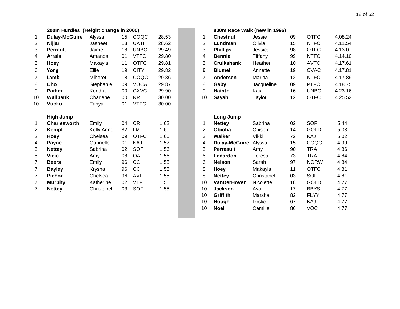|                | 200m Hurdles (Height change in 2000) |            |    |             |       |                | 800m Race Walk (new in 1996) |            |
|----------------|--------------------------------------|------------|----|-------------|-------|----------------|------------------------------|------------|
| 1              | <b>Dulay-McGuire</b>                 | Alyssa     | 15 | COQC        | 28.53 | 1              | <b>Chestnut</b>              | Jessie     |
| 2              | Nijjar                               | Jasneet    | 13 | <b>UATH</b> | 28.62 | $\overline{2}$ | Lundman                      | Olivia     |
| 3              | <b>Perrault</b>                      | Jaime      | 18 | <b>UNBC</b> | 29.49 | 3              | <b>Phillips</b>              | Jessica    |
| 4              | <b>Arrais</b>                        | Amanda     | 01 | <b>VTFC</b> | 29.80 | 4              | <b>Bennie</b>                | Tiffany    |
| 5              | Hoey                                 | Makayla    | 11 | <b>OTFC</b> | 29.81 | 5              | <b>Cruikshank</b>            | Heather    |
| 6              | Yong                                 | Ellie      | 19 | <b>CITY</b> | 29.82 | $6\phantom{1}$ | <b>Blumel</b>                | Annette    |
| $\overline{7}$ | Lamb                                 | Miheret    | 18 | COQC        | 29.86 | 7              | Andersen                     | Marina     |
| 8              | Cho                                  | Stephanie  | 09 | <b>VOCA</b> | 29.87 | 8              | Gaby                         | Jacqueline |
| 9              | <b>Parker</b>                        | Kendra     | 00 | <b>CXVC</b> | 29.90 | 9              | Haintz                       | Kaia       |
| 10             | <b>Wallbank</b>                      | Charlene   | 00 | <b>RR</b>   | 30.00 | 10             | Sayah                        | Taylor     |
| 10             | <b>Vucko</b>                         | Tanya      | 01 | <b>VTFC</b> | 30.00 |                |                              |            |
|                | <b>High Jump</b>                     |            |    |             |       |                | Long Jump                    |            |
| 1              | <b>Charlesworth</b>                  | Emily      | 04 | <b>CR</b>   | 1.62  | 1              | <b>Nettey</b>                | Sabrina    |
| $\overline{2}$ | Kempf                                | Kelly Anne | 82 | LM          | 1.60  | $\overline{2}$ | Obioha                       | Chisom     |
| $\overline{2}$ | Hoey                                 | Chelsea    | 09 | <b>OTFC</b> | 1.60  | 3              | Walker                       | Vikki      |
| 4              | <b>Payne</b>                         | Gabrielle  | 01 | KAJ         | 1.57  | 4              | <b>Dulay-McGuire</b>         | Alyssa     |
| 5              | <b>Nettey</b>                        | Sabrina    | 02 | <b>SOF</b>  | 1.56  | 5              | <b>Perreault</b>             | Amy        |
| 5              | <b>Vicic</b>                         | Amy        | 08 | OA          | 1.56  | 6              | Lenardon                     | Teresa     |
| $\overline{7}$ | <b>Beers</b>                         | Emily      | 96 | CC          | 1.55  | 6              | <b>Nelson</b>                | Sarah      |
| 7              | <b>Bayley</b>                        | Krysha     | 96 | CC          | 1.55  | 8              | <b>Hoey</b>                  | Makayla    |
| $\overline{7}$ | <b>Pichor</b>                        | Chelsea    | 96 | <b>AVF</b>  | 1.55  | 8              | <b>Nettey</b>                | Christabel |
| $\overline{7}$ | <b>Murphy</b>                        | Katherine  | 02 | <b>VTF</b>  | 1.55  | 10             | <b>VanDerHoven</b>           | Nicolette  |
| $\overline{7}$ | <b>Nettey</b>                        | Christabel | 03 | <b>SOF</b>  | 1.55  | 10             | <b>Jackson</b>               | Ava        |

|                | 200m Hurdles (Height change in 2000) |                   |        |             |       |                | 800m Race Walk (new in 1996) |            |    |             |         |
|----------------|--------------------------------------|-------------------|--------|-------------|-------|----------------|------------------------------|------------|----|-------------|---------|
| $\mathbf{1}$   | <b>Dulay-McGuire</b>                 | Alyssa            | 15     | COQC        | 28.53 | 1              | <b>Chestnut</b>              | Jessie     | 09 | <b>OTFC</b> | 4.08.24 |
| 2              | Nijjar                               | Jasneet           | 13     | <b>UATH</b> | 28.62 | 2              | Lundman                      | Olivia     | 15 | <b>NTFC</b> | 4.11.54 |
| 3              | <b>Perrault</b>                      | Jaime             | 18     | <b>UNBC</b> | 29.49 | 3              | <b>Phillips</b>              | Jessica    | 98 | <b>OTFC</b> | 4.13.0  |
| 4              | <b>Arrais</b>                        | Amanda            | 01     | <b>VTFC</b> | 29.80 | 4              | <b>Bennie</b>                | Tiffany    | 99 | <b>NTFC</b> | 4.14.10 |
| 5              | Hoey                                 | Makayla           | 11     | <b>OTFC</b> | 29.81 | 5              | <b>Cruikshank</b>            | Heather    | 10 | <b>AVTC</b> | 4.17.61 |
| 6              | Yong                                 | Ellie             | 19     | <b>CITY</b> | 29.82 | 6              | <b>Blumel</b>                | Annette    | 19 | <b>CVAC</b> | 4.17.81 |
| 7              | Lamb                                 | Miheret           | 18     | COQC        | 29.86 | $\overline{7}$ | Andersen                     | Marina     | 12 | <b>NTFC</b> | 4.17.89 |
| 8              | Cho                                  | Stephanie         | 09     | <b>VOCA</b> | 29.87 | 8              | Gaby                         | Jacqueline | 09 | <b>PTFC</b> | 4.18.75 |
| 9              | <b>Parker</b>                        | Kendra            | $00\,$ | <b>CXVC</b> | 29.90 | 9              | <b>Haintz</b>                | Kaia       | 16 | <b>UNBC</b> | 4.23.16 |
| 10             | Wallbank                             | Charlene          | $00\,$ | <b>RR</b>   | 30.00 | 10             | Sayah                        | Taylor     | 12 | <b>OTFC</b> | 4.25.52 |
| 10             | <b>Vucko</b>                         | Tanya             | 01     | <b>VTFC</b> | 30.00 |                |                              |            |    |             |         |
|                | <b>High Jump</b>                     |                   |        |             |       |                | Long Jump                    |            |    |             |         |
| 1              | <b>Charlesworth</b>                  | Emily             | 04     | <b>CR</b>   | 1.62  | 1              | <b>Nettey</b>                | Sabrina    | 02 | <b>SOF</b>  | 5.44    |
| 2              | <b>Kempf</b>                         | <b>Kelly Anne</b> | 82     | <b>LM</b>   | 1.60  | $\overline{2}$ | Obioha                       | Chisom     | 14 | <b>GOLD</b> | 5.03    |
| 2              | Hoey                                 | Chelsea           | 09     | <b>OTFC</b> | 1.60  | 3              | <b>Walker</b>                | Vikki      | 72 | KAJ         | 5.02    |
| 4              | Payne                                | Gabrielle         | 01     | KAJ         | 1.57  | 4              | <b>Dulay-McGuire</b>         | Alyssa     | 15 | COQC        | 4.99    |
| 5              | <b>Nettey</b>                        | Sabrina           | 02     | <b>SOF</b>  | 1.56  | 5              | <b>Perreault</b>             | Amy        | 90 | <b>TRA</b>  | 4.86    |
| 5              | <b>Vicic</b>                         | Amy               | 08     | OA          | 1.56  | 6              | Lenardon                     | Teresa     | 73 | <b>TRA</b>  | 4.84    |
| 7              | <b>Beers</b>                         | Emily             | 96     | CC          | 1.55  | 6              | <b>Nelson</b>                | Sarah      | 97 | <b>NORW</b> | 4.84    |
| 7              | <b>Bayley</b>                        | Krysha            | 96     | CC          | 1.55  | 8              | Hoey                         | Makayla    | 11 | <b>OTFC</b> | 4.81    |
| $\overline{7}$ | <b>Pichor</b>                        | Chelsea           | 96     | <b>AVF</b>  | 1.55  | 8              | <b>Nettey</b>                | Christabel | 03 | <b>SOF</b>  | 4.81    |
| 7              | <b>Murphy</b>                        | Katherine         | 02     | <b>VTF</b>  | 1.55  | 10             | <b>VanDerHoven</b>           | Nicolette  | 18 | <b>GOLD</b> | 4.77    |
| 7              | <b>Nettey</b>                        | Christabel        | 03     | <b>SOF</b>  | 1.55  | 10             | <b>Jackson</b>               | Ava        | 17 | <b>BBYS</b> | 4.77    |
|                |                                      |                   |        |             |       | 10             | Griffith                     | Marsha     | 82 | <b>FLYY</b> | 4.77    |
|                |                                      |                   |        |             |       | 10             | Hough                        | Leslie     | 67 | KAJ         | 4.77    |
|                |                                      |                   |        |             |       | 10             | <b>Noel</b>                  | Camille    | 86 | <b>VOC</b>  | 4.77    |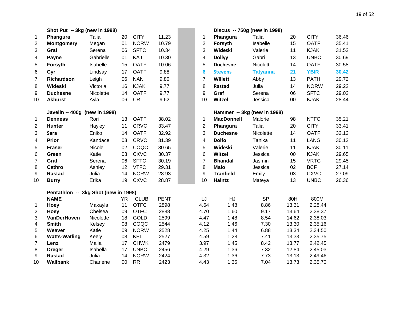|                         | Shot Put -- 3kg (new in 1998)        |           |        |             |              |                | Discus -- 750g (new in 1998) |                 |       |             |       |
|-------------------------|--------------------------------------|-----------|--------|-------------|--------------|----------------|------------------------------|-----------------|-------|-------------|-------|
| 1                       | Phangura                             | Talia     | 20     | <b>CITY</b> | 11.23        | 1              | Phangura                     | Talia           | 20    | <b>CITY</b> | 36.46 |
| $\overline{c}$          | <b>Montgomery</b>                    | Megan     | 01     | <b>NORW</b> | 10.79        | $\mathbf{2}$   | Forsyth                      | Isabelle        | 15    | <b>OATF</b> | 35.41 |
| 3                       | Graf                                 | Serena    | 06     | <b>SFTC</b> | 10.34        | 3              | Wideski                      | Valerie         | 11    | <b>KJAK</b> | 31.52 |
| 4                       | Payne                                | Gabrielle | 01     | KAJ         | 10.30        | 4              | <b>Dollyy</b>                | Gabri           | 13    | <b>UNBC</b> | 30.69 |
| 5                       | Forsyth                              | Isabelle  | 15     | <b>OATF</b> | 10.06        | 5              | <b>Duchesne</b>              | Nicolett        | 14    | <b>OATF</b> | 30.58 |
| 6                       | Cyr                                  | Lindsay   | 17     | <b>OATF</b> | 9.88         | 6              | <b>Stevens</b>               | <b>Tatyanna</b> | 21    | <b>YBIR</b> | 30.42 |
| $\overline{7}$          | Richardson                           | Leigh     | 06     | <b>NAN</b>  | 9.80         | $\overline{7}$ | Willett                      | Abby            | 13    | <b>PATH</b> | 29.72 |
| 8                       | Wideski                              | Victoria  | 16     | <b>KJAK</b> | 9.77         | 8              | Rastad                       | Julia           | 14    | <b>NORW</b> | 29.22 |
| 9                       | <b>Duchesne</b>                      | Nicolette | 14     | <b>OATF</b> | 9.77         | 9              | Graf                         | Serena          | 06    | <b>SFTC</b> | 29.02 |
| 10                      | <b>Akhurst</b>                       | Ayla      | 06     | <b>CR</b>   | 9.62         | 10             | Witzel                       | Jessica         | 00    | <b>KJAK</b> | 28.44 |
|                         | Javelin -- 400g (new in 1998)        |           |        |             |              |                | Hammer -- 3kg (new in 1998)  |                 |       |             |       |
| $\mathbf{1}$            | <b>Denness</b>                       | Rori      | 13     | <b>OATF</b> | 38.02        | 1              | <b>MacDonnell</b>            | Malorie         | 98    | <b>NTFC</b> | 35.21 |
| $\overline{2}$          | <b>Hunter</b>                        | Hayley    | 11     | <b>CRVC</b> | 33.47        | $\overline{2}$ | Phangura                     | Talia           | 20    | <b>CITY</b> | 33.41 |
| 3                       | Sara                                 | Eniko     | 14     | <b>OATF</b> | 32.92        | 3              | <b>Duchesne</b>              | Nicolette       | 14    | <b>OATF</b> | 32.12 |
| 4                       | Prior                                | Kandace   | 03     | <b>CRVC</b> | 31.39        | 4              | <b>Dolfo</b>                 | Tanika          | 11    | <b>LANG</b> | 30.12 |
| 5                       | <b>Fraser</b>                        | Nicole    | 02     | COQC        | 30.65        | 5              | Wideski                      | Valerie         | 11    | <b>KJAK</b> | 30.11 |
| 6                       | Green                                | Katie     | 03     | <b>CXVC</b> | 30.37        | 6              | Witzel                       | Jessica         | 00    | <b>KJAK</b> | 29.65 |
| $\overline{7}$          | Graf                                 | Serena    | 06     | <b>SFTC</b> | 30.19        | $\overline{7}$ | <b>Bhandal</b>               | Jasmin          | 15    | <b>VRTC</b> | 29.45 |
| 8                       | Cathro                               | Ashley    | 12     | <b>VTFC</b> | 29.31        | 8              | <b>Malo</b>                  | Jessica         | 02    | <b>BCF</b>  | 27.14 |
| 9                       | <b>Rastad</b>                        | Julia     | 14     | <b>NORW</b> | 28.93        | 9              | <b>Tranfield</b>             | Emily           | 03    | <b>CXVC</b> | 27.09 |
| 10                      | <b>Burry</b>                         | Erika     | 19     | <b>CXVC</b> | 28.87        | 10             | Haintz                       | Mateya          | 13    | <b>UNBC</b> | 26.36 |
|                         | Pentathlon -- 3kg Shot (new in 1998) |           |        |             |              |                |                              |                 |       |             |       |
|                         | <b>NAME</b>                          |           | YR.    | <b>CLUB</b> | <b>PENT</b>  | LJ             | HJ                           | <b>SP</b>       | 80H   | 800M        |       |
| 1                       | <b>Hoey</b>                          | Makayla   | 11     | <b>OTFC</b> | 2898         | 4.64           | 1.48                         | 8.86            | 13.31 | 2.28.44     |       |
| $\overline{2}$          | Hoey                                 | Chelsea   | 09     | <b>OTFC</b> | 2888         | 4.70           | 1.60                         | 9.17            | 13.64 | 2.38.37     |       |
| 3                       | <b>VanDerHoven</b>                   | Nicolette | 18     | <b>GOLD</b> | 2599         | 4.47           | 1.48                         | 8.54            | 14.62 | 2.38.03     |       |
| $\overline{\mathbf{4}}$ | <b>Smith</b>                         | Kelsey    | 08     | COQC        | 2544         | 4.12           | 1.46                         | 7.30            | 13.30 | 2.35.16     |       |
| 5                       | Weaver                               | Katie     | 09     | <b>NORW</b> | 2528         | 4.25           | 1.44                         | 6.88            | 13.34 | 2.34.50     |       |
| 6                       | <b>Watts-Watling</b>                 | Keely     | 08     | <b>KEL</b>  | 2527         | 4.59           | 1.28                         | 7.41            | 13.33 | 2.35.75     |       |
| $\overline{7}$          | Lenz                                 | Malia     | 17     | <b>CHWK</b> | 2479         | 3.97           | 1.45                         | 8.42            | 13.77 | 2.42.45     |       |
| 8                       | <b>Dreger</b>                        | Isabella  | 17     | <b>UNBC</b> | 2456         | 4.29           | 1.36                         | 7.32            | 12.84 | 2.45.03     |       |
| 9                       | <b>Rastad</b>                        | Julia     | 14     | <b>NORW</b> | 2424<br>2423 | 4.32           | 1.36                         | 7.73            | 13.13 | 2.49.46     |       |
| 10                      | <b>Wallbank</b>                      | Charlene  | $00\,$ | <b>RR</b>   |              | 4.43           | 1.35                         | 7.04            | 13.73 | 2.35.70     |       |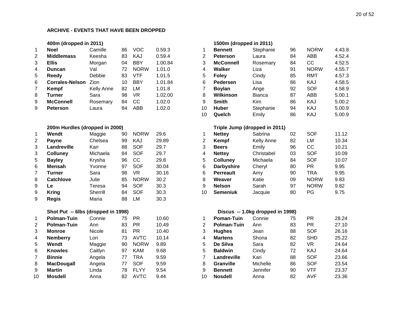#### **ARCHIVE - EVENTS THAT HAVE BEEN DROPPED**

|   | 400m (dropped in 2011) |                   |    |             |         |    | 1500m (dropped in 2011) |               |
|---|------------------------|-------------------|----|-------------|---------|----|-------------------------|---------------|
| 1 | <b>Noel</b>            | Camille           | 86 | <b>VOC</b>  | 0.59.3  |    | <b>Bennett</b>          | Stephani      |
| 2 | <b>Middlemass</b>      | Keesha            | 83 | KAJ         | 0.59.4  | 2  | <b>Peterson</b>         | Laura         |
| 3 | <b>Ellis</b>           | Morgan            | 04 | <b>BBY</b>  | 1.00.84 | 3  | <b>McConnell</b>        | Rosemar       |
| 4 | <b>Duncan</b>          | Val               | 72 | <b>NORW</b> | 1.01.0  | 4  | Walker                  | Liza          |
| 5 | Reedy                  | Debbie            | 83 | VTF         | 1.01.5  | 5  | <b>Foley</b>            | Cindy         |
| 6 | <b>Corrales-Nelson</b> | Zion              | 10 | <b>BBY</b>  | 1.01.84 | 6  | <b>Pedersen</b>         | Lisa          |
| 7 | <b>Kempf</b>           | <b>Kelly Anne</b> | 82 | LM          | 1.01.8  |    | <b>Boylan</b>           | Ange          |
| 8 | Turner                 | Sara              | 98 | VR          | 1.02.00 | 8  | Wilkinson               | <b>Bianca</b> |
| 9 | <b>McConnell</b>       | Rosemary          | 84 | CC          | 1.02.0  | 9  | <b>Smith</b>            | Kim           |
| 9 | <b>Peterson</b>        | Laura             | 84 | ABB         | 1.02.0  | 10 | <b>Huber</b>            | Stephani      |
|   |                        |                   |    |             |         |    |                         |               |

#### **200m Hurdles (dropped in 2000)**

| 1 | Wendt            | Maggie   | 90 | <b>NORW</b> | 29.6  |
|---|------------------|----------|----|-------------|-------|
| 2 | Payne            | Chelsea  | 99 | KAJ         | 29.89 |
| 3 | Landreville      | Kari     | 88 | SOF         | 29.7  |
| 3 | <b>Colluney</b>  | Michaela | 84 | SOF         | 29.7  |
| 5 | <b>Bayley</b>    | Krysha   | 96 | СC          | 29.8  |
| 6 | <b>Mensah</b>    | Yvonne   | 97 | SOF         | 30.04 |
| 7 | <b>Turner</b>    | Sara     | 98 | VR          | 30.16 |
| 8 | <b>Catchlove</b> | Julie    | 85 | <b>NORW</b> | 30.2  |
| 9 | Le               | Teresa   | 94 | SOF         | 30.3  |
| 9 | <b>Kring</b>     | Sherrill | 84 | SOF         | 30.3  |
| 9 | Regis            | Maria    | 88 | LM          | 30.3  |

#### **Shot Put -- 6lbs (dropped in 1998) Discus -- 1.0kg dropped in 1998)**

| 1  | <b>Polman-Tuin</b> | Connie  | 75 | PR          | 10.60 |
|----|--------------------|---------|----|-------------|-------|
| 2  | <b>Polman-Tuin</b> | Ann     | 83 | PR          | 10.49 |
| 3  | <b>Monroe</b>      | Nicole  | 81 | PR          | 10.40 |
| 4  | <b>Nemberry</b>    | Lori    | 73 | AVTC        | 10.14 |
| 5  | Wendt              | Maggie  | 90 | <b>NORW</b> | 9.89  |
| 6  | <b>Knowles</b>     | Caitlyn | 97 | KAM         | 9.68  |
| 7  | <b>Binnie</b>      | Angela  | 77 | TRA         | 9.59  |
| 8  | <b>MacDougall</b>  | Angela  | 77 | SOF         | 9.59  |
| 9  | <b>Martin</b>      | Linda   | 78 | <b>FLYY</b> | 9.54  |
| 10 | <b>Mosdell</b>     | Anna    | 82 | AVTC        | 9.44  |

|   | 400m (dropped in 2011)         |            |    |             |         |    | 1500m (dropped in 2011) |                               |    |             |        |
|---|--------------------------------|------------|----|-------------|---------|----|-------------------------|-------------------------------|----|-------------|--------|
| 1 | <b>Noel</b>                    | Camille    | 86 | <b>VOC</b>  | 0.59.3  | 1  | <b>Bennett</b>          | Stephanie                     | 96 | <b>NORW</b> | 4.43.8 |
| 2 | <b>Middlemass</b>              | Keesha     | 83 | KAJ         | 0.59.4  | 2  | <b>Peterson</b>         | Laura                         | 84 | ABB         | 4.52.4 |
| 3 | <b>Ellis</b>                   | Morgan     | 04 | <b>BBY</b>  | 1.00.84 | 3  | <b>McConnell</b>        | Rosemary                      | 84 | cc          | 4.52.5 |
| 4 | <b>Duncan</b>                  | Val        | 72 | <b>NORW</b> | 1.01.0  | 4  | Walker                  | Liza                          | 91 | <b>NORW</b> | 4.55.7 |
| 5 | Reedy                          | Debbie     | 83 | <b>VTF</b>  | 1.01.5  | 5  | <b>Foley</b>            | Cindy                         | 85 | <b>RMT</b>  | 4.57.3 |
| 6 | <b>Corrales-Nelson</b>         | Zion       | 10 | <b>BBY</b>  | 1.01.84 | 6  | Pedersen                | Lisa                          | 86 | KAJ         | 4.58.5 |
| 7 | Kempf                          | Kelly Anne | 82 | LM          | 1.01.8  | 7  | <b>Boylan</b>           | Ange                          | 92 | <b>SOF</b>  | 4.58.9 |
| 8 | <b>Turner</b>                  | Sara       | 98 | <b>VR</b>   | 1.02.00 | 8  | Wilkinson               | <b>Bianca</b>                 | 87 | ABB         | 5.00.1 |
| 9 | <b>McConnell</b>               | Rosemary   | 84 | cc          | 1.02.0  | 9  | <b>Smith</b>            | <b>Kim</b>                    | 86 | KAJ         | 5.00.2 |
| 9 | <b>Peterson</b>                | Laura      | 84 | ABB         | 1.02.0  | 10 | <b>Huber</b>            | Stephanie                     | 94 | KAJ         | 5.00.9 |
|   |                                |            |    |             |         | 10 | Quelch                  | Emily                         | 86 | KAJ         | 5.00.9 |
|   | 200m Hurdles (dropped in 2000) |            |    |             |         |    |                         | Triple Jump (dropped in 2011) |    |             |        |
| 1 | Wendt                          | Maggie     | 90 | <b>NORW</b> | 29.6    | 1  | <b>Nettey</b>           | Sabrina                       | 02 | <b>SOF</b>  | 11.12  |
| 2 | <b>Payne</b>                   | Chelsea    | 99 | KAJ         | 29.89   | 2  | Kempf                   | Kelly Anne                    | 82 | LM          | 10.34  |
| 3 | Landreville                    | Kari       | 88 | <b>SOF</b>  | 29.7    | 3  | <b>Beers</b>            | Emily                         | 96 | cc          | 10.21  |
| 3 | <b>Colluney</b>                | Michaela   | 84 | <b>SOF</b>  | 29.7    | 4  | <b>Nettey</b>           | Christabel                    | 03 | <b>SOF</b>  | 10.09  |
| 5 | <b>Bayley</b>                  | Krysha     | 96 | cc          | 29.8    | 5  | <b>Colluney</b>         | Michaela                      | 84 | <b>SOF</b>  | 10.07  |
| 6 | <b>Mensah</b>                  | Yvonne     | 97 | <b>SOF</b>  | 30.04   | 6  | <b>Darbyshire</b>       | Cheryl                        | 80 | <b>PR</b>   | 9.95   |
| 7 | <b>Turner</b>                  | Sara       | 98 | <b>VR</b>   | 30.16   | 6  | <b>Perreault</b>        | Amy                           | 90 | <b>TRA</b>  | 9.95   |
| 8 | <b>Catchlove</b>               | Julie      | 85 | <b>NORW</b> | 30.2    | 8  | Weaver                  | Katie                         | 09 | <b>NORW</b> | 9.83   |
| 9 | <b>Le</b>                      | Teresa     | 94 | <b>SOF</b>  | 30.3    | 9  | <b>Nelson</b>           | Sarah                         | 97 | <b>NORW</b> | 9.82   |
| 9 | <b>Kring</b>                   | Sherrill   | 84 | <b>SOF</b>  | 30.3    | 10 | <b>Semeniuk</b>         | Jacquie                       | 80 | PG          | 9.75   |
| 9 | Regis                          | Maria      | 88 | LM          | 30.3    |    |                         |                               |    |             |        |
|   |                                |            |    |             |         |    |                         |                               |    |             |        |

|    | <b>Polman-Tuin</b> | Connie  | 75 | <b>PR</b>   | 10.60 |    | <b>Poman-Tuin</b>  | Connie   | 75 | PR         | 28.24 |
|----|--------------------|---------|----|-------------|-------|----|--------------------|----------|----|------------|-------|
| 2  | Polman-Tuin        | Ann     | 83 | <b>PR</b>   | 10.49 |    | <b>Polman-Tuin</b> | Ann      | 83 | <b>PR</b>  | 27.10 |
| 3  | <b>Monroe</b>      | Nicole  | 81 | <b>PR</b>   | 10.40 | 3  | <b>Hughes</b>      | Jean     | 88 | <b>SOF</b> | 26.16 |
| 4  | <b>Nemberry</b>    | Lori    | 73 | <b>AVTC</b> | 10.14 | 4  | <b>Martens</b>     | Shona    | 82 | <b>SHD</b> | 25.22 |
| 5  | Wendt              | Maggie  | 90 | <b>NORW</b> | 9.89  | 5  | De Silva           | Sara     | 82 | VR         | 24.64 |
| 6  | <b>Knowles</b>     | Caitlyn | 97 | <b>KAM</b>  | 9.68  | 5  | <b>Baldwin</b>     | Cindy    | 72 | KAJ        | 24.64 |
|    | <b>Binnie</b>      | Angela  | 77 | TRA         | 9.59  |    | Landreville        | Kari     | 88 | SOF        | 23.66 |
| 8  | <b>MacDougall</b>  | Angela  | 77 | <b>SOF</b>  | 9.59  | 8  | Granville          | Michelle | 86 | <b>SOF</b> | 23.54 |
| 9  | <b>Martin</b>      | Linda   | 78 | <b>FLYY</b> | 9.54  | 9  | <b>Bennett</b>     | Jennifer | 90 | VTF        | 23.37 |
| 10 | <b>Mosdell</b>     | Anna    | 82 | <b>AVTC</b> | 9.44  | 10 | <b>Nosdell</b>     | Anna     | 82 | <b>AVF</b> | 23.36 |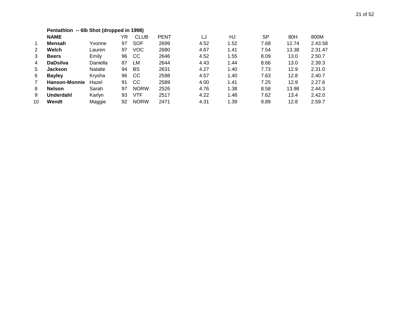|    | Pentathlon -- 6lb Shot (dropped in 1998) |                |    |               |             |      |      |           |       |         |
|----|------------------------------------------|----------------|----|---------------|-------------|------|------|-----------|-------|---------|
|    | <b>NAME</b>                              |                | YR | <b>CLUB</b>   | <b>PENT</b> | LJ   | HJ   | <b>SP</b> | 80H   | 800M    |
| 1  | Mensah                                   | Yvonne         | 97 | <b>SOF</b>    | 2699        | 4.52 | 1.52 | 7.68      | 12.74 | 2.43.58 |
| 2  | Welch                                    | Lauren         | 97 | <b>VOC</b>    | 2680        | 4.67 | 1.41 | 7.54      | 13.38 | 2.31.47 |
| 3  | <b>Beers</b>                             | Emily          | 96 | <sub>CC</sub> | 2646        | 4.52 | 1.55 | 8.09      | 13.0  | 2.50.7  |
| 4  | <b>DaDsilva</b>                          | Daniella       | 87 | LM            | 2644        | 4.43 | 1.44 | 8.66      | 13.0  | 2.39.3  |
| 5  | <b>Jackson</b>                           | <b>Natalie</b> | 94 | BS            | 2631        | 4.27 | 1.40 | 7.73      | 12.9  | 2.31.0  |
| 6  | <b>Bayley</b>                            | Krysha         | 96 | CC            | 2598        | 4.57 | 1.40 | 7.63      | 12.8  | 2.40.7  |
| 7  | <b>Hanson-Monnie</b>                     | Hazel          | 91 | CС            | 2589        | 4.00 | 1.41 | 7.25      | 12.9  | 2.27.6  |
| 8  | <b>Nelson</b>                            | Sarah          | 97 | <b>NORW</b>   | 2526        | 4.76 | 1.38 | 8.58      | 13.98 | 2.44.3  |
| 9  | <b>Underdahl</b>                         | Karlyn         | 93 | <b>VTF</b>    | 2517        | 4.22 | 1.48 | 7.62      | 13.4  | 2.42.0  |
| 10 | Wendt                                    | Maggie         | 92 | <b>NORW</b>   | 2471        | 4.31 | 1.39 | 9.89      | 12.8  | 2.59.7  |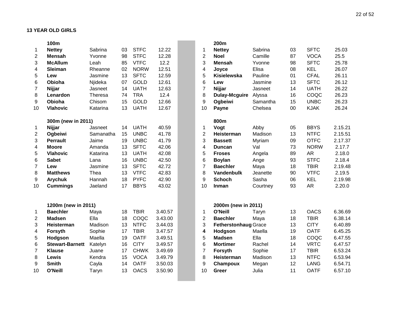#### **13 YEAR OLD GIRLS**

|                | 100m                   |                |    |             |         |                         | 200m                 |                  |
|----------------|------------------------|----------------|----|-------------|---------|-------------------------|----------------------|------------------|
| 1              | <b>Nettey</b>          | Sabrina        | 03 | <b>STFC</b> | 12.22   | $\mathbf{1}$            | <b>Nettey</b>        | Sab              |
| $\overline{2}$ | <b>Mensah</b>          | Yvonne         | 98 | <b>STFC</b> | 12.28   | $\overline{2}$          | <b>Noel</b>          | Cam              |
| 3              | <b>McAllum</b>         | Leah           | 85 | <b>VTFC</b> | 12.2    | 3                       | <b>Mensah</b>        | Yvor             |
| 4              | Sleiman                | Rheanne        | 02 | <b>NORW</b> | 12.51   | $\overline{\mathbf{4}}$ | Joyce                | Elisa            |
| 5              | Lew                    | Jasmine        | 13 | <b>SFTC</b> | 12.59   | 5                       | Kisielewska          | Paul             |
| 6              | Obioha                 | Njideka        | 07 | <b>GOLD</b> | 12.61   | 6                       | Lew                  | Jasr             |
| 7              | Nijjar                 | Jasneet        | 14 | <b>UATH</b> | 12.63   | $\overline{7}$          | Nijjar               | Jasr             |
| 8              | Lenardon               | <b>Theresa</b> | 74 | <b>TRA</b>  | 12.4    | 8                       | <b>Dulay-Mcguire</b> | Alys             |
| 9              | Obioha                 | Chisom         | 15 | <b>GOLD</b> | 12.66   | 9                       | Ogbeiwi              | Sam              |
| 10             | <b>Vlahovic</b>        | Katarina       | 13 | <b>UATH</b> | 12.67   | 10                      | Payne                | Che              |
|                | 300m (new in 2011)     |                |    |             |         |                         | 800m                 |                  |
| $\mathbf{1}$   | Nijjar                 | Jasneet        | 14 | <b>UATH</b> | 40.59   | $\mathbf{1}$            | Vogt                 | Abb <sup>®</sup> |
| $\overline{c}$ | Ogbeiwi                | Samanatha      | 15 | <b>UNBC</b> | 41.78   | $\overline{2}$          | Heisterman           | Mad              |
| 3              | <b>Perrault</b>        | Jaime          | 19 | <b>UNBC</b> | 41.79   | 3                       | <b>Bassett</b>       | Myri             |
| 4              | <b>Moore</b>           | Amanda         | 13 | <b>SFTC</b> | 42.06   | $\overline{4}$          | <b>Duncan</b>        | Val              |
| 5              | <b>Vlahovic</b>        | Katarina       | 13 | <b>UATH</b> | 42.08   | 5                       | <b>Froses</b>        | Ang              |
| 6              | <b>Sabet</b>           | Lana           | 16 | <b>UNBC</b> | 42.50   | 6                       | <b>Boylan</b>        | Ang              |
| $\overline{7}$ | Lew                    | Jasmine        | 13 | <b>SFTC</b> | 42.72   | $\overline{7}$          | <b>Baechler</b>      | May              |
| 8              | <b>Matthews</b>        | Thea           | 13 | <b>VTFC</b> | 42.83   | 8                       | <b>Vandenbulk</b>    | Jear             |
| 9              | <b>Arychuk</b>         | Hannah         | 18 | <b>PYFC</b> | 42.90   | 9                       | <b>Schoch</b>        | Sasl             |
| 10             | <b>Cummings</b>        | Jaeland        | 17 | <b>BBYS</b> | 43.02   | 10                      | Inman                | Cou              |
|                | 1200m (new in 2011)    |                |    |             |         |                         | 2000m (new in 2011)  |                  |
| 1              | <b>Baechler</b>        | Maya           | 18 | <b>TBIR</b> | 3.40.57 | $\mathbf{1}$            | O'Neill              | Tary             |
| $\overline{2}$ | <b>Madsen</b>          | Ella           | 18 | COQC        | 3.43.00 | $\overline{2}$          | <b>Baechler</b>      | May              |
| 3              | Heisterman             | Madison        | 13 | <b>NTFC</b> | 3.44.03 | 3                       | Fetherstonhaug Grad  |                  |
| 4              | Forsyth                | Sophie         | 17 | <b>TBIR</b> | 3.47.57 | $\overline{\mathbf{4}}$ | Hodgson              | Mae              |
| 5              | Hodgson                | Maella         | 19 | <b>OATF</b> | 3.49.51 | 5                       | <b>Madsen</b>        | Ella             |
| 6              | <b>Stewart-Barnett</b> | Katelyn        | 16 | <b>CITY</b> | 3.49.57 | 6                       | <b>Mortimer</b>      | Rac              |
| $\overline{7}$ | <b>Klause</b>          | Juane          | 17 | <b>CHWK</b> | 3.49.69 | $\overline{7}$          | Forsyth              | Sopl             |
| 8              | Lewis                  | Kendra         | 15 | <b>VOCA</b> | 3.49.79 | 8                       | Heisterman           | Mad              |
| 9              | <b>Smith</b>           | Cayla          | 14 | <b>OATF</b> | 3.50.03 | 9                       | Champoux             | Meg              |
| 10             | O'Neill                | Taryn          | 13 | <b>OACS</b> | 3.50.90 | 10                      | Greer                | Julia            |
|                |                        |                |    |             |         |                         |                      |                  |

|                | 100m                   |                |    |             |         |                | 200m                        |          |    |             |         |
|----------------|------------------------|----------------|----|-------------|---------|----------------|-----------------------------|----------|----|-------------|---------|
| 1              | <b>Nettey</b>          | Sabrina        | 03 | <b>STFC</b> | 12.22   | 1              | <b>Nettey</b>               | Sabrina  | 03 | <b>SFTC</b> | 25.03   |
| 2              | <b>Mensah</b>          | Yvonne         | 98 | <b>STFC</b> | 12.28   | $\overline{2}$ | <b>Noel</b>                 | Camille  | 87 | <b>VOCA</b> | 25.5    |
| 3              | <b>McAllum</b>         | Leah           | 85 | <b>VTFC</b> | 12.2    | 3              | <b>Mensah</b>               | Yvonne   | 98 | <b>SFTC</b> | 25.78   |
| 4              | Sleiman                | Rheanne        | 02 | <b>NORW</b> | 12.51   | 4              | Joyce                       | Elisa    | 08 | <b>KEL</b>  | 26.07   |
| 5              | Lew                    | Jasmine        | 13 | <b>SFTC</b> | 12.59   | 5              | Kisielewska                 | Pauline  | 01 | <b>CFAL</b> | 26.11   |
| 6              | Obioha                 | Njideka        | 07 | <b>GOLD</b> | 12.61   | 6              | Lew                         | Jasmine  | 13 | <b>SFTC</b> | 26.12   |
| $\overline{7}$ | <b>Nijjar</b>          | Jasneet        | 14 | <b>UATH</b> | 12.63   | $\overline{7}$ | <b>Nijjar</b>               | Jasneet  | 14 | <b>UATH</b> | 26.22   |
| 8              | Lenardon               | <b>Theresa</b> | 74 | <b>TRA</b>  | 12.4    | 8              | <b>Dulay-Mcguire</b>        | Alyssa   | 16 | COQC        | 26.23   |
| 9              | Obioha                 | Chisom         | 15 | <b>GOLD</b> | 12.66   | 9              | Ogbeiwi                     | Samantha | 15 | <b>UNBC</b> | 26.23   |
| 10             | <b>Vlahovic</b>        | Katarina       | 13 | <b>UATH</b> | 12.67   | 10             | Payne                       | Chelsea  | 00 | <b>KJAK</b> | 26.24   |
|                | 300m (new in 2011)     |                |    |             |         |                | 800m                        |          |    |             |         |
| $\mathbf{1}$   | Nijjar                 | Jasneet        | 14 | <b>UATH</b> | 40.59   | 1              | Vogt                        | Abby     | 05 | <b>BBYS</b> | 2.15.21 |
| 2              | Ogbeiwi                | Samanatha      | 15 | <b>UNBC</b> | 41.78   | $\overline{2}$ | Heisterman                  | Madison  | 13 | <b>NTFC</b> | 2.15.51 |
| 3              | <b>Perrault</b>        | Jaime          | 19 | <b>UNBC</b> | 41.79   | 3              | <b>Bassett</b>              | Myriam   | 09 | <b>OTFC</b> | 2.17.37 |
| 4              | <b>Moore</b>           | Amanda         | 13 | <b>SFTC</b> | 42.06   | 4              | <b>Duncan</b>               | Val      | 73 | <b>NORW</b> | 2.17.7  |
| 5              | <b>Vlahovic</b>        | Katarina       | 13 | <b>UATH</b> | 42.08   | 5              | <b>Froses</b>               | Angela   | 89 | <b>AR</b>   | 2.18.0  |
| 6              | <b>Sabet</b>           | Lana           | 16 | <b>UNBC</b> | 42.50   | 6              | <b>Boylan</b>               | Ange     | 93 | <b>STFC</b> | 2.18.4  |
| 7              | Lew                    | Jasmine        | 13 | <b>SFTC</b> | 42.72   | $\overline{7}$ | <b>Baechler</b>             | Maya     | 18 | <b>TBIR</b> | 2.19.48 |
| 8              | <b>Matthews</b>        | Thea           | 13 | <b>VTFC</b> | 42.83   | 8              | <b>Vandenbulk</b>           | Jeanette | 90 | <b>VTFC</b> | 2.19.5  |
| 9              | <b>Arychuk</b>         | Hannah         | 18 | <b>PYFC</b> | 42.90   | 9              | <b>Schoch</b>               | Sasha    | 06 | <b>KEL</b>  | 2.19.98 |
| 10             | <b>Cummings</b>        | Jaeland        | 17 | <b>BBYS</b> | 43.02   | 10             | Inman                       | Courtney | 93 | <b>AR</b>   | 2.20.0  |
|                | 1200m (new in 2011)    |                |    |             |         |                | 2000m (new in 2011)         |          |    |             |         |
| $\mathbf{1}$   | <b>Baechler</b>        | Maya           | 18 | <b>TBIR</b> | 3.40.57 | 1              | O'Neill                     | Taryn    | 13 | <b>OACS</b> | 6.36.69 |
| 2              | <b>Madsen</b>          | Ella           | 18 | COQC        | 3.43.00 | $\overline{2}$ | <b>Baechler</b>             | Maya     | 18 | <b>TBIR</b> | 6.38.14 |
| 3              | <b>Heisterman</b>      | Madison        | 13 | <b>NTFC</b> | 3.44.03 | 3              | <b>Fetherstonhaug Grace</b> |          | 13 | <b>CITY</b> | 6.40.89 |
| 4              | Forsyth                | Sophie         | 17 | <b>TBIR</b> | 3.47.57 | 4              | Hodgson                     | Maella   | 19 | <b>OATF</b> | 6.45.25 |
| 5              | Hodgson                | Maella         | 19 | <b>OATF</b> | 3.49.51 | 5              | <b>Madsen</b>               | Ella     | 18 | COQC        | 6.47.55 |
| 6              | <b>Stewart-Barnett</b> | Katelyn        | 16 | <b>CITY</b> | 3.49.57 | 6              | <b>Mortimer</b>             | Rachel   | 14 | <b>VRTC</b> | 6.47.57 |
| 7              | <b>Klause</b>          | Juane          | 17 | <b>CHWK</b> | 3.49.69 | $\overline{7}$ | Forsyth                     | Sophie   | 17 | <b>TBIR</b> | 6.53.24 |
| 8              | Lewis                  | Kendra         | 15 | <b>VOCA</b> | 3.49.79 | 8              | <b>Heisterman</b>           | Madison  | 13 | <b>NTFC</b> | 6.53.94 |
| 9              | <b>Smith</b>           | Cayla          | 14 | <b>OATF</b> | 3.50.03 | 9              | Champoux                    | Megan    | 12 | <b>LANG</b> | 6.54.71 |
| 10             | O'Neill                | Taryn          | 13 | <b>OACS</b> | 3.50.90 | 10             | Greer                       | Julia    | 11 | <b>OATF</b> | 6.57.10 |
|                |                        |                |    |             |         |                |                             |          |    |             |         |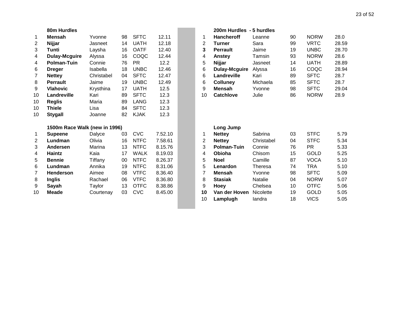|                | 80m Hurdles                   |            |    |             |         |                | 200m Hurdles - 5 hurdles |           |
|----------------|-------------------------------|------------|----|-------------|---------|----------------|--------------------------|-----------|
| 1              | <b>Mensah</b>                 | Yvonne     | 98 | <b>SFTC</b> | 12.11   | 1              | <b>Hancheroff</b>        | Leanne    |
| $\overline{2}$ | Nijjar                        | Jasneet    | 14 | <b>UATH</b> | 12.18   | $\overline{2}$ | <b>Turner</b>            | Sara      |
| 3              | Tunti                         | Laysha     | 16 | <b>OATF</b> | 12.40   | 3              | <b>Perrault</b>          | Jaime     |
| 4              | <b>Dulay-Mcguire</b>          | Alyssa     | 16 | COQC        | 12.44   | 4              | Anstey                   | Tamsin    |
| 4              | <b>Polman-Tuin</b>            | Connie     | 76 | <b>PR</b>   | 12.2    | 5              | Nijjar                   | Jasneet   |
| 6              | <b>Dreger</b>                 | Isabella   | 18 | <b>UNBC</b> | 12.46   | 6              | <b>Dulay-Mcguire</b>     | Alyssa    |
| $\overline{7}$ | <b>Nettey</b>                 | Christabel | 04 | <b>SFTC</b> | 12.47   | 6              | Landreville              | Kari      |
| 8              | <b>Perrault</b>               | Jaime      | 19 | <b>UNBC</b> | 12.49   | 6              | <b>Colluney</b>          | Michaela  |
| 9              | <b>Vlahovic</b>               | Krysthina  | 17 | <b>UATH</b> | 12.5    | 9              | <b>Mensah</b>            | Yvonne    |
| 10             | Landreville                   | Kari       | 89 | <b>SFTC</b> | 12.3    | 10             | <b>Catchlove</b>         | Julie     |
| 10             | <b>Reglis</b>                 | Maria      | 89 | <b>LANG</b> | 12.3    |                |                          |           |
| 10             | <b>Thiele</b>                 | Lisa       | 84 | <b>SFTC</b> | 12.3    |                |                          |           |
| 10             | <b>Stygall</b>                | Joanne     | 82 | <b>KJAK</b> | 12.3    |                |                          |           |
|                | 1500m Race Walk (new in 1996) |            |    |             |         |                | Long Jump                |           |
| 1              | <b>Supeene</b>                | Dalyce     | 03 | <b>CVC</b>  | 7.52.10 | 1              | <b>Nettey</b>            | Sabrina   |
| $\overline{2}$ | Lundman                       | Olivia     | 16 | <b>NTFC</b> | 7.58.61 | $\overline{2}$ | <b>Nettey</b>            | Christabe |
| 3              | <b>Andersen</b>               | Marina     | 13 | <b>NTFC</b> | 8.15.76 | 3              | <b>Polman-Tuin</b>       | Connie    |
| 4              | Haintz                        | Kaia       | 17 | <b>WALK</b> | 8.19.03 | 4              | Obioha                   | Chisom    |
| 5              | <b>Bennie</b>                 | Tiffany    | 00 | <b>NTFC</b> | 8.26.37 | 5              | <b>Noel</b>              | Camille   |
| 6              | Lundman                       | Annika     | 19 | <b>NTFC</b> | 8.31.06 | 5              | Lenardon                 | Theresa   |
| 7              | <b>Henderson</b>              | Aimee      | 08 | <b>VTFC</b> | 8.36.40 | 7              | <b>Mensah</b>            | Yvonne    |
| 8              | <b>Inglis</b>                 | Rachael    | 06 | <b>VTFC</b> | 8.36.80 | 8              | <b>Stasiak</b>           | Natalie   |
| 9              | Sayah                         | Taylor     | 13 | <b>OTFC</b> | 8.38.86 | 9              | Hoey                     | Chelsea   |
| 10             | <b>Meade</b>                  | Courtenay  | 03 | <b>CVC</b>  | 8.45.00 | 10             | Van der Hoven            | Nicolette |
|                |                               |            |    |             |         |                |                          |           |

|                | 80m Hurdles          |            |    |             |       |    | 200m Hurdles - 5 hurdles |          |    |             |       |
|----------------|----------------------|------------|----|-------------|-------|----|--------------------------|----------|----|-------------|-------|
| $\mathbf{1}$   | Mensah               | Yvonne     | 98 | <b>SFTC</b> | 12.11 |    | <b>Hancheroff</b>        | Leanne   | 90 | <b>NORW</b> | 28.0  |
| $\overline{2}$ | <b>Nijjar</b>        | Jasneet    | 14 | <b>UATH</b> | 12.18 | 2  | Turner                   | Sara     | 99 | <b>VRTC</b> | 28.59 |
| 3              | Tunti                | Laysha     | 16 | <b>OATF</b> | 12.40 | 3  | <b>Perrault</b>          | Jaime    | 19 | <b>UNBC</b> | 28.70 |
| 4              | <b>Dulay-Mcguire</b> | Alyssa     | 16 | COQC        | 12.44 | 4  | Anstey                   | Tamsin   | 93 | <b>NORW</b> | 28.6  |
| 4              | <b>Polman-Tuin</b>   | Connie     | 76 | <b>PR</b>   | 12.2  | 5  | <b>Nijjar</b>            | Jasneet  | 14 | <b>UATH</b> | 28.89 |
| 6              | <b>Dreger</b>        | Isabella   | 18 | <b>UNBC</b> | 12.46 | 6  | Dulay-Mcguire            | Alyssa   | 16 | COQC        | 28.94 |
| $\overline{7}$ | <b>Nettey</b>        | Christabel | 04 | <b>SFTC</b> | 12.47 | 6  | Landreville              | Kari     | 89 | <b>SFTC</b> | 28.7  |
| 8              | <b>Perrault</b>      | Jaime      | 19 | <b>UNBC</b> | 12.49 | 6  | <b>Collunev</b>          | Michaela | 85 | <b>SFTC</b> | 28.7  |
| 9              | <b>Vlahovic</b>      | Krysthina  | 17 | UATH        | 12.5  | 9  | <b>Mensah</b>            | Yvonne   | 98 | <b>SFTC</b> | 29.04 |
| 10             | Landreville          | Kari       | 89 | <b>SFTC</b> | 12.3  | 10 | <b>Catchlove</b>         | Julie    | 86 | <b>NORW</b> | 28.9  |
| 10             | <b>Realis</b>        | Maria      | 89 | LANG        | 12.3  |    |                          |          |    |             |       |

|                | 1500m Race Walk (new in 1996) |           |    |             |         |    | Long Jump          |                  |    |             |      |
|----------------|-------------------------------|-----------|----|-------------|---------|----|--------------------|------------------|----|-------------|------|
| $\mathbf 1$    | <b>Supeene</b>                | Dalyce    | 03 | <b>CVC</b>  | 7.52.10 |    | <b>Nettey</b>      | Sabrina          | 03 | <b>STFC</b> | 5.79 |
| $\overline{2}$ | Lundman                       | Olivia    | 16 | <b>NTFC</b> | 7.58.61 | 2  | <b>Nettey</b>      | Christabel       | 04 | <b>STFC</b> | 5.34 |
| 3              | Andersen                      | Marina    | 13 | <b>NTFC</b> | 8.15.76 | 3  | <b>Polman-Tuin</b> | Connie           | 76 | PR.         | 5.33 |
| 4              | Haintz                        | Kaia      | 17 | <b>WALK</b> | 8.19.03 | 4  | Obioha             | Chisom           | 15 | GOLD        | 5.25 |
| 5              | <b>Bennie</b>                 | Tiffany   | 00 | <b>NTFC</b> | 8.26.37 | 5  | <b>Noel</b>        | Camille          | 87 | <b>VOCA</b> | 5.10 |
| 6              | Lundman                       | Annika    | 19 | <b>NTFC</b> | 8.31.06 | 5  | Lenardon           | Theresa          | 74 | <b>TRA</b>  | 5.10 |
| $\overline{7}$ | <b>Henderson</b>              | Aimee     | 08 | <b>VTFC</b> | 8.36.40 |    | <b>Mensah</b>      | Yvonne           | 98 | <b>SFTC</b> | 5.09 |
| 8              | <b>Inglis</b>                 | Rachael   | 06 | <b>VTFC</b> | 8.36.80 | 8  | <b>Stasiak</b>     | <b>Natalie</b>   | 04 | <b>NORW</b> | 5.07 |
| 9              | Sayah                         | Taylor    | 13 | <b>OTFC</b> | 8.38.86 | 9  | Hoev               | Chelsea          | 10 | OTFC        | 5.06 |
| 10             | <b>Meade</b>                  | Courtenay | 03 | <b>CVC</b>  | 8.45.00 | 10 | Van der Hoven      | <b>Nicolette</b> | 19 | <b>GOLD</b> | 5.05 |
|                |                               |           |    |             |         | 10 | Lamplugh           | landra           | 18 | <b>VICS</b> | 5.05 |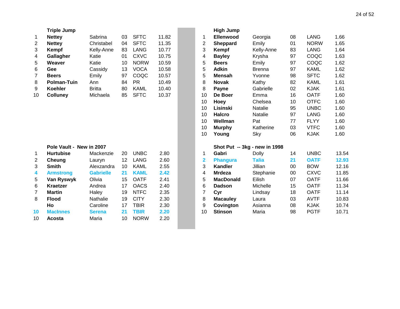| <b>SFTC</b><br>11.82<br>Ellenwood<br><b>LANG</b><br>1.66<br><b>Nettey</b><br>Sabrina<br>03<br>Georgia<br>08<br>1<br>1<br><b>SFTC</b><br>11.35<br><b>NORW</b><br>1.65<br>Christabel<br>04<br>$\overline{\mathbf{c}}$<br>Emily<br>01<br>2<br>Sheppard<br><b>Nettey</b><br>3<br>3<br>83<br><b>LANG</b><br>10.77<br>83<br><b>LANG</b><br>1.64<br>Kempf<br>Kelly-Anne<br>Kempf<br>Kelly-Anne<br><b>CXVC</b><br>COQC<br>1.63<br>01<br>10.75<br>97<br>Gallagher<br>Katie<br>4<br><b>Bayley</b><br>Krysha<br>4<br>5<br>Katie<br>10<br><b>NORW</b><br>10.59<br>Emily<br>97<br>COQC<br>1.62<br>5<br>Weaver<br><b>Beers</b><br><b>VOCA</b><br>5<br>10.58<br><b>Adkin</b><br><b>KAML</b><br>1.62<br>Gee<br>Cassidy<br>13<br><b>Brenna</b><br>97<br>6<br>COQC<br>5<br><b>SFTC</b><br>1.62<br>97<br>10.57<br>Yvonne<br>98<br>7<br>Emily<br><b>Mensah</b><br><b>Beers</b><br>8<br><b>Polman-Tuin</b><br>84<br><b>PR</b><br>10.49<br>Kathy<br>82<br><b>KAML</b><br>1.61<br>8<br>Ann<br><b>Novak</b><br>10.40<br>8<br>9<br>Koehler<br><b>Britta</b><br>80<br><b>KAML</b><br>02<br><b>KJAK</b><br>1.61<br>Payne<br>Gabrielle<br>85<br><b>SFTC</b><br>10.37<br>10<br>De Boer<br>16<br><b>OATF</b><br>1.60<br>10<br><b>Colluney</b><br>Michaela<br>Emma<br><b>OTFC</b><br>10<br>1.60<br>Hoey<br>Chelsea<br>10<br><b>UNBC</b><br>10<br>Lisinski<br>Natalie<br>95<br>1.60<br>10<br><b>Halcro</b><br>97<br><b>LANG</b><br>1.60<br>Natalie<br>10<br>Wellman<br>Pat<br>77<br><b>FLYY</b><br>1.60<br>10<br>03<br><b>VTFC</b><br>1.60<br><b>Murphy</b><br>Katherine<br>10<br>1.60<br>Sky<br>06<br><b>KJAK</b><br>Young<br>Pole Vault - New in 2007<br>Shot Put -- 3kg - new in 1998<br><b>UNBC</b><br><b>UNBC</b><br><b>Hurtubise</b><br>20<br>2.80<br>Gabri<br>Dolly<br>14<br>13.54<br>Mackenzie<br>1<br>1<br><b>LANG</b><br>2.60<br>12<br>$\overline{\mathbf{2}}$<br><b>Talia</b><br>21<br><b>OATF</b><br>12.93<br>2<br>Cheung<br>Lauryn<br><b>Phangura</b><br>2.55<br>3<br><b>BOW</b><br>12.16<br>3<br><b>Smith</b><br>10<br><b>KAML</b><br><b>Kandler</b><br>Jillian<br>Alexzandra<br>00<br>2.42<br><b>CXVC</b><br>11.85<br><b>Gabrielle</b><br><b>KAML</b><br><b>Mrdeza</b><br>Stephanie<br><b>Armstrong</b><br>21<br>4<br>00<br>4<br>2.41<br>5<br><b>OATF</b><br>Olivia<br>15<br><b>OATF</b><br><b>MacDonald</b><br>Eilish<br>07<br>11.66<br>5<br>Van Ryswyk<br><b>OACS</b><br>2.40<br><b>OATF</b><br>11.34<br>Kraetzer<br>Andrea<br>17<br>6<br><b>Dadson</b><br>Michelle<br>15<br>6<br><b>NTFC</b><br>2.35<br>7<br><b>OATF</b><br>11.14<br>7<br><b>Martin</b><br>19<br>18<br>Haley<br>Cyr<br>Lindsay<br>2.30<br>Nathalie<br>19<br><b>CITY</b><br>8<br><b>AVTF</b><br>10.83<br>8<br><b>Flood</b><br><b>Macauley</b><br>Laura<br>03<br>9<br>2.30<br>Asianna<br>10.74<br>Caroline<br>17<br><b>TBIR</b><br>Covington<br><b>KJAK</b><br>Ho<br>08<br>2.20<br>10<br><b>PGTF</b><br><b>MacInnes</b><br><b>TBIR</b><br><b>Stinson</b><br>Maria<br>98<br>10.71<br>10<br>21<br><b>Serena</b><br>10<br><b>NORW</b><br>2.20<br>Maria<br>10<br>Acosta | <b>Triple Jump</b> |  |  | <b>High Jump</b> |  |  |
|---------------------------------------------------------------------------------------------------------------------------------------------------------------------------------------------------------------------------------------------------------------------------------------------------------------------------------------------------------------------------------------------------------------------------------------------------------------------------------------------------------------------------------------------------------------------------------------------------------------------------------------------------------------------------------------------------------------------------------------------------------------------------------------------------------------------------------------------------------------------------------------------------------------------------------------------------------------------------------------------------------------------------------------------------------------------------------------------------------------------------------------------------------------------------------------------------------------------------------------------------------------------------------------------------------------------------------------------------------------------------------------------------------------------------------------------------------------------------------------------------------------------------------------------------------------------------------------------------------------------------------------------------------------------------------------------------------------------------------------------------------------------------------------------------------------------------------------------------------------------------------------------------------------------------------------------------------------------------------------------------------------------------------------------------------------------------------------------------------------------------------------------------------------------------------------------------------------------------------------------------------------------------------------------------------------------------------------------------------------------------------------------------------------------------------------------------------------------------------------------------------------------------------------------------------------------------------------------------------------------------------------------------------------------------------------------------------------------------------------------------------------------------------------------------------------------------------------------------------------------------------------------------------------------------------------------------------------------------------------------------------------------|--------------------|--|--|------------------|--|--|
|                                                                                                                                                                                                                                                                                                                                                                                                                                                                                                                                                                                                                                                                                                                                                                                                                                                                                                                                                                                                                                                                                                                                                                                                                                                                                                                                                                                                                                                                                                                                                                                                                                                                                                                                                                                                                                                                                                                                                                                                                                                                                                                                                                                                                                                                                                                                                                                                                                                                                                                                                                                                                                                                                                                                                                                                                                                                                                                                                                                                                     |                    |  |  |                  |  |  |
|                                                                                                                                                                                                                                                                                                                                                                                                                                                                                                                                                                                                                                                                                                                                                                                                                                                                                                                                                                                                                                                                                                                                                                                                                                                                                                                                                                                                                                                                                                                                                                                                                                                                                                                                                                                                                                                                                                                                                                                                                                                                                                                                                                                                                                                                                                                                                                                                                                                                                                                                                                                                                                                                                                                                                                                                                                                                                                                                                                                                                     |                    |  |  |                  |  |  |
|                                                                                                                                                                                                                                                                                                                                                                                                                                                                                                                                                                                                                                                                                                                                                                                                                                                                                                                                                                                                                                                                                                                                                                                                                                                                                                                                                                                                                                                                                                                                                                                                                                                                                                                                                                                                                                                                                                                                                                                                                                                                                                                                                                                                                                                                                                                                                                                                                                                                                                                                                                                                                                                                                                                                                                                                                                                                                                                                                                                                                     |                    |  |  |                  |  |  |
|                                                                                                                                                                                                                                                                                                                                                                                                                                                                                                                                                                                                                                                                                                                                                                                                                                                                                                                                                                                                                                                                                                                                                                                                                                                                                                                                                                                                                                                                                                                                                                                                                                                                                                                                                                                                                                                                                                                                                                                                                                                                                                                                                                                                                                                                                                                                                                                                                                                                                                                                                                                                                                                                                                                                                                                                                                                                                                                                                                                                                     |                    |  |  |                  |  |  |
|                                                                                                                                                                                                                                                                                                                                                                                                                                                                                                                                                                                                                                                                                                                                                                                                                                                                                                                                                                                                                                                                                                                                                                                                                                                                                                                                                                                                                                                                                                                                                                                                                                                                                                                                                                                                                                                                                                                                                                                                                                                                                                                                                                                                                                                                                                                                                                                                                                                                                                                                                                                                                                                                                                                                                                                                                                                                                                                                                                                                                     |                    |  |  |                  |  |  |
|                                                                                                                                                                                                                                                                                                                                                                                                                                                                                                                                                                                                                                                                                                                                                                                                                                                                                                                                                                                                                                                                                                                                                                                                                                                                                                                                                                                                                                                                                                                                                                                                                                                                                                                                                                                                                                                                                                                                                                                                                                                                                                                                                                                                                                                                                                                                                                                                                                                                                                                                                                                                                                                                                                                                                                                                                                                                                                                                                                                                                     |                    |  |  |                  |  |  |
|                                                                                                                                                                                                                                                                                                                                                                                                                                                                                                                                                                                                                                                                                                                                                                                                                                                                                                                                                                                                                                                                                                                                                                                                                                                                                                                                                                                                                                                                                                                                                                                                                                                                                                                                                                                                                                                                                                                                                                                                                                                                                                                                                                                                                                                                                                                                                                                                                                                                                                                                                                                                                                                                                                                                                                                                                                                                                                                                                                                                                     |                    |  |  |                  |  |  |
|                                                                                                                                                                                                                                                                                                                                                                                                                                                                                                                                                                                                                                                                                                                                                                                                                                                                                                                                                                                                                                                                                                                                                                                                                                                                                                                                                                                                                                                                                                                                                                                                                                                                                                                                                                                                                                                                                                                                                                                                                                                                                                                                                                                                                                                                                                                                                                                                                                                                                                                                                                                                                                                                                                                                                                                                                                                                                                                                                                                                                     |                    |  |  |                  |  |  |
|                                                                                                                                                                                                                                                                                                                                                                                                                                                                                                                                                                                                                                                                                                                                                                                                                                                                                                                                                                                                                                                                                                                                                                                                                                                                                                                                                                                                                                                                                                                                                                                                                                                                                                                                                                                                                                                                                                                                                                                                                                                                                                                                                                                                                                                                                                                                                                                                                                                                                                                                                                                                                                                                                                                                                                                                                                                                                                                                                                                                                     |                    |  |  |                  |  |  |
|                                                                                                                                                                                                                                                                                                                                                                                                                                                                                                                                                                                                                                                                                                                                                                                                                                                                                                                                                                                                                                                                                                                                                                                                                                                                                                                                                                                                                                                                                                                                                                                                                                                                                                                                                                                                                                                                                                                                                                                                                                                                                                                                                                                                                                                                                                                                                                                                                                                                                                                                                                                                                                                                                                                                                                                                                                                                                                                                                                                                                     |                    |  |  |                  |  |  |
|                                                                                                                                                                                                                                                                                                                                                                                                                                                                                                                                                                                                                                                                                                                                                                                                                                                                                                                                                                                                                                                                                                                                                                                                                                                                                                                                                                                                                                                                                                                                                                                                                                                                                                                                                                                                                                                                                                                                                                                                                                                                                                                                                                                                                                                                                                                                                                                                                                                                                                                                                                                                                                                                                                                                                                                                                                                                                                                                                                                                                     |                    |  |  |                  |  |  |
|                                                                                                                                                                                                                                                                                                                                                                                                                                                                                                                                                                                                                                                                                                                                                                                                                                                                                                                                                                                                                                                                                                                                                                                                                                                                                                                                                                                                                                                                                                                                                                                                                                                                                                                                                                                                                                                                                                                                                                                                                                                                                                                                                                                                                                                                                                                                                                                                                                                                                                                                                                                                                                                                                                                                                                                                                                                                                                                                                                                                                     |                    |  |  |                  |  |  |
|                                                                                                                                                                                                                                                                                                                                                                                                                                                                                                                                                                                                                                                                                                                                                                                                                                                                                                                                                                                                                                                                                                                                                                                                                                                                                                                                                                                                                                                                                                                                                                                                                                                                                                                                                                                                                                                                                                                                                                                                                                                                                                                                                                                                                                                                                                                                                                                                                                                                                                                                                                                                                                                                                                                                                                                                                                                                                                                                                                                                                     |                    |  |  |                  |  |  |
|                                                                                                                                                                                                                                                                                                                                                                                                                                                                                                                                                                                                                                                                                                                                                                                                                                                                                                                                                                                                                                                                                                                                                                                                                                                                                                                                                                                                                                                                                                                                                                                                                                                                                                                                                                                                                                                                                                                                                                                                                                                                                                                                                                                                                                                                                                                                                                                                                                                                                                                                                                                                                                                                                                                                                                                                                                                                                                                                                                                                                     |                    |  |  |                  |  |  |
|                                                                                                                                                                                                                                                                                                                                                                                                                                                                                                                                                                                                                                                                                                                                                                                                                                                                                                                                                                                                                                                                                                                                                                                                                                                                                                                                                                                                                                                                                                                                                                                                                                                                                                                                                                                                                                                                                                                                                                                                                                                                                                                                                                                                                                                                                                                                                                                                                                                                                                                                                                                                                                                                                                                                                                                                                                                                                                                                                                                                                     |                    |  |  |                  |  |  |
|                                                                                                                                                                                                                                                                                                                                                                                                                                                                                                                                                                                                                                                                                                                                                                                                                                                                                                                                                                                                                                                                                                                                                                                                                                                                                                                                                                                                                                                                                                                                                                                                                                                                                                                                                                                                                                                                                                                                                                                                                                                                                                                                                                                                                                                                                                                                                                                                                                                                                                                                                                                                                                                                                                                                                                                                                                                                                                                                                                                                                     |                    |  |  |                  |  |  |
|                                                                                                                                                                                                                                                                                                                                                                                                                                                                                                                                                                                                                                                                                                                                                                                                                                                                                                                                                                                                                                                                                                                                                                                                                                                                                                                                                                                                                                                                                                                                                                                                                                                                                                                                                                                                                                                                                                                                                                                                                                                                                                                                                                                                                                                                                                                                                                                                                                                                                                                                                                                                                                                                                                                                                                                                                                                                                                                                                                                                                     |                    |  |  |                  |  |  |
|                                                                                                                                                                                                                                                                                                                                                                                                                                                                                                                                                                                                                                                                                                                                                                                                                                                                                                                                                                                                                                                                                                                                                                                                                                                                                                                                                                                                                                                                                                                                                                                                                                                                                                                                                                                                                                                                                                                                                                                                                                                                                                                                                                                                                                                                                                                                                                                                                                                                                                                                                                                                                                                                                                                                                                                                                                                                                                                                                                                                                     |                    |  |  |                  |  |  |
|                                                                                                                                                                                                                                                                                                                                                                                                                                                                                                                                                                                                                                                                                                                                                                                                                                                                                                                                                                                                                                                                                                                                                                                                                                                                                                                                                                                                                                                                                                                                                                                                                                                                                                                                                                                                                                                                                                                                                                                                                                                                                                                                                                                                                                                                                                                                                                                                                                                                                                                                                                                                                                                                                                                                                                                                                                                                                                                                                                                                                     |                    |  |  |                  |  |  |
|                                                                                                                                                                                                                                                                                                                                                                                                                                                                                                                                                                                                                                                                                                                                                                                                                                                                                                                                                                                                                                                                                                                                                                                                                                                                                                                                                                                                                                                                                                                                                                                                                                                                                                                                                                                                                                                                                                                                                                                                                                                                                                                                                                                                                                                                                                                                                                                                                                                                                                                                                                                                                                                                                                                                                                                                                                                                                                                                                                                                                     |                    |  |  |                  |  |  |
|                                                                                                                                                                                                                                                                                                                                                                                                                                                                                                                                                                                                                                                                                                                                                                                                                                                                                                                                                                                                                                                                                                                                                                                                                                                                                                                                                                                                                                                                                                                                                                                                                                                                                                                                                                                                                                                                                                                                                                                                                                                                                                                                                                                                                                                                                                                                                                                                                                                                                                                                                                                                                                                                                                                                                                                                                                                                                                                                                                                                                     |                    |  |  |                  |  |  |
|                                                                                                                                                                                                                                                                                                                                                                                                                                                                                                                                                                                                                                                                                                                                                                                                                                                                                                                                                                                                                                                                                                                                                                                                                                                                                                                                                                                                                                                                                                                                                                                                                                                                                                                                                                                                                                                                                                                                                                                                                                                                                                                                                                                                                                                                                                                                                                                                                                                                                                                                                                                                                                                                                                                                                                                                                                                                                                                                                                                                                     |                    |  |  |                  |  |  |
|                                                                                                                                                                                                                                                                                                                                                                                                                                                                                                                                                                                                                                                                                                                                                                                                                                                                                                                                                                                                                                                                                                                                                                                                                                                                                                                                                                                                                                                                                                                                                                                                                                                                                                                                                                                                                                                                                                                                                                                                                                                                                                                                                                                                                                                                                                                                                                                                                                                                                                                                                                                                                                                                                                                                                                                                                                                                                                                                                                                                                     |                    |  |  |                  |  |  |
|                                                                                                                                                                                                                                                                                                                                                                                                                                                                                                                                                                                                                                                                                                                                                                                                                                                                                                                                                                                                                                                                                                                                                                                                                                                                                                                                                                                                                                                                                                                                                                                                                                                                                                                                                                                                                                                                                                                                                                                                                                                                                                                                                                                                                                                                                                                                                                                                                                                                                                                                                                                                                                                                                                                                                                                                                                                                                                                                                                                                                     |                    |  |  |                  |  |  |
|                                                                                                                                                                                                                                                                                                                                                                                                                                                                                                                                                                                                                                                                                                                                                                                                                                                                                                                                                                                                                                                                                                                                                                                                                                                                                                                                                                                                                                                                                                                                                                                                                                                                                                                                                                                                                                                                                                                                                                                                                                                                                                                                                                                                                                                                                                                                                                                                                                                                                                                                                                                                                                                                                                                                                                                                                                                                                                                                                                                                                     |                    |  |  |                  |  |  |
|                                                                                                                                                                                                                                                                                                                                                                                                                                                                                                                                                                                                                                                                                                                                                                                                                                                                                                                                                                                                                                                                                                                                                                                                                                                                                                                                                                                                                                                                                                                                                                                                                                                                                                                                                                                                                                                                                                                                                                                                                                                                                                                                                                                                                                                                                                                                                                                                                                                                                                                                                                                                                                                                                                                                                                                                                                                                                                                                                                                                                     |                    |  |  |                  |  |  |
|                                                                                                                                                                                                                                                                                                                                                                                                                                                                                                                                                                                                                                                                                                                                                                                                                                                                                                                                                                                                                                                                                                                                                                                                                                                                                                                                                                                                                                                                                                                                                                                                                                                                                                                                                                                                                                                                                                                                                                                                                                                                                                                                                                                                                                                                                                                                                                                                                                                                                                                                                                                                                                                                                                                                                                                                                                                                                                                                                                                                                     |                    |  |  |                  |  |  |
|                                                                                                                                                                                                                                                                                                                                                                                                                                                                                                                                                                                                                                                                                                                                                                                                                                                                                                                                                                                                                                                                                                                                                                                                                                                                                                                                                                                                                                                                                                                                                                                                                                                                                                                                                                                                                                                                                                                                                                                                                                                                                                                                                                                                                                                                                                                                                                                                                                                                                                                                                                                                                                                                                                                                                                                                                                                                                                                                                                                                                     |                    |  |  |                  |  |  |
|                                                                                                                                                                                                                                                                                                                                                                                                                                                                                                                                                                                                                                                                                                                                                                                                                                                                                                                                                                                                                                                                                                                                                                                                                                                                                                                                                                                                                                                                                                                                                                                                                                                                                                                                                                                                                                                                                                                                                                                                                                                                                                                                                                                                                                                                                                                                                                                                                                                                                                                                                                                                                                                                                                                                                                                                                                                                                                                                                                                                                     |                    |  |  |                  |  |  |
|                                                                                                                                                                                                                                                                                                                                                                                                                                                                                                                                                                                                                                                                                                                                                                                                                                                                                                                                                                                                                                                                                                                                                                                                                                                                                                                                                                                                                                                                                                                                                                                                                                                                                                                                                                                                                                                                                                                                                                                                                                                                                                                                                                                                                                                                                                                                                                                                                                                                                                                                                                                                                                                                                                                                                                                                                                                                                                                                                                                                                     |                    |  |  |                  |  |  |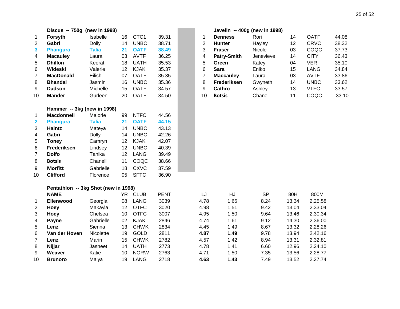|                         | Discus -- 750g (new in 1998)         |              |    |             |             |                | Javelin -- 400g (new in 1998) |           |       |             |       |
|-------------------------|--------------------------------------|--------------|----|-------------|-------------|----------------|-------------------------------|-----------|-------|-------------|-------|
| 1                       | Forsyth                              | Isabelle     | 16 | CTC1        | 39.31       | 1              | <b>Denness</b>                | Rori      | 14    | <b>OATF</b> | 44.08 |
| 2                       | Gabri                                | <b>Dolly</b> | 14 | <b>UNBC</b> | 38.71       | $\overline{c}$ | Hunter                        | Hayley    | 12    | <b>CRVC</b> | 38.32 |
| 3                       | <b>Phangura</b>                      | <b>Talia</b> | 21 | <b>OATF</b> | 38.49       | 3              | <b>Fraser</b>                 | Nicole    | 03    | COQC        | 37.73 |
| 4                       | <b>Macauley</b>                      | Laura        | 03 | <b>AVTF</b> | 36.25       | 4              | Patry-Smith                   | Jenevieve | 14    | <b>CITY</b> | 36.43 |
| 5                       | <b>Dhillon</b>                       | Keerat       | 18 | <b>UATH</b> | 35.53       | 5              | Green                         | Katey     | 04    | <b>VER</b>  | 35.10 |
| 6                       | Wideski                              | Valerie      | 12 | <b>KJAK</b> | 35.37       | 6              | <b>Sara</b>                   | Eniko     | 15    | <b>LANG</b> | 34.84 |
| $\overline{7}$          | <b>MacDonald</b>                     | Eilish       | 07 | <b>OATF</b> | 35.35       | $\overline{7}$ | <b>Maccauley</b>              | Laura     | 03    | <b>AVTF</b> | 33.86 |
| 8                       | <b>Bhandal</b>                       | Jasmin       | 16 | <b>UNBC</b> | 35.36       | 8              | Frederiksen                   | Gwyneth   | 14    | <b>UNBC</b> | 33.62 |
| 9                       | <b>Dadson</b>                        | Michelle     | 15 | <b>OATF</b> | 34.57       | 9              | Cathro                        | Ashley    | 13    | <b>VTFC</b> | 33.57 |
| 10                      | <b>Mander</b>                        | Gurleen      | 20 | <b>OATF</b> | 34.50       | 10             | <b>Botsis</b>                 | Chanell   | 11    | COQC        | 33.10 |
|                         | Hammer -- 3kg (new in 1998)          |              |    |             |             |                |                               |           |       |             |       |
| 1                       | <b>Macdonnell</b>                    | Malorie      | 99 | <b>NTFC</b> | 44.56       |                |                               |           |       |             |       |
| $\overline{\mathbf{2}}$ | <b>Phangura</b>                      | <b>Talia</b> | 21 | <b>OATF</b> | 44.15       |                |                               |           |       |             |       |
| 3                       | Haintz                               | Mateya       | 14 | <b>UNBC</b> | 43.13       |                |                               |           |       |             |       |
| 4                       | Gabri                                | <b>Dolly</b> | 14 | <b>UNBC</b> | 42.26       |                |                               |           |       |             |       |
| 5                       | <b>Toney</b>                         | Camryn       | 12 | <b>KJAK</b> | 42.07       |                |                               |           |       |             |       |
| 6                       | Frederiksen                          | Lindsey      | 12 | <b>UNBC</b> | 40.39       |                |                               |           |       |             |       |
| $\overline{7}$          | <b>Dolfo</b>                         | Tanika       | 12 | <b>LANG</b> | 39.49       |                |                               |           |       |             |       |
| 8                       | <b>Botsis</b>                        | Chanell      | 11 | COQC        | 38.66       |                |                               |           |       |             |       |
| 9                       | <b>Morfitt</b>                       | Gabrielle    | 18 | <b>CXVC</b> | 37.59       |                |                               |           |       |             |       |
| 10                      | <b>Clifford</b>                      | Florence     | 05 | <b>SFTC</b> | 36.90       |                |                               |           |       |             |       |
|                         | Pentathlon -- 3kg Shot (new in 1998) |              |    |             |             |                |                               |           |       |             |       |
|                         | <b>NAME</b>                          |              |    | YR CLUB     | <b>PENT</b> | LJ             | HJ                            | <b>SP</b> | 80H   | 800M        |       |
| 1                       | <b>Ellenwood</b>                     | Georgia      | 08 | <b>LANG</b> | 3039        | 4.78           | 1.66                          | 8.24      | 13.34 | 2.25.58     |       |
| 2                       | <b>Hoey</b>                          | Makayla      | 12 | <b>OTFC</b> | 3020        | 4.98           | 1.51                          | 9.42      | 13.04 | 2.33.04     |       |
| 3                       | Hoey                                 | Chelsea      | 10 | <b>OTFC</b> | 3007        | 4.95           | 1.50                          | 9.64      | 13.46 | 2.30.34     |       |
| 4                       | Payne                                | Gabrielle    | 02 | <b>KJAK</b> | 2846        | 4.74           | 1.61                          | 9.12      | 14.30 | 2.36.00     |       |
| 5                       | Lenz                                 | Sienna       | 13 | <b>CHWK</b> | 2834        | 4.45           | 1.49                          | 8.67      | 13.32 | 2.28.26     |       |
| 6                       | Van der Hoven                        | Nicolette    | 19 | <b>GOLD</b> | 2811        | 4.87           | 1.49                          | 9.78      | 13.94 | 2.42.16     |       |
| $\overline{7}$          | Lenz                                 | Marin        | 15 | <b>CHWK</b> | 2782        | 4.57           | 1.42                          | 8.94      | 13.31 | 2.32.81     |       |
| 8                       | Nijjar                               | Jasneet      | 14 | <b>UATH</b> | 2773        | 4.78           | 1.41                          | 6.60      | 12.96 | 2.24.10     |       |
| 9                       | Weaver                               | Katie        | 10 | <b>NORW</b> | 2763        | 4.71           | 1.50                          | 7.35      | 13.56 | 2.28.77     |       |
| 10                      | <b>Brunoro</b>                       | Maiya        | 19 | <b>LANG</b> | 2718        | 4.63           | 1.43                          | 7.49      | 13.52 | 2.27.74     |       |

|             |                  | Javelin -- 400g (new in 1998) |    |             |       |
|-------------|------------------|-------------------------------|----|-------------|-------|
| $\mathbf 1$ | <b>Denness</b>   | Rori                          | 14 | <b>OATF</b> | 44.08 |
| 2           | <b>Hunter</b>    | Hayley                        | 12 | <b>CRVC</b> | 38.32 |
| 3           | Fraser           | Nicole                        | 03 | COQC        | 37.73 |
| 4           | Patry-Smith      | Jenevieve                     | 14 | <b>CITY</b> | 36.43 |
| 5           | Green            | Katey                         | 04 | VER         | 35.10 |
| 6           | Sara             | Eniko                         | 15 | LANG        | 34.84 |
| 7           | <b>Maccauley</b> | Laura                         | 03 | <b>AVTF</b> | 33.86 |
| 8           | Frederiksen      | Gwyneth                       | 14 | <b>UNBC</b> | 33.62 |
| 9           | Cathro           | Ashley                        | 13 | VTFC        | 33.57 |
| 10          | <b>Botsis</b>    | Chanell                       | 11 | COQC        | 33.10 |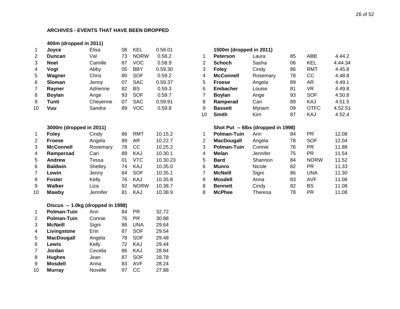#### **400m (dropped in 2011)**

| Laura   |                  |                 | 0.58.01 | <b>KEL</b>  | 08 | Elisa    | Joyce         | $\mathbf 1$ |
|---------|------------------|-----------------|---------|-------------|----|----------|---------------|-------------|
|         |                  | <b>Peterson</b> | 0.58.2  | <b>NORW</b> | 73 | Val      | Duncan        | 2           |
| Sasha   | <b>Schoch</b>    | 2               | 0.58.9  | VOC         | 87 | Camille  | <b>Noel</b>   | 3           |
| Cindy   | <b>Foley</b>     | 3               | 0.59.30 | <b>BBY</b>  | 05 | Abby     | Voqt          | 4           |
| Rosemar | <b>McConnell</b> | 4               | 0.59.2  | <b>SOF</b>  | 80 | Chris    | Wagner        | 5           |
| Angela  | <b>Froese</b>    | 5               | 0.59.37 | <b>SAC</b>  | 07 | Jenny    | Sloman        | 6           |
| Louise  | <b>Embacher</b>  | 6               | 0.59.3  | BS          | 82 | Adrienne | Rayner        | 7           |
| Ange    | <b>Boylan</b>    |                 | 0.59.7  | <b>SOF</b>  | 93 | Ange     | <b>Boylan</b> | 8           |
| Cari    | Ramperad         | 8               | 0.59.91 | <b>SAC</b>  | 07 | Cheyenne | Tunti         | 9           |
| Myriam  | <b>Bassett</b>   | 9               | 0.59.8  | VOC         | 89 | Sandra   | Vuu           | 10          |
|         |                  |                 |         |             |    |          |               |             |

#### **3000m (dropped in 2011)**

| 1              | <b>Foley</b>     | Cindy    | 86 | RMT         | 10.15.2  |
|----------------|------------------|----------|----|-------------|----------|
| 2              | <b>Froese</b>    | Angela   | 89 | AR          | 10.22.7  |
| 3              | <b>McConnell</b> | Rosemary | 78 | СC          | 10.25.2  |
| $\overline{4}$ | Rampersad        | Cari     | 89 | KAJ         | 10.30.1  |
| 5              | <b>Andrew</b>    | Tessa    | 01 | VTC         | 10.30.23 |
| 6              | <b>Baldwin</b>   | Shelley  | 74 | KAJ         | 10.35.0  |
| 7              | Lewin            | Jenny    | 84 | <b>SOF</b>  | 10.35.1  |
| 8              | <b>Foster</b>    | Kelly    | 76 | KAJ         | 10.35.8  |
| 9              | <b>Walker</b>    | Liza     | 92 | <b>NORW</b> | 10.38.7  |
| 10             | <b>Mawby</b>     | Jennifer | 81 | KAJ         | 10.38.9  |

## **Discus -- 1.0kg (dropped in 1998)**

| 1  | <b>Polman-Tuin</b> | Ann     | 84 | PR         | 32.72 |
|----|--------------------|---------|----|------------|-------|
| 2  | <b>Polman-Tuin</b> | Connie  | 76 | PR.        | 30.88 |
| 3  | <b>McNeill</b>     | Signi   | 86 | <b>UNA</b> | 29.64 |
| 4  | Livingstone        | Erin    | 87 | <b>SOF</b> | 29.54 |
| 5  | <b>MacDougall</b>  | Angela  | 78 | <b>SOF</b> | 29.48 |
| 6  | Lewis              | Kelly   | 72 | KAJ        | 29.44 |
| 7  | Jordan             | Cecelia | 86 | KAJ        | 28.84 |
| 8  | <b>Hughes</b>      | Jean    | 87 | <b>SOF</b> | 28.78 |
| 9  | <b>Mosdell</b>     | Anna    | 83 | <b>AVF</b> | 28.24 |
| 10 | <b>Murray</b>      | Novelle | 97 | CС         | 27.88 |

| 1              | Joyce                   | Elisa    | 08 | <b>KEL</b>  | 0.58.01  |                | 1500m (dropped in 2011)            |          |    |             |         |
|----------------|-------------------------|----------|----|-------------|----------|----------------|------------------------------------|----------|----|-------------|---------|
| 2              | <b>Duncan</b>           | Val      | 73 | <b>NORW</b> | 0.58.2   | 1              | <b>Peterson</b>                    | Laura    | 85 | <b>ABB</b>  | 4.44.2  |
| 3              | <b>Noel</b>             | Camille  | 87 | <b>VOC</b>  | 0.58.9   | $\overline{2}$ | <b>Schoch</b>                      | Sasha    | 06 | <b>KEL</b>  | 4.44.34 |
| 4              | Vogt                    | Abby     | 05 | <b>BBY</b>  | 0.59.30  | 3              | <b>Foley</b>                       | Cindy    | 86 | <b>RMT</b>  | 4.45.8  |
| 5              | Wagner                  | Chris    | 80 | <b>SOF</b>  | 0.59.2   | 4              | <b>McConnell</b>                   | Rosemary | 78 | cc          | 4.48.8  |
| 6              | <b>Sloman</b>           | Jenny    | 07 | <b>SAC</b>  | 0.59.37  | 5              | <b>Froese</b>                      | Angela   | 89 | AR          | 4.49.1  |
| 7              | Rayner                  | Adrienne | 82 | <b>BS</b>   | 0.59.3   | 6              | <b>Embacher</b>                    | Louise   | 81 | <b>VR</b>   | 4.49.8  |
| 8              | <b>Boylan</b>           | Ange     | 93 | <b>SOF</b>  | 0.59.7   | 7              | <b>Boylan</b>                      | Ange     | 93 | <b>SOF</b>  | 4.50.8  |
| 9              | Tunti                   | Cheyenne | 07 | <b>SAC</b>  | 0.59.91  | 8              | Ramperad                           | Cari     | 89 | KAJ         | 4.51.5  |
| 10             | Vuu                     | Sandra   | 89 | <b>VOC</b>  | 0.59.8   | 9              | <b>Bassett</b>                     | Myriam   | 09 | <b>OTFC</b> | 4.52.51 |
|                |                         |          |    |             |          | 10             | <b>Smith</b>                       | Kim      | 87 | KAJ         | 4.52.4  |
|                | 3000m (dropped in 2011) |          |    |             |          |                | Shot Put -- 6lbs (dropped in 1998) |          |    |             |         |
| 1              | <b>Foley</b>            | Cindy    | 86 | <b>RMT</b>  | 10.15.2  | 1              | <b>Polman-Tuin</b>                 | Ann      | 84 | <b>PR</b>   | 12.08   |
| $\overline{c}$ | <b>Froese</b>           | Angela   | 89 | AR          | 10.22.7  | 2              | <b>MacDougall</b>                  | Angela   | 78 | <b>SOF</b>  | 12.04   |
| 3              | <b>McConnell</b>        | Rosemary | 78 | cc          | 10.25.2  | 3              | <b>Polman-Tuin</b>                 | Connie   | 76 | <b>PR</b>   | 11.88   |
| 4              | Rampersad               | Cari     | 89 | KAJ         | 10.30.1  | 4              | Melan                              | Jennifer | 75 | <b>PR</b>   | 11.54   |
| 5              | <b>Andrew</b>           | Tessa    | 01 | <b>VTC</b>  | 10.30.23 | 5              | <b>Bard</b>                        | Shannon  | 84 | <b>NORW</b> | 11.52   |
| 6              | <b>Baldwin</b>          | Shelley  | 74 | KAJ         | 10.35.0  | 6              | Munro                              | Nicole   | 82 | <b>PR</b>   | 11.33   |
| 7              | Lewin                   | Jenny    | 84 | <b>SOF</b>  | 10.35.1  | 7              | <b>McNeill</b>                     | Signi    | 86 | <b>UNA</b>  | 11.30   |
| 8              | <b>Foster</b>           | Kelly    | 76 | KAJ         | 10.35.8  | 8              | <b>Mosdell</b>                     | Anna     | 83 | <b>AVF</b>  | 11.08   |
| 9              | Walker                  | Liza     | 92 | <b>NORW</b> | 10.38.7  | 8              | <b>Bennett</b>                     | Cindy    | 82 | <b>BS</b>   | 11.08   |
| 10             | <b>Mawby</b>            | Jennifer | 81 | KAJ         | 10.38.9  | 8              | <b>McPhee</b>                      | Theresa  | 78 | <b>PR</b>   | 11.08   |
|                |                         |          |    |             |          |                |                                    |          |    |             |         |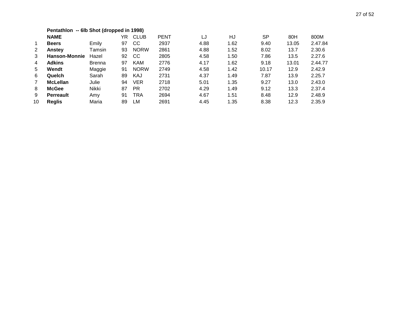|                | Pentathlon -- 6lb Shot (dropped in 1998) |               |    |             |             |      |      |       |       |         |
|----------------|------------------------------------------|---------------|----|-------------|-------------|------|------|-------|-------|---------|
|                | <b>NAME</b>                              |               | YR | <b>CLUB</b> | <b>PENT</b> | LJ   | HJ   | SP    | 80H   | 800M    |
| $\overline{1}$ | <b>Beers</b>                             | Emily         | 97 | CC          | 2937        | 4.88 | 1.62 | 9.40  | 13.05 | 2.47.84 |
| 2              | Anstey                                   | Tamsin        | 93 | <b>NORW</b> | 2861        | 4.88 | 1.52 | 8.02  | 13.7  | 2.30.6  |
| 3              | <b>Hanson-Monnie</b>                     | Hazel         | 92 | CС          | 2805        | 4.58 | 1.50 | 7.86  | 13.5  | 2.27.6  |
| 4              | <b>Adkins</b>                            | <b>Brenna</b> | 97 | <b>KAM</b>  | 2776        | 4.17 | 1.62 | 9.18  | 13.01 | 2.44.77 |
| 5              | Wendt                                    | Maggie        | 91 | <b>NORW</b> | 2749        | 4.58 | 1.42 | 10.17 | 12.9  | 2.42.9  |
| 6              | Quelch                                   | Sarah         | 89 | KAJ         | 2731        | 4.37 | 1.49 | 7.87  | 13.9  | 2.25.7  |
| $\overline{7}$ | <b>McLellan</b>                          | Julie         | 94 | <b>VER</b>  | 2718        | 5.01 | 1.35 | 9.27  | 13.0  | 2.43.0  |
| 8              | <b>McGee</b>                             | Nikki         | 87 | <b>PR</b>   | 2702        | 4.29 | 1.49 | 9.12  | 13.3  | 2.37.4  |
| 9              | <b>Perreault</b>                         | Amy           | 91 | <b>TRA</b>  | 2694        | 4.67 | 1.51 | 8.48  | 12.9  | 2.48.9  |
| 10             | <b>Reglis</b>                            | Maria         | 89 | LM          | 2691        | 4.45 | 1.35 | 8.38  | 12.3  | 2.35.9  |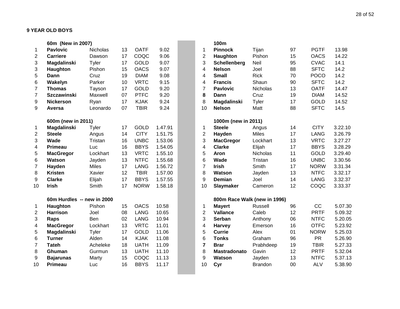|                | 60m (New in 2007)          |              |    |             |         |                         | 100m                         |                 |
|----------------|----------------------------|--------------|----|-------------|---------|-------------------------|------------------------------|-----------------|
| 1              | <b>Pavlovic</b>            | Nicholas     | 13 | <b>OATF</b> | 9.02    | 1                       | <b>Pinnock</b>               | Tijan           |
| $\overline{2}$ | <b>Carriere</b>            | Dawson       | 17 | COQC        | 9.06    | $\overline{2}$          | Haughton                     | Pishon          |
| 3              | Magdalinski                | Tyler        | 17 | <b>GOLD</b> | 9.07    | 3                       | Schellenberg                 | Neil            |
| 3              | Haughton                   | Pishon       | 15 | <b>OACS</b> | 9.07    | $\overline{\mathbf{4}}$ | <b>Nelson</b>                | Joel            |
| 5              | <b>Dann</b>                | Cruz         | 19 | <b>DIAM</b> | 9.08    | 4                       | <b>Small</b>                 | <b>Rick</b>     |
| 6              | Wakelyn                    | Parker       | 10 | <b>VRTC</b> | 9.15    | $\overline{4}$          | <b>Francis</b>               | Shaun           |
| $\overline{7}$ | <b>Thomas</b>              | Tayson       | 17 | <b>GOLD</b> | 9.20    | $\overline{7}$          | <b>Pavlovic</b>              | Nicholas        |
| $\overline{7}$ | <b>Szczawinski</b>         | Maxwell      | 07 | <b>PTFC</b> | 9.20    | 8                       | Dann                         | Cruz            |
| 9              | <b>Nickerson</b>           | Ryan         | 17 | <b>KJAK</b> | 9.24    | 8                       | Magdalinski                  | Tyler           |
| 9              | Aversa                     | Leonardo     | 07 | <b>TBIR</b> | 9.24    | 10                      | <b>Nelson</b>                | Matt            |
|                | 600m (new in 2011)         |              |    |             |         |                         | 1000m (new in 2011)          |                 |
| 1              | Magdalinski                | Tyler        | 17 | <b>GOLD</b> | 1.47.91 | 1                       | <b>Steele</b>                | Angus           |
| $\overline{2}$ | <b>Steele</b>              | Angus        | 14 | <b>CITY</b> | 1.51.75 | $\overline{2}$          | Hayden                       | <b>Miles</b>    |
| 3              | Wade                       | Tristan      | 16 | <b>UNBC</b> | 1.53.06 | 3                       | <b>MacGregor</b>             | Lockhart        |
| 4              | <b>Primeau</b>             | Luc          | 16 | <b>BBYS</b> | 1.54.05 | 4                       | <b>Clarke</b>                | Elijah          |
| 5              | <b>MacGregor</b>           | Lockhart     | 13 | <b>VRTC</b> | 1.55.10 | 5                       | <b>Aron</b>                  | <b>Nicholas</b> |
| 6              | <b>Watson</b>              | Jayden       | 13 | <b>NTFC</b> | 1.55.68 | 6                       | Wade                         | Tristan         |
| 7              | Hayden                     | <b>Miles</b> | 17 | <b>LANG</b> | 1.56.72 | $\overline{7}$          | <b>Irish</b>                 | Smith           |
| 8              | <b>Kristen</b>             | Xavier       | 12 | <b>TBIR</b> | 1.57.00 | 8                       | Watson                       | Jayden          |
| 9              | <b>Clarke</b>              | Elijah       | 17 | <b>BBYS</b> | 1.57.55 | 9                       | <b>Demian</b>                | Joel            |
| 10             | <b>Irish</b>               | Smith        | 17 | <b>NORW</b> | 1.58.18 | 10                      | Slaymaker                    | Cameron         |
|                | 60m Hurdles -- new in 2000 |              |    |             |         |                         | 800m Race Walk (new in 1996) |                 |
| 1              | Haughton                   | Pishon       | 15 | <b>OACS</b> | 10.58   | 1                       | <b>Mayert</b>                | Russell         |
| $\overline{2}$ | <b>Harrison</b>            | Joel         | 08 | <b>LANG</b> | 10.65   | $\overline{2}$          | <b>Vallance</b>              | Caleb           |
| 3              | Raps                       | Ben          | 02 | <b>LANG</b> | 10.94   | 3                       | <b>Serban</b>                | Anthony         |
| 4              | <b>MacGregor</b>           | Lockhart     | 13 | <b>VRTC</b> | 11.01   | 4                       | <b>Harvey</b>                | Emerson         |
| 5              | Magdalinski                | <b>Tyler</b> | 17 | <b>GOLD</b> | 11.06   | 5                       | <b>Currie</b>                | Alex            |
| 6              | <b>Turner</b>              | Alden        | 14 | <b>KJAK</b> | 11.08   | 6                       | <b>Tonks</b>                 | Graham          |
| 7              | <b>Tateh</b>               | Acheleke     | 18 | <b>UATH</b> | 11.09   | $\overline{7}$          | <b>Brar</b>                  | Prabhdeep       |
| 8              | Ghuman                     | Gurmun       | 13 | <b>UATH</b> | 11.10   | 8                       | Mastradonato                 | Gavin           |
| 9              | <b>Bajarunas</b>           | Marty        | 15 | COQC        | 11.13   | 9                       | <b>Watson</b>                | Jayden          |
| 10             | <b>Primeau</b>             | Luc          | 16 | <b>BBYS</b> | 11.17   | 10                      | Cyr                          | <b>Brandon</b>  |

|                | 60m (New in 2007)          |              |    |             |         |                         | 100m                         |                |    |             |         |
|----------------|----------------------------|--------------|----|-------------|---------|-------------------------|------------------------------|----------------|----|-------------|---------|
| $\mathbf 1$    | <b>Pavlovic</b>            | Nicholas     | 13 | <b>OATF</b> | 9.02    | 1                       | <b>Pinnock</b>               | Tijan          | 97 | <b>PGTF</b> | 13.98   |
| $\overline{2}$ | <b>Carriere</b>            | Dawson       | 17 | COQC        | 9.06    | $\overline{2}$          | Haughton                     | Pishon         | 15 | <b>OACS</b> | 14.22   |
| 3              | Magdalinski                | Tyler        | 17 | <b>GOLD</b> | 9.07    | 3                       | Schellenberg                 | Neil           | 95 | <b>CVAC</b> | 14.1    |
| 3              | Haughton                   | Pishon       | 15 | <b>OACS</b> | 9.07    | 4                       | <b>Nelson</b>                | Joel           | 88 | <b>SFTC</b> | 14.2    |
| 5              | Dann                       | Cruz         | 19 | <b>DIAM</b> | 9.08    | 4                       | <b>Small</b>                 | <b>Rick</b>    | 70 | <b>POCO</b> | 14.2    |
| 6              | Wakelyn                    | Parker       | 10 | <b>VRTC</b> | 9.15    | 4                       | <b>Francis</b>               | Shaun          | 90 | <b>SFTC</b> | 14.2    |
| $\overline{7}$ | <b>Thomas</b>              | Tayson       | 17 | <b>GOLD</b> | 9.20    | $\overline{7}$          | <b>Pavlovic</b>              | Nicholas       | 13 | <b>OATF</b> | 14.47   |
| 7              | <b>Szczawinski</b>         | Maxwell      | 07 | <b>PTFC</b> | 9.20    | 8                       | Dann                         | Cruz           | 19 | <b>DIAM</b> | 14.52   |
| 9              | <b>Nickerson</b>           | Ryan         | 17 | <b>KJAK</b> | 9.24    | 8                       | Magdalinski                  | Tyler          | 17 | <b>GOLD</b> | 14.52   |
| 9              | Aversa                     | Leonardo     | 07 | <b>TBIR</b> | 9.24    | 10                      | <b>Nelson</b>                | Matt           | 88 | <b>SFTC</b> | 14.5    |
|                | 600m (new in 2011)         |              |    |             |         |                         | 1000m (new in 2011)          |                |    |             |         |
| $\mathbf{1}$   | Magdalinski                | Tyler        | 17 | <b>GOLD</b> | 1.47.91 | 1                       | <b>Steele</b>                | Angus          | 14 | <b>CITY</b> | 3.22.10 |
| $\mathbf{2}$   | <b>Steele</b>              | Angus        | 14 | <b>CITY</b> | 1.51.75 | $\overline{c}$          | Hayden                       | <b>Miles</b>   | 17 | <b>LANG</b> | 3.26.79 |
| 3              | Wade                       | Tristan      | 16 | <b>UNBC</b> | 1.53.06 | 3                       | <b>MacGregor</b>             | Lockhart       | 13 | <b>VRTC</b> | 3.27.27 |
| 4              | <b>Primeau</b>             | Luc          | 16 | <b>BBYS</b> | 1.54.05 | $\overline{4}$          | <b>Clarke</b>                | Elijah         | 17 | <b>BBYS</b> | 3.28.29 |
| 5              | <b>MacGregor</b>           | Lockhart     | 13 | <b>VRTC</b> | 1.55.10 | 5                       | Aron                         | Nicholas       | 11 | <b>GOLD</b> | 3.29.40 |
| 6              | Watson                     | Jayden       | 13 | <b>NTFC</b> | 1.55.68 | 6                       | Wade                         | Tristan        | 16 | <b>UNBC</b> | 3.30.56 |
| 7              | Hayden                     | <b>Miles</b> | 17 | <b>LANG</b> | 1.56.72 | $\overline{7}$          | <b>Irish</b>                 | Smith          | 17 | <b>NORW</b> | 3.31.34 |
| 8              | <b>Kristen</b>             | Xavier       | 12 | <b>TBIR</b> | 1.57.00 | 8                       | <b>Watson</b>                | Jayden         | 13 | <b>NTFC</b> | 3.32.17 |
| 9              | <b>Clarke</b>              | Elijah       | 17 | <b>BBYS</b> | 1.57.55 | 9                       | <b>Demian</b>                | Joel           | 14 | <b>LANG</b> | 3.32.37 |
| 10             | <b>Irish</b>               | Smith        | 17 | <b>NORW</b> | 1.58.18 | 10                      | <b>Slaymaker</b>             | Cameron        | 12 | COQC        | 3.33.37 |
|                | 60m Hurdles -- new in 2000 |              |    |             |         |                         | 800m Race Walk (new in 1996) |                |    |             |         |
| 1              | Haughton                   | Pishon       | 15 | <b>OACS</b> | 10.58   | $\mathbf 1$             | <b>Mayert</b>                | <b>Russell</b> | 96 | CC          | 5.07.30 |
| 2              | <b>Harrison</b>            | Joel         | 08 | <b>LANG</b> | 10.65   | $\overline{2}$          | <b>Vallance</b>              | Caleb          | 12 | <b>PRTF</b> | 5.09.32 |
| 3              | Raps                       | Ben          | 02 | <b>LANG</b> | 10.94   | 3                       | <b>Serban</b>                | Anthony        | 06 | <b>NTFC</b> | 5.20.05 |
| 4              | <b>MacGregor</b>           | Lockhart     | 13 | <b>VRTC</b> | 11.01   | $\overline{\mathbf{4}}$ | <b>Harvey</b>                | Emerson        | 16 | <b>OTFC</b> | 5.23.92 |
| 5              | Magdalinski                | Tyler        | 17 | <b>GOLD</b> | 11.06   | 5                       | <b>Currie</b>                | Alex           | 01 | <b>NORW</b> | 5.25.03 |
| 6              | <b>Turner</b>              | Alden        | 14 | <b>KJAK</b> | 11.08   | 6                       | <b>Tonks</b>                 | Graham         | 96 | <b>PR</b>   | 5.26.90 |
| $\overline{7}$ | <b>Tateh</b>               | Acheleke     | 18 | <b>UATH</b> | 11.09   | $\overline{7}$          | <b>Brar</b>                  | Prabhdeep      | 19 | <b>TBIR</b> | 5.27.33 |
| 8              | Ghuman                     | Gurmun       | 13 | <b>UATH</b> | 11.10   | 8                       | <b>Mastradonato</b>          | Gavin          | 12 | <b>PRTF</b> | 5.32.04 |
| 9              | <b>Bajarunas</b>           | Marty        | 15 | COQC        | 11.13   | 9                       | <b>Watson</b>                | Jayden         | 13 | <b>NTFC</b> | 5.37.13 |
| 10             | <b>Primeau</b>             | Luc          | 16 | <b>BBYS</b> | 11.17   | 10                      | Cyr                          | <b>Brandon</b> | 00 | <b>ALV</b>  | 5.38.90 |
|                |                            |              |    |             |         |                         |                              |                |    |             |         |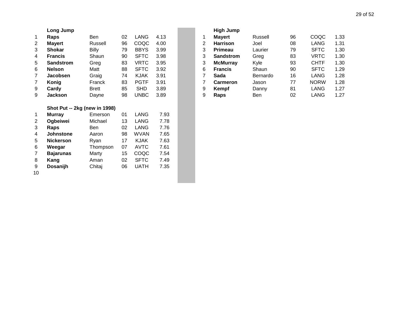|              | Long Jump        |              |    |             |      |   | <b>High Jump</b> |
|--------------|------------------|--------------|----|-------------|------|---|------------------|
| $\mathbf{1}$ | Raps             | <b>Ben</b>   | 02 | LANG        | 4.13 |   | <b>Mayert</b>    |
| 2            | <b>Mayert</b>    | Russell      | 96 | COQC        | 4.00 | 2 | <b>Harrison</b>  |
| 3            | <b>Shokar</b>    | <b>Billy</b> | 79 | <b>BBYS</b> | 3.99 | 3 | Primeau          |
| 4            | <b>Francis</b>   | Shaun        | 90 | <b>SFTC</b> | 3.98 | 3 | <b>Sandstrom</b> |
| 5            | <b>Sandstrom</b> | Greg         | 83 | VRTC        | 3.95 | 3 | <b>McMurray</b>  |
| 6            | <b>Nelson</b>    | Matt         | 88 | <b>SFTC</b> | 3.92 | 6 | <b>Francis</b>   |
| 7            | <b>Jacobsen</b>  | Graig        | 74 | <b>KJAK</b> | 3.91 | 7 | Sada             |
| 7            | Konig            | Franck       | 83 | <b>PGTF</b> | 3.91 | 7 | <b>Carmeron</b>  |
| 9            | Cardy            | <b>Brett</b> | 85 | <b>SHD</b>  | 3.89 | 9 | Kempf            |
| 9            | <b>Jackson</b>   | Dayne        | 98 | <b>UNBC</b> | 3.89 | 9 | Raps             |

#### **Shot Put -- 2kg (new in 1998)**

| 1              | <b>Murray</b>    | Emerson  | 01 | LANG        | 7.93 |
|----------------|------------------|----------|----|-------------|------|
| 2              | Ogbeiwei         | Michael  | 13 | LANG        | 7.78 |
| 3              | Raps             | Ben      | 02 | LANG        | 7.76 |
| 4              | Johnstone        | Aaron    | 98 | WVAN        | 7.65 |
| 5              | <b>Nickerson</b> | Ryan     | 17 | KJAK        | 7.63 |
| 6              | Weegar           | Thompson | 07 | <b>AVTC</b> | 7.61 |
| $\overline{7}$ | <b>Bajarunas</b> | Marty    | 15 | COQC        | 7.54 |
| 8              | Kang             | Aman     | 02 | <b>SFTC</b> | 7.49 |
| 9              | <b>Dosanijh</b>  | Chitaj   | 06 | <b>UATH</b> | 7.35 |
| 10             |                  |          |    |             |      |

|   | <b>High Jump</b> |          |    |             |      |
|---|------------------|----------|----|-------------|------|
| 1 | <b>Mayert</b>    | Russell  | 96 | COQC        | 1.33 |
| 2 | <b>Harrison</b>  | Joel     | 08 | LANG        | 1.31 |
| 3 | <b>Primeau</b>   | Laurier  | 79 | <b>SFTC</b> | 1.30 |
| 3 | <b>Sandstrom</b> | Greg     | 83 | <b>VRTC</b> | 1.30 |
| 3 | <b>McMurray</b>  | Kyle     | 93 | <b>CHTF</b> | 1.30 |
| 6 | <b>Francis</b>   | Shaun    | 90 | <b>SFTC</b> | 1.29 |
| 7 | Sada             | Bernardo | 16 | LANG        | 1.28 |
| 7 | <b>Carmeron</b>  | Jason    | 77 | <b>NORW</b> | 1.28 |
| 9 | <b>Kempf</b>     | Danny    | 81 | LANG        | 1.27 |
| 9 | Raps             | Ben      | 02 | LANG        | 1.27 |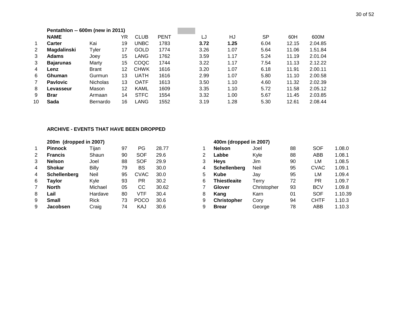|                | Pentathlon -- 600m (new in 2011) |                 |    |             |             |      |      |      |       |         |
|----------------|----------------------------------|-----------------|----|-------------|-------------|------|------|------|-------|---------|
|                | <b>NAME</b>                      |                 | YR | <b>CLUB</b> | <b>PENT</b> | LJ   | HJ   | SP   | 60H   | 600M    |
| $\mathbf{1}$   | <b>Carter</b>                    | Kai             | 19 | <b>UNBC</b> | 1783        | 3.72 | 1.25 | 6.04 | 12.15 | 2.04.85 |
| $\overline{2}$ | <b>Magdalinski</b>               | Tyler           | 17 | GOLD        | 1774        | 3.26 | 1.07 | 5.64 | 11.06 | 1.51.84 |
| 3              | <b>Adams</b>                     | Joev            | 15 | LANG        | 1762        | 3.59 | 1.17 | 5.24 | 11.19 | 2.01.04 |
| 3              | <b>Bajarunas</b>                 | Marty           | 15 | COQC        | 1744        | 3.22 | 1.17 | 7.54 | 11.13 | 2.12.22 |
| 4              | Lenz                             | <b>Brant</b>    | 12 | <b>CHWK</b> | 1616        | 3.20 | 1.07 | 6.18 | 11.91 | 2.00.11 |
| 6              | <b>Ghuman</b>                    | Gurmun          | 13 | <b>UATH</b> | 1616        | 2.99 | 1.07 | 5.80 | 11.10 | 2.00.58 |
| $\overline{7}$ | <b>Pavlovic</b>                  | <b>Nicholas</b> | 13 | OATF        | 1613        | 3.50 | 1.10 | 4.60 | 11.32 | 2.02.39 |
| 8              | Levasseur                        | Mason           | 12 | <b>KAML</b> | 1609        | 3.35 | 1.10 | 5.72 | 11.58 | 2.05.12 |
| 9              | <b>Brar</b>                      | Armaan          | 14 | <b>STFC</b> | 1554        | 3.32 | 1.00 | 5.67 | 11.45 | 2.03.85 |
| 10             | Sada                             | Bernardo        | 16 | <b>LANG</b> | 1552        | 3.19 | 1.28 | 5.30 | 12.61 | 2.08.44 |

#### **ARCHIVE - EVENTS THAT HAVE BEEN DROPPED**

|              | 200m (dropped in 2007) |              |    |             |       |                | 400m (dropped in 2007) |          |
|--------------|------------------------|--------------|----|-------------|-------|----------------|------------------------|----------|
| $\mathbf{1}$ | <b>Pinnock</b>         | Tijan        | 97 | PG          | 28.77 | 1              | <b>Nelson</b>          | Joel     |
| 2            | <b>Francis</b>         | Shaun        | 90 | <b>SOF</b>  | 29.6  | $\overline{2}$ | Labbe                  | Kyle     |
| 3            | <b>Nelson</b>          | Joel         | 88 | <b>SOF</b>  | 29.9  | 3              | <b>Heys</b>            | Jim.     |
| 4            | <b>Shokar</b>          | <b>Billy</b> | 79 | BS          | 30.0  | 4              | Schellenberg           | Neil     |
| 4            | <b>Schellenberg</b>    | <b>Neil</b>  | 95 | <b>CVAC</b> | 30.0  | 5              | Kube                   | Jay      |
| 6            | Taylor                 | Kyle         | 93 | PR          | 30.2  | 6              | <b>Thiestleaite</b>    | Terry    |
| 7            | <b>North</b>           | Michael      | 05 | CC          | 30.62 |                | Glover                 | Christor |
| 8            | Lail                   | Hardave      | 80 | <b>VTF</b>  | 30.4  | 8              | Kang                   | Karn     |
| 9            | <b>Small</b>           | <b>Rick</b>  | 73 | <b>POCO</b> | 30.6  | 9              | <b>Christopher</b>     | Cory     |
| 9            | <b>Jacobsen</b>        | Craig        | 74 | KAJ         | 30.6  | 9              | <b>Brear</b>           | George   |

|    | 200m (dropped in 2007) |             |    |             |       |   | 400m (dropped in 2007) |             |    |             |         |  |
|----|------------------------|-------------|----|-------------|-------|---|------------------------|-------------|----|-------------|---------|--|
|    | <b>Pinnock</b>         | Tijan       | 97 | PG.         | 28.77 |   | <b>Nelson</b>          | Joel        | 88 | <b>SOF</b>  | 1.08.0  |  |
| 2  | <b>Francis</b>         | Shaun       | 90 | <b>SOF</b>  | 29.6  |   | Labbe                  | Kyle        | 88 | ABB         | 1.08.1  |  |
| 3  | <b>Nelson</b>          | Joel        | 88 | <b>SOF</b>  | 29.9  | 3 | <b>Heys</b>            | Jim         | 90 | LM          | 1.08.5  |  |
| 4  | <b>Shokar</b>          | Billy       | 79 | BS          | 30.0  | 4 | <b>Schellenberg</b>    | Neil        | 95 | <b>CVAC</b> | 1.09.1  |  |
| 4  | <b>Schellenberg</b>    | Neil        | 95 | CVAC        | 30.0  | 5 | Kube                   | Jay         | 95 | LM          | 1.09.4  |  |
| 6. | Taylor                 | Kyle        | 93 | <b>PR</b>   | 30.2  | 6 | Thiestleaite           | Terry       | 72 | PR          | 1.09.7  |  |
|    | <b>North</b>           | Michael     | 05 | CС          | 30.62 |   | <b>Glover</b>          | Christopher | 93 | <b>BCV</b>  | 1.09.8  |  |
| 8  | Lail                   | Hardave     | 80 | VTF         | 30.4  | 8 | Kang                   | Karn        | 01 | <b>SOF</b>  | 1.10.39 |  |
| 9  | <b>Small</b>           | <b>Rick</b> | 73 | <b>POCO</b> | 30.6  | 9 | <b>Christopher</b>     | Cory        | 94 | <b>CHTF</b> | 1.10.3  |  |
| 9  | Jacobsen               | Craig       | 74 | KAJ         | 30.6  | 9 | <b>Brear</b>           | George      | 78 | ABB         | 1.10.3  |  |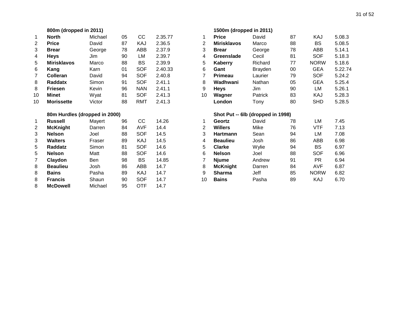|                | 800m (dropped in 2011)        |         |    |            |         |                | 1500m (dropped in 2011)           |                |  |
|----------------|-------------------------------|---------|----|------------|---------|----------------|-----------------------------------|----------------|--|
| 1              | <b>North</b>                  | Michael | 05 | <b>CC</b>  | 2.35.77 | 1              | <b>Price</b>                      | David          |  |
| 2              | <b>Price</b>                  | David   | 87 | KAJ        | 2.36.5  | $\overline{2}$ | <b>Mirisklavos</b>                | Marco          |  |
| 3              | <b>Brear</b>                  | George  | 78 | ABB        | 2.37.9  | 3              | <b>Brear</b>                      | George         |  |
| 4              | <b>Heys</b>                   | Jim     | 90 | LM         | 2.39.7  | 4              | Greenslade                        | Cecil          |  |
| 5              | <b>Mirisklavos</b>            | Marco   | 88 | <b>BS</b>  | 2.39.9  | 5              | <b>Kaberry</b>                    | Richard        |  |
| 6              | Kang                          | Karn    | 01 | <b>SOF</b> | 2.40.33 | 6              | Gant                              | <b>Brayden</b> |  |
| 7              | Colleran                      | David   | 94 | <b>SOF</b> | 2.40.8  | $\overline{7}$ | <b>Primeau</b>                    | Laurier        |  |
| 8              | Raddatx                       | Simon   | 91 | <b>SOF</b> | 2.41.1  | 8              | Wadhwani                          | Nathan         |  |
| 8              | <b>Friesen</b>                | Kevin   | 96 | <b>NAN</b> | 2.41.1  | 9              | <b>Heys</b>                       | Jim            |  |
| 10             | <b>Minet</b>                  | Wyat    | 81 | <b>SOF</b> | 2.41.3  | 10             | Wagner                            | Patrick        |  |
| 10             | <b>Morissette</b>             | Victor  | 88 | <b>RMT</b> | 2.41.3  |                | London                            | Tony           |  |
|                | 80m Hurdles (dropped in 2000) |         |    |            |         |                | Shot Put -- 6lb (dropped in 1998) |                |  |
|                |                               |         |    |            |         |                |                                   |                |  |
| 1              | <b>Russell</b>                | Mayert  | 96 | cc         | 14.26   | 1              | Geortz                            | David          |  |
| $\overline{c}$ | <b>McKnight</b>               | Darren  | 84 | <b>AVF</b> | 14.4    | $\overline{2}$ | <b>Willers</b>                    | Mike           |  |
| 3              | <b>Nelson</b>                 | Joel    | 88 | <b>SOF</b> | 14.5    | 3              | <b>Hartmann</b>                   | Sean           |  |
| 3              | <b>Walters</b>                | Fraser  | 89 | KAJ        | 14.5    | 4              | <b>Beaulieu</b>                   | Josh           |  |
| 5              | Raddatz                       | Simon   | 81 | <b>SOF</b> | 14.6    | 5              | <b>Clarke</b>                     | Wylie          |  |
| 5              | <b>Nelson</b>                 | Matt    | 88 | <b>SOF</b> | 14.6    | 6              | <b>Nelson</b>                     | Joel           |  |
| 7              | Claydon                       | Ben     | 98 | <b>BS</b>  | 14.85   | $\overline{7}$ | <b>Njume</b>                      | Andrew         |  |
| 8              | <b>Beaulieu</b>               | Josh    | 86 | ABB        | 14.7    | 8              | <b>McKnight</b>                   | Darren         |  |
| 8              | <b>Bains</b>                  | Pasha   | 89 | KAJ        | 14.7    | 9              | <b>Sharma</b>                     | Jeff           |  |
| 8              | <b>Francis</b>                | Shaun   | 90 | <b>SOF</b> | 14.7    | 10             | <b>Bains</b>                      | Pasha          |  |

|                | 800m (dropped in 2011)        |         |    |            |         |                | 1500m (dropped in 2011) |                                   |    |             |         |
|----------------|-------------------------------|---------|----|------------|---------|----------------|-------------------------|-----------------------------------|----|-------------|---------|
| 1              | <b>North</b>                  | Michael | 05 | cc         | 2.35.77 | 1              | <b>Price</b>            | David                             | 87 | KAJ         | 5.08.3  |
| 2              | <b>Price</b>                  | David   | 87 | KAJ        | 2.36.5  | 2              | <b>Mirisklavos</b>      | Marco                             | 88 | <b>BS</b>   | 5.08.5  |
| 3              | <b>Brear</b>                  | George  | 78 | ABB        | 2.37.9  | 3              | <b>Brear</b>            | George                            | 78 | ABB         | 5.14.1  |
| 4              | <b>Heys</b>                   | Jim     | 90 | LM         | 2.39.7  | 4              | Greenslade              | Cecil                             | 81 | <b>SOF</b>  | 5.18.3  |
| 5              | <b>Mirisklavos</b>            | Marco   | 88 | <b>BS</b>  | 2.39.9  | 5              | Kaberry                 | Richard                           | 77 | <b>NORW</b> | 5.18.6  |
| 6              | Kang                          | Karn    | 01 | <b>SOF</b> | 2.40.33 | 6              | Gant                    | <b>Brayden</b>                    | 00 | <b>GEA</b>  | 5.22.74 |
| $\overline{7}$ | Colleran                      | David   | 94 | <b>SOF</b> | 2.40.8  | 7              | Primeau                 | Laurier                           | 79 | <b>SOF</b>  | 5.24.2  |
| 8              | Raddatx                       | Simon   | 91 | <b>SOF</b> | 2.41.1  | 8              | Wadhwani                | Nathan                            | 05 | <b>GEA</b>  | 5.25.4  |
| 8              | <b>Friesen</b>                | Kevin   | 96 | <b>NAN</b> | 2.41.1  | 9              | <b>Heys</b>             | Jim                               | 90 | LM          | 5.26.1  |
| 10             | Minet                         | Wyat    | 81 | <b>SOF</b> | 2.41.3  | 10             | Wagner                  | Patrick                           | 83 | KAJ         | 5.28.3  |
| 10             | <b>Morissette</b>             | Victor  | 88 | <b>RMT</b> | 2.41.3  |                | London                  | Tony                              | 80 | <b>SHD</b>  | 5.28.5  |
|                | 80m Hurdles (dropped in 2000) |         |    |            |         |                |                         | Shot Put -- 6lb (dropped in 1998) |    |             |         |
| $\mathbf{1}$   | <b>Russell</b>                | Mayert  | 96 | cc         | 14.26   | 1              | Geortz                  | David                             | 78 | LM          | 7.45    |
| $\overline{c}$ | <b>McKnight</b>               | Darren  | 84 | <b>AVF</b> | 14.4    | $\overline{2}$ | <b>Willers</b>          | Mike                              | 76 | <b>VTF</b>  | 7.13    |
| 3              | <b>Nelson</b>                 | Joel    | 88 | <b>SOF</b> | 14.5    | 3              | <b>Hartmann</b>         | Sean                              | 94 | LM          | 7.08    |
| 3              | <b>Walters</b>                | Fraser  | 89 | KAJ        | 14.5    | 4              | <b>Beaulieu</b>         | Josh                              | 86 | ABB         | 6.98    |
| 5              | Raddatz                       | Simon   | 81 | <b>SOF</b> | 14.6    | 5              | <b>Clarke</b>           | Wylie                             | 94 | <b>BS</b>   | 6.97    |
| 5              | <b>Nelson</b>                 | Matt    | 88 | <b>SOF</b> | 14.6    | 6              | <b>Nelson</b>           | Joel                              | 88 | <b>SOF</b>  | 6.96    |
| 7              | Claydon                       | Ben     | 98 | <b>BS</b>  | 14.85   | 7              | <b>Njume</b>            | Andrew                            | 91 | <b>PR</b>   | 6.94    |
| 8              | <b>Beaulieu</b>               | Josh    | 86 | <b>ABB</b> | 14.7    | 8              | <b>McKnight</b>         | Darren                            | 84 | <b>AVF</b>  | 6.87    |
| 8              | <b>Bains</b>                  | Pasha   | 89 | KAJ        | 14.7    | 9              | <b>Sharma</b>           | Jeff                              | 85 | <b>NORW</b> | 6.82    |
| 8              | <b>Francis</b>                | Shaun   | 90 | <b>SOF</b> | 14.7    | 10             | <b>Bains</b>            | Pasha                             | 89 | KAJ         | 6.70    |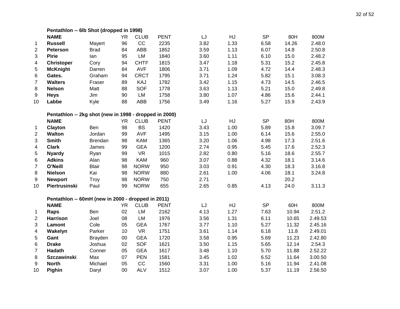|                | Pentathlon -- 6lb Shot (dropped in 1998)               |                |           |             |             |      |      |           |       |         |
|----------------|--------------------------------------------------------|----------------|-----------|-------------|-------------|------|------|-----------|-------|---------|
|                | <b>NAME</b>                                            |                | <b>YR</b> | <b>CLUB</b> | <b>PENT</b> | LJ   | HJ   | <b>SP</b> | 80H   | 800M    |
| 1              | <b>Russell</b>                                         | Mayert         | 96        | CC          | 2235        | 3.82 | 1.33 | 6.58      | 14.26 | 2.48.0  |
| $\overline{2}$ | <b>Peterson</b>                                        | <b>Brad</b>    | 84        | <b>ABB</b>  | 1852        | 3.59 | 1.13 | 6.07      | 14.8  | 2.50.8  |
| $\mathfrak{B}$ | <b>Pirie</b>                                           | lan            | 95        | <b>LM</b>   | 1840        | 3.60 | 1.11 | 6.10      | 15.0  | 2.48.2  |
| 4              | <b>Christoper</b>                                      | Cory           | 94        | <b>CHTF</b> | 1815        | 3.47 | 1.18 | 5.31      | 15.2  | 2.45.8  |
| 5              | <b>McKnight</b>                                        | Darren         | 84        | <b>AVF</b>  | 1806        | 3.71 | 1.09 | 4.72      | 14.4  | 2.48.3  |
| 6              | Gates.                                                 | Graham         | 94        | <b>CRCT</b> | 1795        | 3.71 | 1.24 | 5.82      | 15.1  | 3.08.3  |
| $\overline{7}$ | <b>Walters</b>                                         | Fraser         | 89        | KAJ         | 1782        | 3.42 | 1.15 | 4.73      | 14.5  | 2.46.5  |
| 8              | <b>Nelson</b>                                          | Matt           | 88        | <b>SOF</b>  | 1778        | 3.63 | 1.13 | 5.21      | 15.0  | 2.49.8  |
| 9              | <b>Heys</b>                                            | Jim            | 90        | <b>LM</b>   | 1758        | 3.80 | 1.07 | 4.86      | 15.6  | 2.44.1  |
| 10             | Labbe                                                  | Kyle           | 88        | ABB         | 1756        | 3.49 | 1.16 | 5.27      | 15.9  | 2.43.9  |
|                | Pentathlon -- 2kg shot (new in 1998 - dropped in 2000) |                |           |             |             |      |      |           |       |         |
|                | <b>NAME</b>                                            |                | <b>YR</b> | <b>CLUB</b> | <b>PENT</b> | LJ   | HJ   | <b>SP</b> | 80H   | 800M    |
| 1              | Clayton                                                | Ben            | 98        | <b>BS</b>   | 1420        | 3.43 | 1.00 | 5.89      | 15.8  | 3.09.7  |
| $\overline{c}$ | <b>Walton</b>                                          | Jordan         | 99        | <b>AVF</b>  | 1495        | 3.15 | 1.00 | 6.14      | 15.6  | 2.55.0  |
| 3              | <b>Smith</b>                                           | <b>Brendan</b> | 98        | <b>KAM</b>  | 1365        | 3.20 | 1.06 | 4.98      | 17.3  | 2.51.6  |
| 4              | <b>Clark</b>                                           | James          | 99        | <b>GEA</b>  | 1200        | 2.74 | 0.95 | 5.45      | 17.6  | 2.52.3  |
| 5              | <b>Nyardy</b>                                          | Ryan           | 99        | <b>VR</b>   | 1015        | 2.82 | 0.80 | 5.16      | 18.6  | 2.55.7  |
| 6              | <b>Adkins</b>                                          | Alan           | 98        | <b>KAM</b>  | 960         | 3.07 | 0.88 | 4.32      | 18.1  | 3.14.6  |
| 7              | O'Neill                                                | <b>Blair</b>   | 98        | <b>NORW</b> | 950         | 3.03 | 0.91 | 4.30      | 18.3  | 3.16.8  |
| 8              | <b>Nielson</b>                                         | Kai            | 98        | <b>NORW</b> | 880         | 2.61 | 1.00 | 4.06      | 18.1  | 3.24.8  |
| 9              | <b>Newport</b>                                         | Troy           | 98        | <b>NORW</b> | 750         | 2.71 |      |           | 20.2  |         |
| 10             | <b>Piertrusinski</b>                                   | Paul           | 99        | <b>NORW</b> | 655         | 2.65 | 0.85 | 4.13      | 24.0  | 3.11.3  |
|                | Pentathlon -- 60mH (new in 2000 - dropped in 2011)     |                |           |             |             |      |      |           |       |         |
|                | <b>NAME</b>                                            |                | <b>YR</b> | <b>CLUB</b> | <b>PENT</b> | LJ   | HJ   | <b>SP</b> | 60H   | 800M    |
| $\mathbf 1$    | Raps                                                   | Ben            | 02        | <b>LM</b>   | 2162        | 4.13 | 1.27 | 7.63      | 10.94 | 2.51.2  |
| $\overline{2}$ | <b>Harrison</b>                                        | Joel           | 08        | LM          | 1976        | 3.56 | 1.31 | 6.11      | 10.65 | 2.49.53 |
| 3              | Lamont                                                 | Cole           | 05        | <b>GEA</b>  | 1767        | 3.77 | 1.10 | 5.27      | 11.32 | 2.45.16 |
| 4              | Wakelyn                                                | Parker         | 10        | <b>VR</b>   | 1751        | 3.61 | 1.14 | 6.18      | 11.8  | 2.49.01 |
| 5              | Gant                                                   | <b>Brayden</b> | 00        | <b>GEA</b>  | 1720        | 3.58 | 0.95 | 5.69      | 11.23 | 2.42.80 |
| 6              | <b>Drake</b>                                           | Joshua         | 02        | <b>SOF</b>  | 1621        | 3.50 | 1.15 | 5.65      | 12.14 | 2.54.3  |
| $\overline{7}$ | Hadath                                                 | Conner         | 05        | <b>GEA</b>  | 1617        | 3.48 | 1.10 | 5.70      | 11.88 | 2.52.22 |
| $\,8\,$        | <b>Szczawinski</b>                                     | Max            | 07        | <b>PEN</b>  | 1581        | 3.45 | 1.02 | 6.52      | 11.64 | 3.00.50 |
| 9              | <b>North</b>                                           | Michael        | 05        | CC          | 1560        | 3.31 | 1.00 | 5.16      | 11.94 | 2.41.08 |
| 10             | Pighin                                                 | Daryl          | 00        | <b>ALV</b>  | 1512        | 3.07 | 1.00 | 5.37      | 11.19 | 2.56.50 |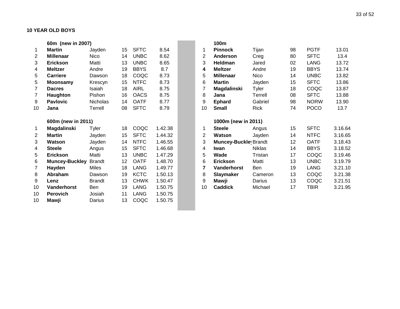|                | 60m (new in 2007)     |                 |    |             |         |                | 100m                  |               |    |             |         |
|----------------|-----------------------|-----------------|----|-------------|---------|----------------|-----------------------|---------------|----|-------------|---------|
| $\mathbf{1}$   | <b>Martin</b>         | Jayden          | 15 | <b>SFTC</b> | 8.54    | 1              | <b>Pinnock</b>        | Tijan         | 98 | <b>PGTF</b> | 13.01   |
| 2              | <b>Millenaar</b>      | <b>Nico</b>     | 14 | <b>UNBC</b> | 8.62    | 2              | Anderson              | Creg          | 80 | <b>SFTC</b> | 13.4    |
| 3              | <b>Erickson</b>       | Matti           | 13 | <b>UNBC</b> | 8.65    | 3              | Heldman               | Jared         | 02 | <b>LANG</b> | 13.72   |
| 4              | <b>Meltzer</b>        | Andre           | 19 | <b>BBYS</b> | 8.7     | 4              | <b>Meltzer</b>        | Andre         | 19 | <b>BBYS</b> | 13.74   |
| 5              | <b>Carriere</b>       | Dawson          | 18 | COQC        | 8.73    | 5              | <b>Millenaar</b>      | <b>Nico</b>   | 14 | <b>UNBC</b> | 13.82   |
| 5              | <b>Moonsamy</b>       | Krescyn         | 15 | <b>NTFC</b> | 8.73    | 6              | <b>Martin</b>         | Jayden        | 15 | <b>SFTC</b> | 13.86   |
| 7              | <b>Dacres</b>         | Isaiah          | 18 | <b>AIRL</b> | 8.75    | 7              | Magdalinski           | Tyler         | 18 | COQC        | 13.87   |
| 7              | Haughton              | Pishon          | 16 | <b>OACS</b> | 8.75    | 8              | Jana                  | Terrell       | 08 | <b>SFTC</b> | 13.88   |
| 9              | <b>Pavlovic</b>       | <b>Nicholas</b> | 14 | <b>OATF</b> | 8.77    | 9              | <b>Ephard</b>         | Gabriel       | 98 | <b>NORW</b> | 13.90   |
| 10             | Jana                  | Terrell         | 08 | <b>SFTC</b> | 8.79    | 10             | <b>Small</b>          | Rick          | 74 | <b>POCO</b> | 13.7    |
|                |                       |                 |    |             |         |                |                       |               |    |             |         |
|                | 600m (new in 2011)    |                 |    |             |         |                | 1000m (new in 2011)   |               |    |             |         |
| 1              | <b>Magdalinski</b>    | <b>Tyler</b>    | 18 | COQC        | 1.42.38 | 1              | <b>Steele</b>         | Angus         | 15 | <b>SFTC</b> | 3.16.64 |
| $\overline{2}$ | <b>Martin</b>         | Jayden          | 15 | <b>SFTC</b> | 1.44.32 | $\overline{2}$ | <b>Watson</b>         | Jayden        | 14 | <b>NTFC</b> | 3.16.65 |
| 3              | Watson                | Jayden          | 14 | <b>NTFC</b> | 1.46.55 | 3              | Muncey-Buckley Brandt |               | 12 | <b>OATF</b> | 3.18.43 |
| 4              | <b>Steele</b>         | Angus           | 15 | <b>SFTC</b> | 1.46.68 | 4              | Iwan                  | <b>Niklas</b> | 14 | <b>BBYS</b> | 3.18.52 |
| 5              | <b>Erickson</b>       | Matti           | 13 | <b>UNBC</b> | 1.47.29 | 5              | Wade                  | Tristan       | 17 | COQC        | 3.19.46 |
| 6              | <b>Muncey-Buckley</b> | <b>Brandt</b>   | 12 | <b>OATF</b> | 1.48.70 | 6              | <b>Erickson</b>       | Matti         | 13 | <b>UNBC</b> | 3.19.79 |
| 7              | Hayden                | <b>Miles</b>    | 18 | <b>LANG</b> | 1.49.77 | 7              | Vanderhorst           | <b>Ben</b>    | 19 | <b>LANG</b> | 3.21.10 |
| 8              | Abraham               | Dawson          | 19 | <b>KCTC</b> | 1.50.13 | 8              | <b>Slaymaker</b>      | Cameron       | 13 | COQC        | 3.21.38 |
| 9              | Lenz                  | <b>Brandt</b>   | 13 | <b>CHWK</b> | 1.50.47 | 9              | Mawji                 | Darius        | 13 | COQC        | 3.21.51 |
| 10             | Vanderhorst           | <b>Ben</b>      | 19 | <b>LANG</b> | 1.50.75 | 10             | <b>Caddick</b>        | Michael       | 17 | <b>TBIR</b> | 3.21.95 |
| 10             | <b>Perovich</b>       | Josiah          | 11 | LANG        | 1.50.75 |                |                       |               |    |             |         |
| 10             | Mawji                 | Darius          | 13 | COQC        | 1.50.75 |                |                       |               |    |             |         |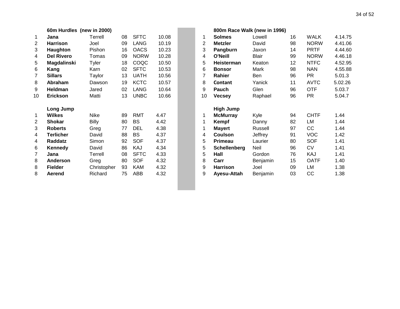|                | 60m Hurdles (new in 2000) |              |    |             |       |                |                     | 800m Race Walk (new in 1996) |
|----------------|---------------------------|--------------|----|-------------|-------|----------------|---------------------|------------------------------|
| 1              | Jana                      | Terrell      | 08 | <b>SFTC</b> | 10.08 | 1              | <b>Solmes</b>       | Lowell                       |
| 2              | <b>Harrison</b>           | Joel         | 09 | <b>LANG</b> | 10.19 | $\overline{2}$ | <b>Metzler</b>      | David                        |
| 3              | Haughton                  | Pishon       | 16 | <b>OACS</b> | 10.23 | 3              | Pangburn            | Jaxon                        |
| 4              | <b>Del Rivero</b>         | Tomas        | 09 | <b>NORW</b> | 10.28 | 4              | <b>O'Neill</b>      | <b>Blair</b>                 |
| 5              | Magdalinski               | <b>Tyler</b> | 18 | COQC        | 10.50 | 5              | Heisterman          | Keaton                       |
| 6              | Kang                      | Karn         | 02 | <b>SFTC</b> | 10.53 | 6              | <b>Bonsor</b>       | Mark                         |
| $\overline{7}$ | <b>Sillars</b>            | Taylor       | 13 | <b>UATH</b> | 10.56 | 7              | Rahier              | Ben                          |
| 8              | Abraham                   | Dawson       | 19 | <b>KCTC</b> | 10.57 | 8              | Contant             | Yanick                       |
| 9              | <b>Heldman</b>            | Jared        | 02 | <b>LANG</b> | 10.64 | 9              | Pauch               | Glen                         |
| 10             | <b>Erickson</b>           | Matti        | 13 | <b>UNBC</b> | 10.66 | 10             | <b>Vecsey</b>       | Raphael                      |
|                | Long Jump                 |              |    |             |       |                | <b>High Jump</b>    |                              |
| 1              | <b>Wilkes</b>             | <b>Nike</b>  | 89 | <b>RMT</b>  | 4.47  | 1              | <b>McMurray</b>     | Kyle                         |
| 2              | <b>Shokar</b>             | <b>Billy</b> | 80 | <b>BS</b>   | 4.42  | 1              | Kempf               | Danny                        |
| 3              | <b>Roberts</b>            | Greg         | 77 | <b>DEL</b>  | 4.38  | 1              | <b>Mayert</b>       | Russell                      |
| 4              | <b>Terlicher</b>          | David        | 88 | <b>BS</b>   | 4.37  | 4              | <b>Coulson</b>      | Jeffrey                      |
| 4              | Raddatz                   | Simon        | 92 | <b>SOF</b>  | 4.37  | 5              | <b>Primeau</b>      | Laurier                      |
| 6              | <b>Kennedy</b>            | David        | 86 | KAJ         | 4.34  | 5              | <b>Schellenberg</b> | Neil                         |
| $\overline{7}$ | Jana                      | Terrell      | 08 | <b>SFTC</b> | 4.33  | 5              | Hall                | Gordon                       |
| 8              | Anderson                  | Greg         | 80 | <b>SOF</b>  | 4.32  | 8              | Carr                | Benjamin                     |
| 8              | <b>Fielder</b>            | Christopher  | 93 | KAM         | 4.32  | 9              | <b>Harrison</b>     | Joel                         |
| 8              | Aerend                    | Richard      | 75 | ABB         | 4.32  | 9              | Ayesu-Attah         | Benjamin                     |
|                |                           |              |    |             |       |                |                     |                              |

|                | 60m Hurdles (new in 2000) |              |    |             |       |                | 800m Race Walk (new in 1996) |              |    |             |         |
|----------------|---------------------------|--------------|----|-------------|-------|----------------|------------------------------|--------------|----|-------------|---------|
| $\mathbf 1$    | Jana                      | Terrell      | 08 | <b>SFTC</b> | 10.08 | 1              | <b>Solmes</b>                | Lowell       | 16 | WALK        | 4.14.75 |
| $\overline{c}$ | <b>Harrison</b>           | Joel         | 09 | LANG        | 10.19 | $\overline{2}$ | <b>Metzler</b>               | David        | 98 | <b>NORW</b> | 4.41.06 |
| 3              | Haughton                  | Pishon       | 16 | <b>OACS</b> | 10.23 | 3              | Pangburn                     | Jaxon        | 14 | <b>PRTF</b> | 4.44.60 |
| 4              | <b>Del Rivero</b>         | Tomas        | 09 | <b>NORW</b> | 10.28 | 4              | O'Neill                      | <b>Blair</b> | 99 | <b>NORW</b> | 4.46.18 |
| 5              | <b>Magdalinski</b>        | Tyler        | 18 | COQC        | 10.50 | 5              | <b>Heisterman</b>            | Keaton       | 12 | <b>NTFC</b> | 4.52.95 |
| 6              | Kang                      | Karn         | 02 | <b>SFTC</b> | 10.53 | 6              | <b>Bonsor</b>                | Mark         | 98 | <b>NAN</b>  | 4.55.88 |
| 7              | <b>Sillars</b>            | Taylor       | 13 | <b>UATH</b> | 10.56 | 7              | Rahier                       | Ben          | 96 | <b>PR</b>   | 5.01.3  |
| 8              | Abraham                   | Dawson       | 19 | <b>KCTC</b> | 10.57 | 8              | Contant                      | Yanick       | 11 | <b>AVTC</b> | 5.02.26 |
| 9              | <b>Heldman</b>            | Jared        | 02 | <b>LANG</b> | 10.64 | 9              | <b>Pauch</b>                 | Glen         | 96 | <b>OTF</b>  | 5.03.7  |
| 10             | <b>Erickson</b>           | Matti        | 13 | <b>UNBC</b> | 10.66 | 10             | <b>Vecsey</b>                | Raphael      | 96 | PR.         | 5.04.7  |
|                | Long Jump                 |              |    |             |       |                | <b>High Jump</b>             |              |    |             |         |
| 1              | <b>Wilkes</b>             | Nike         | 89 | <b>RMT</b>  | 4.47  |                | <b>McMurray</b>              | Kyle         | 94 | <b>CHTF</b> | 1.44    |
| $\overline{c}$ | <b>Shokar</b>             | <b>Billy</b> | 80 | BS          | 4.42  |                | <b>Kempf</b>                 | Danny        | 82 | LM          | 1.44    |
| 3              | <b>Roberts</b>            | Greg         | 77 | <b>DEL</b>  | 4.38  |                | Mayert                       | Russell      | 97 | cc          | 1.44    |
| 4              | <b>Terlicher</b>          | David        | 88 | BS          | 4.37  | 4              | <b>Coulson</b>               | Jeffrey      | 91 | <b>VOC</b>  | 1.42    |
| 4              | Raddatz                   | Simon        | 92 | <b>SOF</b>  | 4.37  | 5              | Primeau                      | Laurier      | 80 | <b>SOF</b>  | 1.41    |
| 6              | Kennedy                   | David        | 86 | KAJ         | 4.34  | 5              | <b>Schellenberg</b>          | Neil         | 96 | <b>CV</b>   | 1.41    |
| 7              | Jana                      | Terrell      | 08 | <b>SFTC</b> | 4.33  | 5              | Hall                         | Gordon       | 76 | KAJ         | 1.41    |
| 8              | <b>Anderson</b>           | Greg         | 80 | <b>SOF</b>  | 4.32  | 8              | Carr                         | Benjamin     | 15 | <b>OATF</b> | 1.40    |
| 8              | <b>Fielder</b>            | Christopher  | 93 | <b>KAM</b>  | 4.32  | 9              | Harrison                     | Joel         | 09 | LM          | 1.38    |
| 8              | Aerend                    | Richard      | 75 | <b>ABB</b>  | 4.32  | 9              | Ayesu-Attah                  | Benjamin     | 03 | cc          | 1.38    |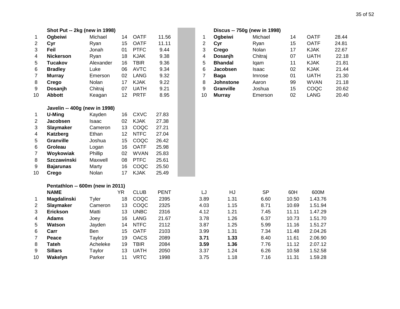|                | Shot Put -- 2kg (new in 1998)    |           |                 |             |             |                |                | Discus -- 750g (new in 1998) |       |             |       |
|----------------|----------------------------------|-----------|-----------------|-------------|-------------|----------------|----------------|------------------------------|-------|-------------|-------|
| 1              | Ogbeiwi                          | Michael   | 14              | <b>OATF</b> | 11.56       | 1              | Ogbeiwi        | Michael                      | 14    | <b>OATF</b> | 28.44 |
| $\mathbf{2}$   | Cyr                              | Ryan      | 15              | <b>OATF</b> | 11.11       | $\overline{2}$ | Cyr            | Ryan                         | 15    | <b>OATF</b> | 24.81 |
| 3              | Feil                             | Jonah     | 01              | <b>PTFC</b> | 9.44        | 3              | Crego          | Nolan                        | 17    | <b>KJAK</b> | 22.67 |
| 4              | <b>Nickerson</b>                 | Ryan      | 18              | <b>KJAK</b> | 9.38        | 4              | Dosanjh        | Chitraj                      | 07    | <b>UATH</b> | 22.18 |
| 5              | <b>Tucakov</b>                   | Alexander | 16              | <b>TBIR</b> | 9.36        | 5              | <b>Bhandal</b> | lqam                         | 11    | <b>KJAK</b> | 21.81 |
| 6              | <b>Bradley</b>                   | Luke      | 06              | <b>AVTC</b> | 9.34        | 6              | Jacobsen       | Isaac                        | 02    | <b>KJAK</b> | 21.44 |
| $\overline{7}$ | <b>Murray</b>                    | Emerson   | 02              | <b>LANG</b> | 9.32        | $\overline{7}$ | <b>Baga</b>    | Imrose                       | 01    | <b>UATH</b> | 21.30 |
| 8              | Crego                            | Nolan     | 17              | <b>KJAK</b> | 9.22        | 8              | Johnstone      | Aaron                        | 99    | <b>WVAN</b> | 21.18 |
| 9              | Dosanjh                          | Chitraj   | 07              | <b>UATH</b> | 9.21        | 9              | Granville      | Joshua                       | 15    | COQC        | 20.62 |
| 10             | <b>Abbott</b>                    | Keagan    | 12 <sup>°</sup> | <b>PRTF</b> | 8.95        | 10             | <b>Murray</b>  | Emerson                      | 02    | <b>LANG</b> | 20.40 |
|                | Javelin -- 400g (new in 1998)    |           |                 |             |             |                |                |                              |       |             |       |
| 1              | U-Ming                           | Kayden    | 16              | <b>CXVC</b> | 27.83       |                |                |                              |       |             |       |
| $\overline{c}$ | Jacobsen                         | Isaac     | 02              | <b>KJAK</b> | 27.38       |                |                |                              |       |             |       |
| 3              | Slaymaker                        | Cameron   | 13              | COQC        | 27.21       |                |                |                              |       |             |       |
| 4              | Katzberg                         | Ethan     | 12              | <b>NTFC</b> | 27.04       |                |                |                              |       |             |       |
| 5              | Granville                        | Joshua    | 15              | COQC        | 26.42       |                |                |                              |       |             |       |
| 6              | Groleau                          | Logan     | 16              | <b>OATF</b> | 25.98       |                |                |                              |       |             |       |
| $\overline{7}$ | Woykowiak                        | Phillip   | 02              | <b>WVAN</b> | 25.83       |                |                |                              |       |             |       |
| 8              | <b>Szczawinski</b>               | Maxwell   | 08              | <b>PTFC</b> | 25.61       |                |                |                              |       |             |       |
| 9              | <b>Bajarunas</b>                 | Marty     | 16              | COQC        | 25.50       |                |                |                              |       |             |       |
| 10             | Crego                            | Nolan     | 17              | <b>KJAK</b> | 25.49       |                |                |                              |       |             |       |
|                | Pentathlon -- 600m (new in 2011) |           |                 |             |             |                |                |                              |       |             |       |
|                | <b>NAME</b>                      |           | <b>YR</b>       | <b>CLUB</b> | <b>PENT</b> | LJ             | HJ             | <b>SP</b>                    | 60H   | 600M        |       |
| 1              | Magdalinski                      | Tyler     | 18              | COQC        | 2395        | 3.89           | 1.31           | 6.60                         | 10.50 | 1.43.76     |       |
| $\overline{2}$ | <b>Slaymaker</b>                 | Cameron   | 13              | COQC        | 2325        | 4.03           | 1.15           | 8.71                         | 10.69 | 1.51.94     |       |
| 3              | <b>Erickson</b>                  | Matti     | 13              | <b>UNBC</b> | 2316        | 4.12           | 1.21           | 7.45                         | 11.11 | 1.47.29     |       |
| 4              | <b>Adams</b>                     | Joey      | 16              | <b>LANG</b> | 21.67       | 3.78           | 1.26           | 6.37                         | 10.73 | 1.51.70     |       |
| 5              | <b>Watson</b>                    | Jayden    | 14              | <b>NTFC</b> | 2112        | 3.87           | 1.25           | 5.99                         | 11.16 | 1.51.27     |       |
| 6              | Carr                             | Ben       | 15              | <b>OATF</b> | 2103        | 3.99           | 1.31           | 7.34                         | 11.48 | 2.04.26     |       |
| 7              | Peace                            | Taylor    | 19              | <b>OACS</b> | 2089        | 3.71           | 1.33           | 8.40                         | 11.61 | 2.06.90     |       |
| 8              | <b>Tateh</b>                     | Acheleke  | 19              | <b>TBIR</b> | 2084        | 3.59           | 1.36           | 7.76                         | 11.12 | 2.07.12     |       |
| 9              | <b>Sillars</b>                   | Taylor    | 13              | <b>UATH</b> | 2050        | 3.37           | 1.24           | 6.26                         | 10.58 | 1.52.58     |       |
| 10             | Wakelyn                          | Parker    | 11              | <b>VRTC</b> | 1998        | 3.75           | 1.18           | 7.16                         | 11.31 | 1.59.28     |       |

|    |                  | Discus -- 750g (new in 1998) |    |             |       |
|----|------------------|------------------------------|----|-------------|-------|
| 1  | Ogbeiwi          | Michael                      | 14 | <b>OATF</b> | 28.44 |
| 2  | Cyr              | Ryan                         | 15 | <b>OATF</b> | 24.81 |
| 3  | Crego            | Nolan                        | 17 | <b>KJAK</b> | 22.67 |
| 4  | Dosanjh          | Chitraj                      | 07 | <b>UATH</b> | 22.18 |
| 5  | <b>Bhandal</b>   | lqam                         | 11 | KJAK        | 21.81 |
| 6  | <b>Jacobsen</b>  | Isaac                        | 02 | <b>KJAK</b> | 21.44 |
| 7  | Baga             | Imrose                       | 01 | <b>UATH</b> | 21.30 |
| 8  | <b>Johnstone</b> | Aaron                        | 99 | <b>WVAN</b> | 21.18 |
| 9  | <b>Granville</b> | Joshua                       | 15 | COQC        | 20.62 |
| 10 | <b>Murray</b>    | Emerson                      | 02 | LANG        | 20.40 |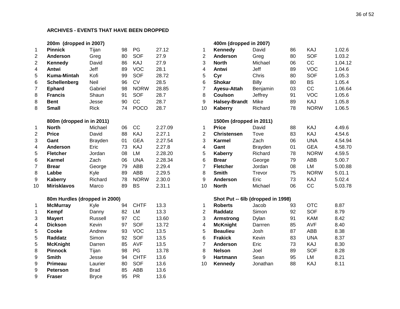#### **200m (dropped in 2007) 400m (dropped in 2007)**

| 1              | <b>Pinnick</b>                | Tijan        | 98 | PG          | 27.12   | 1              | Kennedy                           | David          |  |
|----------------|-------------------------------|--------------|----|-------------|---------|----------------|-----------------------------------|----------------|--|
| $\overline{2}$ | <b>Anderson</b>               | Greg         | 80 | <b>SOF</b>  | 27.9    | $\overline{2}$ | <b>Anderson</b>                   | Greg           |  |
| $\overline{2}$ | Kennedy                       | David        | 86 | KAJ         | 27.9    | 3              | <b>North</b>                      | Michael        |  |
| 4              | Antwi                         | Jeff         | 89 | <b>VOC</b>  | 28.1    | $\overline{4}$ | Antwi                             | Jeff           |  |
| 5              | Kuma-Mintah                   | Kofi         | 99 | <b>SOF</b>  | 28.72   | 5              | Cyr                               | Chris          |  |
| 6              | <b>Schellenberg</b>           | Neil         | 96 | <b>CV</b>   | 28.5    | 6              | <b>Shokar</b>                     | <b>Billy</b>   |  |
| 7              | <b>Ephard</b>                 | Gabriel      | 98 | <b>NORW</b> | 28.85   | $\overline{7}$ | Ayesu-Attah                       | Benjamin       |  |
| 8              | <b>Francis</b>                | Shaun        | 91 | <b>SOF</b>  | 28.7    | 8              | <b>Coulson</b>                    | Jeffrey        |  |
| 8              | <b>Bent</b>                   | Jesse        | 90 | CC          | 28.7    | 9              | <b>Halsey-Brandt</b>              | Mike           |  |
| 8              | <b>Small</b>                  | <b>Rick</b>  | 74 | <b>POCO</b> | 28.7    | 10             | <b>Kaberry</b>                    | Richard        |  |
|                | 800m (dropped in in 2011)     |              |    |             |         |                | 1500m (dropped in 2011)           |                |  |
| 1              | <b>North</b>                  | Michael      | 06 | CC          | 2.27.09 | 1              | <b>Price</b>                      | David          |  |
| $\overline{2}$ | <b>Price</b>                  | David        | 88 | KAJ         | 2.27.1  | $\overline{2}$ | <b>Christensen</b>                | Tove           |  |
| 3              | Gant                          | Brayden      | 01 | <b>GEA</b>  | 2.27.54 | 3              | <b>Karmel</b>                     | Zach           |  |
| 4              | Anderson                      | Eric         | 73 | KAJ         | 2.27.8  | $\overline{4}$ | Gant                              | <b>Brayden</b> |  |
| 5              | <b>Fletcher</b>               | Jordan       | 08 | LM          | 2.28.20 | 5              | <b>Kaberry</b>                    | Richard        |  |
| 6              | <b>Karmel</b>                 | Zach         | 06 | <b>UNA</b>  | 2.28.34 | 6              | <b>Brear</b>                      | George         |  |
| 7              | <b>Brear</b>                  | George       | 79 | ABB         | 2.29.4  | $\overline{7}$ | <b>Fletcher</b>                   | Jordan         |  |
| 8              | Labbe                         | Kyle         | 89 | <b>ABB</b>  | 2.29.5  | 8              | <b>Smith</b>                      | Trevor         |  |
| 9              | Kaberry                       | Richard      | 78 | <b>NORW</b> | 2.30.0  | 9              | <b>Anderson</b>                   | Eric           |  |
| 10             | <b>Mirisklavos</b>            | Marco        | 89 | <b>BS</b>   | 2.31.1  | 10             | <b>North</b>                      | Michael        |  |
|                | 80m Hurdles (dropped in 2000) |              |    |             |         |                | Shot Put -- 6lb (dropped in 1998) |                |  |
| 1              | <b>McMurray</b>               | Kyle         | 94 | <b>CHTF</b> | 13.3    | $\mathbf{1}$   | <b>Roberts</b>                    | Jacob          |  |
| 1              | Kempf                         | Danny        | 82 | LM          | 13.3    | $\overline{2}$ | Raddatz                           | Simon          |  |
| 3              | <b>Mayert</b>                 | Russell      | 97 | CC          | 13.60   | 3              | <b>Armstrong</b>                  | Dylan          |  |
| 4              | <b>Dickson</b>                | Kevin        | 97 | <b>SOF</b>  | 13.72   | $\overline{4}$ | <b>McKnight</b>                   | Darrren        |  |
| 5              | Cooke                         | Andrew       | 93 | <b>VOC</b>  | 13.5    | 5              | <b>Beaulieu</b>                   | Josh           |  |
| 5              | <b>Raddatz</b>                | Simon        | 92 | <b>SOF</b>  | 13.5    | 6              | <b>Frakick</b>                    | Kevin          |  |
| 5              | <b>McKnight</b>               | Darren       | 85 | <b>AVF</b>  | 13.5    | $\overline{7}$ | Anderson                          | Eric           |  |
| 8              | <b>Pinnock</b>                | Tijan        | 98 | PG          | 13.78   | 8              | <b>Nelson</b>                     | Joel           |  |
| 9              | <b>Smith</b>                  | Jesse        | 94 | <b>CHTF</b> | 13.6    | 9              | <b>Hartmann</b>                   | Sean           |  |
| 9              | Primeau                       | Laurier      | 80 | <b>SOF</b>  | 13.6    | 10             | Kennedy                           | Jonathan       |  |
| 9              | <b>Peterson</b>               | <b>Brad</b>  | 85 | <b>ABB</b>  | 13.6    |                |                                   |                |  |
| 9              | <b>Fraser</b>                 | <b>Bryce</b> | 95 | <b>PR</b>   | 13.6    |                |                                   |                |  |

|                | 200m (dropped in 2007)        |                |    |             |         |                | 400m (dropped in 2007)            |                |    |             |         |
|----------------|-------------------------------|----------------|----|-------------|---------|----------------|-----------------------------------|----------------|----|-------------|---------|
| $\mathbf 1$    | <b>Pinnick</b>                | Tijan          | 98 | PG          | 27.12   | 1              | Kennedy                           | David          | 86 | KAJ         | 1.02.6  |
| $\overline{2}$ | Anderson                      | Greg           | 80 | SOF         | 27.9    | $\overline{2}$ | <b>Anderson</b>                   | Greg           | 80 | SOF         | 1.03.2  |
| $\mathbf{2}$   | Kennedy                       | David          | 86 | KAJ         | 27.9    | 3              | <b>North</b>                      | Michael        | 06 | CC          | 1.04.12 |
| 4              | Antwi                         | Jeff           | 89 | <b>VOC</b>  | 28.1    | 4              | Antwi                             | Jeff           | 89 | <b>VOC</b>  | 1.04.6  |
| 5              | <b>Kuma-Mintah</b>            | Kofi           | 99 | <b>SOF</b>  | 28.72   | 5              | Cyr                               | Chris          | 80 | <b>SOF</b>  | 1.05.3  |
| 6              | <b>Schellenberg</b>           | Neil           | 96 | <b>CV</b>   | 28.5    | 6              | <b>Shokar</b>                     | Billy          | 80 | <b>BS</b>   | 1.05.4  |
| $\overline{7}$ | <b>Ephard</b>                 | Gabriel        | 98 | <b>NORW</b> | 28.85   | $\overline{7}$ | Ayesu-Attah                       | Benjamin       | 03 | CC          | 1.06.64 |
| 8              | <b>Francis</b>                | Shaun          | 91 | <b>SOF</b>  | 28.7    | 8              | <b>Coulson</b>                    | Jeffrey        | 91 | <b>VOC</b>  | 1.05.6  |
| 8              | <b>Bent</b>                   | Jesse          | 90 | CC          | 28.7    | 9              | <b>Halsey-Brandt</b>              | Mike           | 89 | KAJ         | 1.05.8  |
| 8              | <b>Small</b>                  | <b>Rick</b>    | 74 | <b>POCO</b> | 28.7    | 10             | <b>Kaberry</b>                    | Richard        | 78 | <b>NORW</b> | 1.06.5  |
|                | 800m (dropped in in 2011)     |                |    |             |         |                | 1500m (dropped in 2011)           |                |    |             |         |
| $\mathbf 1$    | <b>North</b>                  | Michael        | 06 | CC          | 2.27.09 | $\mathbf 1$    | <b>Price</b>                      | David          | 88 | KAJ         | 4.49.6  |
| $\mathbf{2}$   | <b>Price</b>                  | David          | 88 | KAJ         | 2.27.1  | $\overline{2}$ | <b>Christensen</b>                | Tove           | 83 | KAJ         | 4.54.6  |
| 3              | Gant                          | <b>Brayden</b> | 01 | <b>GEA</b>  | 2.27.54 | 3              | <b>Karmel</b>                     | Zach           | 06 | <b>UNA</b>  | 4.54.94 |
| 4              | <b>Anderson</b>               | Eric           | 73 | KAJ         | 2.27.8  | 4              | Gant                              | <b>Brayden</b> | 01 | <b>GEA</b>  | 4.58.70 |
| 5              | <b>Fletcher</b>               | Jordan         | 08 | LM          | 2.28.20 | 5              | <b>Kaberry</b>                    | Richard        | 78 | <b>NORW</b> | 4.59.5  |
| 6              | <b>Karmel</b>                 | Zach           | 06 | <b>UNA</b>  | 2.28.34 | 6              | <b>Brear</b>                      | George         | 79 | <b>ABB</b>  | 5.00.7  |
| $\overline{7}$ | <b>Brear</b>                  | George         | 79 | <b>ABB</b>  | 2.29.4  | $\overline{7}$ | <b>Fletcher</b>                   | Jordan         | 08 | <b>LM</b>   | 5.00.88 |
| 8              | Labbe                         | Kyle           | 89 | <b>ABB</b>  | 2.29.5  | 8              | <b>Smith</b>                      | Trevor         | 75 | <b>NORW</b> | 5.01.1  |
| 9              | <b>Kaberry</b>                | Richard        | 78 | <b>NORW</b> | 2.30.0  | 9              | <b>Anderson</b>                   | Eric           | 73 | KAJ         | 5.02.4  |
| 10             | <b>Mirisklavos</b>            | Marco          | 89 | <b>BS</b>   | 2.31.1  | 10             | <b>North</b>                      | Michael        | 06 | CC          | 5.03.78 |
|                | 80m Hurdles (dropped in 2000) |                |    |             |         |                | Shot Put -- 6lb (dropped in 1998) |                |    |             |         |
| 1              | <b>McMurray</b>               | Kyle           | 94 | <b>CHTF</b> | 13.3    | 1              | <b>Roberts</b>                    | Jacob          | 93 | <b>OTC</b>  | 8.87    |
| $\mathbf 1$    | Kempf                         | Danny          | 82 | <b>LM</b>   | 13.3    | $\overline{2}$ | <b>Raddatz</b>                    | Simon          | 92 | <b>SOF</b>  | 8.79    |
| 3              | <b>Mayert</b>                 | Russell        | 97 | CC          | 13.60   | 3              | <b>Armstrong</b>                  | Dylan          | 91 | <b>KAM</b>  | 8.42    |
| 4              | <b>Dickson</b>                | Kevin          | 97 | <b>SOF</b>  | 13.72   | 4              | <b>McKnight</b>                   | Darrren        | 85 | <b>AVF</b>  | 8.40    |
| 5              | Cooke                         | Andrew         | 93 | <b>VOC</b>  | 13.5    | 5              | <b>Beaulieu</b>                   | Josh           | 87 | ABB         | 8.38    |
| 5              | <b>Raddatz</b>                | Simon          | 92 | SOF         | 13.5    | 6              | <b>Frakick</b>                    | Kevin          | 83 | <b>UNA</b>  | 8.37    |
| 5              | <b>McKnight</b>               | Darren         | 85 | <b>AVF</b>  | 13.5    | $\overline{7}$ | Anderson                          | Eric           | 73 | KAJ         | 8.30    |
| 8              | <b>Pinnock</b>                | Tijan          | 98 | PG          | 13.78   | 8              | <b>Nelson</b>                     | Joel           | 89 | SOF         | 8.28    |
| 9              | <b>Smith</b>                  | Jesse          | 94 | <b>CHTF</b> | 13.6    | 9              | <b>Hartmann</b>                   | Sean           | 95 | LM          | 8.21    |
| 9              | <b>Primeau</b>                | Laurier        | 80 | <b>SOF</b>  | 13.6    | 10             | Kennedy                           | Jonathan       | 88 | KAJ         | 8.11    |
| q              | Peterson                      | <b>Brad</b>    | 85 | <b>ARR</b>  | 136     |                |                                   |                |    |             |         |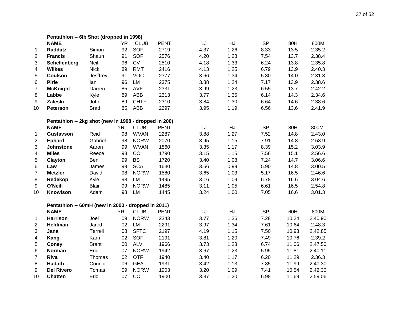|                         | Pentathlon -- 6lb Shot (dropped in 1998)              |              |           |             |             |      |      |           |       |         |
|-------------------------|-------------------------------------------------------|--------------|-----------|-------------|-------------|------|------|-----------|-------|---------|
|                         | <b>NAME</b>                                           |              | <b>YR</b> | <b>CLUB</b> | <b>PENT</b> | LJ   | HJ   | <b>SP</b> | 80H   | 800M    |
| $\mathbf 1$             | <b>Raddatz</b>                                        | Simon        | 92        | SOF         | 2719        | 4.37 | 1.26 | 8.33      | 13.5  | 2.35.2  |
| 2                       | <b>Francis</b>                                        | Shaun        | 91        | <b>SOF</b>  | 2576        | 4.20 | 1.28 | 7.54      | 13.7  | 2.38.4  |
| 3                       | Schellenberg                                          | Neil         | 96        | CV          | 2510        | 4.18 | 1.33 | 6.24      | 13.8  | 2.35.8  |
| 4                       | <b>Wilkes</b>                                         | <b>Nick</b>  | 89        | <b>RMT</b>  | 2416        | 4.13 | 1.25 | 6.79      | 13.9  | 2.40.3  |
| 5                       | <b>Coulson</b>                                        | Jesffrey     | 91        | <b>VOC</b>  | 2377        | 3.66 | 1.34 | 5.30      | 14.0  | 2.31.3  |
| 6                       | <b>Pirie</b>                                          | lan          | 96        | LM          | 2375        | 3.88 | 1.24 | 7.17      | 13.9  | 2.38.6  |
| $\overline{7}$          | <b>McKnight</b>                                       | Darren       | 85        | <b>AVF</b>  | 2331        | 3.99 | 1.23 | 6.55      | 13.7  | 2.42.2  |
| 8                       | Labbe                                                 | Kyle         | 89        | ABB         | 2313        | 3.77 | 1.35 | 6.14      | 14.3  | 2.34.6  |
| 9                       | Zaleski                                               | John         | 89        | <b>CHTF</b> | 2310        | 3.84 | 1.30 | 6.64      | 14.6  | 2.38.6  |
| 10                      | <b>Peterson</b>                                       | <b>Brad</b>  | 85        | <b>ABB</b>  | 2297        | 3.95 | 1.19 | 6.56      | 13.6  | 2.41.9  |
|                         | Pentathlon -- 2kg shot (new in 1998 - dropped in 200) |              |           |             |             |      |      |           |       |         |
|                         | <b>NAME</b>                                           |              | <b>YR</b> | <b>CLUB</b> | <b>PENT</b> | LJ   | HJ   | <b>SP</b> | 80H   | 800M    |
| 1                       | Gustavson                                             | Reid         | 98        | <b>WVAN</b> | 2287        | 3.88 | 1.27 | 7.52      | 14.8  | 2.43.0  |
| $\overline{\mathbf{c}}$ | <b>Ephard</b>                                         | Gabriel      | 98        | <b>NORW</b> | 2070        | 3.95 | 1.15 | 7.91      | 14.8  | 2.53.9  |
| 3                       | Johnstone                                             | Aaron        | 99        | <b>WVAN</b> | 1860        | 3.35 | 1.17 | 8.39      | 15.2  | 3.03.9  |
| 4                       | <b>Miles</b>                                          | Reece        | 98        | CC          | 1790        | 3.15 | 1.15 | 7.56      | 15.1  | 2.56.6  |
| 5                       | Clayton                                               | Ben          | 99        | <b>BS</b>   | 1720        | 3.40 | 1.08 | 7.24      | 14.7  | 3.06.6  |
| 6                       | Law                                                   | James        | 99        | <b>SCA</b>  | 1630        | 3.66 | 0.99 | 5.90      | 14.8  | 3.00.5  |
| $\overline{7}$          | <b>Metzler</b>                                        | David        | 98        | <b>NORW</b> | 1580        | 3.65 | 1.03 | 5.17      | 16.5  | 2.46.6  |
| 8                       | Redekop                                               | Kyle         | 98        | LM          | 1495        | 3.16 | 1.09 | 6.78      | 16.6  | 3.04.6  |
| 9                       | O'Neill                                               | <b>Blair</b> | 99        | <b>NORW</b> | 1485        | 3.11 | 1.05 | 6.61      | 16.5  | 2.54.8  |
| 10                      | Knowlson                                              | Adam         | 98        | LM          | 1445        | 3.24 | 1.00 | 7.05      | 16.6  | 3.01.3  |
|                         | Pentathlon -- 60mH (new in 2000 - dropped in 2011)    |              |           |             |             |      |      |           |       |         |
|                         | <b>NAME</b>                                           |              | <b>YR</b> | <b>CLUB</b> | <b>PENT</b> | LJ   | HJ   | <b>SP</b> | 60H   | 800M    |
| $\mathbf{1}$            | <b>Harrison</b>                                       | Joel         | 09        | <b>NORW</b> | 2343        | 3.77 | 1.36 | 7.28      | 10.24 | 2.40.90 |
| 2                       | Heldman                                               | Jared        | 02        | LM          | 2291        | 3.97 | 1.34 | 7.61      | 10.64 | 2.48.3  |
| 3                       | Jana                                                  | Terrell      | 08        | <b>SFTC</b> | 2197        | 4.19 | 1.15 | 7.50      | 10.93 | 2.42.85 |
| 4                       | Kang                                                  | Karn         | 02        | <b>SOF</b>  | 2191        | 3.81 | 1.20 | 7.49      | 10.76 | 2.39.2  |
| 5                       | <b>Coney</b>                                          | <b>Brant</b> | 00        | <b>ALV</b>  | 1966        | 3.73 | 1.28 | 6.74      | 11.06 | 2.47.50 |
| 6                       | <b>Norman</b>                                         | Eric         | 07        | <b>NORW</b> | 1942        | 3.67 | 1.23 | 5.95      | 11.81 | 2.40.11 |
| 7                       | Riva                                                  | Thomas       | 02        | <b>OTF</b>  | 1940        | 3.40 | 1.17 | 6.20      | 11.29 | 2.36.3  |
| 8                       | Hadath                                                | Connor       | 06        | <b>GEA</b>  | 1931        | 3.42 | 1.13 | 7.85      | 11.99 | 2.40.30 |
| 9                       | <b>Del Rivero</b>                                     | Tomas        | 09        | <b>NORW</b> | 1903        | 3.20 | 1.09 | 7.41      | 10.54 | 2.42.30 |
| 10                      | <b>Chatten</b>                                        | Eric         | 07        | CC          | 1900        | 3.87 | 1.20 | 6.98      | 11.69 | 2.59.06 |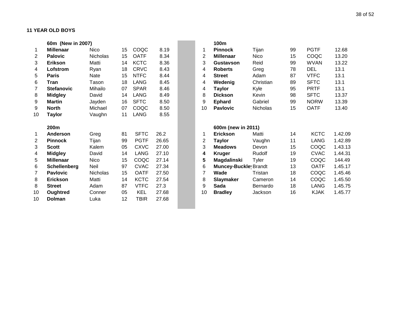|    | 60m (New in 2007) |             |    |             |       |                | 100m                        |           |    |             |         |
|----|-------------------|-------------|----|-------------|-------|----------------|-----------------------------|-----------|----|-------------|---------|
|    | <b>Millenaar</b>  | <b>Nico</b> | 15 | COQC        | 8.19  | 1              | <b>Pinnock</b>              | Tijan     | 99 | <b>PGTF</b> | 12.68   |
| 2  | <b>Palovic</b>    | Nicholas    | 15 | <b>OATF</b> | 8.34  | $\overline{2}$ | <b>Millenaar</b>            | Nico      | 15 | COQC        | 13.20   |
| 3  | <b>Erikson</b>    | Matti       | 14 | <b>KCTC</b> | 8.36  | 3              | Gustavson                   | Reid      | 99 | <b>WVAN</b> | 13.22   |
| 4  | Lofstrom          | Ryan        | 18 | <b>CRVC</b> | 8.43  | 4              | <b>Roberts</b>              | Greg      | 78 | <b>DEL</b>  | 13.1    |
| 5  | <b>Paris</b>      | Nate        | 15 | <b>NTFC</b> | 8.44  | 4              | <b>Street</b>               | Adam      | 87 | <b>VTFC</b> | 13.1    |
| 6  | Tran              | Tason       | 18 | LANG        | 8.45  | 4              | Wedenig                     | Christian | 89 | <b>SFTC</b> | 13.1    |
| 7  | <b>Stefanovic</b> | Mihailo     | 07 | <b>SPAR</b> | 8.46  | 4              | <b>Taylor</b>               | Kyle      | 95 | <b>PRTF</b> | 13.1    |
| 8  | <b>Midgley</b>    | David       | 14 | <b>LANG</b> | 8.49  | 8              | <b>Dickson</b>              | Kevin     | 98 | <b>SFTC</b> | 13.37   |
| 9  | <b>Martin</b>     | Jayden      | 16 | <b>SFTC</b> | 8.50  | 9              | <b>Ephard</b>               | Gabriel   | 99 | <b>NORW</b> | 13.39   |
| 9  | <b>North</b>      | Michael     | 07 | COQC        | 8.50  | 10             | <b>Pavlovic</b>             | Nicholas  | 15 | <b>OATF</b> | 13.40   |
| 10 | Taylor            | Vaughn      | 11 | LANG        | 8.55  |                |                             |           |    |             |         |
|    | 200m              |             |    |             |       |                | 600m (new in 2011)          |           |    |             |         |
|    | <b>Anderson</b>   | Greg        | 81 | <b>SFTC</b> | 26.2  | 1              | <b>Erickson</b>             | Matti     | 14 | <b>KCTC</b> | 1.42.09 |
| 2  | <b>Pinnock</b>    | Tijan       | 99 | <b>PGTF</b> | 26.65 | 2              | <b>Taylor</b>               | Vaughn    | 11 | <b>LANG</b> | 1.42.89 |
| 3  | <b>Scott</b>      | Kalem       | 05 | <b>CXVC</b> | 27.00 | 3              | <b>Meadows</b>              | Devon     | 15 | COQC        | 1.43.13 |
| 4  | <b>Midgley</b>    | David       | 14 | <b>LANG</b> | 27.10 | 4              | <b>Kruger</b>               | Rudolf    | 19 | <b>CVAC</b> | 1.44.31 |
| 5  | <b>Millenaar</b>  | Nico        | 15 | COQC        | 27.14 | 5              | Magdalinski                 | Tyler     | 19 | COQC        | 144.49  |
| 6  | Schellenberg      | <b>Neil</b> | 97 | <b>CVAC</b> | 27.34 | 6              | <b>Muncey-Buckle</b> Brandt |           | 13 | <b>OATF</b> | 1.45.17 |
| 7  | <b>Pavlovic</b>   | Nicholas    | 15 | <b>OATF</b> | 27.50 | 7              | Wade                        | Tristan   | 18 | COQC        | 1.45.46 |
| 8  | <b>Erickson</b>   | Matti       | 14 | <b>KCTC</b> | 27.54 | 8              | <b>Slaymaker</b>            | Cameron   | 14 | COQC        | 1.45.50 |
| 8  | <b>Street</b>     | Adam        | 87 | <b>VTFC</b> | 27.3  | 9              | Sada                        | Bernardo  | 18 | <b>LANG</b> | 1.45.75 |
| 10 | Oughtred          | Conner      | 05 | <b>KEL</b>  | 27.68 | 10             | <b>Bradley</b>              | Jackson   | 16 | <b>KJAK</b> | 1.45.77 |
| 10 | <b>Dolman</b>     | Luka        | 12 | TBIR        | 27.68 |                |                             |           |    |             |         |

 $\sim$ 

|    | 100m                        |                 |    |             |         |
|----|-----------------------------|-----------------|----|-------------|---------|
| 1  | <b>Pinnock</b>              | Tijan           | 99 | PGTF        | 12.68   |
| 2  | <b>Millenaar</b>            | Nico            | 15 | COQC        | 13.20   |
| 3  | <b>Gustavson</b>            | Reid            | 99 | <b>WVAN</b> | 13.22   |
| 4  | <b>Roberts</b>              | Greg            | 78 | DEL         | 13.1    |
| 4  | <b>Street</b>               | Adam            | 87 | <b>VTFC</b> | 13.1    |
| 4  | Wedenig                     | Christian       | 89 | SFTC        | 13.1    |
| 4  | <b>Taylor</b>               | Kyle            | 95 | PRTF        | 13.1    |
| 8  | <b>Dickson</b>              | Kevin           | 98 | <b>SFTC</b> | 13.37   |
| 9  | <b>Ephard</b>               | Gabriel         | 99 | <b>NORW</b> | 13.39   |
| 10 | <b>Pavlovic</b>             | <b>Nicholas</b> | 15 | OATF        | 13.40   |
|    | 600m (new in 2011)          |                 |    |             |         |
| 1  | <b>Erickson</b>             | Matti           | 14 | <b>KCTC</b> | 1.42.09 |
| 2  | <b>Taylor</b>               | Vaughn          | 11 | LANG        | 1.42.89 |
| 3  | <b>Meadows</b>              | Devon           | 15 | COQC        | 1.43.13 |
| 4  | <b>Kruger</b>               | Rudolf          | 19 | <b>CVAC</b> | 1.44.31 |
| 5  | Magdalinski                 | Tyler           | 19 | COQC        | 144.49  |
| 6  | <b>Muncey-Buckle</b> Brandt |                 | 13 | <b>OATF</b> | 1.45.17 |
| 7  | Wade                        | Tristan         | 18 | COQC        | 1.45.46 |
| 8  | Slaymaker                   | Cameron         | 14 | COQC        | 1.45.50 |
| 9  | Sada                        | <b>Bernardo</b> | 18 | <b>LANG</b> | 1.45.75 |
| 10 | <b>Bradley</b>              | Jackson         | 16 | <b>KJAK</b> | 1.45.77 |
|    |                             |                 |    |             |         |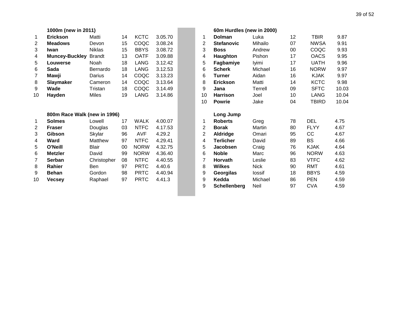|                | 1000m (new in 2011)          |               |    |             |         |                | 60m Hurdles (new in 2000) |             |    |              |       |
|----------------|------------------------------|---------------|----|-------------|---------|----------------|---------------------------|-------------|----|--------------|-------|
| $\mathbf 1$    | <b>Erickson</b>              | Matti         | 14 | <b>KCTC</b> | 3.05.70 | 1              | <b>Dolman</b>             | Luka        | 12 | <b>TBIR</b>  | 9.87  |
| 2              | <b>Meadows</b>               | Devon         | 15 | COQC        | 3.08.24 | 2              | <b>Stefanovic</b>         | Mihailo     | 07 | <b>NWSA</b>  | 9.91  |
| 3              | Iwan                         | <b>Niklas</b> | 15 | <b>BBYS</b> | 3.08.72 | 3              | <b>Boss</b>               | Andrew      | 00 | COQC         | 9.93  |
| 4              | <b>Muncey-Buckley</b>        | <b>Brandt</b> | 13 | <b>OATF</b> | 3.09.88 | 4              | Haughton                  | Pishon      | 17 | <b>OACS</b>  | 9.95  |
| 5              | <b>Louwerse</b>              | Noah          | 18 | LANG        | 3.12.42 | 5              | Fagbamiye                 | lyimi       | 17 | <b>UATH</b>  | 9.96  |
| 6              | Sada                         | Bernardo      | 18 | LANG        | 3.12.53 | 6              | <b>Scherk</b>             | Michael     | 16 | <b>NORW</b>  | 9.97  |
| $\overline{7}$ | Mawji                        | Darius        | 14 | COQC        | 3.13.23 | 6              | <b>Turner</b>             | Aidan       | 16 | <b>KJAK</b>  | 9.97  |
| 8              | Slaymaker                    | Cameron       | 14 | COQC        | 3.13.64 | 8              | <b>Erickson</b>           | Matti       | 14 | <b>KCTC</b>  | 9.98  |
| 9              | Wade                         | Tristan       | 18 | COQC        | 3.14.49 | 9              | Jana                      | Terrell     | 09 | <b>SFTC</b>  | 10.03 |
| 10             | Hayden                       | <b>Miles</b>  | 19 | <b>LANG</b> | 3.14.86 | 10             | <b>Harrison</b>           | Joel        | 10 | <b>LANG</b>  | 10.04 |
|                |                              |               |    |             |         | 10             | <b>Powrie</b>             | Jake        | 04 | <b>TBIRD</b> | 10.04 |
|                | 800m Race Walk (new in 1996) |               |    |             |         |                | Long Jump                 |             |    |              |       |
| 1              | <b>Solmes</b>                | Lowell        | 17 | <b>WALK</b> | 4.00.07 | 1              | <b>Roberts</b>            | Greg        | 78 | <b>DEL</b>   | 4.75  |
| 2              | <b>Fraser</b>                | Douglas       | 03 | <b>NTFC</b> | 4.17.53 | 2              | <b>Borak</b>              | Martin      | 80 | <b>FLYY</b>  | 4.67  |
| 3              | Gibson                       | Skylar        | 96 | <b>AVF</b>  | 4.29.2  | $\overline{2}$ | Aldridge                  | Omari       | 95 | cc           | 4.67  |
| 4              | Ward                         | Matthew       | 97 | <b>NTFC</b> | 4.29.41 | 4              | <b>Terlicher</b>          | David       | 89 | <b>BS</b>    | 4.66  |
| 5              | O'Neill                      | Blair         | 00 | <b>NORW</b> | 4.32.75 | 5              | Jacobsen                  | Craig       | 76 | <b>KJAK</b>  | 4.64  |
| 6              | <b>Metzler</b>               | David         | 99 | <b>NORW</b> | 4.36.40 | 6              | <b>Noble</b>              | Marc        | 96 | <b>NORW</b>  | 4.63  |
| 7              | Serban                       | Christopher   | 08 | <b>NTFC</b> | 4.40.55 | 7              | <b>Horvath</b>            | Leslie      | 83 | <b>VTFC</b>  | 4.62  |
| 8              | Rahier                       | <b>Ben</b>    | 97 | <b>PRTC</b> | 4.40.6  | 8              | <b>Wilkes</b>             | <b>Nick</b> | 90 | <b>RMT</b>   | 4.61  |
| 9              | <b>Behan</b>                 | Gordon        | 98 | <b>PRTC</b> | 4.40.94 | 9              | Georgilas                 | lossif      | 18 | <b>BBYS</b>  | 4.59  |
| 10             | <b>Vecsey</b>                | Raphael       | 97 | <b>PRTC</b> | 4.41.3  | 9              | Kedda                     | Michael     | 86 | <b>PEN</b>   | 4.59  |
|                |                              |               |    |             |         | 9              | <b>Schellenberg</b>       | Neil        | 97 | <b>CVA</b>   | 4.59  |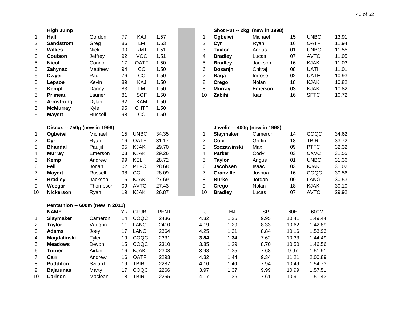|                  | <b>High Jump</b>                 |             |           |             |             |                | Shot Put -- 2kg (new in 1998) |           |       |             |       |
|------------------|----------------------------------|-------------|-----------|-------------|-------------|----------------|-------------------------------|-----------|-------|-------------|-------|
| 1                | Hall                             | Gordon      | 77        | KAJ         | 1.57        | 1              | Ogbeiwi                       | Michael   | 15    | <b>UNBC</b> | 13.91 |
| $\overline{c}$   | <b>Sandstrom</b>                 | Greg        | 86        | LM          | 1.53        | $\mathbf{2}$   | Cyr                           | Ryan      | 16    | <b>OATF</b> | 11.94 |
| 3                | <b>Wilkes</b>                    | <b>Nick</b> | 90        | <b>RMT</b>  | 1.51        | 3              | <b>Taylor</b>                 | Angus     | 01    | <b>UNBC</b> | 11.55 |
| 3                | <b>Coulson</b>                   | Jeffrey     | 92        | <b>VOC</b>  | 1.51        | 4              | <b>Bradley</b>                | Lucas     | 07    | <b>AVTC</b> | 11.05 |
| 5                | <b>Nicol</b>                     | Connor      | 17        | <b>OATF</b> | 1.50        | 5              | <b>Bradley</b>                | Jackson   | 16    | <b>KJAK</b> | 11.03 |
| 5                | Zahynaz                          | Matthew     | 94        | CC          | 1.50        | 6              | Dosanjh                       | Chitraj   | 08    | <b>UATH</b> | 11.01 |
| 5                | <b>Dwyer</b>                     | Paul        | 76        | CC          | 1.50        | $\overline{7}$ | <b>Baga</b>                   | Imrose    | 02    | <b>UATH</b> | 10.93 |
| 5                | Lepsoe                           | Kevin       | 89        | KAJ         | 1.50        | 8              | Crego                         | Nolan     | 18    | <b>KJAK</b> | 10.82 |
| 5                | Kempf                            | Danny       | 83        | LM          | 1.50        | 8              | <b>Murray</b>                 | Emerson   | 03    | <b>KJAK</b> | 10.82 |
| 5                | <b>Primeau</b>                   | Laurier     | 81        | <b>SOF</b>  | 1.50        | 10             | Zabihi                        | Kian      | 16    | <b>SFTC</b> | 10.72 |
| 5                | <b>Armstrong</b>                 | Dylan       | 92        | <b>KAM</b>  | 1.50        |                |                               |           |       |             |       |
| 5                | <b>McMurray</b>                  | Kyle        | 95        | <b>CHTF</b> | 1.50        |                |                               |           |       |             |       |
| 5                | <b>Mayert</b>                    | Russell     | 98        | CC          | 1.50        |                |                               |           |       |             |       |
|                  | Discus -- 750g (new in 1998)     |             |           |             |             |                | Javelin -- 400g (new in 1998) |           |       |             |       |
| 1                | Ogbeiwi                          | Michael     | 15        | <b>UNBC</b> | 34.35       | $\mathbf 1$    | Slaymaker                     | Cameron   | 14    | COQC        | 34.62 |
| $\overline{2}$   | Cyr                              | Ryan        | 16        | <b>OATF</b> | 31.17       | $\overline{2}$ | Cole                          | Griffin   | 18    | <b>TBIR</b> | 33.72 |
| 3                | <b>Bhandal</b>                   | Pauljit     | 05        | <b>KJAK</b> | 29.70       | 3              | <b>Szczawinski</b>            | Max       | 09    | <b>PTFC</b> | 32.32 |
| 4                | <b>Murray</b>                    | Emerson     | 03        | <b>KJAK</b> | 29.26       | 4              | <b>Parker</b>                 | Cody      | 03    | <b>CXVC</b> | 31.55 |
| 5                | Kemp                             | Andrew      | 99        | <b>KEL</b>  | 28.72       | 5              | <b>Taylor</b>                 | Angus     | 01    | <b>UNBC</b> | 31.36 |
| 6                | Feil                             | Jonah       | 02        | <b>PTFC</b> | 28.68       | 6              | Jacobsen                      | Isaac     | 03    | <b>KJAK</b> | 31.02 |
| $\overline{7}$   | <b>Mayert</b>                    | Russell     | 98        | CC          | 28.09       | $\overline{7}$ | Granville                     | Joshua    | 16    | COQC        | 30.56 |
| 8                | <b>Bradley</b>                   | Jackson     | 16        | <b>KJAK</b> | 27.69       | 8              | <b>Burke</b>                  | Jordan    | 09    | <b>LANG</b> | 30.53 |
| 9                | Weegar                           | Thompson    | 09        | <b>AVTC</b> | 27.43       | 9              | Crego                         | Nolan     | 18    | <b>KJAK</b> | 30.10 |
| 10               | <b>Nickerson</b>                 | Ryan        | 19        | <b>KJAK</b> | 26.87       | 10             | <b>Bradley</b>                | Lucas     | 07    | <b>AVTC</b> | 29.92 |
|                  | Pentathlon -- 600m (new in 2011) |             |           |             |             |                |                               |           |       |             |       |
|                  | <b>NAME</b>                      |             | <b>YR</b> | <b>CLUB</b> | <b>PENT</b> | LJ             | HJ                            | <b>SP</b> | 60H   | 600M        |       |
| 1                | Slaymaker                        | Cameron     | 14        | COQC        | 2436        | 4.32           | 1.25                          | 9.95      | 10.41 | 1.49.44     |       |
| $\overline{2}$   | <b>Taylor</b>                    | Vaughn      | 11        | <b>LANG</b> | 2410        | 4.19           | 1.29                          | 8.33      | 10.62 | 1.42.89     |       |
| 3                | <b>Adams</b>                     | Joey        | 17        | <b>LANG</b> | 2364        | 4.25           | 1.31                          | 8.84      | 10.16 | 1.53.93     |       |
| 4                | <b>Magdalinski</b>               | Tyler       | 19        | COQC        | 2331        | 3.84           | 1.34                          | 7.62      | 10.33 | 1.44.49     |       |
| 5                | <b>Meadows</b>                   | Devon       | 15        | COQC        | 2310        | 3.85           | 1.29                          | 8.70      | 10.50 | 1.46.56     |       |
| 6                | <b>Turner</b>                    | Aidan       | 16        | <b>KJAK</b> | 2308        | 3.98           | 1.35                          | 7.68      | 9.97  | 1.51.91     |       |
| $\overline{7}$   | Carr                             | Andrew      | 16        | <b>OATF</b> | 2293        | 4.32           | 1.44                          | 9.34      | 11.21 | 2.00.89     |       |
| 8                | <b>Puddiford</b>                 | Szilard     | 19        | <b>TBIR</b> | 2287        | 4.10           | 1.40                          | 7.94      | 10.49 | 1.54.73     |       |
| $\boldsymbol{9}$ | <b>Bajarunas</b>                 | Marty       | 17        | COQC        | 2266        | 3.97           | 1.37                          | 9.99      | 10.99 | 1.57.51     |       |
| 10               | <b>Carlson</b>                   | Maclean     | 18        | <b>TBIR</b> | 2255        | 4.17           | 1.36                          | 7.61      | 10.91 | 1.51.43     |       |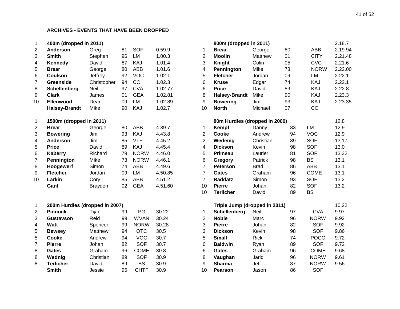| 1              | 400m (dropped in 2011)  |                |    |             |         |                | 800m (dropped in 2011)        |             |    |            |
|----------------|-------------------------|----------------|----|-------------|---------|----------------|-------------------------------|-------------|----|------------|
| 2              | Anderson                | Greg           | 81 | <b>SOF</b>  | 0.59.9  |                | <b>Brear</b>                  | George      | 80 | AB         |
| 3              | <b>Smith</b>            | Stephen        | 96 | LM          | 1.00.3  | 2              | <b>Moolin</b>                 | Matthew     | 01 | <b>CIT</b> |
| 4              | Kennedy                 | David          | 87 | KAJ         | 1.01.4  | 3              | Knight                        | Colin       | 05 | <b>CV</b>  |
| 5              | <b>Brear</b>            | George         | 80 | ABB         | 1.01.6  | 4              | Pennington                    | Mike        | 73 | <b>NO</b>  |
| 6              | <b>Coulson</b>          | Jeffrey        | 92 | <b>VOC</b>  | 1.02.1  | 5              | <b>Fletcher</b>               | Jordan      | 09 | LM         |
| $\overline{7}$ | Greenside               | Christopher    | 94 | cc          | 1.02.3  | 6              | <b>Kruse</b>                  | Edgar       | 74 | KA         |
| 8              | Schellenberg            | Neil           | 97 | <b>CVA</b>  | 1.02.77 | 6              | <b>Price</b>                  | David       | 89 | KA         |
| 9              | <b>Clark</b>            | James          | 01 | <b>GEA</b>  | 1.02.81 | 8              | <b>Halsey-Brandt</b>          | Mike        | 90 | KA         |
| 10             | <b>Ellenwood</b>        | Dean           | 09 | LM          | 1.02.89 | 9              | <b>Bowering</b>               | Jim         | 93 | KA         |
|                | <b>Halsey-Brandt</b>    | Mike           | 90 | KAJ         | 1.02.7  | 10             | <b>North</b>                  | Michael     | 07 | cc         |
| $\mathbf 1$    | 1500m (dropped in 2011) |                |    |             |         |                | 80m Hurdles (dropped in 2000) |             |    |            |
| 2              | <b>Brear</b>            | George         | 80 | ABB         | 4.39.7  |                | Kempf                         | Danny       | 83 | LM         |
| 3              | <b>Bowering</b>         | Jim            | 93 | KAJ         | 4.43.8  | 2              | Cooke                         | Andrew      | 94 | <b>VOC</b> |
| 4              | <b>Anderson</b>         | Jim            | 85 | <b>VTF</b>  | 4.45.2  | $\overline{2}$ | Wedenig                       | Christian   | 89 | <b>SOF</b> |
| 5              | <b>Price</b>            | David          | 89 | KAJ         | 4.45.4  | 4              | <b>Dickson</b>                | Kevin       | 98 | <b>SOF</b> |
| 6              | Kaberry                 | Richard        | 79 | <b>NORW</b> | 4.46.0  | 5              | Primeau                       | Laurier     | 81 | <b>SOF</b> |
| $\overline{7}$ | Pennington              | Mike           | 73 | <b>NORW</b> | 4.46.1  | 6              | Gregory                       | Patrick     | 98 | <b>BS</b>  |
| 8              | Hoogewerf               | Simon          | 74 | ABB         | 4.49.6  | 7              | <b>Peterson</b>               | <b>Brad</b> | 86 | ABB        |
| 9              | <b>Fletcher</b>         | Jordan         | 09 | LM          | 4.50.85 | 7              | <b>Gates</b>                  | Graham      | 96 | <b>COM</b> |
| 10             | Larkin                  | Cory           | 85 | ABB         | 4.51.2  | 7              | Raddatz                       | Simon       | 93 | <b>SOF</b> |
|                | Gant                    | <b>Brayden</b> | 02 | <b>GEA</b>  | 4.51.60 | 10             | <b>Pierre</b>                 | Johan       | 82 | <b>SOF</b> |
|                |                         |                |    |             |         | 10             | <b>Terlicher</b>              | David       | 89 | <b>BS</b>  |

| 1  | 200m Hurdles (dropped in 2007) |           |    |             |       |    | Triple Jump (dropped in 2011) |             |    |             |
|----|--------------------------------|-----------|----|-------------|-------|----|-------------------------------|-------------|----|-------------|
| 2  | <b>Pinnock</b>                 | Tiian     | 99 | PG          | 30.22 |    | Schellenberg                  | Neil        | 97 | <b>CVA</b>  |
| 3  | Gustavson                      | Reid      | 99 | <b>WVAN</b> | 30.24 | 2  | <b>Noble</b>                  | Marc        | 96 | <b>NORV</b> |
| 4  | Watt                           | Spencer   | 99 | <b>NORW</b> | 30.28 | 3  | <b>Pierre</b>                 | Johan       | 82 | <b>SOF</b>  |
| 5  | <b>Bewsey</b>                  | Matthew   | 94 | OTC         | 30.5  | 3  | <b>Dickson</b>                | Kevin       | 98 | <b>SOF</b>  |
| -5 | Cooke                          | Andrew    | 94 | VOC         | 30.7  | 5  | Small                         | <b>Rick</b> | 74 | <b>POCO</b> |
|    | <b>Pierre</b>                  | Johan     | 82 | <b>SOF</b>  | 30.7  | 6  | <b>Baldwin</b>                | Ryan        | 89 | SOF         |
| 8  | <b>Gates</b>                   | Graham    | 96 | <b>COME</b> | 30.8  | 6  | <b>Gates</b>                  | Graham      | 96 | <b>COMI</b> |
| 8  | Wednig                         | Christian | 89 | SOF         | 30.9  | 8  | Vaughan                       | Jarid       | 96 | <b>NORV</b> |
| 8  | Terlicher                      | David     | 89 | BS          | 30.9  | 9  | <b>Sharma</b>                 | Jeff        | 87 | <b>NORV</b> |
|    | <b>Smith</b>                   | Jessie    | 95 | <b>CHTF</b> | 30.9  | 10 | Pearson                       | Jason       | 86 | <b>SOF</b>  |

| 1              | 400m (dropped in 2011)         |                |    |             |         |                | 800m (dropped in 2011)        |             |    |             | 2.18.7  |
|----------------|--------------------------------|----------------|----|-------------|---------|----------------|-------------------------------|-------------|----|-------------|---------|
| $\overline{c}$ | Anderson                       | Greg           | 81 | <b>SOF</b>  | 0.59.9  | 1              | <b>Brear</b>                  | George      | 80 | <b>ABB</b>  | 2.19.94 |
| 3              | <b>Smith</b>                   | Stephen        | 96 | <b>LM</b>   | 1.00.3  | $\overline{2}$ | <b>Moolin</b>                 | Matthew     | 01 | <b>CITY</b> | 2.21.48 |
| 4              | Kennedy                        | David          | 87 | KAJ         | 1.01.4  | 3              | <b>Knight</b>                 | Colin       | 05 | <b>CVC</b>  | 2.21.6  |
| 5              | <b>Brear</b>                   | George         | 80 | <b>ABB</b>  | 1.01.6  | 4              | Pennington                    | Mike        | 73 | <b>NORW</b> | 2.22.00 |
| 6              | <b>Coulson</b>                 | Jeffrey        | 92 | <b>VOC</b>  | 1.02.1  | 5              | <b>Fletcher</b>               | Jordan      | 09 | LM          | 2.22.1  |
| 7              | <b>Greenside</b>               | Christopher    | 94 | CC          | 1.02.3  | 6              | <b>Kruse</b>                  | Edgar       | 74 | KAJ         | 2.22.1  |
| 8              | Schellenberg                   | Neil           | 97 | <b>CVA</b>  | 1.02.77 | 6              | <b>Price</b>                  | David       | 89 | KAJ         | 2.22.8  |
| 9              | <b>Clark</b>                   | James          | 01 | <b>GEA</b>  | 1.02.81 | 8              | <b>Halsey-Brandt</b>          | Mike        | 90 | KAJ         | 2.23.3  |
| 10             | Ellenwood                      | Dean           | 09 | <b>LM</b>   | 1.02.89 | 9              | <b>Bowering</b>               | Jim         | 93 | KAJ         | 2.23.35 |
|                | <b>Halsey-Brandt</b>           | Mike           | 90 | KAJ         | 1.02.7  | 10             | <b>North</b>                  | Michael     | 07 | CC          |         |
| $\mathbf 1$    | 1500m (dropped in 2011)        |                |    |             |         |                | 80m Hurdles (dropped in 2000) |             |    |             | 12.8    |
| 2              | <b>Brear</b>                   | George         | 80 | <b>ABB</b>  | 4.39.7  | 1              | Kempf                         | Danny       | 83 | LM          | 12.9    |
| 3              | <b>Bowering</b>                | Jim            | 93 | KAJ         | 4.43.8  | $\overline{2}$ | Cooke                         | Andrew      | 94 | <b>VOC</b>  | 12.9    |
| 4              | <b>Anderson</b>                | Jim            | 85 | <b>VTF</b>  | 4.45.2  | $\overline{2}$ | Wedenig                       | Christian   | 89 | <b>SOF</b>  | 13.17   |
| 5              | <b>Price</b>                   | David          | 89 | KAJ         | 4.45.4  | 4              | <b>Dickson</b>                | Kevin       | 98 | <b>SOF</b>  | 13.0    |
| 6              | <b>Kaberry</b>                 | Richard        | 79 | <b>NORW</b> | 4.46.0  | 5              | Primeau                       | Laurier     | 81 | <b>SOF</b>  | 13.32   |
| $\overline{7}$ | Pennington                     | Mike           | 73 | <b>NORW</b> | 4.46.1  | 6              | Gregory                       | Patrick     | 98 | <b>BS</b>   | 13.1    |
| 8              | Hoogewerf                      | Simon          | 74 | <b>ABB</b>  | 4.49.6  | $\overline{7}$ | <b>Peterson</b>               | <b>Brad</b> | 86 | <b>ABB</b>  | 13.1    |
| 9              | <b>Fletcher</b>                | Jordan         | 09 | LM          | 4.50.85 | $\overline{7}$ | <b>Gates</b>                  | Graham      | 96 | <b>COME</b> | 13.1    |
| 10             | Larkin                         | Cory           | 85 | <b>ABB</b>  | 4.51.2  | $\overline{7}$ | <b>Raddatz</b>                | Simon       | 93 | SOF         | 13.2    |
|                | Gant                           | <b>Brayden</b> | 02 | <b>GEA</b>  | 4.51.60 | 10             | <b>Pierre</b>                 | Johan       | 82 | <b>SOF</b>  | 13.2    |
|                |                                |                |    |             |         | 10             | <b>Terlicher</b>              | David       | 89 | <b>BS</b>   |         |
| 1              | 200m Hurdles (dropped in 2007) |                |    |             |         |                | Triple Jump (dropped in 2011) |             |    |             | 10.22   |
| 2              | <b>Pinnock</b>                 | Tijan          | 99 | PG          | 30.22   | 1              | Schellenberg                  | Neil        | 97 | <b>CVA</b>  | 9.97    |
| 3              | <b>Gustavson</b>               | Reid           | 99 | <b>WVAN</b> | 30.24   | $\overline{2}$ | <b>Noble</b>                  | Marc        | 96 | <b>NORW</b> | 9.92    |
| 4              | <b>Watt</b>                    | Spencer        | 99 | <b>NORW</b> | 30.28   | 3              | <b>Pierre</b>                 | Johan       | 82 | <b>SOF</b>  | 9.92    |
| 5              | <b>Bewsey</b>                  | Matthew        | 94 | <b>OTC</b>  | 30.5    | 3              | <b>Dickson</b>                | Kevin       | 98 | <b>SOF</b>  | 9.86    |
| 5              | Cooke                          | Andrew         | 94 | <b>VOC</b>  | 30.7    | 5              | <b>Small</b>                  | <b>Rick</b> | 74 | <b>POCO</b> | 9.72    |
| 7              | <b>Pierre</b>                  | Johan          | 82 | <b>SOF</b>  | 30.7    | 6              | <b>Baldwin</b>                | Ryan        | 89 | <b>SOF</b>  | 9.72    |
| 8              | <b>Gates</b>                   | Graham         | 96 | <b>COME</b> | 30.8    | 6              | <b>Gates</b>                  | Graham      | 96 | <b>COME</b> | 9.68    |
| 8              | Wednig                         | Christian      | 89 | <b>SOF</b>  | 30.9    | 8              | Vaughan                       | Jarid       | 96 | <b>NORW</b> | 9.61    |
| 8              | <b>Terlicher</b>               | David          | 89 | <b>BS</b>   | 30.9    | 9              | <b>Sharma</b>                 | Jeff        | 87 | <b>NORW</b> | 9.56    |
|                | <b>Smith</b>                   | Jessie         | 95 | <b>CHTF</b> | 30.9    | 10             | <b>Pearson</b>                | Jason       | 86 | <b>SOF</b>  |         |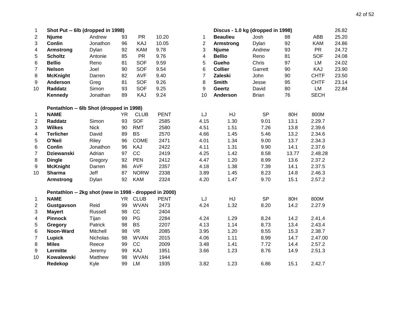| $\mathbf 1$             | Shot Put -- 6lb (dropped in 1998)                      |             |           |             |             |                | Discus - 1.0 kg (dropped in 1998) |              |       |             | 26.82 |
|-------------------------|--------------------------------------------------------|-------------|-----------|-------------|-------------|----------------|-----------------------------------|--------------|-------|-------------|-------|
| $\overline{2}$          | <b>Njume</b>                                           | Andrew      | 93        | <b>PR</b>   | 10.20       | 1              | <b>Beaulieu</b>                   | Josh         | 88    | <b>ABB</b>  | 25.20 |
| 3                       | <b>Conlin</b>                                          | Jonathon    | 96        | KAJ         | 10.05       | $\overline{2}$ | <b>Armstrong</b>                  | Dylan        | 92    | <b>KAM</b>  | 24.86 |
| 4                       | <b>Armstrong</b>                                       | Dylan       | 92        | <b>KAM</b>  | 9.78        | 3              | <b>Njume</b>                      | Andrew       | 93    | <b>PR</b>   | 24.72 |
| 5                       | <b>Scholtz</b>                                         | Antonie     | 85        | <b>PR</b>   | 9.76        | 4              | <b>Bellio</b>                     | Reno         | 81    | <b>SOF</b>  | 24.08 |
| 6                       | <b>Bellio</b>                                          | Reno        | 81        | <b>SOF</b>  | 9.59        | 5              | Gueho                             | Chris        | 97    | LM          | 24.02 |
| 7                       | <b>Nelson</b>                                          | Joel        | 90        | <b>SOF</b>  | 9.54        | 6              | <b>Collier</b>                    | Garrett      | 90    | KAJ         | 23.90 |
| 8                       | <b>McKnight</b>                                        | Darren      | 82        | <b>AVF</b>  | 9.40        | 7              | <b>Zaleski</b>                    | John         | 90    | <b>CHTF</b> | 23.50 |
| 9                       | <b>Anderson</b>                                        | Greg        | 81        | <b>SOF</b>  | 9.26        | 8              | <b>Smith</b>                      | Jesse        | 95    | <b>CHTF</b> | 23.14 |
| 10                      | Raddatz                                                | Simon       | 93        | <b>SOF</b>  | 9.25        | 9              | Geertz                            | David        | 80    | LM          | 22.84 |
|                         | <b>Kennedy</b>                                         | Jonathan    | 89        | KAJ         | 9.24        | 10             | <b>Anderson</b>                   | <b>Brian</b> | 76    | <b>SECH</b> |       |
|                         | Pentathlon -- 6lb Shot (dropped in 1998)               |             |           |             |             |                |                                   |              |       |             |       |
| 1                       | <b>NAME</b>                                            |             | <b>YR</b> | <b>CLUB</b> | <b>PENT</b> | LJ             | HJ                                | <b>SP</b>    | 80H   | 800M        |       |
| $\mathbf{2}$            | Raddatz                                                | Simon       | 93        | SOF         | 2585        | 4.15           | 1.30                              | 9.01         | 13.1  | 2.29.7      |       |
| 3                       | <b>Wilkes</b>                                          | <b>Nick</b> | 90        | <b>RMT</b>  | 2580        | 4.51           | 1.51                              | 7.26         | 13.8  | 2.39.6      |       |
| 4                       | <b>Terlicher</b>                                       | David       | 89        | <b>BS</b>   | 2570        | 4.66           | 1.45                              | 5.46         | 13.2  | 2.34.6      |       |
| 5                       | O'Neil                                                 | Riley       | 96        | <b>COME</b> | 2471        | 4.01           | 1.34                              | 9.00         | 13.7  | 2.34.3      |       |
| 6                       | <b>Conlin</b>                                          | Jonathon    | 96        | KAJ         | 2422        | 4.11           | 1.31                              | 9.90         | 14.1  | 2.37.6      |       |
| 7                       | <b>Dziewanski</b>                                      | Adrian      | 97        | CC          | 2419        | 4.25           | 1.42                              | 8.58         | 13.77 | 2.48.28     |       |
| 8                       | <b>Dingle</b>                                          | Gregory     | 92        | <b>PEN</b>  | 2412        | 4.47           | 1.20                              | 8.99         | 13.6  | 2.37.2      |       |
| 9                       | <b>McKnight</b>                                        | Darren      | 86        | <b>AVF</b>  | 2357        | 4.18           | 1.38                              | 7.39         | 14.1  | 2.37.5      |       |
| 10                      | <b>Sharma</b>                                          | Jeff        | 87        | <b>NORW</b> | 2338        | 3.89           | 1.45                              | 8.23         | 14.8  | 2.46.3      |       |
|                         | <b>Armstrong</b>                                       | Dylan       | 92        | <b>KAM</b>  | 2324        | 4.20           | 1.47                              | 9.70         | 15.1  | 2.57.2      |       |
|                         | Pentathlon -- 2kg shot (new in 1998 - dropped in 2000) |             |           |             |             |                |                                   |              |       |             |       |
| 1                       | <b>NAME</b>                                            |             |           | YR CLUB     | <b>PENT</b> | LJ             | HJ                                | <b>SP</b>    | 80H   | 800M        |       |
| $\overline{\mathbf{c}}$ | Gustgavson                                             | Reid        | 99        | <b>WVAN</b> | 2473        | 4.24           | 1.32                              | 8.20         | 14.2  | 2.27.9      |       |
| 3                       | <b>Mayert</b>                                          | Russell     | 98        | CC          | 2404        |                |                                   |              |       |             |       |
| 4                       | <b>Pinnock</b>                                         | Tijan       | 99        | PG          | 2284        | 4.24           | 1.29                              | 8.24         | 14.2  | 2.41.4      |       |
| 5                       | Gregory                                                | Patrick     | 98        | <b>BS</b>   | 2207        | 4.13           | 1.14                              | 8.73         | 13.4  | 2.43.4      |       |
| 6                       | Noon-Ward                                              | Mitchell    | 98        | <b>VR</b>   | 2085        | 3.95           | 1.20                              | 8.55         | 15.3  | 2.38.7      |       |
| $\overline{7}$          | Lupick                                                 | Nicholas    | 98        | <b>WVAN</b> | 2015        | 4.06           | 1.11                              | 8.99         | 14.7  | 2.47.00     |       |
| 8                       | <b>Miles</b>                                           | Reece       | 99        | CC          | 2009        | 3.48           | 1.41                              | 7.72         | 14.4  | 2.57.2      |       |
| 9                       | Lermitte                                               | Jeremy      | 99        | KAJ         | 1951        | 3.66           | 1.23                              | 8.76         | 14.9  | 2.51.3      |       |
| 10                      | <b>Kowalewski</b>                                      | Matthew     | 98        | <b>WVAN</b> | 1944        |                |                                   |              |       |             |       |
|                         | Redekop                                                | Kyle        | 99        | <b>LM</b>   | 1935        | 3.82           | 1.23                              | 6.86         | 15.1  | 2.42.7      |       |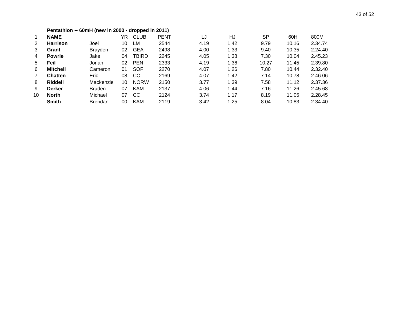|                | Pentathlon -- 60mH (new in 2000 - dropped in 2011) |                |    |              |             |      |      |           |       |         |  |  |  |  |
|----------------|----------------------------------------------------|----------------|----|--------------|-------------|------|------|-----------|-------|---------|--|--|--|--|
| 1              | <b>NAME</b>                                        |                | YR | <b>CLUB</b>  | <b>PENT</b> | LJ   | HJ   | <b>SP</b> | 60H   | 800M    |  |  |  |  |
| 2              | <b>Harrison</b>                                    | Joel           | 10 | LM           | 2544        | 4.19 | 1.42 | 9.79      | 10.16 | 2.34.74 |  |  |  |  |
| 3              | Grant                                              | <b>Brayden</b> | 02 | <b>GEA</b>   | 2498        | 4.00 | 1.33 | 9.40      | 10.35 | 2.24.40 |  |  |  |  |
| 4              | <b>Powrie</b>                                      | Jake           | 04 | <b>TBIRD</b> | 2245        | 4.05 | 1.38 | 7.30      | 10.04 | 2.45.23 |  |  |  |  |
| 5              | Feil                                               | Jonah          | 02 | <b>PEN</b>   | 2333        | 4.19 | 1.36 | 10.27     | 11.45 | 2.39.80 |  |  |  |  |
| 6              | <b>Mitchell</b>                                    | Cameron        | 01 | <b>SOF</b>   | 2270        | 4.07 | 1.26 | 7.80      | 10.44 | 2.32.40 |  |  |  |  |
| $\overline{7}$ | <b>Chatten</b>                                     | Eric           | 08 | <b>CC</b>    | 2169        | 4.07 | 1.42 | 7.14      | 10.78 | 2.46.06 |  |  |  |  |
| 8              | Riddell                                            | Mackenzie      | 10 | <b>NORW</b>  | 2150        | 3.77 | 1.39 | 7.58      | 11.12 | 2.37.36 |  |  |  |  |
| 9              | <b>Derker</b>                                      | <b>Braden</b>  | 07 | <b>KAM</b>   | 2137        | 4.06 | 1.44 | 7.16      | 11.26 | 2.45.68 |  |  |  |  |
| 10             | <b>North</b>                                       | Michael        | 07 | <b>CC</b>    | 2124        | 3.74 | 1.17 | 8.19      | 11.05 | 2.28.45 |  |  |  |  |
|                | <b>Smith</b>                                       | <b>Brendan</b> | 00 | <b>KAM</b>   | 2119        | 3.42 | 1.25 | 8.04      | 10.83 | 2.34.40 |  |  |  |  |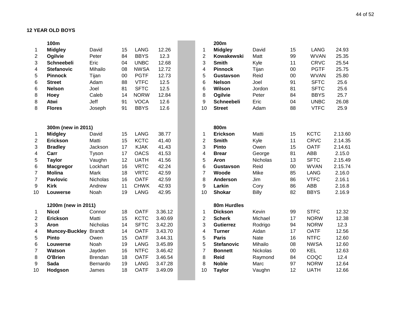|                | 100m                  |                |    |             |         |                         | 200m              |                 |    |             |         |
|----------------|-----------------------|----------------|----|-------------|---------|-------------------------|-------------------|-----------------|----|-------------|---------|
| 1              | <b>Midgley</b>        | David          | 15 | <b>LANG</b> | 12.26   | 1                       | <b>Midgley</b>    | David           | 15 | <b>LANG</b> | 24.93   |
| $\overline{c}$ | Ogilvie               | Peter          | 84 | <b>BBYS</b> | 12.3    | $\overline{2}$          | Kowakewski        | Matt            | 99 | <b>WVAN</b> | 25.35   |
| 3              | <b>Schneebeli</b>     | Eric           | 04 | <b>UNBC</b> | 12.68   | 3                       | <b>Smith</b>      | Kyle            | 11 | <b>CRVC</b> | 25.54   |
| 4              | <b>Stefanovic</b>     | Mihailo        | 08 | <b>NWSA</b> | 12.72   | $\overline{\mathbf{4}}$ | <b>Pinnock</b>    | Tijan           | 00 | <b>PGTF</b> | 25.75   |
| 5              | <b>Pinnock</b>        | Tijan          | 00 | <b>PGTF</b> | 12.73   | 5                       | Gustavson         | Reid            | 00 | <b>WVAN</b> | 25.80   |
| 6              | <b>Street</b>         | Adam           | 88 | <b>VTFC</b> | 12.5    | $6\phantom{1}6$         | <b>Nelson</b>     | Joel            | 91 | <b>SFTC</b> | 25.6    |
| 6              | <b>Nelson</b>         | Joel           | 81 | <b>SFTC</b> | 12.5    | $6\phantom{1}6$         | Wilson            | Jordon          | 81 | <b>SFTC</b> | 25.6    |
| 8              | Hoey                  | Caleb          | 14 | <b>NORW</b> | 12.84   | 8                       | Ogilvie           | Peter           | 84 | <b>BBYS</b> | 25.7    |
| 8              | Atwi                  | Jeff           | 91 | <b>VOCA</b> | 12.6    | 9                       | <b>Schneebeli</b> | Eric            | 04 | <b>UNBC</b> | 26.08   |
| 8              | <b>Flores</b>         | Joseph         | 91 | <b>BBYS</b> | 12.6    | 10                      | <b>Street</b>     | Adam            | 88 | <b>VTFC</b> | 25.9    |
|                |                       |                |    |             |         |                         |                   |                 |    |             |         |
|                | 300m (new in 2011)    |                |    |             |         |                         | 800m              |                 |    |             |         |
| 1              | <b>Midgley</b>        | David          | 15 | <b>LANG</b> | 38.77   | 1                       | <b>Erickson</b>   | Matti           | 15 | <b>KCTC</b> | 2.13.60 |
| $\overline{2}$ | <b>Erickson</b>       | Matti          | 15 | <b>KCTC</b> | 41.40   | $\overline{2}$          | <b>Smith</b>      | Kyle            | 11 | <b>CRVC</b> | 2.14.35 |
| 3              | <b>Bradley</b>        | Jackson        | 17 | <b>KJAK</b> | 41.43   | 3                       | Pinto             | Owen            | 15 | <b>OATF</b> | 2.14.61 |
| 4              | Carr                  | Tyson          | 17 | <b>OACS</b> | 41.53   | $\overline{4}$          | <b>Brear</b>      | George          | 81 | <b>ABB</b>  | 2.15.0  |
| 5              | <b>Taylor</b>         | Vaughn         | 12 | <b>UATH</b> | 41.56   | 5                       | Aron              | Nicholas        | 13 | <b>SFTC</b> | 2.15.49 |
| 6              | <b>Macgregor</b>      | Lockhart       | 16 | <b>VRTC</b> | 42.24   | $6\phantom{1}6$         | Gustavson         | Reid            | 00 | <b>WVAN</b> | 2.15.74 |
| 7              | <b>Molina</b>         | Mark           | 18 | <b>VRTC</b> | 42.59   | $\overline{7}$          | Woode             | Mike            | 85 | <b>LANG</b> | 2.16.0  |
| $\overline{7}$ | <b>Pavlovic</b>       | Nicholas       | 16 | <b>OATF</b> | 42.59   | 8                       | <b>Anderson</b>   | Jim             | 86 | <b>VTFC</b> | 2.16.1  |
| 9              | <b>Kirk</b>           | Andrew         | 11 | <b>CHWK</b> | 42.93   | 9                       | Larkin            | Cory            | 86 | <b>ABB</b>  | 2.16.8  |
| 10             | Louwerse              | Noah           | 19 | <b>LANG</b> | 42.95   | 10                      | <b>Shokar</b>     | <b>Billy</b>    | 82 | <b>BBYS</b> | 2.16.9  |
|                | 1200m (new in 2011)   |                |    |             |         |                         | 80m Hurdles       |                 |    |             |         |
| 1              | <b>Nicol</b>          | Connor         | 18 | <b>OATF</b> | 3.36.12 | $\mathbf{1}$            | <b>Dickson</b>    | Kevin           | 99 | <b>STFC</b> | 12.32   |
| 2              | <b>Erickson</b>       | Matti          | 15 | <b>KCTC</b> | 3.40.69 | $\overline{2}$          | <b>Scherk</b>     | Michael         | 17 | <b>NORW</b> | 12.38   |
| 3              | Aron                  | Nicholas       | 14 | <b>SFTC</b> | 3.42.20 | 3                       | <b>Gutierrez</b>  | Rodrigo         | 94 | <b>NORW</b> | 12.3    |
| 4              | <b>Muncey-Buckley</b> | <b>Brandt</b>  | 14 | <b>OATF</b> | 3.43.70 | 4                       | <b>Turner</b>     | Aidan           | 17 | <b>OATF</b> | 12.56   |
| 5              | <b>Pinto</b>          | Owen           | 15 | <b>OATF</b> | 3.44.31 | 5                       | <b>Paris</b>      | <b>Nate</b>     | 16 | <b>NTFC</b> | 12.60   |
| 6              | Louwerse              | Noah           | 19 | <b>LANG</b> | 3.45.89 | 5                       | <b>Stefanovic</b> | Mihailo         | 08 | <b>NWSA</b> | 12.60   |
| $\overline{7}$ | Watson                | Jayden         | 16 | <b>NTFC</b> | 3.46.42 | $\overline{7}$          | <b>Bonnett</b>    | <b>Nickolas</b> | 00 | <b>KEL</b>  | 12.63   |
| 8              | O'Brien               | <b>Brendan</b> | 18 | <b>OATF</b> | 3.46.54 | 8                       | <b>Reid</b>       | Raymond         | 84 | COQC        | 12.4    |
| 9              | <b>Sada</b>           | Bernardo       | 19 | <b>LANG</b> | 3.47.28 | 8                       | <b>Noble</b>      | Marc            | 97 | <b>NORW</b> | 12.64   |
| 10             | Hodgson               | James          | 18 | <b>OATF</b> | 3.49.09 | 10                      | <b>Taylor</b>     | Vaughn          | 12 | <b>UATH</b> | 12.66   |
|                |                       |                |    |             |         |                         |                   |                 |    |             |         |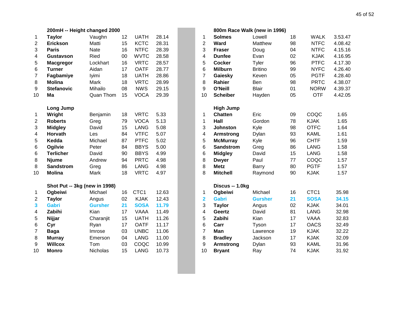|                         | 200mH -- Height changed 2000  |                |    |                  |       |                         | 800m Race Walk (new in 1996) |                |
|-------------------------|-------------------------------|----------------|----|------------------|-------|-------------------------|------------------------------|----------------|
| 1                       | <b>Taylor</b>                 | Vaughn         | 12 | <b>UATH</b>      | 28.14 | 1                       | <b>Solmes</b>                | Lowell         |
| $\overline{c}$          | <b>Erickson</b>               | Matti          | 15 | <b>KCTC</b>      | 28.31 | $\overline{2}$          | Ward                         | Matthew        |
| 3                       | <b>Paris</b>                  | Nate           | 16 | <b>NTFC</b>      | 28.39 | 3                       | <b>Fraser</b>                | Doug           |
| 4                       | <b>Gustavson</b>              | Ried           | 00 | <b>WVTC</b>      | 28.58 | 4                       | <b>Dunfee</b>                | Evan           |
| 5                       | <b>Macgregor</b>              | Lockhart       | 16 | <b>VRTC</b>      | 28.57 | 5                       | <b>Cocker</b>                | <b>Tyler</b>   |
| 6                       | <b>Turner</b>                 | Aidan          | 17 | <b>OATF</b>      | 28.77 | 6                       | <b>Milburn</b>               | <b>Britino</b> |
| 7                       | Fagbamiye                     | lyimi          | 18 | <b>UATH</b>      | 28.86 | $\overline{7}$          | Gaiesky                      | Keven          |
| 8                       | <b>Molina</b>                 | Mark           | 18 | <b>VRTC</b>      | 28.99 | $\,8\,$                 | Rahier                       | Ben            |
| 9                       | <b>Stefanovic</b>             | Mihailo        | 08 | <b>NWS</b>       | 29.15 | 9                       | O'Neill                      | <b>Blair</b>   |
| 10                      | Ma                            | Quan Thom      | 15 | <b>VOCA</b>      | 29.39 | 10                      | <b>Scheiber</b>              | Hayden         |
|                         | Long Jump                     |                |    |                  |       |                         | <b>High Jump</b>             |                |
| 1                       | Wright                        | Benjamin       | 18 | <b>VRTC</b>      | 5.33  | 1                       | <b>Chatten</b>               | Eric           |
| $\overline{2}$          | <b>Roberts</b>                | Greg           | 79 | <b>VOCA</b>      | 5.13  | 1                       | Hall                         | Gordon         |
| 3                       | <b>Midgley</b>                | David          | 15 | <b>LANG</b>      | 5.08  | 3                       | <b>Johnston</b>              | Kyle           |
| 4                       | Horvath                       | Les            | 84 | <b>VTFC</b>      | 5.07  | $\overline{4}$          | <b>Armstrong</b>             | Dylan          |
| 5                       | Kedda                         | Michael        | 87 | <b>PTFC</b>      | 5.02  | 5                       | <b>McMurray</b>              | Kyle           |
| 6                       | Ogilvie                       | Peter          | 84 | <b>BBYS</b>      | 5.00  | 6                       | <b>Sandstrom</b>             | Greg           |
| 6                       | <b>Terlicher</b>              | David          | 90 | <b>BBYS</b>      | 4.99  | 6                       | <b>Midgley</b>               | David          |
| 8                       | <b>Njume</b>                  | Andrew         | 94 | <b>PRTC</b>      | 4.98  | 8                       | <b>Dwyer</b>                 | Paul           |
| 8                       | <b>Sandstrom</b>              | Greg           | 86 | <b>LANG</b>      | 4.98  | 8                       | <b>Metz</b>                  | Barry          |
| 10                      | <b>Molina</b>                 | Mark           | 18 | <b>VRTC</b>      | 4.97  | 8                       | <b>Mitchell</b>              | Raymond        |
|                         | Shot Put -- 3kg (new in 1998) |                |    |                  |       |                         | Discus -- 1.0kg              |                |
| 1                       | Ogbeiwi                       | Michael        | 16 | CTC <sub>1</sub> | 12.63 | 1                       | Ogbeiwi                      | Michael        |
| $\overline{c}$          | <b>Taylor</b>                 | Angus          | 02 | <b>KJAK</b>      | 12.43 | $\overline{\mathbf{2}}$ | <b>Gabri</b>                 | <b>Gursher</b> |
| $\overline{\mathbf{3}}$ | <b>Gabri</b>                  | <b>Gursher</b> | 21 | <b>SOSA</b>      | 11.79 | 3                       | <b>Taylor</b>                | Angus          |
| 4                       | Zabihi                        | Kian           | 17 | <b>VAAA</b>      | 11.49 | 4                       | Geertz                       | David          |
| 5                       | Nijjar                        | Charanjit      | 15 | <b>UATH</b>      | 11.26 | 5                       | Zabihi                       | Kian           |
| 6                       | Cyr                           | Ryan           | 17 | <b>OATF</b>      | 11.17 | 6                       | Carr                         | Tyson          |
| $\overline{7}$          | <b>Baga</b>                   | Imrose         | 03 | <b>UNBC</b>      | 11.06 | $\overline{7}$          | Man                          | Lawrence       |
| 8                       | <b>Murray</b>                 | Emerson        | 04 | <b>LANG</b>      | 11.00 | 8                       | <b>Bradley</b>               | Jackson        |
| 9                       | <b>Willcox</b>                | Tom            | 03 | COQC             | 10.99 | 9                       | <b>Armstrong</b>             | Dylan          |
| 10                      | <b>Monro</b>                  | Nicholas       | 15 | <b>LANG</b>      | 10.73 | 10                      | <b>Bryant</b>                | Ray            |

|                         | 200mH -- Height changed 2000  |                 |    |             |       |                         |                  | 800m Race Walk (new in 1996) |    |             |         |
|-------------------------|-------------------------------|-----------------|----|-------------|-------|-------------------------|------------------|------------------------------|----|-------------|---------|
| 1                       | <b>Taylor</b>                 | Vaughn          | 12 | <b>UATH</b> | 28.14 | 1                       | <b>Solmes</b>    | Lowell                       | 18 | <b>WALK</b> | 3.53.47 |
| 2                       | <b>Erickson</b>               | Matti           | 15 | <b>KCTC</b> | 28.31 | $\overline{2}$          | <b>Ward</b>      | Matthew                      | 98 | <b>NTFC</b> | 4.08.42 |
| 3                       | <b>Paris</b>                  | <b>Nate</b>     | 16 | <b>NTFC</b> | 28.39 | 3                       | <b>Fraser</b>    | Doug                         | 04 | <b>NTFC</b> | 4.15.16 |
| 4                       | <b>Gustavson</b>              | Ried            | 00 | <b>WVTC</b> | 28.58 | 4                       | <b>Dunfee</b>    | Evan                         | 02 | <b>KJAK</b> | 4.16.95 |
| 5                       | <b>Macgregor</b>              | Lockhart        | 16 | <b>VRTC</b> | 28.57 | 5                       | <b>Cocker</b>    | Tyler                        | 96 | <b>PTFC</b> | 4.17.30 |
| 6                       | <b>Turner</b>                 | Aidan           | 17 | <b>OATF</b> | 28.77 | 6                       | <b>Milburn</b>   | <b>Britino</b>               | 99 | <b>NYFC</b> | 4.26.40 |
| $\overline{7}$          | Fagbamiye                     | lyimi           | 18 | <b>UATH</b> | 28.86 | $\overline{7}$          | Gaiesky          | Keven                        | 05 | <b>PGTF</b> | 4.28.40 |
| 8                       | <b>Molina</b>                 | Mark            | 18 | <b>VRTC</b> | 28.99 | 8                       | Rahier           | Ben                          | 98 | <b>PRTC</b> | 4.38.07 |
| 9                       | <b>Stefanovic</b>             | Mihailo         | 08 | <b>NWS</b>  | 29.15 | 9                       | O'Neill          | <b>Blair</b>                 | 01 | <b>NORW</b> | 4.39.37 |
| 10                      | Ma                            | Quan Thom       | 15 | <b>VOCA</b> | 29.39 | 10                      | <b>Scheiber</b>  | Hayden                       | 05 | <b>OTF</b>  | 4.42.05 |
|                         | <b>Long Jump</b>              |                 |    |             |       |                         | <b>High Jump</b> |                              |    |             |         |
| $\mathbf{1}$            | Wright                        | Benjamin        | 18 | <b>VRTC</b> | 5.33  | 1                       | <b>Chatten</b>   | Eric                         | 09 | COQC        | 1.65    |
| $\overline{2}$          | <b>Roberts</b>                | Greg            | 79 | <b>VOCA</b> | 5.13  | $\mathbf 1$             | Hall             | Gordon                       | 78 | <b>KJAK</b> | 1.65    |
| 3                       | <b>Midgley</b>                | David           | 15 | <b>LANG</b> | 5.08  | 3                       | <b>Johnston</b>  | Kyle                         | 98 | <b>OTFC</b> | 1.64    |
| 4                       | Horvath                       | Les             | 84 | <b>VTFC</b> | 5.07  | 4                       | Armstrong        | Dylan                        | 93 | <b>KAML</b> | 1.61    |
| 5                       | Kedda                         | Michael         | 87 | <b>PTFC</b> | 5.02  | 5                       | <b>McMurray</b>  | Kyle                         | 96 | <b>CHTF</b> | 1.59    |
| 6                       | Ogilvie                       | Peter           | 84 | <b>BBYS</b> | 5.00  | 6                       | <b>Sandstrom</b> | Greg                         | 86 | <b>LANG</b> | 1.58    |
| 6                       | <b>Terlicher</b>              | David           | 90 | <b>BBYS</b> | 4.99  | 6                       | <b>Midgley</b>   | David                        | 15 | <b>LANG</b> | 1.58    |
| 8                       | <b>Njume</b>                  | Andrew          | 94 | <b>PRTC</b> | 4.98  | 8                       | <b>Dwyer</b>     | Paul                         | 77 | COQC        | 1.57    |
| 8                       | <b>Sandstrom</b>              | Greg            | 86 | <b>LANG</b> | 4.98  | 8                       | <b>Metz</b>      | Barry                        | 80 | <b>PGTF</b> | 1.57    |
| 10                      | <b>Molina</b>                 | Mark            | 18 | <b>VRTC</b> | 4.97  | 8                       | <b>Mitchell</b>  | Raymond                      | 90 | <b>KJAK</b> | 1.57    |
|                         | Shot Put -- 3kg (new in 1998) |                 |    |             |       |                         | Discus -- 1.0kg  |                              |    |             |         |
| $\mathbf{1}$            | Ogbeiwi                       | Michael         | 16 | CTC1        | 12.63 | 1                       | Ogbeiwi          | Michael                      | 16 | CTC1        | 35.98   |
| $\overline{\mathbf{c}}$ | <b>Taylor</b>                 | Angus           | 02 | <b>KJAK</b> | 12.43 | $\overline{\mathbf{2}}$ | <b>Gabri</b>     | <b>Gursher</b>               | 21 | <b>SOSA</b> | 34.15   |
| 3                       | <b>Gabri</b>                  | <b>Gursher</b>  | 21 | <b>SOSA</b> | 11.79 | 3                       | <b>Taylor</b>    | Angus                        | 02 | <b>KJAK</b> | 34.01   |
| 4                       | Zabihi                        | Kian            | 17 | <b>VAAA</b> | 11.49 | $\overline{\mathbf{4}}$ | <b>Geertz</b>    | David                        | 81 | <b>LANG</b> | 32.98   |
| 5                       | Nijjar                        | Charanjit       | 15 | <b>UATH</b> | 11.26 | 5                       | Zabihi           | Kian                         | 17 | <b>VAAA</b> | 32.83   |
| 6                       | Cyr                           | Ryan            | 17 | <b>OATF</b> | 11.17 | $6\phantom{1}6$         | Carr             | Tyson                        | 17 | <b>OACS</b> | 32.49   |
| $\overline{7}$          | <b>Baga</b>                   | Imrose          | 03 | <b>UNBC</b> | 11.06 | $\overline{7}$          | Man              | Lawrence                     | 19 | <b>KJAK</b> | 32.22   |
| 8                       | <b>Murray</b>                 | Emerson         | 04 | <b>LANG</b> | 11.00 | 8                       | <b>Bradley</b>   | Jackson                      | 17 | <b>KJAK</b> | 32.09   |
| 9                       | <b>Willcox</b>                | Tom             | 03 | COQC        | 10.99 | 9                       | <b>Armstrong</b> | Dylan                        | 93 | <b>KAML</b> | 31.96   |
| 10                      | <b>Monro</b>                  | <b>Nicholas</b> | 15 | <b>LANG</b> | 10.73 | 10                      | <b>Bryant</b>    | Ray                          | 74 | <b>KJAK</b> | 31.92   |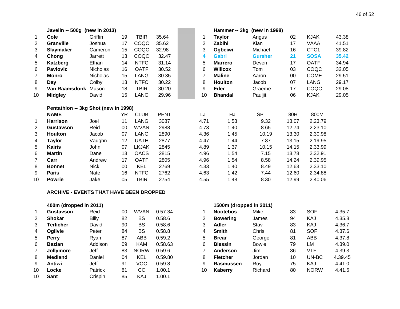|                | Javelin -- 500g (new in 2013)        |                 |        |              |             |      | Hammer -- 3kg (new in 1998) |                |       |                  |       |
|----------------|--------------------------------------|-----------------|--------|--------------|-------------|------|-----------------------------|----------------|-------|------------------|-------|
| -1             | <b>Cole</b>                          | Griffin         | 19     | TBIR         | 35.64       | 1    | <b>Taylor</b>               | Angus          | 02    | <b>KJAK</b>      | 43.38 |
| $\overline{2}$ | Granville                            | Joshua          | 17     | COQC         | 35.62       | 2    | Zabihi                      | Kian           | 17    | VAAA             | 41.51 |
| 3              | <b>Slaymaker</b>                     | Cameron         | 15     | COQC         | 32.98       | 3    | Ogbeiwi                     | Michael        | 16    | CTC <sub>1</sub> | 39.82 |
| 4              | Chong                                | Jarrett         | 13     | COQC         | 32.47       | 4    | <b>Gabri</b>                | <b>Gursher</b> | 21    | <b>SOSA</b>      | 35.42 |
| 5              | Katzberg                             | Ethan           | 14     | <b>NTFC</b>  | 31.14       | 5    | <b>Marrero</b>              | Deven          | 17    | <b>OATF</b>      | 34.94 |
| 6              | <b>Pavlovic</b>                      | Nicholas        | 16     | <b>OATF</b>  | 30.52       | 6    | <b>Willcox</b>              | Tom            | 03    | COQC             | 32.05 |
| 7              | Monro                                | <b>Nicholas</b> | 15     | LANG         | 30.35       | 7    | <b>Maline</b>               | Aaron          | 00    | <b>COME</b>      | 29.51 |
| 8              | Day                                  | Colby           | 13     | <b>NTFC</b>  | 30.22       | 8    | <b>Houlton</b>              | Jacob          | 07    | <b>LANG</b>      | 29.17 |
| 9              | Van Raamsdonk Mason                  |                 | 18     | <b>TBIR</b>  | 30.20       | 9    | Eder                        | Graeme         | 17    | COQC             | 29.08 |
| 10             | <b>Midgley</b>                       | David           | 15     | <b>LANG</b>  | 29.96       | 10   | <b>Bhandal</b>              | Pauljit        | 06    | <b>KJAK</b>      | 29.05 |
|                | Pentathlon -- 3kg Shot (new in 1998) |                 |        |              |             |      |                             |                |       |                  |       |
|                | <b>NAME</b>                          |                 | YR     | <b>CLUB</b>  | <b>PENT</b> | LJ   | HJ                          | <b>SP</b>      | 80H   | 800M             |       |
| 1              | <b>Harrison</b>                      | Joel            | 11     | LANG         | 3087        | 4.71 | 1.53                        | 9.32           | 13.07 | 2.23.79          |       |
| 2              | Gustavson                            | Reid            | $00\,$ | <b>WVAN</b>  | 2988        | 4.73 | 1.40                        | 8.65           | 12.74 | 2.23.10          |       |
| 3              | <b>Houlton</b>                       | Jacob           | 07     | LANG         | 2890        | 4.36 | 1.45                        | 10.19          | 13.30 | 2.30.98          |       |
| 4              | <b>Taylor</b>                        | Vaughn          | 12     | <b>UATH</b>  | 2877        | 4.47 | 1.44                        | 7.87           | 13.15 | 2.19.95          |       |
| 5              | <b>Kairis</b>                        | John            | 07     | <b>LKJAK</b> | 2845        | 4.89 | 1.37                        | 10.15          | 14.15 | 2.33.99          |       |
| 6              | <b>Martin</b>                        | Dane            | 13     | <b>OACS</b>  | 2815        | 4.96 | 1.54                        | 7.15           | 13.78 | 2.32.91          |       |
| 7              | Carr                                 | Andrew          | 17     | <b>OATF</b>  | 2805        | 4.96 | 1.54                        | 8.58           | 14.24 | 2.39.95          |       |
| 8              | <b>Bonnet</b>                        | <b>Nick</b>     | $00\,$ | <b>KEL</b>   | 2769        | 4.33 | 1.40                        | 8.49           | 12.63 | 2.33.10          |       |
| 9              | <b>Paris</b>                         | Nate            | 16     | <b>NTFC</b>  | 2762        | 4.63 | 1.42                        | 7.44           | 12.60 | 2.34.88          |       |
| 10             | <b>Powrie</b>                        | Jake            | 05     | <b>TBIR</b>  | 2754        | 4.55 | 1.48                        | 8.30           | 12.99 | 2.40.06          |       |

#### **ARCHIVE - EVENTS THAT HAVE BEEN DROPPED**

|                | 400m (dropped in 2011) |                |    |             |         |    | 1500m (dropped in 2011) |              |
|----------------|------------------------|----------------|----|-------------|---------|----|-------------------------|--------------|
| 1              | <b>Gustavson</b>       | Reid           | 00 | WVAN        | 0.57.34 |    | <b>Nootebos</b>         | Mike         |
| 2              | <b>Shokar</b>          | <b>Billy</b>   | 82 | BS          | 0.58.6  | 2  | <b>Bowering</b>         | James        |
| 3              | Terlicher              | David          | 90 | BS          | 0.58.6  | 3  | Adler                   | Stav         |
| 4              | Ogilvie                | Peter          | 84 | BS          | 0.58.8  | 4  | <b>Smith</b>            | Chris        |
| 5              | <b>Perry</b>           | Ryan           | 87 | ABB         | 0.59.2  | 5  | <b>Brear</b>            | George       |
| 6              | <b>Bazian</b>          | Addison        | 09 | <b>KAM</b>  | 0.58.63 | 6  | <b>Blessin</b>          | <b>Bowie</b> |
| $\overline{7}$ | Jollymore              | Jeff           | 83 | <b>NORW</b> | 0.59.6  | 7  | Anderson                | Jim.         |
| 8              | <b>Medland</b>         | Daniel         | 04 | <b>KEL</b>  | 0.59.80 | 8  | <b>Fletcher</b>         | Jordan       |
| 9              | Antiwi                 | Jeff           | 91 | <b>VOC</b>  | 0.59.8  | 9  | Rasmussen               | Roy          |
| 10             | Locke                  | <b>Patrick</b> | 81 | CС          | 1.00.1  | 10 | Kaberry                 | Richard      |
| 10             | Sant                   | Crispin        | 85 | KAJ         | 1.00.1  |    |                         |              |

|    | 400m (dropped in 2011) |         |    |             |         |    | 1500m (dropped in 2011) |              |    |             |         |
|----|------------------------|---------|----|-------------|---------|----|-------------------------|--------------|----|-------------|---------|
|    | Gustavson              | Reid    | 00 | <b>WVAN</b> | 0.57.34 |    | <b>Nootebos</b>         | Mike         | 83 | <b>SOF</b>  | 4.35.7  |
| 2  | <b>Shokar</b>          | Billy   | 82 | BS          | 0.58.6  | 2  | <b>Bowering</b>         | James        | 94 | <b>KAJ</b>  | 4.35.8  |
| 3  | Terlicher              | David   | 90 | BS          | 0.58.6  | 3  | Adler                   | Stav         | 83 | <b>KAJ</b>  | 4.36.7  |
| 4  | Ogilvie                | Peter   | 84 | BS          | 0.58.8  | 4  | <b>Smith</b>            | Chris        | 81 | <b>SOF</b>  | 4.37.6  |
| 5  | <b>Perry</b>           | Rvan    | 87 | ABB         | 0.59.2  | 5  | <b>Brear</b>            | George       | 81 | ABB         | 4.37.8  |
| 6  | <b>Bazian</b>          | Addison | 09 | <b>KAM</b>  | 0.58.63 | 6  | <b>Blessin</b>          | <b>Bowie</b> | 79 | LM          | 4.39.0  |
|    | Jollymore              | Jeff    | 83 | <b>NORW</b> | 0.59.6  |    | <b>Anderson</b>         | Jim          | 86 | VTF         | 4.39.3  |
| 8  | <b>Medland</b>         | Daniel  | 04 | KEL         | 0.59.80 | 8  | <b>Fletcher</b>         | Jordan       | 10 | UN-BC       | 4.39.45 |
| 9  | Antiwi                 | Jeff    | 91 | VOC         | 0.59.8  | 9  | Rasmussen               | Rov          | 75 | KAJ         | 4.41.0  |
| 10 | _ocke                  | Patrick | 81 | CС          | 1.00.1  | 10 | Kaberry                 | Richard      | 80 | <b>NORW</b> | 4.41.6  |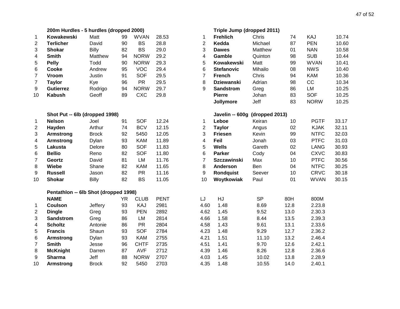| 47 of 52 |  |
|----------|--|
|          |  |

|                  | 200m Hurdles - 5 hurdles (dropped 2000) |              |           |             |             | Triple Jump (dropped 2011) |                                |           |      |             |       |
|------------------|-----------------------------------------|--------------|-----------|-------------|-------------|----------------------------|--------------------------------|-----------|------|-------------|-------|
| 1                | Kowakewski                              | Matt         | 99        | <b>WVAN</b> | 28.53       | 1                          | <b>Frehlich</b>                | Chris     | 74   | KAJ         | 10.74 |
| $\overline{2}$   | <b>Terlicher</b>                        | David        | 90        | <b>BS</b>   | 28.8        | $\boldsymbol{2}$           | Kedda                          | Michael   | 87   | <b>PEN</b>  | 10.60 |
| 3                | <b>Shokar</b>                           | <b>Billy</b> | 82        | <b>BS</b>   | 29.0        | 3                          | <b>Dawes</b>                   | Matthew   | 01   | <b>NAN</b>  | 10.58 |
| 4                | <b>Smith</b>                            | Matthew      | 94        | <b>NORW</b> | 29.2        | 4                          | Gamble                         | Quinton   | 98   | <b>SUB</b>  | 10.44 |
| 5                | <b>Pelly</b>                            | Todd         | 90        | <b>NORW</b> | 29.3        | 5                          | Kowakewski                     | Matt      | 99   | <b>WVAN</b> | 10.41 |
| 6                | Cooke                                   | Andrew       | 95        | <b>VOC</b>  | 29.4        | 6                          | <b>Stefanovic</b>              | Mihailo   | 08   | <b>NWS</b>  | 10.40 |
| $\overline{7}$   | Vroom                                   | Justin       | 91        | <b>SOF</b>  | 29.5        | $\overline{7}$             | <b>French</b>                  | Chris     | 94   | <b>KAM</b>  | 10.36 |
| $\overline{7}$   | <b>Taylor</b>                           | Kye          | 96        | <b>PR</b>   | 29.5        | 8                          | <b>Dziewanski</b>              | Adrian    | 98   | CC          | 10.34 |
| 9                | <b>Gutierrez</b>                        | Rodrigo      | 94        | <b>NORW</b> | 29.7        | 9                          | <b>Sandstrom</b>               | Greg      | 86   | LM          | 10.25 |
| 10               | <b>Kabush</b>                           | Geoff        | 89        | <b>CXC</b>  | 29.8        |                            | <b>Pierre</b>                  | Johan     | 83   | <b>SOF</b>  | 10.25 |
|                  |                                         |              |           |             |             |                            | Jollymore                      | Jeff      | 83   | <b>NORW</b> | 10.25 |
|                  | Shot Put -- 6lb (dropped 1998)          |              |           |             |             |                            | Javelin -- 600g (dropped 2013) |           |      |             |       |
| $\mathbf{1}$     | <b>Nelson</b>                           | Joel         | 91        | <b>SOF</b>  | 12.24       | 1                          | Leboe                          | Keiran    | 10   | <b>PGTF</b> | 33.17 |
| $\boldsymbol{2}$ | Hayden                                  | Arthur       | 74        | <b>BCV</b>  | 12.15       | $\boldsymbol{2}$           | <b>Taylor</b>                  | Angus     | 02   | <b>KJAK</b> | 32.11 |
| 3                | Armstrong                               | <b>Brock</b> | 92        | 5450        | 12.05       | 3                          | <b>Friesen</b>                 | Kevin     | 99   | <b>NTFC</b> | 32.03 |
| 4                | Armstrong                               | Dylan        | 93        | <b>KAM</b>  | 11.89       | 4                          | Feil                           | Jonah     | 03   | <b>PTFC</b> | 31.03 |
| 5                | Lakusta                                 | Delore       | 80        | <b>SOF</b>  | 11.83       | 5                          | <b>Wells</b>                   | Gareth    | 02   | <b>LANG</b> | 30.93 |
| 6                | <b>Bellio</b>                           | Reno         | 82        | <b>SOF</b>  | 11.80       | 6                          | <b>Parker</b>                  | Cody      | 04   | <b>CXVC</b> | 30.83 |
| $\overline{7}$   | Geortz                                  | David        | 81        | LM          | 11.76       | $\overline{7}$             | <b>Szczawinski</b>             | Max       | 10   | <b>PTFC</b> | 30.56 |
| 8                | Wiebe                                   | Shane        | 82        | <b>KAM</b>  | 11.65       | 8                          | Anderson                       | Ben       | 04   | <b>NTFC</b> | 30.25 |
| 9                | <b>Russell</b>                          | Jason        | 82        | <b>PR</b>   | 11.16       | $\boldsymbol{9}$           | <b>Rondquist</b>               | Seever    | 10   | <b>CRVC</b> | 30.18 |
| 10               | <b>Shokar</b>                           | <b>Billy</b> | 82        | <b>BS</b>   | 11.05       | 10                         | Woytkowiak                     | Paul      | 01   | <b>WVAN</b> | 30.15 |
|                  | Pentathlon -- 6lb Shot (dropped 1998)   |              |           |             |             |                            |                                |           |      |             |       |
|                  | <b>NAME</b>                             |              | <b>YR</b> | <b>CLUB</b> | <b>PENT</b> | LJ                         | HJ                             | <b>SP</b> | 80H  | 800M        |       |
| 1                | <b>Coulson</b>                          | Jeffery      | 93        | KAJ         | 2981        | 4.60                       | 1.48                           | 8.69      | 12.8 | 2.23.8      |       |
| $\overline{2}$   | <b>Dingle</b>                           | Greg         | 93        | <b>PEN</b>  | 2892        | 4.62                       | 1.45                           | 9.52      | 13.0 | 2.30.3      |       |
| 3                | <b>Sandstrom</b>                        | Greg         | 86        | LM          | 2814        | 4.66                       | 1.58                           | 8.44      | 13.5 | 2.39.3      |       |
| 4                | <b>Scholtz</b>                          | Antonie      | 86        | <b>PR</b>   | 2804        | 4.58                       | 1.43                           | 9.61      | 13.1 | 2.33.6      |       |
| 5                | <b>Francis</b>                          | Shaun        | 93        | <b>SOF</b>  | 2784        | 4.23                       | 1.48                           | 9.29      | 12.7 | 2.36.2      |       |
| 6                | <b>Armstrong</b>                        | Dylan        | 93        | <b>KAM</b>  | 2755        | 4.21                       | 1.51                           | 11.10     | 13.2 | 2.46.4      |       |
| $\overline{7}$   | <b>Smith</b>                            | Jesse        | 96        | <b>CHTF</b> | 2735        | 4.51                       | 1.41                           | 9.70      | 12.6 | 2.42.1      |       |
| 8                | <b>McKnight</b>                         | Darren       | 87        | <b>AVF</b>  | 2712        | 4.39                       | 1.46                           | 8.26      | 12.8 | 2.36.6      |       |
| 9                | <b>Sharma</b>                           | Jeff         | 88        | <b>NORW</b> | 2707        | 4.03                       | 1.45                           | 10.02     | 13.8 | 2.28.9      |       |

**Armstrong** Brock 92 5450 2703 4.35 1.48 10.55 14.0 2.40.1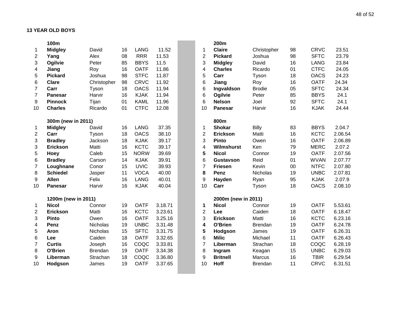|                | 100m                |             |    |             |         |                         | 200m                |                |    |             |         |
|----------------|---------------------|-------------|----|-------------|---------|-------------------------|---------------------|----------------|----|-------------|---------|
| 1              | <b>Midgley</b>      | David       | 16 | <b>LANG</b> | 11.52   | 1                       | <b>Claire</b>       | Christopher    | 98 | <b>CRVC</b> | 23.51   |
| 2              | Yang                | Alex        | 08 | <b>RRR</b>  | 11.53   | $\mathbf{2}$            | <b>Pickard</b>      | Joshua         | 98 | <b>SFTC</b> | 23.79   |
| 3              | Ogilvie             | Peter       | 85 | <b>BBYS</b> | 11.5    | 3                       | <b>Midgley</b>      | David          | 16 | <b>LANG</b> | 23.84   |
| 4              | Jiang               | Roy         | 16 | <b>OATF</b> | 11.86   | $\overline{\mathbf{4}}$ | <b>Charles</b>      | Ricardo        | 01 | <b>CTFC</b> | 24.05   |
| 5              | <b>Pickard</b>      | Joshua      | 98 | <b>STFC</b> | 11.87   | 5                       | Carr                | Tyson          | 18 | <b>OACS</b> | 24.23   |
| 6              | <b>Clare</b>        | Christopher | 98 | <b>CRVC</b> | 11.92   | 6                       | Jiang               | Roy            | 16 | <b>OATF</b> | 24.34   |
| $\overline{7}$ | Carr                | Tyson       | 18 | <b>OACS</b> | 11.94   | 6                       | Ingvaldson          | <b>Brodie</b>  | 05 | <b>SFTC</b> | 24.34   |
| $\overline{7}$ | <b>Panesar</b>      | Harvir      | 16 | <b>KJAK</b> | 11.94   | 6                       | Ogilvie             | Peter          | 85 | <b>BBYS</b> | 24.1    |
| 9              | <b>Pinnock</b>      | Tijan       | 01 | <b>KAML</b> | 11.96   | 6                       | <b>Nelson</b>       | Joel           | 92 | <b>SFTC</b> | 24.1    |
| 10             | <b>Charles</b>      | Ricardo     | 01 | <b>CTFC</b> | 12.08   | 10                      | <b>Panesar</b>      | Harvir         | 16 | <b>KJAK</b> | 24.44   |
|                | 300m (new in 2011)  |             |    |             |         |                         | 800m                |                |    |             |         |
| 1              | <b>Midgley</b>      | David       | 16 | <b>LANG</b> | 37.35   | 1                       | <b>Shokar</b>       | <b>Billy</b>   | 83 | <b>BBYS</b> | 2.04.7  |
| $\overline{c}$ | Carr                | Tyson       | 18 | <b>OACS</b> | 38.10   | $\mathbf{2}$            | Erickson            | Matti          | 16 | <b>KCTC</b> | 2.06.54 |
| 3              | <b>Bradley</b>      | Jackson     | 18 | <b>KJAK</b> | 39.17   | 3                       | <b>Pinto</b>        | Owen           | 16 | <b>OATF</b> | 2.06.89 |
| 3              | <b>Erickson</b>     | Matti       | 16 | <b>KCTC</b> | 39.17   | 4                       | Wilmshurst          | Ken            | 79 | <b>MERC</b> | 2.07.2  |
| 5              | Hoey                | Caleb       | 15 | <b>NORW</b> | 39.69   | 5                       | <b>Nicol</b>        | Connor         | 19 | <b>OATF</b> | 2.07.56 |
| 6              | <b>Bradley</b>      | Carson      | 14 | <b>KJAK</b> | 39.91   | 6                       | Gustavson           | Reid           | 01 | <b>WVAN</b> | 2.07.77 |
| $\overline{7}$ | Loughnane           | Conor       | 15 | <b>UVIC</b> | 39.93   | $\overline{7}$          | <b>Friesen</b>      | Kevin          | 00 | <b>NTFC</b> | 2.07.80 |
| 8              | <b>Schiedel</b>     | Jasper      | 11 | <b>VOCA</b> | 40.00   | 8                       | Penz                | Nicholas       | 19 | <b>UNBC</b> | 2.07.81 |
| 9              | <b>Allen</b>        | Felix       | 16 | <b>LANG</b> | 40.01   | 9                       | Hayden              | Ryan           | 95 | <b>KJAK</b> | 2.07.9  |
| 10             | <b>Panesar</b>      | Harvir      | 16 | <b>KJAK</b> | 40.04   | 10                      | Carr                | Tyson          | 18 | <b>OACS</b> | 2.08.10 |
|                | 1200m (new in 2011) |             |    |             |         |                         | 2000m (new in 2011) |                |    |             |         |
| 1              | <b>Nicol</b>        | Connor      | 19 | <b>OATF</b> | 3.18.71 | 1                       | <b>Nicol</b>        | Connor         | 19 | <b>OATF</b> | 5.53.61 |
| $\overline{2}$ | <b>Erickson</b>     | Matti       | 16 | <b>KCTC</b> | 3.23.61 | $\overline{c}$          | Lee                 | Caiden         | 18 | <b>OATF</b> | 6.18.47 |
| 3              | <b>Pinto</b>        | Owen        | 16 | <b>OATF</b> | 3.25.16 | 3                       | Erickson            | Matti          | 16 | <b>KCTC</b> | 6.23.16 |
| 4              | Penz                | Nicholas    | 19 | <b>UNBC</b> | 3.31.48 | 4                       | O'Brien             | <b>Brendan</b> | 19 | <b>OATF</b> | 6.24.78 |
| 5              | Aron                | Nicholas    | 15 | <b>SFTC</b> | 3.31.75 | 5                       | Hodgson             | James          | 19 | <b>OATF</b> | 6.26.31 |
| 6              | Lee                 | Caiden      | 18 | <b>OATF</b> | 3.32.65 | 6                       | <b>Milic</b>        | Michael        | 11 | <b>OATF</b> | 6.26.43 |
| $\overline{7}$ | <b>Curtis</b>       | Joseph      | 16 | COQC        | 3.33.81 | $\overline{7}$          | Liberman            | Strachan       | 18 | COQC        | 6.28.19 |
| 8              | O'Brien             | Brendan     | 19 | <b>OATF</b> | 3.34.38 | 8                       | Ingram              | Keagan         | 15 | <b>UNBC</b> | 6.29.03 |
| 9              | Liberman            | Strachan    | 18 | COQC        | 3.36.80 | 9                       | <b>Britnell</b>     | Marcus         | 16 | <b>TBIR</b> | 6.29.54 |
| 10             | Hodgson             | James       | 19 | <b>OATF</b> | 3.37.65 | 10                      | <b>Hoff</b>         | <b>Brendan</b> | 11 | <b>CRVC</b> | 6.31.51 |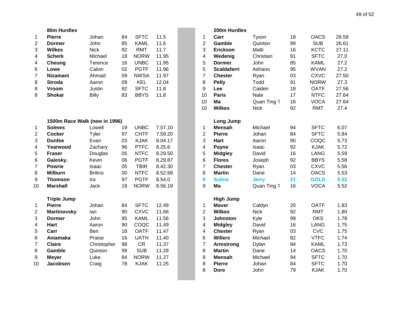|                         | 80m Hurdles                   |                |    |             |         |                         | 200m Hurdles       |              |    |                     |       |
|-------------------------|-------------------------------|----------------|----|-------------|---------|-------------------------|--------------------|--------------|----|---------------------|-------|
| 1                       | <b>Pierre</b>                 | Johan          | 84 | <b>SFTC</b> | 11.5    | $\mathbf{1}$            | Carr               | Tyson        | 18 | <b>OACS</b>         | 26.58 |
| $\overline{2}$          | <b>Dormer</b>                 | John           | 85 | <b>KAML</b> | 11.6    | $\overline{2}$          | Gamble             | Quinton      | 99 | <b>SUB</b>          | 26.61 |
| 3                       | <b>Wilkes</b>                 | <b>Nick</b>    | 92 | <b>RMT</b>  | 11.7    | 3                       | Erickson           | Matti        | 16 | <b>KCTC</b>         | 27.11 |
| 4                       | <b>Scherk</b>                 | Michael        | 18 | <b>NORW</b> | 11.95   | $\overline{\mathbf{4}}$ | Wedenig            | Christian    | 91 | <b>SFTC</b>         | 27.0  |
| 4                       | Cheung                        | Terence        | 16 | <b>UNBC</b> | 11.95   | 5                       | <b>Dormer</b>      | John         | 85 | <b>KAML</b>         | 27.2  |
| 6                       | Lowe                          | Calvin         | 02 | <b>PGTF</b> | 11.96   | 5                       | <b>Scaldaferri</b> | Adriano      | 95 | <b>WVAN</b>         | 27.2  |
| 7                       | <b>Nizamani</b>               | Ahmad          | 09 | <b>NWSA</b> | 11.97   | $\overline{7}$          | <b>Chester</b>     | Ryan         | 03 | <b>CXVC</b>         | 27.50 |
| 8                       | <b>Stroda</b>                 | Aaron          | 09 | <b>KEL</b>  | 12.04   | 8                       | <b>Pelly</b>       | Todd         | 91 | <b>NORW</b>         | 27.3  |
| 8                       | Vroom                         | Justin         | 92 | <b>SFTC</b> | 11.8    | 9                       | Lee                | Caiden       | 18 | <b>OATF</b>         | 27.56 |
| 8                       | <b>Shokar</b>                 | Billy          | 83 | <b>BBYS</b> | 11.8    | 10                      | <b>Paris</b>       | <b>Nate</b>  | 17 | <b>NTFC</b>         | 27.64 |
|                         |                               |                |    |             |         | 10                      | Ma                 | Quan Ting 1  | 16 | <b>VOCA</b>         | 27.64 |
|                         |                               |                |    |             |         | 10                      | <b>Wilkes</b>      | <b>Nick</b>  | 92 | <b>RMT</b>          | 27.4  |
|                         | 1500m Race Walk (new in 1996) |                |    |             |         |                         | Long Jump          |              |    |                     |       |
| 1                       | <b>Solmes</b>                 | Lowell         | 19 | <b>UNBC</b> | 7.07.10 | $\mathbf{1}$            | <b>Mensah</b>      | Michael      | 94 | <b>SFTC</b>         | 6.07  |
| $\mathbf{2}$            | <b>Cocker</b>                 | Tyler          | 97 | <b>CHTF</b> | 7.59.20 | $\overline{c}$          | <b>Pierre</b>      | Johan        | 84 | <b>SFTC</b>         | 5.84  |
| 3                       | <b>Dunfee</b>                 | Evan           | 03 | <b>KJAK</b> | 8.04.17 | 3                       | <b>Hart</b>        | Aaron        | 90 | COQC                | 5.73  |
| 4                       | Yearwood                      | Zachary        | 96 | <b>PTFC</b> | 8.25.6  | 4                       | Payne              | Isaac        | 92 | <b>KJAK</b>         | 5.72  |
| 5                       | <b>Fraser</b>                 | Douglas        | 05 | <b>NTFC</b> | 8.29.50 | 5                       | <b>Midgley</b>     | David        | 16 | <b>LANG</b>         | 5.59  |
| 6                       | Gaiesky.                      | Kevin          | 06 | <b>PGTF</b> | 8.29.87 | 6                       | <b>Flores</b>      | Joseph       | 92 | <b>BBYS</b>         | 5.58  |
| $\overline{7}$          | <b>Powrie</b>                 | Isaac          | 05 | <b>TBIR</b> | 8.42.30 | $\overline{7}$          | <b>Chester</b>     | Ryan         | 03 | <b>CXVC</b>         | 5.56  |
| 8                       | <b>Milburn</b>                | <b>Britino</b> | 00 | <b>NTFC</b> | 8.52.68 | 8                       | <b>Martin</b>      | Dane         | 14 | <b>OACS</b>         | 5.53  |
| 9                       | <b>Thomson</b>                | Ira            | 97 | <b>PGTF</b> | 8.54.0  | 9                       | <b>Sulina</b>      | <b>Jerry</b> | 21 | <b>GOLD</b>         | 5.52  |
| 10                      | <b>Marshall</b>               | <b>Jack</b>    | 18 | <b>NORW</b> | 8.56.19 | 9                       | Ma                 | Quan Ting 1  | 16 | <b>VOCA</b>         | 5.52  |
|                         | <b>Triple Jump</b>            |                |    |             |         |                         | <b>High Jump</b>   |              |    |                     |       |
| $\mathbf{1}$            | <b>Pierre</b>                 | Johan          | 84 | <b>SFTC</b> | 12.49   | 1                       | <b>Maver</b>       | Caldyn       | 20 | <b>OATF</b>         | 1.83  |
| $\overline{\mathbf{c}}$ | <b>Martinovsky</b>            | lan            | 90 | <b>CXVC</b> | 11.66   | $\overline{c}$          | <b>Wilkes</b>      | <b>Nick</b>  | 92 | <b>RMT</b>          | 1.80  |
| 3                       | <b>Dormer</b>                 | John           | 85 | <b>KAML</b> | 11.56   | 3                       | Johnston           | Kyle         | 99 | <b>OKS</b>          | 1.78  |
| 4                       | <b>Hart</b>                   | Aaron          | 90 | COQC        | 11.49   | 4                       | <b>Midgley</b>     | David        | 16 | <b>LANG</b>         | 1.75  |
| 5                       | Carr                          | Ben            | 18 | <b>OATF</b> | 11.47   | 4                       | <b>Chester</b>     | Ryan         | 03 | <b>CVC</b>          | 1.75  |
| 6                       | Aniamaka                      | Praise         | 16 | <b>UATH</b> | 11.40   | 6                       | <b>Willers</b>     | Michael      | 82 | <b>VTFC</b>         | 1.74  |
| $\boldsymbol{7}$        | <b>Claire</b>                 | Christopher    | 98 | <b>CR</b>   | 11.37   | $\overline{\mathbf{7}}$ | <b>Armstrong</b>   | Dylan        | 94 | <b>KAML</b>         | 1.73  |
| 8                       | Gamble                        | Quinton        | 99 | <b>SUB</b>  | 11.28   | 8                       | <b>Martin</b>      | Dane         | 14 | <b>OACS</b>         | 1.70  |
| 9                       | <b>Meyer</b>                  | Luke           | 84 | <b>NORW</b> | 11.27   | 8                       | <b>Mensah</b>      | Michael      | 94 | <b>SFTC</b>         | 1.70  |
| 10                      | Jacobsen                      | Craig          | 78 | <b>KJAK</b> | 11.25   | 8                       | <b>Pierre</b>      | Johan        | 84 | <b>SFTC</b>         | 1.70  |
|                         |                               |                |    |             |         | $\Omega$                | <b>Dava</b>        | lahn         | 70 | $\overline{V}$ into | 4.70  |

|                | 200m Hurdles       |              |    |             |       |
|----------------|--------------------|--------------|----|-------------|-------|
| 1              | Carr               | Tyson        | 18 | <b>OACS</b> | 26.58 |
| $\overline{c}$ | Gamble             | Quinton      | 99 | <b>SUB</b>  | 26.61 |
| 3              | Erickson           | Matti        | 16 | <b>KCTC</b> | 27.11 |
| 4              | Wedenig            | Christian    | 91 | <b>SFTC</b> | 27.0  |
| 5              | <b>Dormer</b>      | John         | 85 | <b>KAML</b> | 27.2  |
| 5              | <b>Scaldaferri</b> | Adriano      | 95 | <b>WVAN</b> | 27.2  |
| 7              | <b>Chester</b>     | Ryan         | 03 | <b>CXVC</b> | 27.50 |
| 8              | <b>Pelly</b>       | Todd         | 91 | <b>NORW</b> | 27.3  |
| 9              | Lee                | Caiden       | 18 | <b>OATF</b> | 27.56 |
| 10             | Paris              | <b>Nate</b>  | 17 | <b>NTFC</b> | 27.64 |
| 10             | Ma                 | Quan Ting 1  | 16 | <b>VOCA</b> | 27.64 |
| 10             | <b>Wilkes</b>      | <b>Nick</b>  | 92 | <b>RMT</b>  | 27.4  |
|                | Long Jump          |              |    |             |       |
| 1              | <b>Mensah</b>      | Michael      | 94 | <b>SFTC</b> | 6.07  |
| $\overline{2}$ | <b>Pierre</b>      | Johan        | 84 | <b>SFTC</b> | 5.84  |
| 3              | Hart               | Aaron        | 90 | COQC        | 5.73  |
| 4              | Payne              | Isaac        | 92 | <b>KJAK</b> | 5.72  |
| 5              | <b>Midgley</b>     | David        | 16 | <b>LANG</b> | 5.59  |
| 6              | <b>Flores</b>      | Joseph       | 92 | <b>BBYS</b> | 5.58  |
| 7              | <b>Chester</b>     | Ryan         | 03 | <b>CXVC</b> | 5.56  |
| 8              | <b>Martin</b>      | Dane         | 14 | <b>OACS</b> | 5.53  |
| 9              | <b>Sulina</b>      | <b>Jerry</b> | 21 | <b>GOLD</b> | 5.52  |
| 9              | Ma                 | Quan Ting 1  | 16 | <b>VOCA</b> | 5.52  |
|                | <b>High Jump</b>   |              |    |             |       |
| 1              | <b>Maver</b>       | Caldyn       | 20 | <b>OATF</b> | 1.83  |
| $\overline{2}$ | <b>Wilkes</b>      | <b>Nick</b>  | 92 | <b>RMT</b>  | 1.80  |
| 3              | <b>Johnston</b>    | Kyle         | 99 | <b>OKS</b>  | 1.78  |
| 4              | <b>Midgley</b>     | David        | 16 | <b>LANG</b> | 1.75  |
| 4              | <b>Chester</b>     | Ryan         | 03 | <b>CVC</b>  | 1.75  |
| 6              | <b>Willers</b>     | Michael      | 82 | <b>VTFC</b> | 1.74  |
| 7              | <b>Armstrong</b>   | Dylan        | 94 | <b>KAML</b> | 1.73  |
| 8              | <b>Martin</b>      | Dane         | 14 | <b>OACS</b> | 1.70  |
| 8              | Mensah             | Michael      | 94 | <b>SFTC</b> | 1.70  |
| 8              | <b>Pierre</b>      | Johan        | 84 | <b>SFTC</b> | 1.70  |
| 8              | Dore               | John         | 79 | <b>KJAK</b> | 1.70  |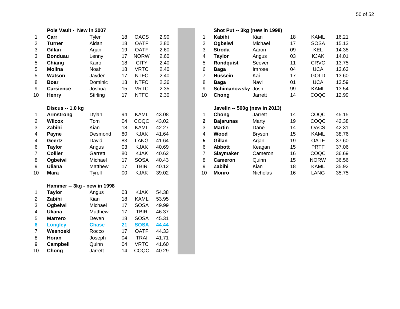|                  | Pole Vault - New in 2007    |               |    |             |       |                | Shot Put -- 3kg (new in 1998) |               |
|------------------|-----------------------------|---------------|----|-------------|-------|----------------|-------------------------------|---------------|
| 1                | Carr                        | Tyler         | 18 | <b>OACS</b> | 2.90  | 1              | <b>Kabihi</b>                 | Kian          |
| $\overline{c}$   | <b>Turner</b>               | Aidan         | 18 | <b>OATF</b> | 2.80  | $\overline{2}$ | Ogbeiwi                       | Michael       |
| 3                | Gillan                      | Arjan         | 19 | <b>OATF</b> | 2.60  | 3              | <b>Stroda</b>                 | Aaron         |
| 3                | <b>Bonduau</b>              | Lenny         | 17 | <b>NORW</b> | 2.60  | 4              | <b>Taylor</b>                 | Angus         |
| 5                | Chiang                      | Kairo         | 18 | <b>CITY</b> | 2.40  | 5              | <b>Rondquist</b>              | Seever        |
| 5                | <b>Molina</b>               | Noah          | 18 | <b>VRTC</b> | 2.40  | 6              | <b>Baga</b>                   | Imrose        |
| 5                | <b>Watson</b>               | Jayden        | 17 | <b>NTFC</b> | 2.40  | $\overline{7}$ | <b>Hussein</b>                | Kai           |
| 8                | <b>Boar</b>                 | Dominic       | 13 | <b>NTFC</b> | 2.36  | 8              | <b>Baga</b>                   | Navi          |
| 9                | <b>Carsience</b>            | Joshua        | 15 | <b>VRTC</b> | 2.35  | 9              | Schimanowsky Josh             |               |
| 10               | Henry                       | Stirling      | 17 | <b>NTFC</b> | 2.30  | 10             | Chong                         | Jarrett       |
|                  | Discus -- 1.0 kg            |               |    |             |       |                | Javelin -- 500g (new in 2013) |               |
| 1                | <b>Armstrong</b>            | Dylan         | 94 | <b>KAML</b> | 43.08 | 1              | Chong                         | Jarrett       |
| $\overline{2}$   | <b>Wilcox</b>               | Tom           | 04 | COQC        | 43.02 | $\overline{2}$ | <b>Bajarunas</b>              | Marty         |
| 3                | Zabihi                      | Kian          | 18 | <b>KAML</b> | 42.27 | 3              | <b>Martin</b>                 | Dane          |
| 4                | Payne                       | Desmond       | 80 | <b>KJAK</b> | 41.64 | $\overline{4}$ | Wood                          | <b>Bryson</b> |
| 4                | Geertz                      | David         | 83 | <b>LANG</b> | 41.64 | 5              | Gillan                        | Arjan         |
| 6                | <b>Taylor</b>               | Angus         | 03 | <b>KJAK</b> | 40.69 | 6              | <b>Abbott</b>                 | Keagan        |
| $\overline{7}$   | <b>Collier</b>              | Garrett       | 80 | <b>KJAK</b> | 40.62 | $\overline{7}$ | <b>Slaymaker</b>              | Cameron       |
| 8                | Ogbeiwi                     | Michael       | 17 | <b>SOSA</b> | 40.43 | 8              | <b>Cameron</b>                | Quinn         |
| $\boldsymbol{9}$ | <b>Uliana</b>               | Matthew       | 17 | <b>TBIR</b> | 40.12 | 9              | Zabihi                        | Kian          |
| 10               | <b>Mara</b>                 | <b>Tyrell</b> | 00 | <b>KJAK</b> | 39.02 | 10             | <b>Monro</b>                  | Nicholas      |
|                  | Hammer -- 3kg - new in 1998 |               |    |             |       |                |                               |               |
| 1                | <b>Taylor</b>               | Angus         | 03 | <b>KJAK</b> | 54.38 |                |                               |               |
| $\overline{2}$   | Zabihi                      | Kian          | 18 | <b>KAML</b> | 53.95 |                |                               |               |
| 3                | Ogbeiwi                     | Michael       | 17 | <b>SOSA</b> | 49.99 |                |                               |               |
| 4                | <b>Uliana</b>               | Matthew       | 17 | <b>TBIR</b> | 46.37 |                |                               |               |
| 5                | <b>Marrero</b>              | Deven         | 18 | <b>SOSA</b> | 45.31 |                |                               |               |
| 6                | <b>Longley</b>              | <b>Chase</b>  | 21 | <b>SOSA</b> | 44.44 |                |                               |               |
| $\overline{7}$   | Wesnoski                    | Rocco         | 17 | <b>OATF</b> | 44.33 |                |                               |               |
| 8                | Horan                       | Joseph        | 04 | <b>TRAI</b> | 41.71 |                |                               |               |
| 9                | <b>Campbell</b>             | Quinn         | 04 | <b>VRTC</b> | 41.60 |                |                               |               |
| 10               | Chong                       | Jarrett       | 14 | COQC        | 40.29 |                |                               |               |

|                | Pole Vault - New in 2007 |          |    |             |       | Shot Put -- 3kg (new in 1998) |                               |               |    |             |       |
|----------------|--------------------------|----------|----|-------------|-------|-------------------------------|-------------------------------|---------------|----|-------------|-------|
| 1              | Carr                     | Tyler    | 18 | <b>OACS</b> | 2.90  |                               | Kabihi                        | Kian          | 18 | KAML        | 16.21 |
| 2              | Turner                   | Aidan    | 18 | <b>OATF</b> | 2.80  | $\overline{2}$                | Ogbeiwi                       | Michael       | 17 | <b>SOSA</b> | 15.13 |
| 3              | Gillan                   | Arjan    | 19 | <b>OATF</b> | 2.60  | 3                             | <b>Stroda</b>                 | Aaron         | 09 | <b>KEL</b>  | 14.38 |
| 3              | <b>Bonduau</b>           | Lenny    | 17 | <b>NORW</b> | 2.60  | 4                             | <b>Taylor</b>                 | Angus         | 03 | <b>KJAK</b> | 14.01 |
| 5              | Chiang                   | Kairo    | 18 | <b>CITY</b> | 2.40  | 5                             | <b>Rondquist</b>              | Seever        | 11 | <b>CRVC</b> | 13.75 |
| 5              | <b>Molina</b>            | Noah     | 18 | <b>VRTC</b> | 2.40  | 6                             | Baga                          | Imrose        | 04 | <b>UCA</b>  | 13.63 |
| 5              | <b>Watson</b>            | Jayden   | 17 | <b>NTFC</b> | 2.40  |                               | <b>Hussein</b>                | Kai           | 17 | <b>GOLD</b> | 13.60 |
| 8              | <b>Boar</b>              | Dominic  | 13 | <b>NTFC</b> | 2.36  | 8                             | <b>Baga</b>                   | Navi          | 01 | <b>UCA</b>  | 13.59 |
| 9              | <b>Carsience</b>         | Joshua   | 15 | <b>VRTC</b> | 2.35  | 9                             | Schimanowsky                  | Josh          | 99 | <b>KAML</b> | 13.54 |
| 10             | <b>Henry</b>             | Stirling | 17 | <b>NTFC</b> | 2.30  | 10                            | Chong                         | Jarrett       | 14 | COQC        | 12.99 |
|                | Discus -- 1.0 kg         |          |    |             |       |                               | Javelin -- 500g (new in 2013) |               |    |             |       |
| 1              | <b>Armstrong</b>         | Dylan    | 94 | <b>KAML</b> | 43.08 |                               | Chong                         | Jarrett       | 14 | COQC        | 45.15 |
| 2              | <b>Wilcox</b>            | Tom      | 04 | COQC        | 43.02 | $\mathbf{2}$                  | <b>Bajarunas</b>              | Marty         | 19 | COQC        | 42.38 |
| 3              | Zabihi                   | Kian     | 18 | <b>KAML</b> | 42.27 | 3                             | <b>Martin</b>                 | Dane          | 14 | <b>OACS</b> | 42.31 |
| 4              | Payne                    | Desmond  | 80 | <b>KJAK</b> | 41.64 | 4                             | Wood                          | <b>Bryson</b> | 15 | <b>KAML</b> | 38.76 |
| 4              | Geertz                   | David    | 83 | LANG        | 41.64 | 5                             | Gillan                        | Arjan         | 19 | <b>OATF</b> | 37.60 |
| 6              | <b>Taylor</b>            | Angus    | 03 | <b>KJAK</b> | 40.69 | 6                             | <b>Abbott</b>                 | Keagan        | 15 | <b>PRTF</b> | 37.06 |
| $\overline{7}$ | <b>Collier</b>           | Garrett  | 80 | <b>KJAK</b> | 40.62 |                               | <b>Slaymaker</b>              | Cameron       | 16 | COQC        | 36.69 |
| 8              | Ogbeiwi                  | Michael  | 17 | <b>SOSA</b> | 40.43 | 8                             | Cameron                       | Quinn         | 15 | <b>NORW</b> | 36.56 |
| 9              | <b>Uliana</b>            | Matthew  | 17 | <b>TBIR</b> | 40.12 | 9                             | Zabihi                        | Kian          | 18 | <b>KAML</b> | 35.92 |
| 10             | <b>Mara</b>              | Tyrell   | 00 | <b>KJAK</b> | 39.02 | 10                            | Monro                         | Nicholas      | 16 | <b>LANG</b> | 35.75 |
|                |                          |          |    |             |       |                               |                               |               |    |             |       |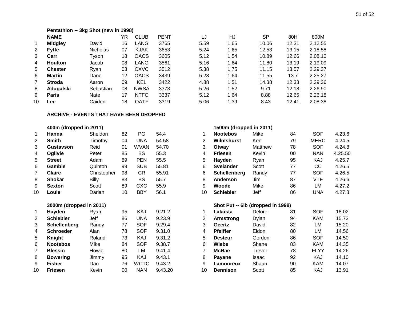|              | Pentathlon -- 3kg Shot (new in 1998) |                 |    |             |             |      |      |           |       |         |  |  |  |  |  |
|--------------|--------------------------------------|-----------------|----|-------------|-------------|------|------|-----------|-------|---------|--|--|--|--|--|
|              | <b>NAME</b>                          |                 | YR | <b>CLUB</b> | <b>PENT</b> | LJ   | HJ   | <b>SP</b> | 80H   | 800M    |  |  |  |  |  |
| -1           | <b>Midgley</b>                       | David           | 16 | LANG        | 3765        | 5.59 | 1.65 | 10.06     | 12.31 | 2.12.55 |  |  |  |  |  |
| 2            | <b>Fyffe</b>                         | <b>Nicholas</b> | 07 | <b>KJAK</b> | 3653        | 5.24 | 1.65 | 12.53     | 13.15 | 2.18.58 |  |  |  |  |  |
| 3            | Carr                                 | Tvson           | 18 | <b>OACS</b> | 3605        | 5.12 | 1.54 | 10.89     | 12.66 | 2.08.10 |  |  |  |  |  |
| 4            | <b>Houlton</b>                       | Jacob           | 08 | LANG        | 3561        | 5.16 | 1.64 | 11.80     | 13.19 | 2.19.09 |  |  |  |  |  |
| 5            | <b>Chester</b>                       | Rvan            | 03 | <b>CXVC</b> | 3512        | 5.38 | 1.75 | 11.15     | 13.57 | 2.29.37 |  |  |  |  |  |
| 6            | Martin                               | Dane            | 12 | <b>OACS</b> | 3439        | 5.28 | 1.64 | 11.55     | 13.7  | 2.25.27 |  |  |  |  |  |
| $\mathbf{7}$ | <b>Stroda</b>                        | Aaron           | 09 | <b>KEL</b>  | 3422        | 4.88 | 1.51 | 14.38     | 12.33 | 2.39.36 |  |  |  |  |  |
| 8            | Adugalski                            | Sebastian       | 08 | <b>NWSA</b> | 3373        | 5.26 | 1.52 | 9.71      | 12.18 | 2.26.90 |  |  |  |  |  |
| 9            | <b>Paris</b>                         | <b>Nate</b>     | 17 | <b>NTFC</b> | 3337        | 5.12 | 1.64 | 8.88      | 12.65 | 2.26.18 |  |  |  |  |  |
| 10           | Lee                                  | Caiden          | 18 | <b>OATF</b> | 3319        | 5.06 | 1.39 | 8.43      | 12.41 | 2.08.38 |  |  |  |  |  |

#### **ARCHIVE - EVENTS THAT HAVE BEEN DROPPED**

|                | 400m (dropped in 2011) |                |    |             |       |    | 1500m (dropped in 2011) |            |
|----------------|------------------------|----------------|----|-------------|-------|----|-------------------------|------------|
| 1              | Hanna                  | <b>Sheldon</b> | 82 | PG          | 54.4  | 1  | <b>Nootebos</b>         | Mike       |
| 2              | <b>Smith</b>           | Timothy        | 04 | <b>UNA</b>  | 54.58 | 2  | Wilmshurst              | <b>Ken</b> |
| 3              | Gustavson              | Reid           | 01 | <b>WVAN</b> | 54.70 | 3  | Otway                   | Matthew    |
| 4              | Ogilvie                | Peter          | 85 | <b>BS</b>   | 55.3  | 4  | <b>Friesen</b>          | Kevin      |
| 5              | <b>Street</b>          | Adam           | 89 | <b>PEN</b>  | 55.5  | 5  | Hayden                  | Rvan       |
| 6              | Gamble                 | Quinton        | 99 | <b>SUB</b>  | 55.81 | 6  | <b>Svelander</b>        | Scott      |
| $\overline{7}$ | <b>Claire</b>          | Christopher    | 98 | CR          | 55.91 | 6  | <b>Schellenberg</b>     | Randy      |
| 8              | <b>Shokar</b>          | <b>Billy</b>   | 83 | <b>BS</b>   | 55.7  | 8  | Anderson                | Jim.       |
| 9              | <b>Sexton</b>          | Scott          | 89 | <b>CXC</b>  | 55.9  | 9  | Woode                   | Mike       |
| 10             | Louie                  | Darian         | 10 | <b>BBY</b>  | 56.1  | 10 | <b>Schiebler</b>        | Jeff       |
|                |                        |                |    |             |       |    |                         |            |

| 1  | Hayden           | Ryan   | 95 | KAJ         | 9.21.2  |
|----|------------------|--------|----|-------------|---------|
| 2  | <b>Schiebler</b> | Jeff   | 86 | UNA         | 9.23.9  |
| 3  | Schellenberg     | Randy  | 77 | <b>SOF</b>  | 9.29.4  |
| 4  | <b>Schroeder</b> | Alan   | 78 | <b>SOF</b>  | 9.31.0  |
| 5  | <b>Knight</b>    | Roland | 73 | KAJ         | 9.31.2  |
| 6  | <b>Nootebos</b>  | Mike   | 84 | SOF         | 9.38.7  |
| 7  | <b>Blessin</b>   | Howie  | 80 | LM          | 9.41.4  |
| 8  | <b>Bowering</b>  | Jimmy  | 95 | KAJ         | 9.43.1  |
| 9  | <b>Fisher</b>    | Dan    | 76 | <b>WCTC</b> | 9.43.2  |
| 10 | <b>Friesen</b>   | Kevin  | 00 | <b>NAN</b>  | 9.43.20 |

|                | 400m (dropped in 2011) |                |    |             |       |                      | 1500m (dropped in 2011) |         |    |             |         |
|----------------|------------------------|----------------|----|-------------|-------|----------------------|-------------------------|---------|----|-------------|---------|
|                | Hanna                  | <b>Sheldon</b> | 82 | PG.         | 54.4  |                      | <b>Nootebos</b>         | Mike    | 84 | <b>SOF</b>  | 4.23.6  |
| $\mathbf{2}$   | <b>Smith</b>           | Timothy        | 04 | UNA         | 54.58 | $\mathbf{2}^{\circ}$ | Wilmshurst              | Ken     | 79 | <b>MERC</b> | 4.24.5  |
| 3              | Gustavson              | Reid           | 01 | <b>WVAN</b> | 54.70 | 3                    | Otway                   | Matthew | 78 | <b>SOF</b>  | 4.24.8  |
| 4              | Ogilvie                | Peter          | 85 | BS          | 55.3  | 4                    | <b>Friesen</b>          | Kevin   | 00 | <b>NAN</b>  | 4.25.50 |
| 5              | <b>Street</b>          | Adam           | 89 | <b>PEN</b>  | 55.5  | 5                    | <b>Havden</b>           | Ryan    | 95 | KAJ         | 4.25.7  |
| 6              | Gamble                 | Quinton        | 99 | <b>SUB</b>  | 55.81 | 6                    | <b>Svelander</b>        | Scott   | 77 | CС          | 4.26.5  |
| $\overline{7}$ | <b>Claire</b>          | Christopher    | 98 | CR          | 55.91 | 6                    | <b>Schellenberg</b>     | Randy   | 77 | <b>SOF</b>  | 4.26.5  |
| 8              | <b>Shokar</b>          | Billy          | 83 | BS          | 55.7  | 8                    | Anderson                | Jim     | 87 | VTF         | 4.26.6  |
| 9              | <b>Sexton</b>          | Scott          | 89 | <b>CXC</b>  | 55.9  | 9                    | Woode                   | Mike    | 86 | LM          | 4.27.2  |
| 10             | Louie                  | Darian         | 10 | <b>BBY</b>  | 56.1  | 10                   | <b>Schiebler</b>        | Jeff    | 86 | <b>UNA</b>  | 4.27.8  |
|                |                        |                |    |             |       |                      |                         |         |    |             |         |

#### **3000m (dropped in 2011) Shot Put -- 6lb (dropped in 1998)**

|    | Hayden              | Rvan   | 95 | KAJ         | 9.21.2  |    | Lakusta         | Delore | 81 | <b>SOF</b>  | 18.02 |
|----|---------------------|--------|----|-------------|---------|----|-----------------|--------|----|-------------|-------|
| 2  | <b>Schiebler</b>    | Jeff   | 86 | UNA         | 9.23.9  |    | Armstrong       | Dylan  | 94 | <b>KAM</b>  | 15.73 |
| 3  | <b>Schellenberg</b> | Randy  | 77 | <b>SOF</b>  | 9.29.4  |    | Geertz          | David  | 82 | LM          | 15.20 |
| 4  | <b>Schroeder</b>    | Alan   | 78 | <b>SOF</b>  | 9.31.0  | 4  | <b>Pfeiffer</b> | Eldon  | 80 | LМ          | 14.56 |
| 5  | Knight              | Roland | 73 | KAJ         | 9.31.2  | 5  | <b>Desteur</b>  | Gordon | 86 | <b>SOF</b>  | 14.50 |
| 6  | <b>Nootebos</b>     | Mike   | 84 | <b>SOF</b>  | 9.38.7  | 6  | Wiebe           | Shane  | 83 | <b>KAM</b>  | 14.35 |
|    | <b>Blessin</b>      | Howie  | 80 | LM          | 9.41.4  |    | <b>McRae</b>    | Trevor | 78 | <b>FLYY</b> | 14.26 |
| 8  | <b>Bowering</b>     | Jimmy  | 95 | KAJ         | 9.43.1  | 8  | <b>Pavane</b>   | Isaac  | 92 | KAJ         | 14.10 |
| 9  | <b>Fisher</b>       | Dan    | 76 | <b>WCTC</b> | 9.43.2  | 9  | Lamoureux       | Shaun  | 90 | <b>KAM</b>  | 14.07 |
| 10 | <b>Friesen</b>      | Kevin  | 00 | <b>NAN</b>  | 9.43.20 | 10 | Dennison        | Scott  | 85 | KAJ         | 13.91 |